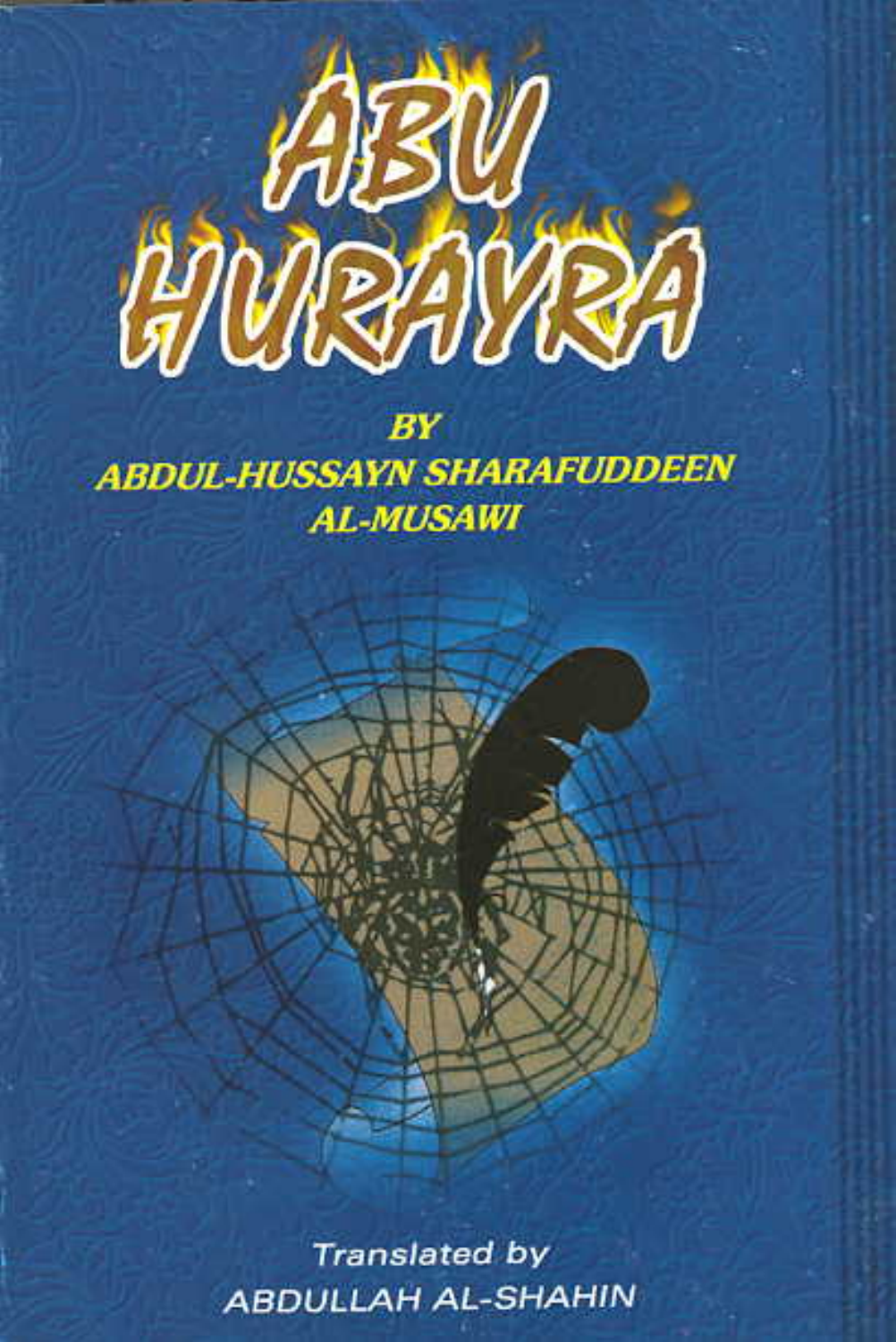

BY **ABDUL-HUSSAYN SHARAFUDDEEN AL-MUSAWI** 

> **Translated by ABDULLAH AL-SHAHIN**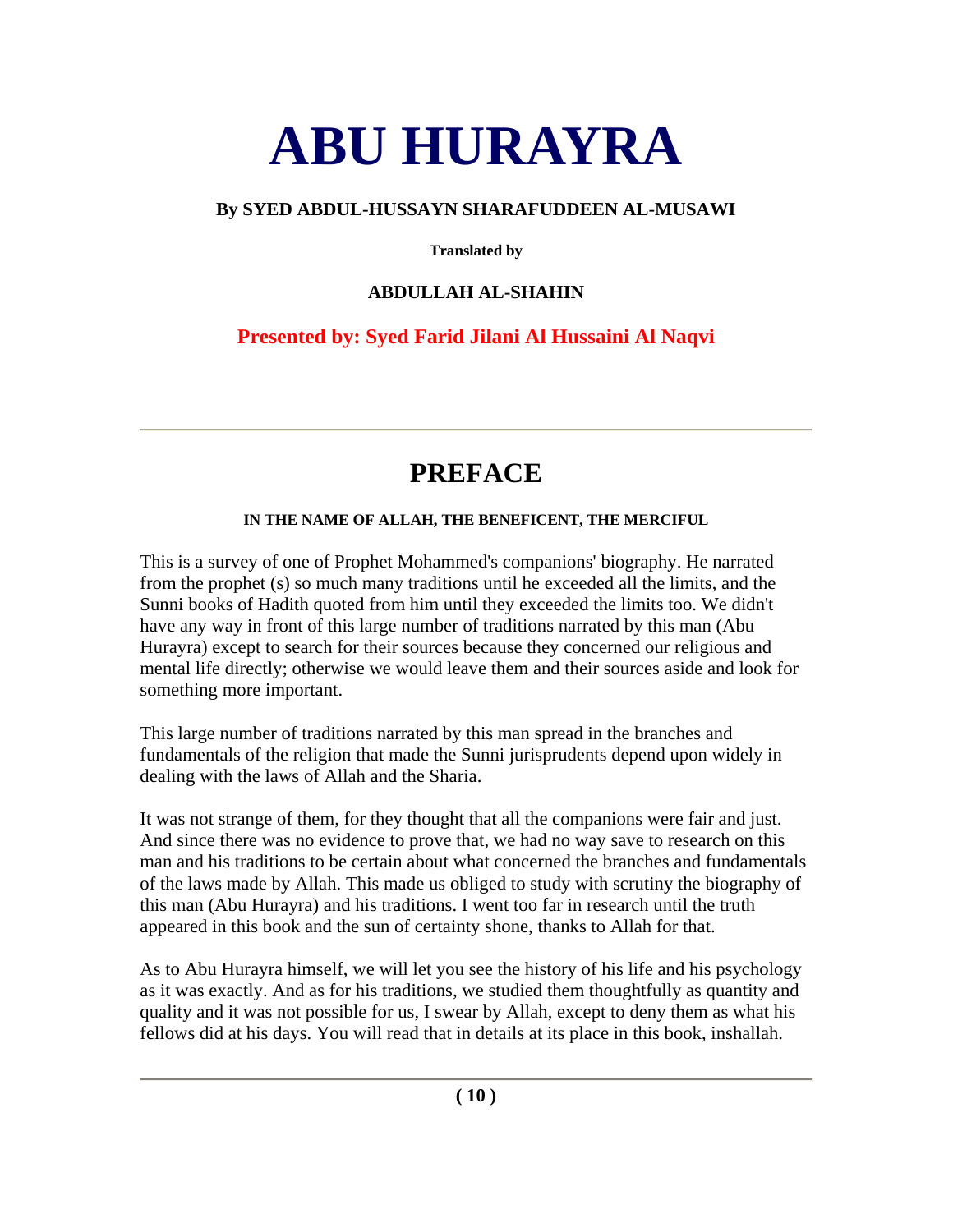# **ABU HURAYRA**

# **By SYED ABDUL-HUSSAYN SHARAFUDDEEN AL-MUSAWI**

**Translated by** 

# **ABDULLAH AL-SHAHIN**

# **Presented by: Syed Farid Jilani Al Hussaini Al Naqvi**

# **PREFACE**

### **IN THE NAME OF ALLAH, THE BENEFICENT, THE MERCIFUL**

This is a survey of one of Prophet Mohammed's companions' biography. He narrated from the prophet (s) so much many traditions until he exceeded all the limits, and the Sunni books of Hadith quoted from him until they exceeded the limits too. We didn't have any way in front of this large number of traditions narrated by this man (Abu Hurayra) except to search for their sources because they concerned our religious and mental life directly; otherwise we would leave them and their sources aside and look for something more important.

This large number of traditions narrated by this man spread in the branches and fundamentals of the religion that made the Sunni jurisprudents depend upon widely in dealing with the laws of Allah and the Sharia.

It was not strange of them, for they thought that all the companions were fair and just. And since there was no evidence to prove that, we had no way save to research on this man and his traditions to be certain about what concerned the branches and fundamentals of the laws made by Allah. This made us obliged to study with scrutiny the biography of this man (Abu Hurayra) and his traditions. I went too far in research until the truth appeared in this book and the sun of certainty shone, thanks to Allah for that.

As to Abu Hurayra himself, we will let you see the history of his life and his psychology as it was exactly. And as for his traditions, we studied them thoughtfully as quantity and quality and it was not possible for us, I swear by Allah, except to deny them as what his fellows did at his days. You will read that in details at its place in this book, inshallah.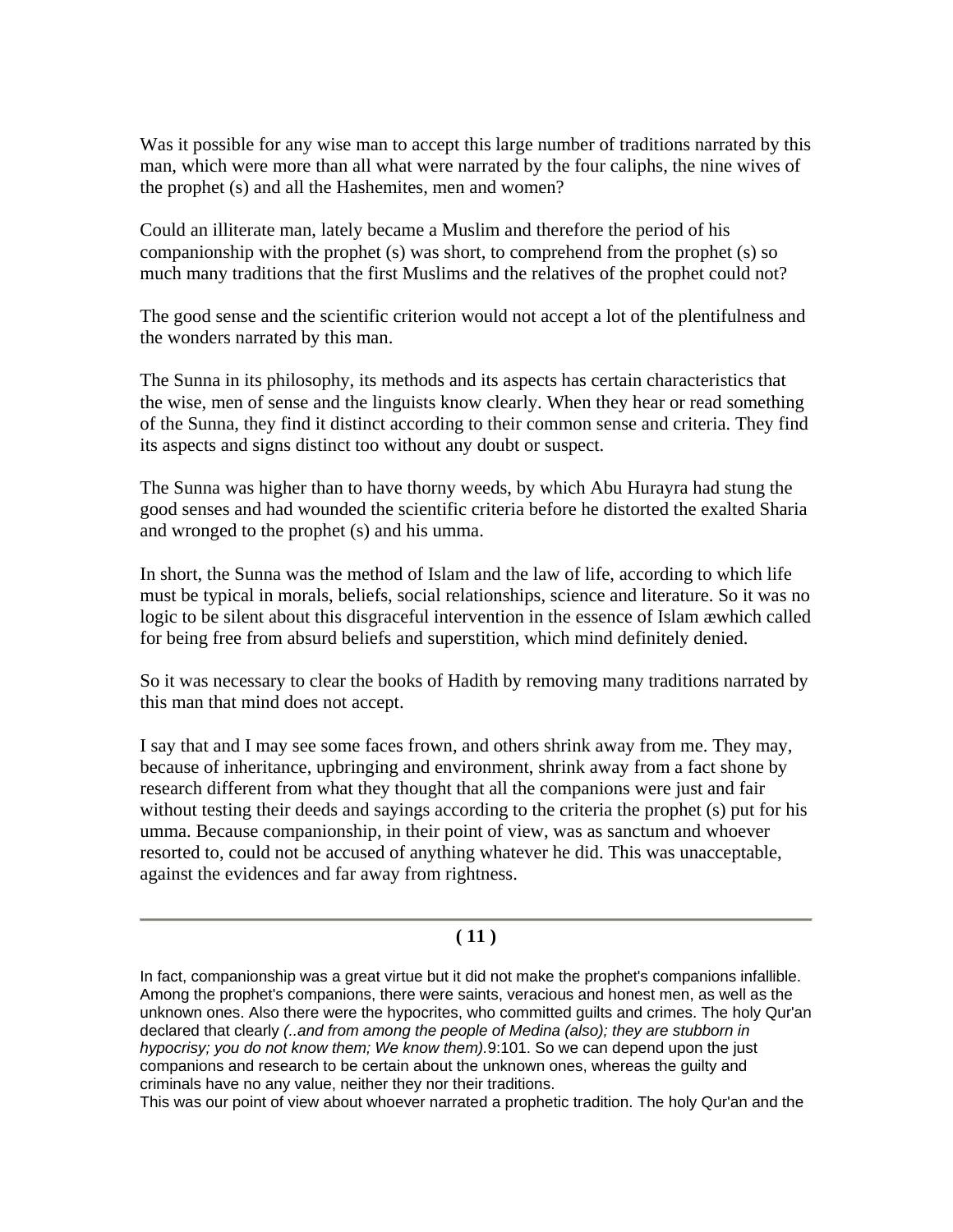Was it possible for any wise man to accept this large number of traditions narrated by this man, which were more than all what were narrated by the four caliphs, the nine wives of the prophet (s) and all the Hashemites, men and women?

Could an illiterate man, lately became a Muslim and therefore the period of his companionship with the prophet (s) was short, to comprehend from the prophet (s) so much many traditions that the first Muslims and the relatives of the prophet could not?

The good sense and the scientific criterion would not accept a lot of the plentifulness and the wonders narrated by this man.

The Sunna in its philosophy, its methods and its aspects has certain characteristics that the wise, men of sense and the linguists know clearly. When they hear or read something of the Sunna, they find it distinct according to their common sense and criteria. They find its aspects and signs distinct too without any doubt or suspect.

The Sunna was higher than to have thorny weeds, by which Abu Hurayra had stung the good senses and had wounded the scientific criteria before he distorted the exalted Sharia and wronged to the prophet (s) and his umma.

In short, the Sunna was the method of Islam and the law of life, according to which life must be typical in morals, beliefs, social relationships, science and literature. So it was no logic to be silent about this disgraceful intervention in the essence of Islam æwhich called for being free from absurd beliefs and superstition, which mind definitely denied.

So it was necessary to clear the books of Hadith by removing many traditions narrated by this man that mind does not accept.

I say that and I may see some faces frown, and others shrink away from me. They may, because of inheritance, upbringing and environment, shrink away from a fact shone by research different from what they thought that all the companions were just and fair without testing their deeds and sayings according to the criteria the prophet (s) put for his umma. Because companionship, in their point of view, was as sanctum and whoever resorted to, could not be accused of anything whatever he did. This was unacceptable, against the evidences and far away from rightness.

#### **( 11 )**

In fact, companionship was a great virtue but it did not make the prophet's companions infallible. Among the prophet's companions, there were saints, veracious and honest men, as well as the unknown ones. Also there were the hypocrites, who committed guilts and crimes. The holy Qur'an declared that clearly *(..and from among the people of Medina (also); they are stubborn in hypocrisy; you do not know them; We know them).*9:101. So we can depend upon the just companions and research to be certain about the unknown ones, whereas the guilty and criminals have no any value, neither they nor their traditions.

This was our point of view about whoever narrated a prophetic tradition. The holy Qur'an and the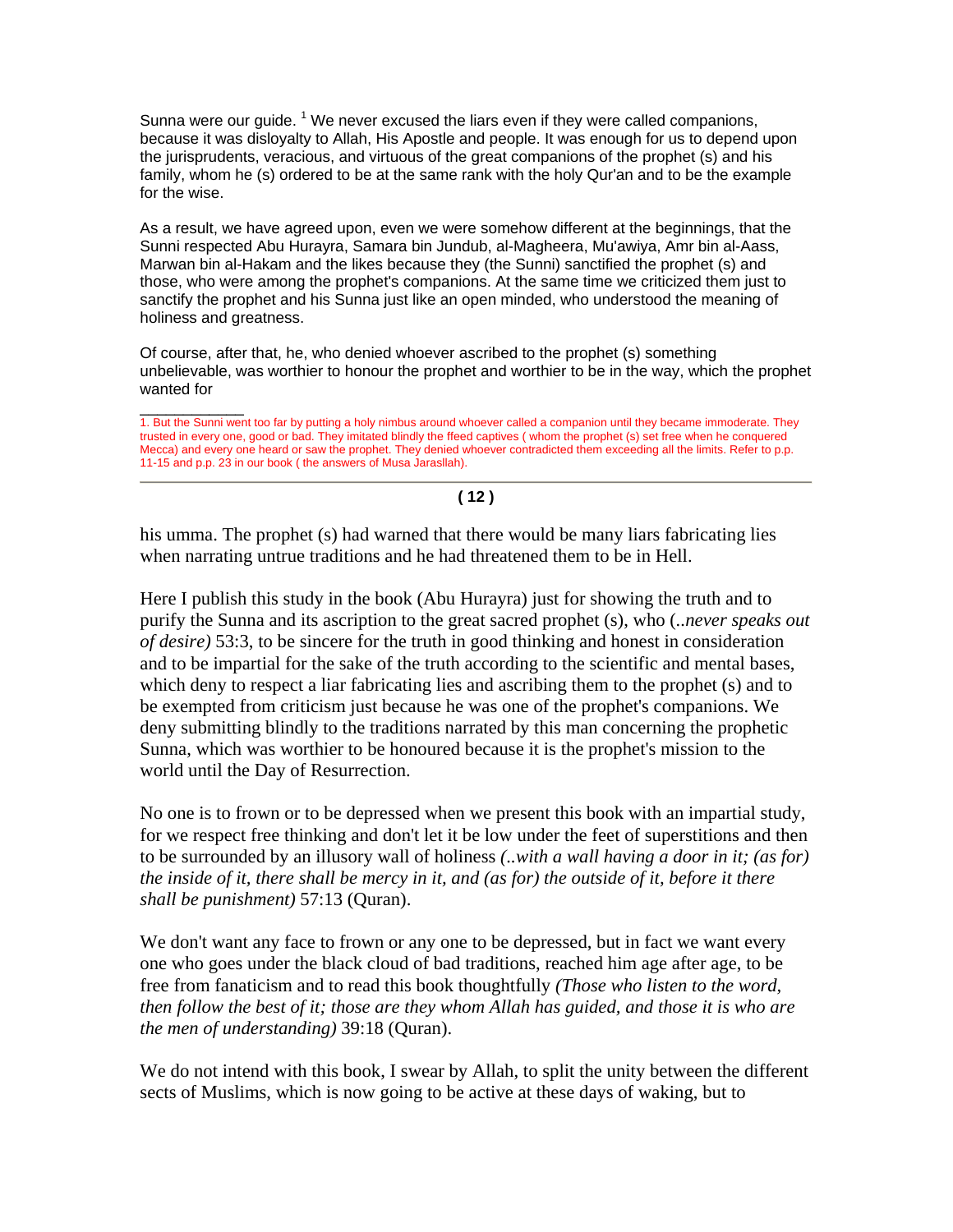Sunna were our guide.  $1$  We never excused the liars even if they were called companions, because it was disloyalty to Allah, His Apostle and people. It was enough for us to depend upon the jurisprudents, veracious, and virtuous of the great companions of the prophet (s) and his family, whom he (s) ordered to be at the same rank with the holy Qur'an and to be the example for the wise.

As a result, we have agreed upon, even we were somehow different at the beginnings, that the Sunni respected Abu Hurayra, Samara bin Jundub, al-Magheera, Mu'awiya, Amr bin al-Aass, Marwan bin al-Hakam and the likes because they (the Sunni) sanctified the prophet (s) and those, who were among the prophet's companions. At the same time we criticized them just to sanctify the prophet and his Sunna just like an open minded, who understood the meaning of holiness and greatness.

Of course, after that, he, who denied whoever ascribed to the prophet (s) something unbelievable, was worthier to honour the prophet and worthier to be in the way, which the prophet wanted for

\_\_\_\_\_\_\_\_\_\_\_\_ 1. But the Sunni went too far by putting a holy nimbus around whoever called a companion until they became immoderate. They trusted in every one, good or bad. They imitated blindly the ffeed captives ( whom the prophet (s) set free when he conquered Mecca) and every one heard or saw the prophet. They denied whoever contradicted them exceeding all the limits. Refer to p.p. 11-15 and p.p. 23 in our book ( the answers of Musa Jarasllah).

#### **( 12 )**

his umma. The prophet (s) had warned that there would be many liars fabricating lies when narrating untrue traditions and he had threatened them to be in Hell.

Here I publish this study in the book (Abu Hurayra) just for showing the truth and to purify the Sunna and its ascription to the great sacred prophet (s), who (*..never speaks out of desire)* 53:3, to be sincere for the truth in good thinking and honest in consideration and to be impartial for the sake of the truth according to the scientific and mental bases, which deny to respect a liar fabricating lies and ascribing them to the prophet (s) and to be exempted from criticism just because he was one of the prophet's companions. We deny submitting blindly to the traditions narrated by this man concerning the prophetic Sunna, which was worthier to be honoured because it is the prophet's mission to the world until the Day of Resurrection.

No one is to frown or to be depressed when we present this book with an impartial study, for we respect free thinking and don't let it be low under the feet of superstitions and then to be surrounded by an illusory wall of holiness *(..with a wall having a door in it; (as for) the inside of it, there shall be mercy in it, and (as for) the outside of it, before it there shall be punishment)* 57:13 (Quran).

We don't want any face to frown or any one to be depressed, but in fact we want every one who goes under the black cloud of bad traditions, reached him age after age, to be free from fanaticism and to read this book thoughtfully *(Those who listen to the word, then follow the best of it; those are they whom Allah has guided, and those it is who are the men of understanding)* 39:18 (Quran).

We do not intend with this book, I swear by Allah, to split the unity between the different sects of Muslims, which is now going to be active at these days of waking, but to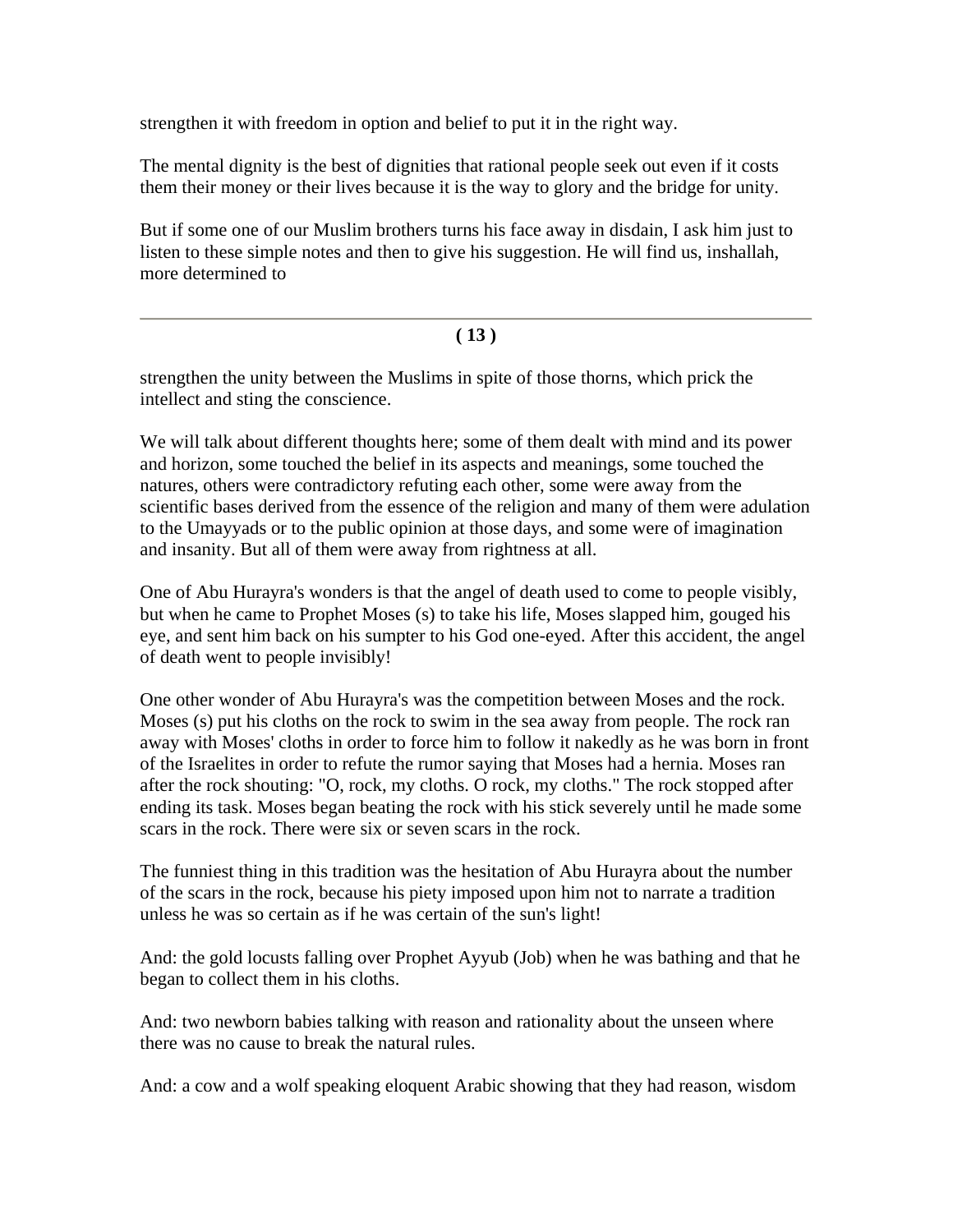strengthen it with freedom in option and belief to put it in the right way.

The mental dignity is the best of dignities that rational people seek out even if it costs them their money or their lives because it is the way to glory and the bridge for unity.

But if some one of our Muslim brothers turns his face away in disdain, I ask him just to listen to these simple notes and then to give his suggestion. He will find us, inshallah, more determined to

#### **( 13 )**

strengthen the unity between the Muslims in spite of those thorns, which prick the intellect and sting the conscience.

We will talk about different thoughts here; some of them dealt with mind and its power and horizon, some touched the belief in its aspects and meanings, some touched the natures, others were contradictory refuting each other, some were away from the scientific bases derived from the essence of the religion and many of them were adulation to the Umayyads or to the public opinion at those days, and some were of imagination and insanity. But all of them were away from rightness at all.

One of Abu Hurayra's wonders is that the angel of death used to come to people visibly, but when he came to Prophet Moses (s) to take his life, Moses slapped him, gouged his eye, and sent him back on his sumpter to his God one-eyed. After this accident, the angel of death went to people invisibly!

One other wonder of Abu Hurayra's was the competition between Moses and the rock. Moses (s) put his cloths on the rock to swim in the sea away from people. The rock ran away with Moses' cloths in order to force him to follow it nakedly as he was born in front of the Israelites in order to refute the rumor saying that Moses had a hernia. Moses ran after the rock shouting: "O, rock, my cloths. O rock, my cloths." The rock stopped after ending its task. Moses began beating the rock with his stick severely until he made some scars in the rock. There were six or seven scars in the rock.

The funniest thing in this tradition was the hesitation of Abu Hurayra about the number of the scars in the rock, because his piety imposed upon him not to narrate a tradition unless he was so certain as if he was certain of the sun's light!

And: the gold locusts falling over Prophet Ayyub (Job) when he was bathing and that he began to collect them in his cloths.

And: two newborn babies talking with reason and rationality about the unseen where there was no cause to break the natural rules.

And: a cow and a wolf speaking eloquent Arabic showing that they had reason, wisdom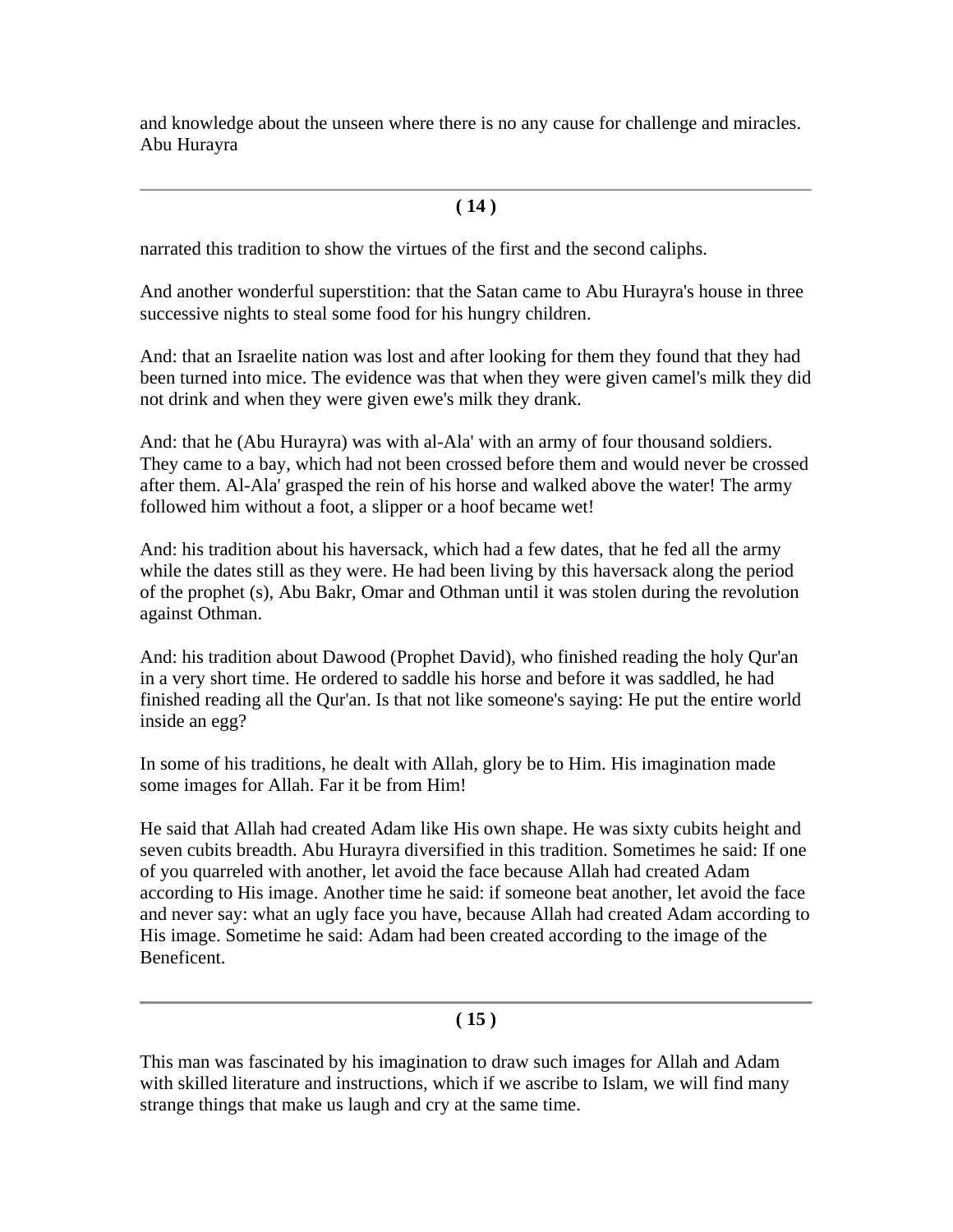and knowledge about the unseen where there is no any cause for challenge and miracles. Abu Hurayra

#### **( 14 )**

narrated this tradition to show the virtues of the first and the second caliphs.

And another wonderful superstition: that the Satan came to Abu Hurayra's house in three successive nights to steal some food for his hungry children.

And: that an Israelite nation was lost and after looking for them they found that they had been turned into mice. The evidence was that when they were given camel's milk they did not drink and when they were given ewe's milk they drank.

And: that he (Abu Hurayra) was with al-Ala' with an army of four thousand soldiers. They came to a bay, which had not been crossed before them and would never be crossed after them. Al-Ala' grasped the rein of his horse and walked above the water! The army followed him without a foot, a slipper or a hoof became wet!

And: his tradition about his haversack, which had a few dates, that he fed all the army while the dates still as they were. He had been living by this haversack along the period of the prophet (s), Abu Bakr, Omar and Othman until it was stolen during the revolution against Othman.

And: his tradition about Dawood (Prophet David), who finished reading the holy Qur'an in a very short time. He ordered to saddle his horse and before it was saddled, he had finished reading all the Qur'an. Is that not like someone's saying: He put the entire world inside an egg?

In some of his traditions, he dealt with Allah, glory be to Him. His imagination made some images for Allah. Far it be from Him!

He said that Allah had created Adam like His own shape. He was sixty cubits height and seven cubits breadth. Abu Hurayra diversified in this tradition. Sometimes he said: If one of you quarreled with another, let avoid the face because Allah had created Adam according to His image. Another time he said: if someone beat another, let avoid the face and never say: what an ugly face you have, because Allah had created Adam according to His image. Sometime he said: Adam had been created according to the image of the Beneficent.

#### **( 15 )**

This man was fascinated by his imagination to draw such images for Allah and Adam with skilled literature and instructions, which if we ascribe to Islam, we will find many strange things that make us laugh and cry at the same time.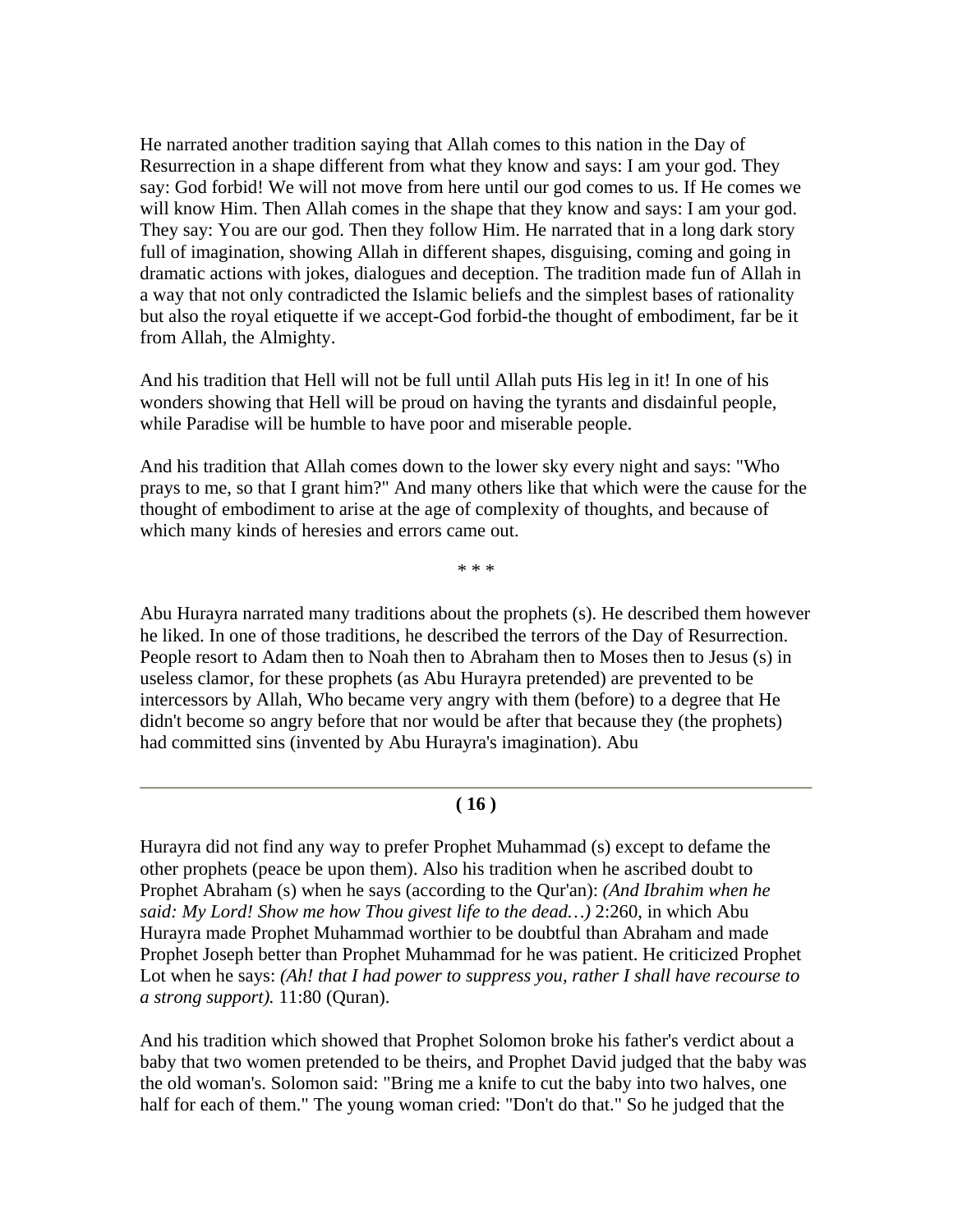He narrated another tradition saying that Allah comes to this nation in the Day of Resurrection in a shape different from what they know and says: I am your god. They say: God forbid! We will not move from here until our god comes to us. If He comes we will know Him. Then Allah comes in the shape that they know and says: I am your god. They say: You are our god. Then they follow Him. He narrated that in a long dark story full of imagination, showing Allah in different shapes, disguising, coming and going in dramatic actions with jokes, dialogues and deception. The tradition made fun of Allah in a way that not only contradicted the Islamic beliefs and the simplest bases of rationality but also the royal etiquette if we accept-God forbid-the thought of embodiment, far be it from Allah, the Almighty.

And his tradition that Hell will not be full until Allah puts His leg in it! In one of his wonders showing that Hell will be proud on having the tyrants and disdainful people, while Paradise will be humble to have poor and miserable people.

And his tradition that Allah comes down to the lower sky every night and says: "Who prays to me, so that I grant him?" And many others like that which were the cause for the thought of embodiment to arise at the age of complexity of thoughts, and because of which many kinds of heresies and errors came out.

\* \* \*

Abu Hurayra narrated many traditions about the prophets (s). He described them however he liked. In one of those traditions, he described the terrors of the Day of Resurrection. People resort to Adam then to Noah then to Abraham then to Moses then to Jesus (s) in useless clamor, for these prophets (as Abu Hurayra pretended) are prevented to be intercessors by Allah, Who became very angry with them (before) to a degree that He didn't become so angry before that nor would be after that because they (the prophets) had committed sins (invented by Abu Hurayra's imagination). Abu

#### **( 16 )**

Hurayra did not find any way to prefer Prophet Muhammad (s) except to defame the other prophets (peace be upon them). Also his tradition when he ascribed doubt to Prophet Abraham (s) when he says (according to the Qur'an): *(And Ibrahim when he said: My Lord! Show me how Thou givest life to the dead…)* 2:260, in which Abu Hurayra made Prophet Muhammad worthier to be doubtful than Abraham and made Prophet Joseph better than Prophet Muhammad for he was patient. He criticized Prophet Lot when he says: *(Ah! that I had power to suppress you, rather I shall have recourse to a strong support).* 11:80 (Quran).

And his tradition which showed that Prophet Solomon broke his father's verdict about a baby that two women pretended to be theirs, and Prophet David judged that the baby was the old woman's. Solomon said: "Bring me a knife to cut the baby into two halves, one half for each of them." The young woman cried: "Don't do that." So he judged that the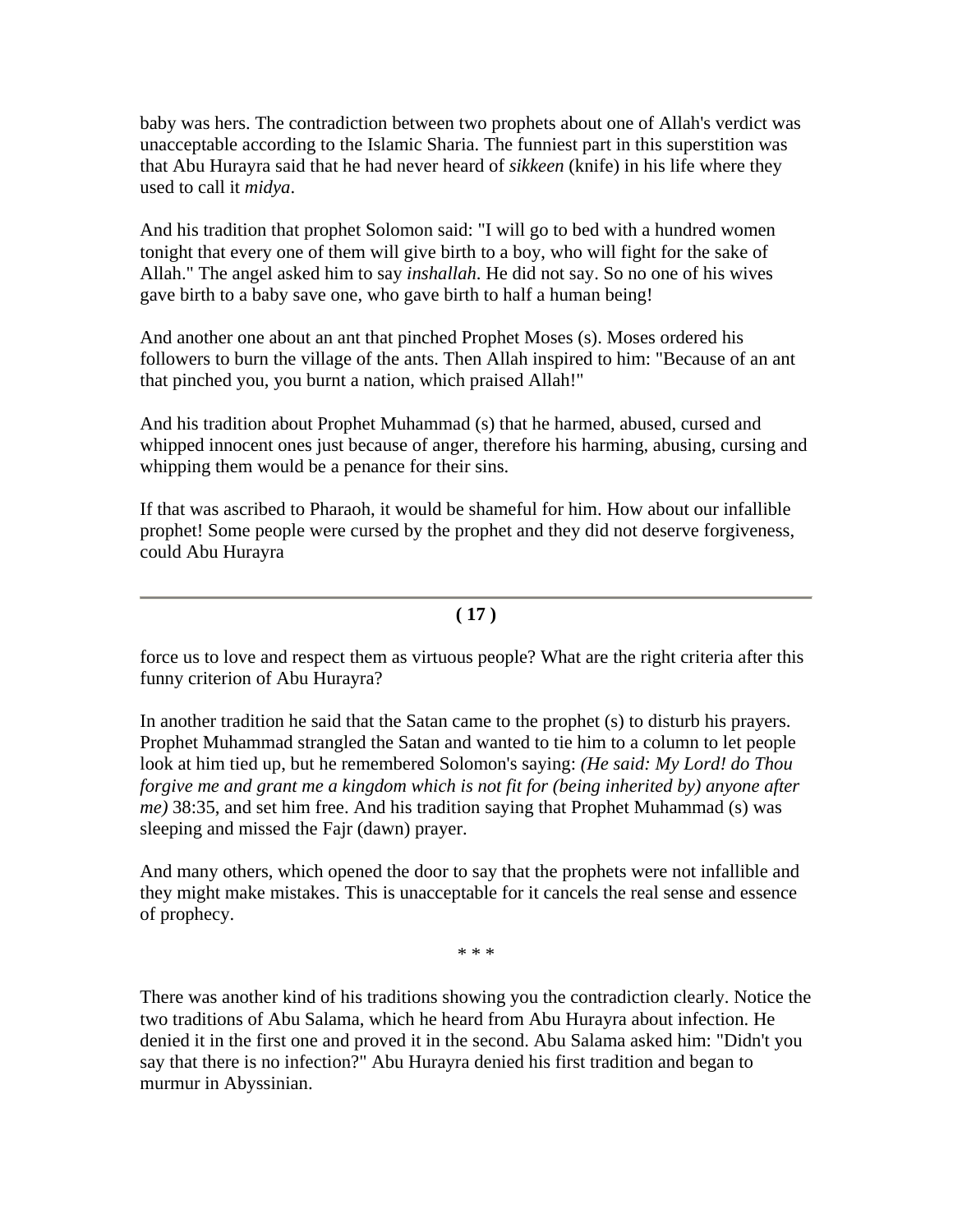baby was hers. The contradiction between two prophets about one of Allah's verdict was unacceptable according to the Islamic Sharia. The funniest part in this superstition was that Abu Hurayra said that he had never heard of *sikkeen* (knife) in his life where they used to call it *midya*.

And his tradition that prophet Solomon said: "I will go to bed with a hundred women tonight that every one of them will give birth to a boy, who will fight for the sake of Allah." The angel asked him to say *inshallah*. He did not say. So no one of his wives gave birth to a baby save one, who gave birth to half a human being!

And another one about an ant that pinched Prophet Moses (s). Moses ordered his followers to burn the village of the ants. Then Allah inspired to him: "Because of an ant that pinched you, you burnt a nation, which praised Allah!"

And his tradition about Prophet Muhammad (s) that he harmed, abused, cursed and whipped innocent ones just because of anger, therefore his harming, abusing, cursing and whipping them would be a penance for their sins.

If that was ascribed to Pharaoh, it would be shameful for him. How about our infallible prophet! Some people were cursed by the prophet and they did not deserve forgiveness, could Abu Hurayra

#### **( 17 )**

force us to love and respect them as virtuous people? What are the right criteria after this funny criterion of Abu Hurayra?

In another tradition he said that the Satan came to the prophet (s) to disturb his prayers. Prophet Muhammad strangled the Satan and wanted to tie him to a column to let people look at him tied up, but he remembered Solomon's saying: *(He said: My Lord! do Thou forgive me and grant me a kingdom which is not fit for (being inherited by) anyone after me)* 38:35, and set him free. And his tradition saying that Prophet Muhammad (s) was sleeping and missed the Fajr (dawn) prayer.

And many others, which opened the door to say that the prophets were not infallible and they might make mistakes. This is unacceptable for it cancels the real sense and essence of prophecy.

\* \* \*

There was another kind of his traditions showing you the contradiction clearly. Notice the two traditions of Abu Salama, which he heard from Abu Hurayra about infection. He denied it in the first one and proved it in the second. Abu Salama asked him: "Didn't you say that there is no infection?" Abu Hurayra denied his first tradition and began to murmur in Abyssinian.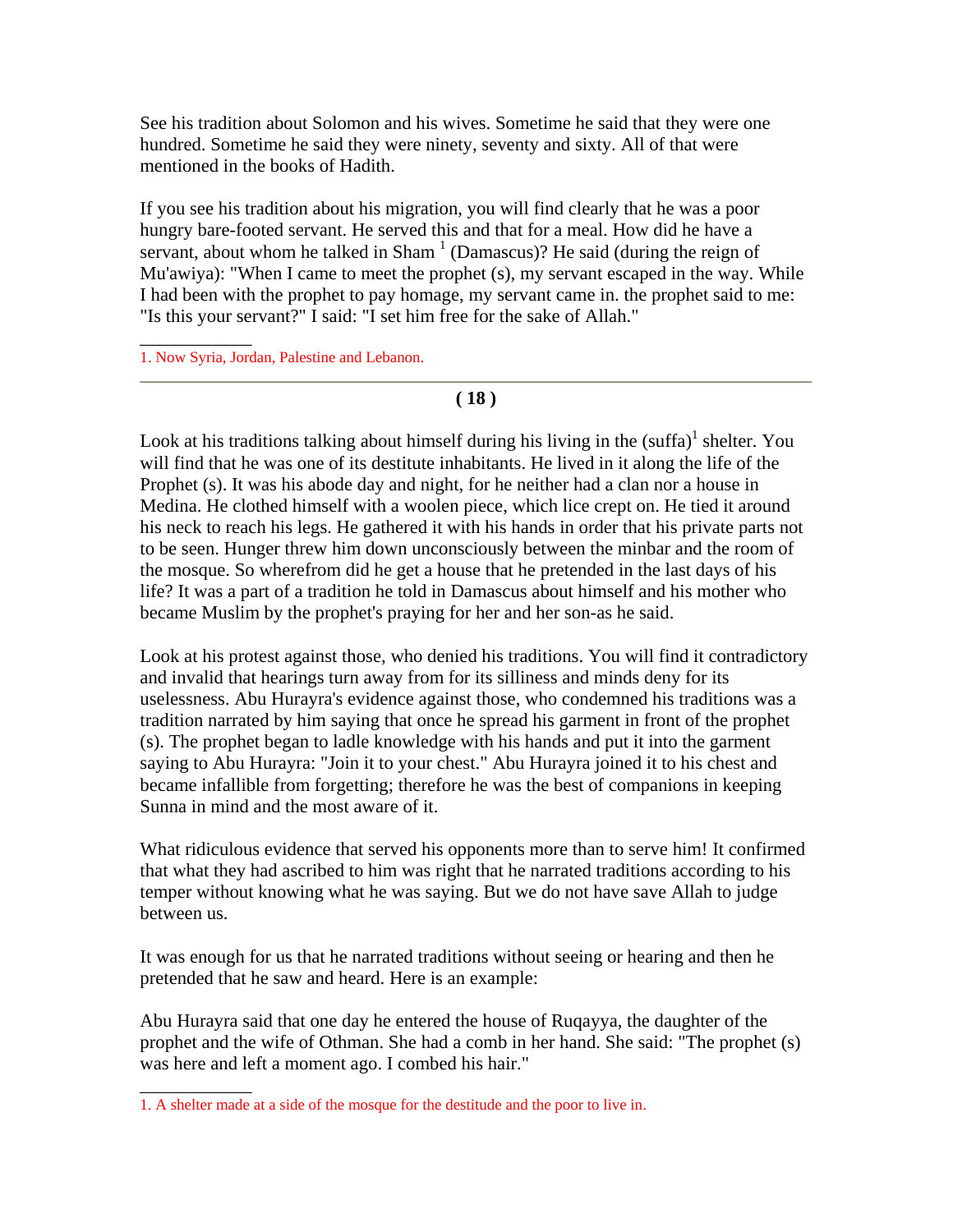See his tradition about Solomon and his wives. Sometime he said that they were one hundred. Sometime he said they were ninety, seventy and sixty. All of that were mentioned in the books of Hadith.

If you see his tradition about his migration, you will find clearly that he was a poor hungry bare-footed servant. He served this and that for a meal. How did he have a servant, about whom he talked in Sham  $<sup>1</sup>$  (Damascus)? He said (during the reign of</sup> Mu'awiya): "When I came to meet the prophet (s), my servant escaped in the way. While I had been with the prophet to pay homage, my servant came in. the prophet said to me: "Is this your servant?" I said: "I set him free for the sake of Allah."

1. Now Syria, Jordan, Palestine and Lebanon.

\_\_\_\_\_\_\_\_\_\_\_\_

\_\_\_\_\_\_\_\_\_\_\_\_

**( 18 )**

Look at his traditions talking about himself during his living in the  $(suffa)^{1}$  shelter. You will find that he was one of its destitute inhabitants. He lived in it along the life of the Prophet (s). It was his abode day and night, for he neither had a clan nor a house in Medina. He clothed himself with a woolen piece, which lice crept on. He tied it around his neck to reach his legs. He gathered it with his hands in order that his private parts not to be seen. Hunger threw him down unconsciously between the minbar and the room of the mosque. So wherefrom did he get a house that he pretended in the last days of his life? It was a part of a tradition he told in Damascus about himself and his mother who became Muslim by the prophet's praying for her and her son-as he said.

Look at his protest against those, who denied his traditions. You will find it contradictory and invalid that hearings turn away from for its silliness and minds deny for its uselessness. Abu Hurayra's evidence against those, who condemned his traditions was a tradition narrated by him saying that once he spread his garment in front of the prophet (s). The prophet began to ladle knowledge with his hands and put it into the garment saying to Abu Hurayra: "Join it to your chest." Abu Hurayra joined it to his chest and became infallible from forgetting; therefore he was the best of companions in keeping Sunna in mind and the most aware of it.

What ridiculous evidence that served his opponents more than to serve him! It confirmed that what they had ascribed to him was right that he narrated traditions according to his temper without knowing what he was saying. But we do not have save Allah to judge between us.

It was enough for us that he narrated traditions without seeing or hearing and then he pretended that he saw and heard. Here is an example:

Abu Hurayra said that one day he entered the house of Ruqayya, the daughter of the prophet and the wife of Othman. She had a comb in her hand. She said: "The prophet (s) was here and left a moment ago. I combed his hair."

<sup>1.</sup> A shelter made at a side of the mosque for the destitude and the poor to live in.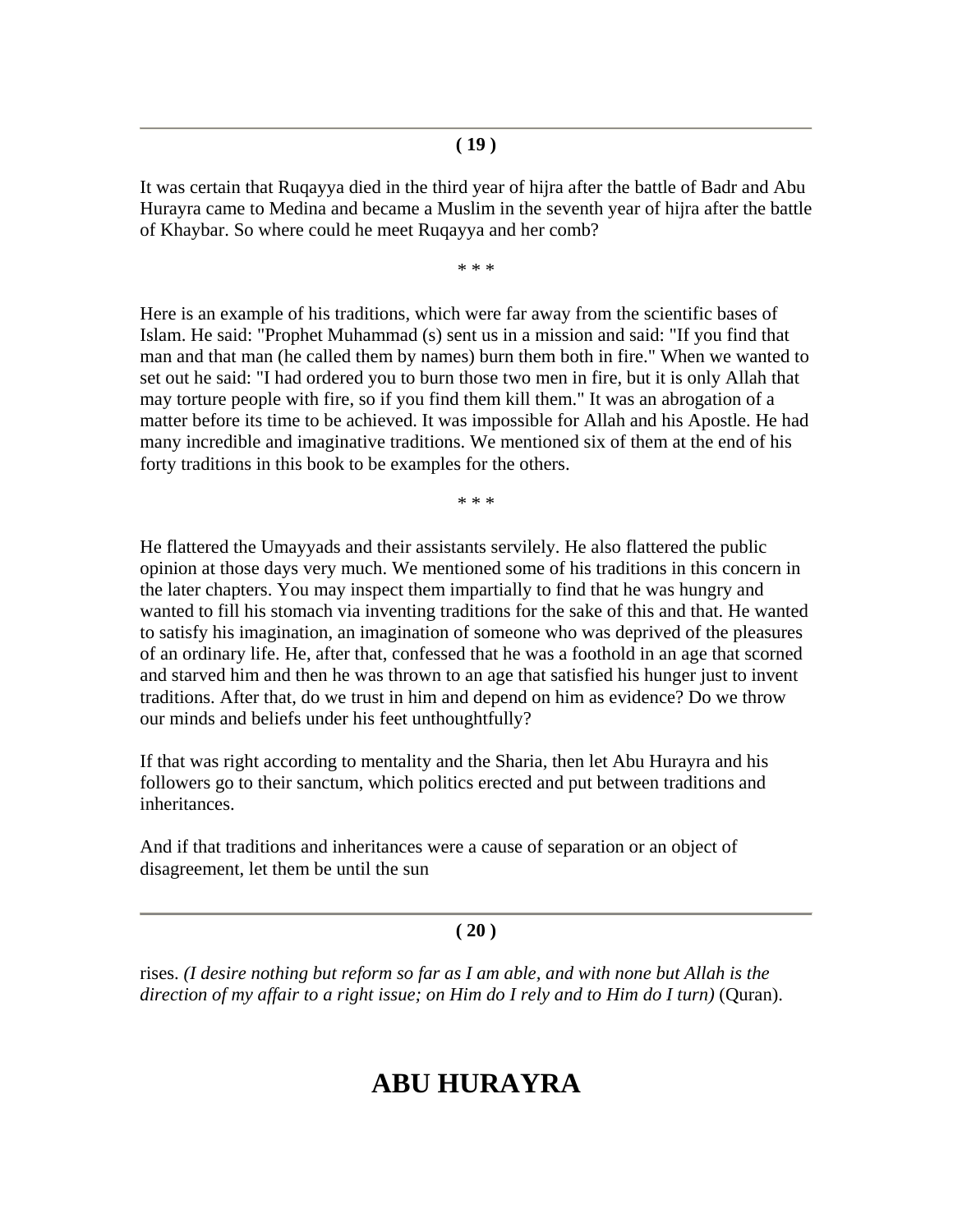It was certain that Ruqayya died in the third year of hijra after the battle of Badr and Abu Hurayra came to Medina and became a Muslim in the seventh year of hijra after the battle of Khaybar. So where could he meet Ruqayya and her comb?

\* \* \*

Here is an example of his traditions, which were far away from the scientific bases of Islam. He said: "Prophet Muhammad (s) sent us in a mission and said: "If you find that man and that man (he called them by names) burn them both in fire." When we wanted to set out he said: "I had ordered you to burn those two men in fire, but it is only Allah that may torture people with fire, so if you find them kill them." It was an abrogation of a matter before its time to be achieved. It was impossible for Allah and his Apostle. He had many incredible and imaginative traditions. We mentioned six of them at the end of his forty traditions in this book to be examples for the others.

\* \* \*

He flattered the Umayyads and their assistants servilely. He also flattered the public opinion at those days very much. We mentioned some of his traditions in this concern in the later chapters. You may inspect them impartially to find that he was hungry and wanted to fill his stomach via inventing traditions for the sake of this and that. He wanted to satisfy his imagination, an imagination of someone who was deprived of the pleasures of an ordinary life. He, after that, confessed that he was a foothold in an age that scorned and starved him and then he was thrown to an age that satisfied his hunger just to invent traditions. After that, do we trust in him and depend on him as evidence? Do we throw our minds and beliefs under his feet unthoughtfully?

If that was right according to mentality and the Sharia, then let Abu Hurayra and his followers go to their sanctum, which politics erected and put between traditions and inheritances.

And if that traditions and inheritances were a cause of separation or an object of disagreement, let them be until the sun

#### **( 20 )**

rises. *(I desire nothing but reform so far as I am able, and with none but Allah is the direction of my affair to a right issue; on Him do I rely and to Him do I turn)* (Quran).

# **ABU HURAYRA**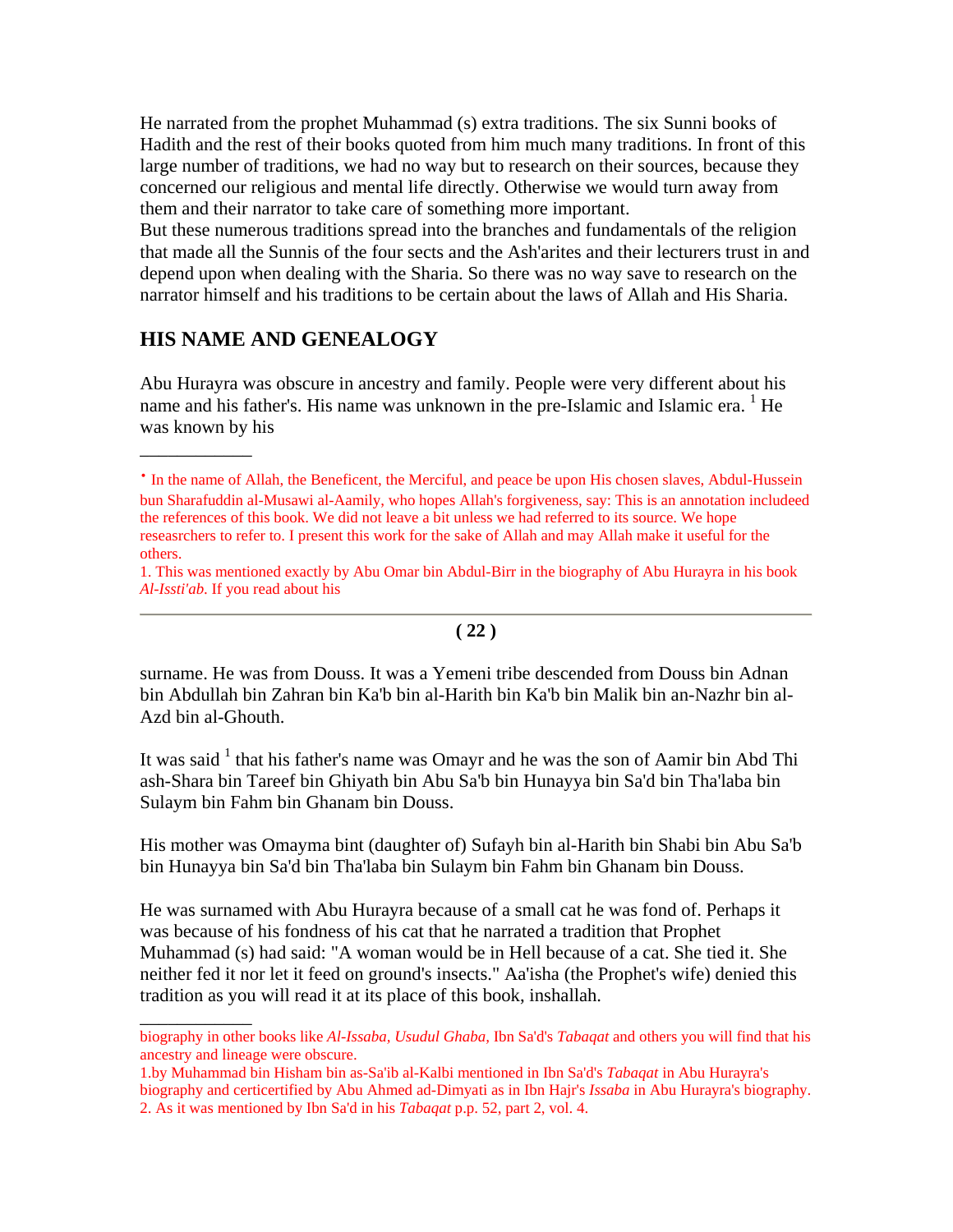He narrated from the prophet Muhammad (s) extra traditions. The six Sunni books of Hadith and the rest of their books quoted from him much many traditions. In front of this large number of traditions, we had no way but to research on their sources, because they concerned our religious and mental life directly. Otherwise we would turn away from them and their narrator to take care of something more important.

But these numerous traditions spread into the branches and fundamentals of the religion that made all the Sunnis of the four sects and the Ash'arites and their lecturers trust in and depend upon when dealing with the Sharia. So there was no way save to research on the narrator himself and his traditions to be certain about the laws of Allah and His Sharia.

#### **HIS NAME AND GENEALOGY**

\_\_\_\_\_\_\_\_\_\_\_\_

\_\_\_\_\_\_\_\_\_\_\_\_

Abu Hurayra was obscure in ancestry and family. People were very different about his name and his father's. His name was unknown in the pre-Islamic and Islamic era. <sup>1</sup> He was known by his

#### **( 22 )**

surname. He was from Douss. It was a Yemeni tribe descended from Douss bin Adnan bin Abdullah bin Zahran bin Ka'b bin al-Harith bin Ka'b bin Malik bin an-Nazhr bin al-Azd bin al-Ghouth.

It was said  $1$  that his father's name was Omayr and he was the son of Aamir bin Abd Thi ash-Shara bin Tareef bin Ghiyath bin Abu Sa'b bin Hunayya bin Sa'd bin Tha'laba bin Sulaym bin Fahm bin Ghanam bin Douss.

His mother was Omayma bint (daughter of) Sufayh bin al-Harith bin Shabi bin Abu Sa'b bin Hunayya bin Sa'd bin Tha'laba bin Sulaym bin Fahm bin Ghanam bin Douss.

He was surnamed with Abu Hurayra because of a small cat he was fond of. Perhaps it was because of his fondness of his cat that he narrated a tradition that Prophet Muhammad (s) had said: "A woman would be in Hell because of a cat. She tied it. She neither fed it nor let it feed on ground's insects." Aa'isha (the Prophet's wife) denied this tradition as you will read it at its place of this book, inshallah.

<sup>·</sup> In the name of Allah, the Beneficent, the Merciful, and peace be upon His chosen slaves, Abdul-Hussein bun Sharafuddin al-Musawi al-Aamily, who hopes Allah's forgiveness, say: This is an annotation includeed the references of this book. We did not leave a bit unless we had referred to its source. We hope reseasrchers to refer to. I present this work for the sake of Allah and may Allah make it useful for the others.

<sup>1.</sup> This was mentioned exactly by Abu Omar bin Abdul-Birr in the biography of Abu Hurayra in his book *Al-Issti'ab*. If you read about his

biography in other books like *Al-Issaba, Usudul Ghaba,* Ibn Sa'd's *Tabaqat* and others you will find that his ancestry and lineage were obscure.

<sup>1.</sup>by Muhammad bin Hisham bin as-Sa'ib al-Kalbi mentioned in Ibn Sa'd's *Tabaqat* in Abu Hurayra's biography and certicertified by Abu Ahmed ad-Dimyati as in Ibn Hajr's *Issaba* in Abu Hurayra's biography. 2. As it was mentioned by Ibn Sa'd in his *Tabaqat* p.p. 52, part 2, vol. 4.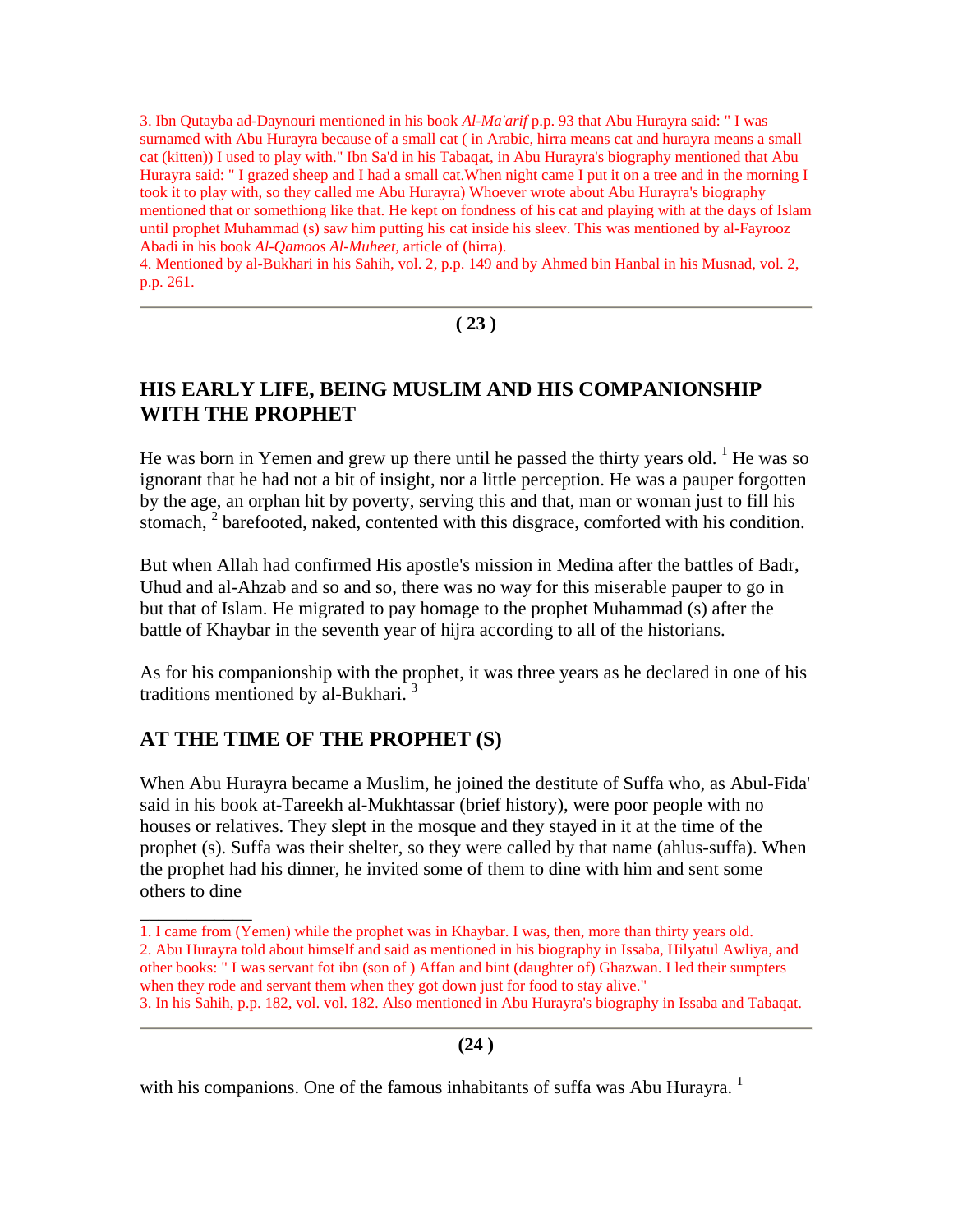3. Ibn Qutayba ad-Daynouri mentioned in his book *Al-Ma'arif* p.p. 93 that Abu Hurayra said: " I was surnamed with Abu Hurayra because of a small cat ( in Arabic, hirra means cat and hurayra means a small cat (kitten)) I used to play with." Ibn Sa'd in his Tabaqat, in Abu Hurayra's biography mentioned that Abu Hurayra said: " I grazed sheep and I had a small cat.When night came I put it on a tree and in the morning I took it to play with, so they called me Abu Hurayra) Whoever wrote about Abu Hurayra's biography mentioned that or somethiong like that. He kept on fondness of his cat and playing with at the days of Islam until prophet Muhammad (s) saw him putting his cat inside his sleev. This was mentioned by al-Fayrooz Abadi in his book *Al-Qamoos Al-Muheet,* article of (hirra).

4. Mentioned by al-Bukhari in his Sahih, vol. 2, p.p. 149 and by Ahmed bin Hanbal in his Musnad, vol. 2, p.p. 261.

#### **( 23 )**

# **HIS EARLY LIFE, BEING MUSLIM AND HIS COMPANIONSHIP WITH THE PROPHET**

He was born in Yemen and grew up there until he passed the thirty years old.  $<sup>1</sup>$  He was so</sup> ignorant that he had not a bit of insight, nor a little perception. He was a pauper forgotten by the age, an orphan hit by poverty, serving this and that, man or woman just to fill his stomach,  $2$  barefooted, naked, contented with this disgrace, comforted with his condition.

But when Allah had confirmed His apostle's mission in Medina after the battles of Badr, Uhud and al-Ahzab and so and so, there was no way for this miserable pauper to go in but that of Islam. He migrated to pay homage to the prophet Muhammad (s) after the battle of Khaybar in the seventh year of hijra according to all of the historians.

As for his companionship with the prophet, it was three years as he declared in one of his traditions mentioned by al-Bukhari. 3

# **AT THE TIME OF THE PROPHET (S)**

\_\_\_\_\_\_\_\_\_\_\_\_

When Abu Hurayra became a Muslim, he joined the destitute of Suffa who, as Abul-Fida' said in his book at-Tareekh al-Mukhtassar (brief history), were poor people with no houses or relatives. They slept in the mosque and they stayed in it at the time of the prophet (s). Suffa was their shelter, so they were called by that name (ahlus-suffa). When the prophet had his dinner, he invited some of them to dine with him and sent some others to dine

#### **(24 )**

with his companions. One of the famous inhabitants of suffa was Abu Hurayra.<sup>1</sup>

<sup>1.</sup> I came from (Yemen) while the prophet was in Khaybar. I was, then, more than thirty years old. 2. Abu Hurayra told about himself and said as mentioned in his biography in Issaba, Hilyatul Awliya, and other books: " I was servant fot ibn (son of ) Affan and bint (daughter of) Ghazwan. I led their sumpters when they rode and servant them when they got down just for food to stay alive."

<sup>3.</sup> In his Sahih, p.p. 182, vol. vol. 182. Also mentioned in Abu Hurayra's biography in Issaba and Tabaqat.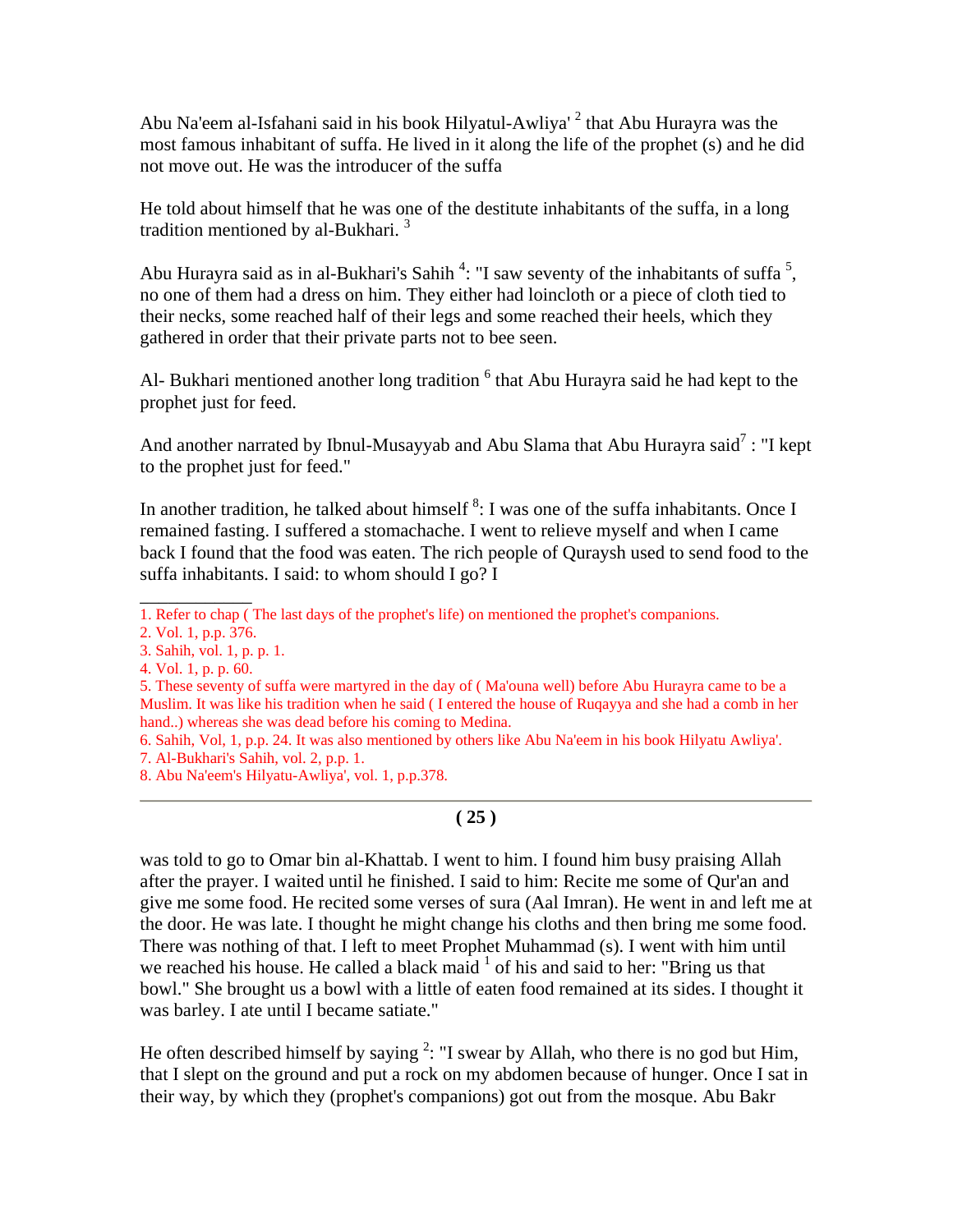Abu Na'eem al-Isfahani said in his book Hilyatul-Awliya' <sup>2</sup> that Abu Hurayra was the most famous inhabitant of suffa. He lived in it along the life of the prophet (s) and he did not move out. He was the introducer of the suffa

He told about himself that he was one of the destitute inhabitants of the suffa, in a long tradition mentioned by al-Bukhari.<sup>3</sup>

Abu Hurayra said as in al-Bukhari's Sahih<sup>4</sup>: "I saw seventy of the inhabitants of suffa<sup>5</sup>, no one of them had a dress on him. They either had loincloth or a piece of cloth tied to their necks, some reached half of their legs and some reached their heels, which they gathered in order that their private parts not to bee seen.

Al- Bukhari mentioned another long tradition <sup>6</sup> that Abu Hurayra said he had kept to the prophet just for feed.

And another narrated by Ibnul-Musayyab and Abu Slama that Abu Hurayra said<sup>7</sup>: "I kept to the prophet just for feed."

In another tradition, he talked about himself  ${}^{8}$ : I was one of the suffa inhabitants. Once I remained fasting. I suffered a stomachache. I went to relieve myself and when I came back I found that the food was eaten. The rich people of Quraysh used to send food to the suffa inhabitants. I said: to whom should I go? I

1. Refer to chap ( The last days of the prophet's life) on mentioned the prophet's companions.

\_\_\_\_\_\_\_\_\_\_\_\_

4. Vol. 1, p. p. 60.

6. Sahih, Vol, 1, p.p. 24. It was also mentioned by others like Abu Na'eem in his book Hilyatu Awliya'. 7. Al-Bukhari's Sahih, vol. 2, p.p. 1.

8. Abu Na'eem's Hilyatu-Awliya', vol. 1, p.p.378.

# **( 25 )**

was told to go to Omar bin al-Khattab. I went to him. I found him busy praising Allah after the prayer. I waited until he finished. I said to him: Recite me some of Qur'an and give me some food. He recited some verses of sura (Aal Imran). He went in and left me at the door. He was late. I thought he might change his cloths and then bring me some food. There was nothing of that. I left to meet Prophet Muhammad (s). I went with him until we reached his house. He called a black maid  $1$  of his and said to her: "Bring us that bowl." She brought us a bowl with a little of eaten food remained at its sides. I thought it was barley. I ate until I became satiate."

He often described himself by saying  $2$ : "I swear by Allah, who there is no god but Him, that I slept on the ground and put a rock on my abdomen because of hunger. Once I sat in their way, by which they (prophet's companions) got out from the mosque. Abu Bakr

<sup>2.</sup> Vol. 1, p.p. 376.

<sup>3.</sup> Sahih, vol. 1, p. p. 1.

<sup>5.</sup> These seventy of suffa were martyred in the day of ( Ma'ouna well) before Abu Hurayra came to be a Muslim. It was like his tradition when he said ( I entered the house of Ruqayya and she had a comb in her hand..) whereas she was dead before his coming to Medina.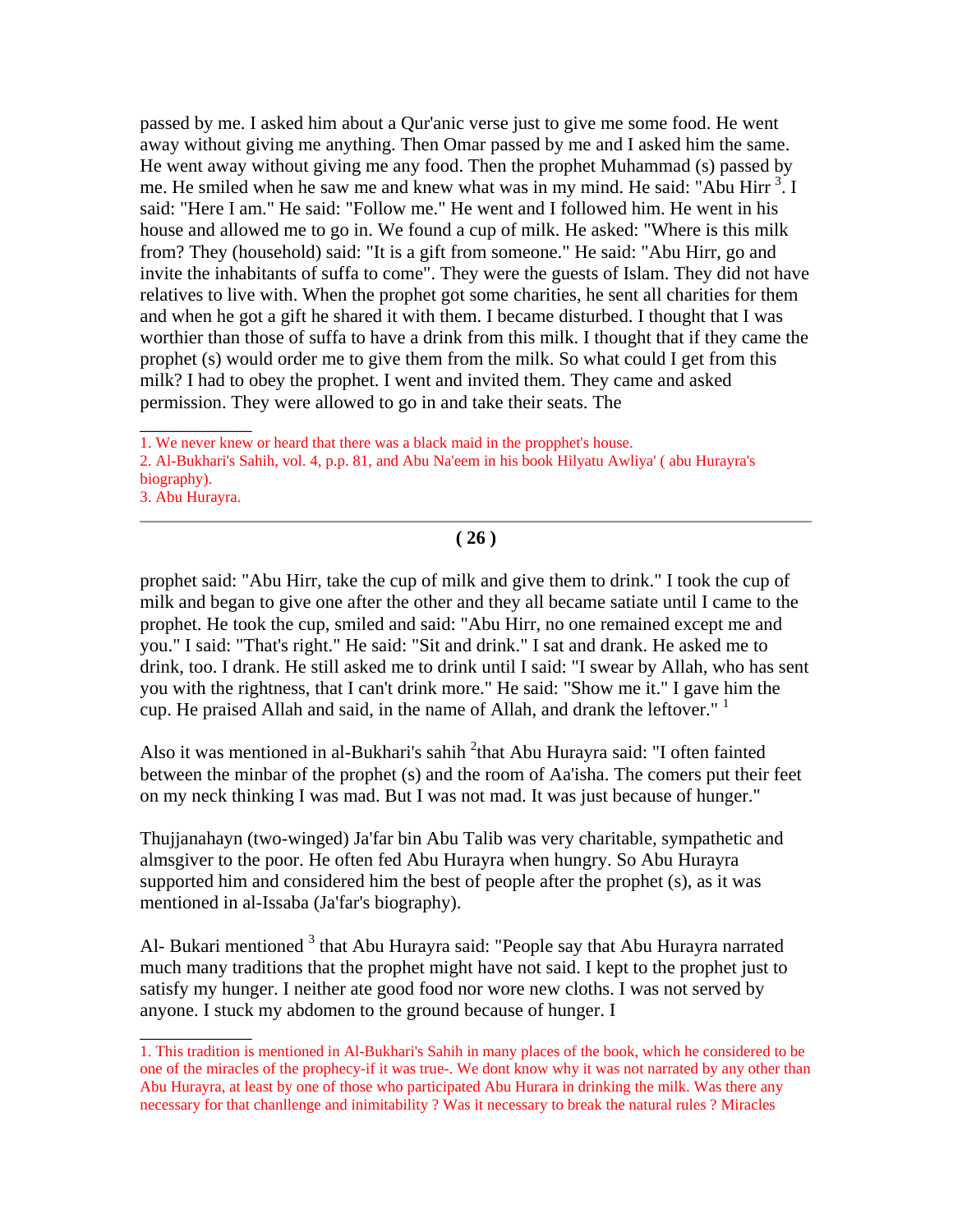passed by me. I asked him about a Qur'anic verse just to give me some food. He went away without giving me anything. Then Omar passed by me and I asked him the same. He went away without giving me any food. Then the prophet Muhammad (s) passed by me. He smiled when he saw me and knew what was in my mind. He said: "Abu Hirr<sup>3</sup>. I said: "Here I am." He said: "Follow me." He went and I followed him. He went in his house and allowed me to go in. We found a cup of milk. He asked: "Where is this milk from? They (household) said: "It is a gift from someone." He said: "Abu Hirr, go and invite the inhabitants of suffa to come". They were the guests of Islam. They did not have relatives to live with. When the prophet got some charities, he sent all charities for them and when he got a gift he shared it with them. I became disturbed. I thought that I was worthier than those of suffa to have a drink from this milk. I thought that if they came the prophet (s) would order me to give them from the milk. So what could I get from this milk? I had to obey the prophet. I went and invited them. They came and asked permission. They were allowed to go in and take their seats. The

1. We never knew or heard that there was a black maid in the propphet's house.

 $\overline{\phantom{a}}$ 

\_\_\_\_\_\_\_\_\_\_\_\_

2. Al-Bukhari's Sahih, vol. 4, p.p. 81, and Abu Na'eem in his book Hilyatu Awliya' ( abu Hurayra's biography). 3. Abu Hurayra.

**( 26 )**

prophet said: "Abu Hirr, take the cup of milk and give them to drink." I took the cup of milk and began to give one after the other and they all became satiate until I came to the prophet. He took the cup, smiled and said: "Abu Hirr, no one remained except me and you." I said: "That's right." He said: "Sit and drink." I sat and drank. He asked me to drink, too. I drank. He still asked me to drink until I said: "I swear by Allah, who has sent you with the rightness, that I can't drink more." He said: "Show me it." I gave him the cup. He praised Allah and said, in the name of Allah, and drank the leftover."  $\frac{1}{1}$ 

Also it was mentioned in al-Bukhari's sahih <sup>2</sup>that Abu Hurayra said: "I often fainted between the minbar of the prophet (s) and the room of Aa'isha. The comers put their feet on my neck thinking I was mad. But I was not mad. It was just because of hunger."

Thujjanahayn (two-winged) Ja'far bin Abu Talib was very charitable, sympathetic and almsgiver to the poor. He often fed Abu Hurayra when hungry. So Abu Hurayra supported him and considered him the best of people after the prophet (s), as it was mentioned in al-Issaba (Ja'far's biography).

Al- Bukari mentioned <sup>3</sup> that Abu Hurayra said: "People say that Abu Hurayra narrated much many traditions that the prophet might have not said. I kept to the prophet just to satisfy my hunger. I neither ate good food nor wore new cloths. I was not served by anyone. I stuck my abdomen to the ground because of hunger. I

<sup>1.</sup> This tradition is mentioned in Al-Bukhari's Sahih in many places of the book, which he considered to be one of the miracles of the prophecy-if it was true-. We dont know why it was not narrated by any other than Abu Hurayra, at least by one of those who participated Abu Hurara in drinking the milk. Was there any necessary for that chanllenge and inimitability ? Was it necessary to break the natural rules ? Miracles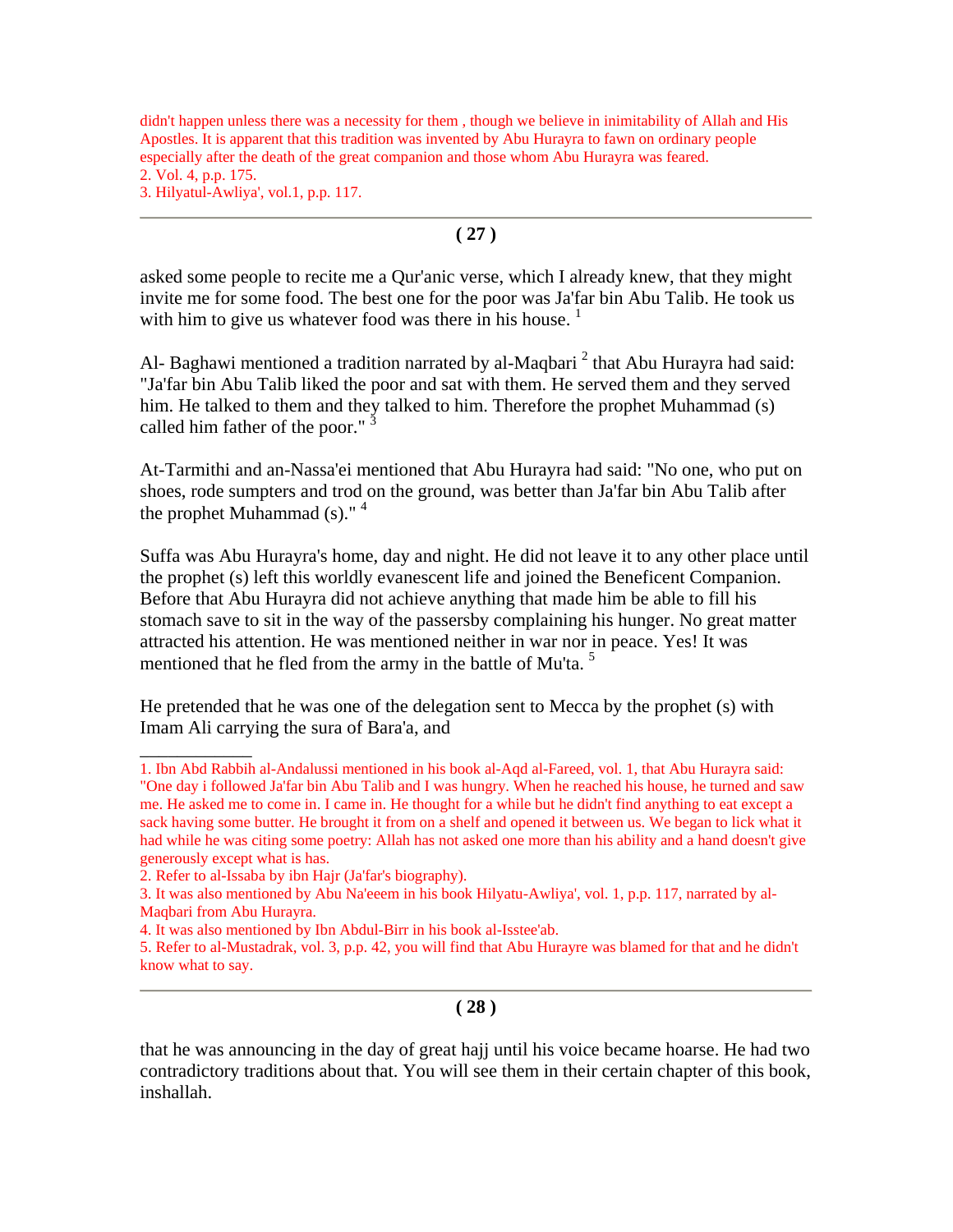didn't happen unless there was a necessity for them , though we believe in inimitability of Allah and His Apostles. It is apparent that this tradition was invented by Abu Hurayra to fawn on ordinary people especially after the death of the great companion and those whom Abu Hurayra was feared. 2. Vol. 4, p.p. 175. 3. Hilyatul-Awliya', vol.1, p.p. 117.

#### **( 27 )**

asked some people to recite me a Qur'anic verse, which I already knew, that they might invite me for some food. The best one for the poor was Ja'far bin Abu Talib. He took us with him to give us whatever food was there in his house.  $1$ 

Al- Baghawi mentioned a tradition narrated by al-Maqbari<sup>2</sup> that Abu Hurayra had said: "Ja'far bin Abu Talib liked the poor and sat with them. He served them and they served him. He talked to them and they talked to him. Therefore the prophet Muhammad (s) called him father of the poor."<sup>3</sup>

At-Tarmithi and an-Nassa'ei mentioned that Abu Hurayra had said: "No one, who put on shoes, rode sumpters and trod on the ground, was better than Ja'far bin Abu Talib after the prophet Muhammad  $(s)$ ."<sup>4</sup>

Suffa was Abu Hurayra's home, day and night. He did not leave it to any other place until the prophet (s) left this worldly evanescent life and joined the Beneficent Companion. Before that Abu Hurayra did not achieve anything that made him be able to fill his stomach save to sit in the way of the passersby complaining his hunger. No great matter attracted his attention. He was mentioned neither in war nor in peace. Yes! It was mentioned that he fled from the army in the battle of Mu'ta.<sup>5</sup>

He pretended that he was one of the delegation sent to Mecca by the prophet (s) with Imam Ali carrying the sura of Bara'a, and

 $\overline{\phantom{a}}$ 

#### **( 28 )**

that he was announcing in the day of great hajj until his voice became hoarse. He had two contradictory traditions about that. You will see them in their certain chapter of this book, inshallah.

<sup>1.</sup> Ibn Abd Rabbih al-Andalussi mentioned in his book al-Aqd al-Fareed, vol. 1, that Abu Hurayra said: "One day i followed Ja'far bin Abu Talib and I was hungry. When he reached his house, he turned and saw me. He asked me to come in. I came in. He thought for a while but he didn't find anything to eat except a sack having some butter. He brought it from on a shelf and opened it between us. We began to lick what it had while he was citing some poetry: Allah has not asked one more than his ability and a hand doesn't give generously except what is has.

<sup>2.</sup> Refer to al-Issaba by ibn Hajr (Ja'far's biography).

<sup>3.</sup> It was also mentioned by Abu Na'eeem in his book Hilyatu-Awliya', vol. 1, p.p. 117, narrated by al-Maqbari from Abu Hurayra.

<sup>4.</sup> It was also mentioned by Ibn Abdul-Birr in his book al-Isstee'ab.

<sup>5.</sup> Refer to al-Mustadrak, vol. 3, p.p. 42, you will find that Abu Hurayre was blamed for that and he didn't know what to say.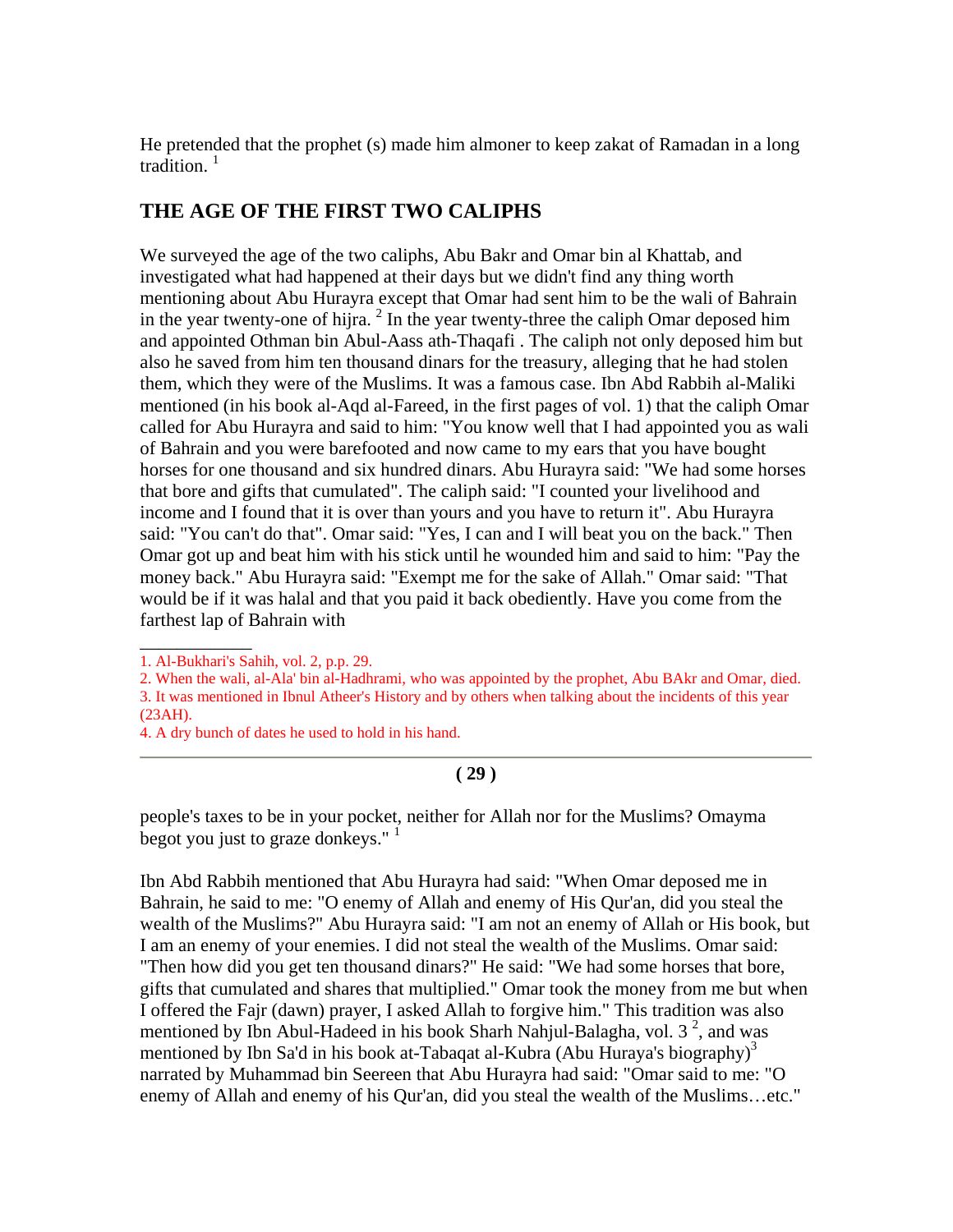He pretended that the prophet (s) made him almoner to keep zakat of Ramadan in a long tradition.<sup>1</sup>

# **THE AGE OF THE FIRST TWO CALIPHS**

We surveyed the age of the two caliphs, Abu Bakr and Omar bin al Khattab, and investigated what had happened at their days but we didn't find any thing worth mentioning about Abu Hurayra except that Omar had sent him to be the wali of Bahrain in the year twenty-one of hijra.  $2 \text{ In the year twenty-three the caliph Omar$  deposed him and appointed Othman bin Abul-Aass ath-Thaqafi . The caliph not only deposed him but also he saved from him ten thousand dinars for the treasury, alleging that he had stolen them, which they were of the Muslims. It was a famous case. Ibn Abd Rabbih al-Maliki mentioned (in his book al-Aqd al-Fareed, in the first pages of vol. 1) that the caliph Omar called for Abu Hurayra and said to him: "You know well that I had appointed you as wali of Bahrain and you were barefooted and now came to my ears that you have bought horses for one thousand and six hundred dinars. Abu Hurayra said: "We had some horses that bore and gifts that cumulated". The caliph said: "I counted your livelihood and income and I found that it is over than yours and you have to return it". Abu Hurayra said: "You can't do that". Omar said: "Yes, I can and I will beat you on the back." Then Omar got up and beat him with his stick until he wounded him and said to him: "Pay the money back." Abu Hurayra said: "Exempt me for the sake of Allah." Omar said: "That would be if it was halal and that you paid it back obediently. Have you come from the farthest lap of Bahrain with

\_\_\_\_\_\_\_\_\_\_\_\_

4. A dry bunch of dates he used to hold in his hand.

#### **( 29 )**

people's taxes to be in your pocket, neither for Allah nor for the Muslims? Omayma begot you just to graze donkeys."  $\frac{1}{1}$ 

Ibn Abd Rabbih mentioned that Abu Hurayra had said: "When Omar deposed me in Bahrain, he said to me: "O enemy of Allah and enemy of His Qur'an, did you steal the wealth of the Muslims?" Abu Hurayra said: "I am not an enemy of Allah or His book, but I am an enemy of your enemies. I did not steal the wealth of the Muslims. Omar said: "Then how did you get ten thousand dinars?" He said: "We had some horses that bore, gifts that cumulated and shares that multiplied." Omar took the money from me but when I offered the Fajr (dawn) prayer, I asked Allah to forgive him." This tradition was also mentioned by Ibn Abul-Hadeed in his book Sharh Nahjul-Balagha, vol.  $3^2$ , and was mentioned by Ibn Sa'd in his book at-Tabaqat al-Kubra (Abu Huraya's biography)<sup>3</sup> narrated by Muhammad bin Seereen that Abu Hurayra had said: "Omar said to me: "O enemy of Allah and enemy of his Qur'an, did you steal the wealth of the Muslims…etc."

<sup>1.</sup> Al-Bukhari's Sahih, vol. 2, p.p. 29.

<sup>2.</sup> When the wali, al-Ala' bin al-Hadhrami, who was appointed by the prophet, Abu BAkr and Omar, died. 3. It was mentioned in Ibnul Atheer's History and by others when talking about the incidents of this year (23AH).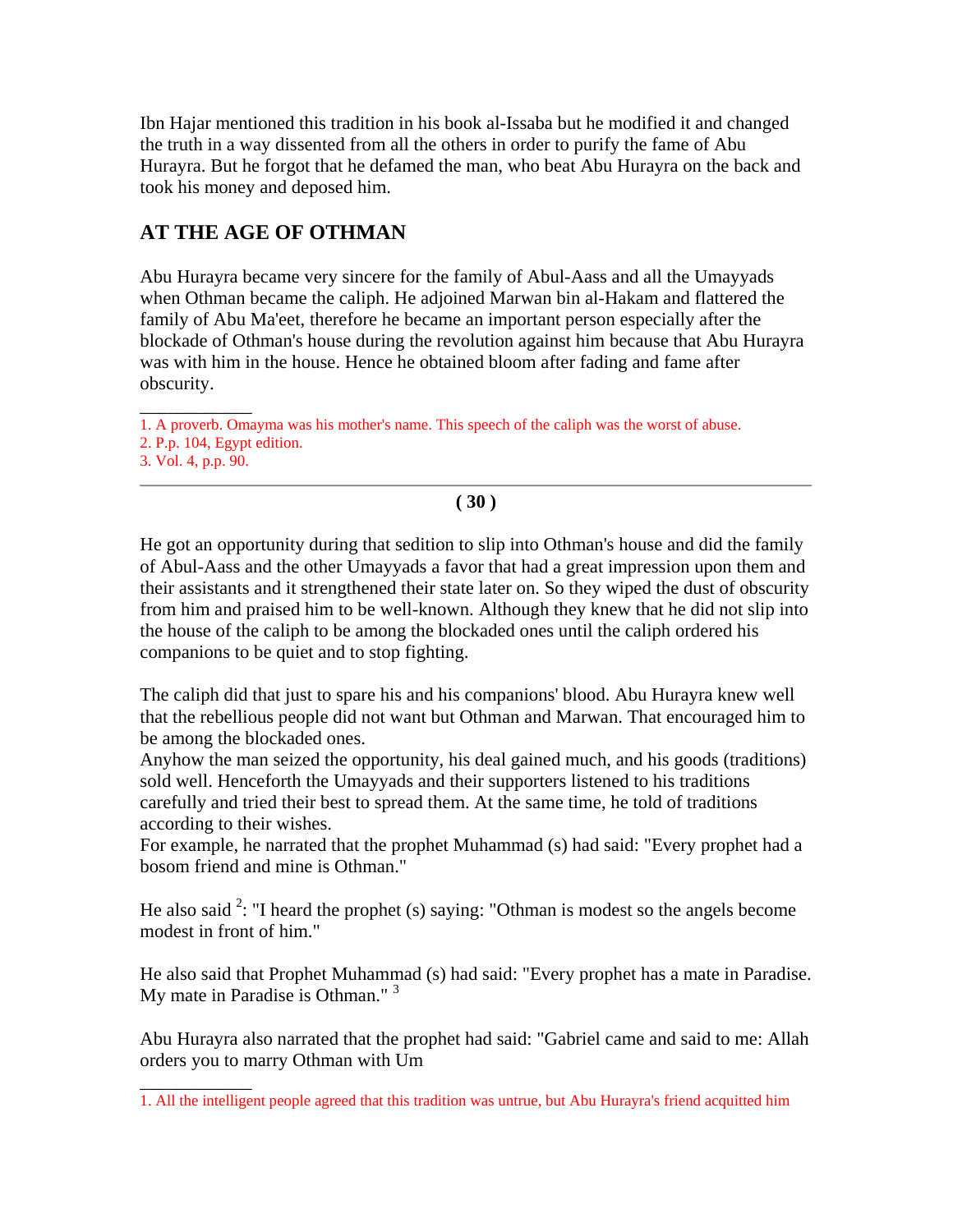Ibn Hajar mentioned this tradition in his book al-Issaba but he modified it and changed the truth in a way dissented from all the others in order to purify the fame of Abu Hurayra. But he forgot that he defamed the man, who beat Abu Hurayra on the back and took his money and deposed him.

# **AT THE AGE OF OTHMAN**

Abu Hurayra became very sincere for the family of Abul-Aass and all the Umayyads when Othman became the caliph. He adjoined Marwan bin al-Hakam and flattered the family of Abu Ma'eet, therefore he became an important person especially after the blockade of Othman's house during the revolution against him because that Abu Hurayra was with him in the house. Hence he obtained bloom after fading and fame after obscurity.

 $\overline{\phantom{a}}$ 

#### **( 30 )**

He got an opportunity during that sedition to slip into Othman's house and did the family of Abul-Aass and the other Umayyads a favor that had a great impression upon them and their assistants and it strengthened their state later on. So they wiped the dust of obscurity from him and praised him to be well-known. Although they knew that he did not slip into the house of the caliph to be among the blockaded ones until the caliph ordered his companions to be quiet and to stop fighting.

The caliph did that just to spare his and his companions' blood. Abu Hurayra knew well that the rebellious people did not want but Othman and Marwan. That encouraged him to be among the blockaded ones.

Anyhow the man seized the opportunity, his deal gained much, and his goods (traditions) sold well. Henceforth the Umayyads and their supporters listened to his traditions carefully and tried their best to spread them. At the same time, he told of traditions according to their wishes.

For example, he narrated that the prophet Muhammad (s) had said: "Every prophet had a bosom friend and mine is Othman."

He also said  $2$ : "I heard the prophet (s) saying: "Othman is modest so the angels become modest in front of him."

He also said that Prophet Muhammad (s) had said: "Every prophet has a mate in Paradise. My mate in Paradise is Othman."<sup>3</sup>

Abu Hurayra also narrated that the prophet had said: "Gabriel came and said to me: Allah orders you to marry Othman with Um

\_\_\_\_\_\_\_\_\_\_\_\_ 1. A proverb. Omayma was his mother's name. This speech of the caliph was the worst of abuse.

<sup>2.</sup> P.p. 104, Egypt edition.

<sup>3.</sup> Vol. 4, p.p. 90.

<sup>1.</sup> All the intelligent people agreed that this tradition was untrue, but Abu Hurayra's friend acquitted him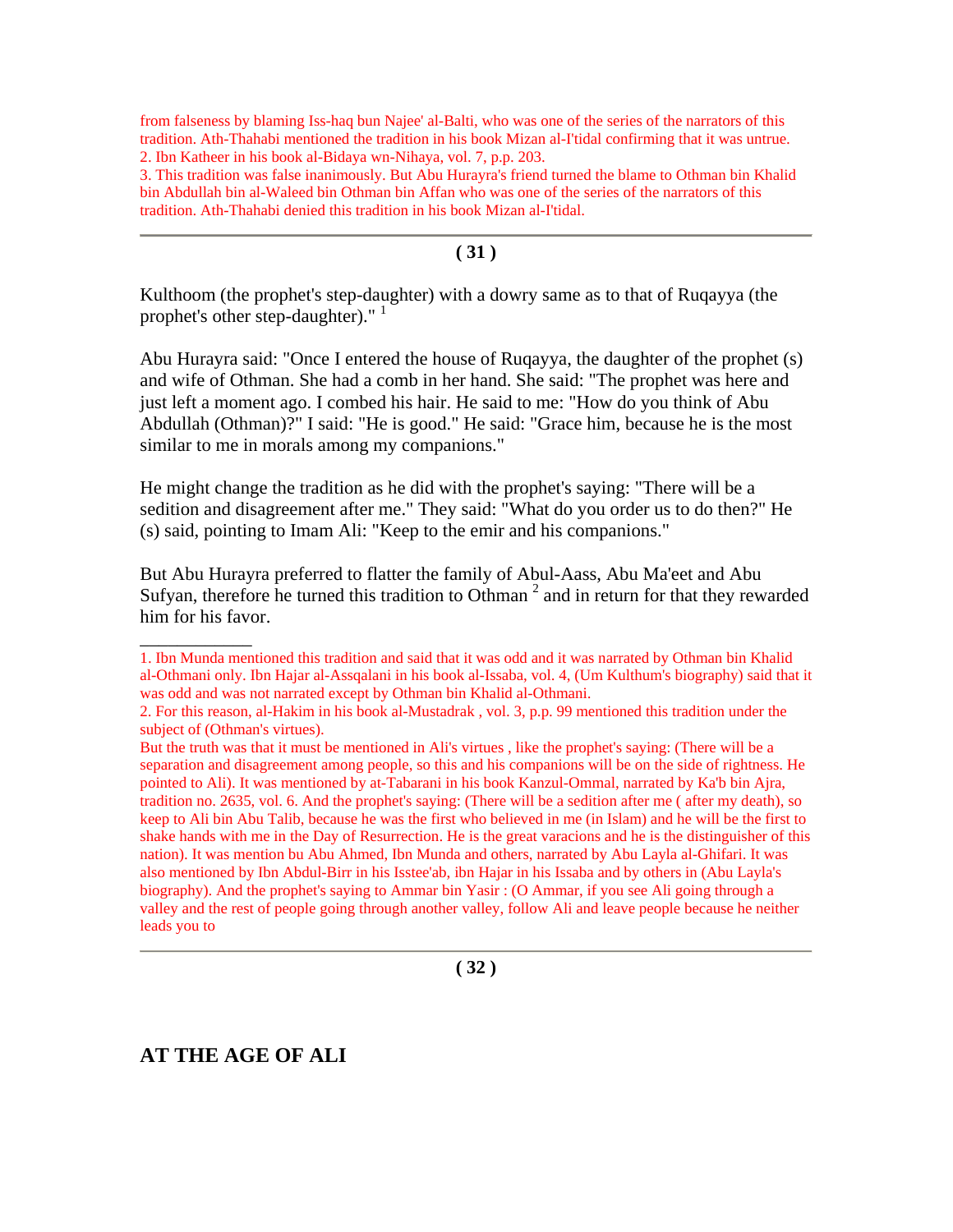from falseness by blaming Iss-haq bun Najee' al-Balti, who was one of the series of the narrators of this tradition. Ath-Thahabi mentioned the tradition in his book Mizan al-I'tidal confirming that it was untrue. 2. Ibn Katheer in his book al-Bidaya wn-Nihaya, vol. 7, p.p. 203.

3. This tradition was false inanimously. But Abu Hurayra's friend turned the blame to Othman bin Khalid bin Abdullah bin al-Waleed bin Othman bin Affan who was one of the series of the narrators of this tradition. Ath-Thahabi denied this tradition in his book Mizan al-I'tidal.

#### **( 31 )**

Kulthoom (the prophet's step-daughter) with a dowry same as to that of Ruqayya (the prophet's other step-daughter)." <sup>1</sup>

Abu Hurayra said: "Once I entered the house of Ruqayya, the daughter of the prophet (s) and wife of Othman. She had a comb in her hand. She said: "The prophet was here and just left a moment ago. I combed his hair. He said to me: "How do you think of Abu Abdullah (Othman)?" I said: "He is good." He said: "Grace him, because he is the most similar to me in morals among my companions."

He might change the tradition as he did with the prophet's saying: "There will be a sedition and disagreement after me." They said: "What do you order us to do then?" He (s) said, pointing to Imam Ali: "Keep to the emir and his companions."

But Abu Hurayra preferred to flatter the family of Abul-Aass, Abu Ma'eet and Abu Sufyan, therefore he turned this tradition to Othman<sup>2</sup> and in return for that they rewarded him for his favor.

**( 32 )**

# **AT THE AGE OF ALI**

 $\overline{\phantom{a}}$ 

<sup>1.</sup> Ibn Munda mentioned this tradition and said that it was odd and it was narrated by Othman bin Khalid al-Othmani only. Ibn Hajar al-Assqalani in his book al-Issaba, vol. 4, (Um Kulthum's biography) said that it was odd and was not narrated except by Othman bin Khalid al-Othmani.

<sup>2.</sup> For this reason, al-Hakim in his book al-Mustadrak , vol. 3, p.p. 99 mentioned this tradition under the subject of (Othman's virtues).

But the truth was that it must be mentioned in Ali's virtues , like the prophet's saying: (There will be a separation and disagreement among people, so this and his companions will be on the side of rightness. He pointed to Ali). It was mentioned by at-Tabarani in his book Kanzul-Ommal, narrated by Ka'b bin Ajra, tradition no. 2635, vol. 6. And the prophet's saying: (There will be a sedition after me ( after my death), so keep to Ali bin Abu Talib, because he was the first who believed in me (in Islam) and he will be the first to shake hands with me in the Day of Resurrection. He is the great varacions and he is the distinguisher of this nation). It was mention bu Abu Ahmed, Ibn Munda and others, narrated by Abu Layla al-Ghifari. It was also mentioned by Ibn Abdul-Birr in his Isstee'ab, ibn Hajar in his Issaba and by others in (Abu Layla's biography). And the prophet's saying to Ammar bin Yasir : (O Ammar, if you see Ali going through a valley and the rest of people going through another valley, follow Ali and leave people because he neither leads you to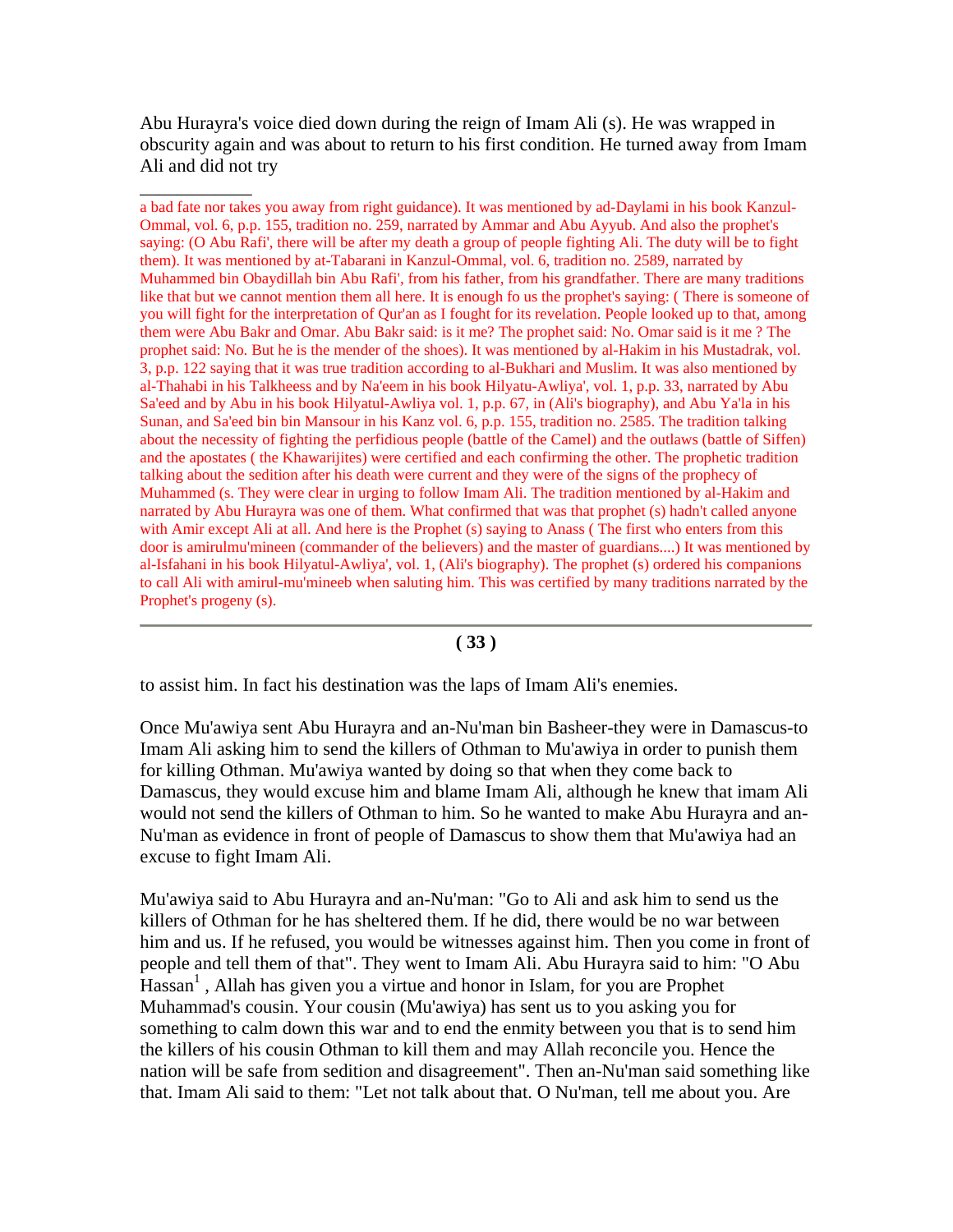Abu Hurayra's voice died down during the reign of Imam Ali (s). He was wrapped in obscurity again and was about to return to his first condition. He turned away from Imam Ali and did not try

\_\_\_\_\_\_\_\_\_\_\_\_

a bad fate nor takes you away from right guidance). It was mentioned by ad-Daylami in his book Kanzul-Ommal, vol. 6, p.p. 155, tradition no. 259, narrated by Ammar and Abu Ayyub. And also the prophet's saying: (O Abu Rafi', there will be after my death a group of people fighting Ali. The duty will be to fight them). It was mentioned by at-Tabarani in Kanzul-Ommal, vol. 6, tradition no. 2589, narrated by Muhammed bin Obaydillah bin Abu Rafi', from his father, from his grandfather. There are many traditions like that but we cannot mention them all here. It is enough fo us the prophet's saying: ( There is someone of you will fight for the interpretation of Qur'an as I fought for its revelation. People looked up to that, among them were Abu Bakr and Omar. Abu Bakr said: is it me? The prophet said: No. Omar said is it me ? The prophet said: No. But he is the mender of the shoes). It was mentioned by al-Hakim in his Mustadrak, vol. 3, p.p. 122 saying that it was true tradition according to al-Bukhari and Muslim. It was also mentioned by al-Thahabi in his Talkheess and by Na'eem in his book Hilyatu-Awliya', vol. 1, p.p. 33, narrated by Abu Sa'eed and by Abu in his book Hilyatul-Awliya vol. 1, p.p. 67, in (Ali's biography), and Abu Ya'la in his Sunan, and Sa'eed bin bin Mansour in his Kanz vol. 6, p.p. 155, tradition no. 2585. The tradition talking about the necessity of fighting the perfidious people (battle of the Camel) and the outlaws (battle of Siffen) and the apostates ( the Khawarijites) were certified and each confirming the other. The prophetic tradition talking about the sedition after his death were current and they were of the signs of the prophecy of Muhammed (s. They were clear in urging to follow Imam Ali. The tradition mentioned by al-Hakim and narrated by Abu Hurayra was one of them. What confirmed that was that prophet (s) hadn't called anyone with Amir except Ali at all. And here is the Prophet (s) saying to Anass (The first who enters from this door is amirulmu'mineen (commander of the believers) and the master of guardians....) It was mentioned by al-Isfahani in his book Hilyatul-Awliya', vol. 1, (Ali's biography). The prophet (s) ordered his companions to call Ali with amirul-mu'mineeb when saluting him. This was certified by many traditions narrated by the Prophet's progeny (s).

#### **( 33 )**

to assist him. In fact his destination was the laps of Imam Ali's enemies.

Once Mu'awiya sent Abu Hurayra and an-Nu'man bin Basheer-they were in Damascus-to Imam Ali asking him to send the killers of Othman to Mu'awiya in order to punish them for killing Othman. Mu'awiya wanted by doing so that when they come back to Damascus, they would excuse him and blame Imam Ali, although he knew that imam Ali would not send the killers of Othman to him. So he wanted to make Abu Hurayra and an-Nu'man as evidence in front of people of Damascus to show them that Mu'awiya had an excuse to fight Imam Ali.

Mu'awiya said to Abu Hurayra and an-Nu'man: "Go to Ali and ask him to send us the killers of Othman for he has sheltered them. If he did, there would be no war between him and us. If he refused, you would be witnesses against him. Then you come in front of people and tell them of that". They went to Imam Ali. Abu Hurayra said to him: "O Abu  $\text{Hassan}^1$ , Allah has given you a virtue and honor in Islam, for you are Prophet Muhammad's cousin. Your cousin (Mu'awiya) has sent us to you asking you for something to calm down this war and to end the enmity between you that is to send him the killers of his cousin Othman to kill them and may Allah reconcile you. Hence the nation will be safe from sedition and disagreement". Then an-Nu'man said something like that. Imam Ali said to them: "Let not talk about that. O Nu'man, tell me about you. Are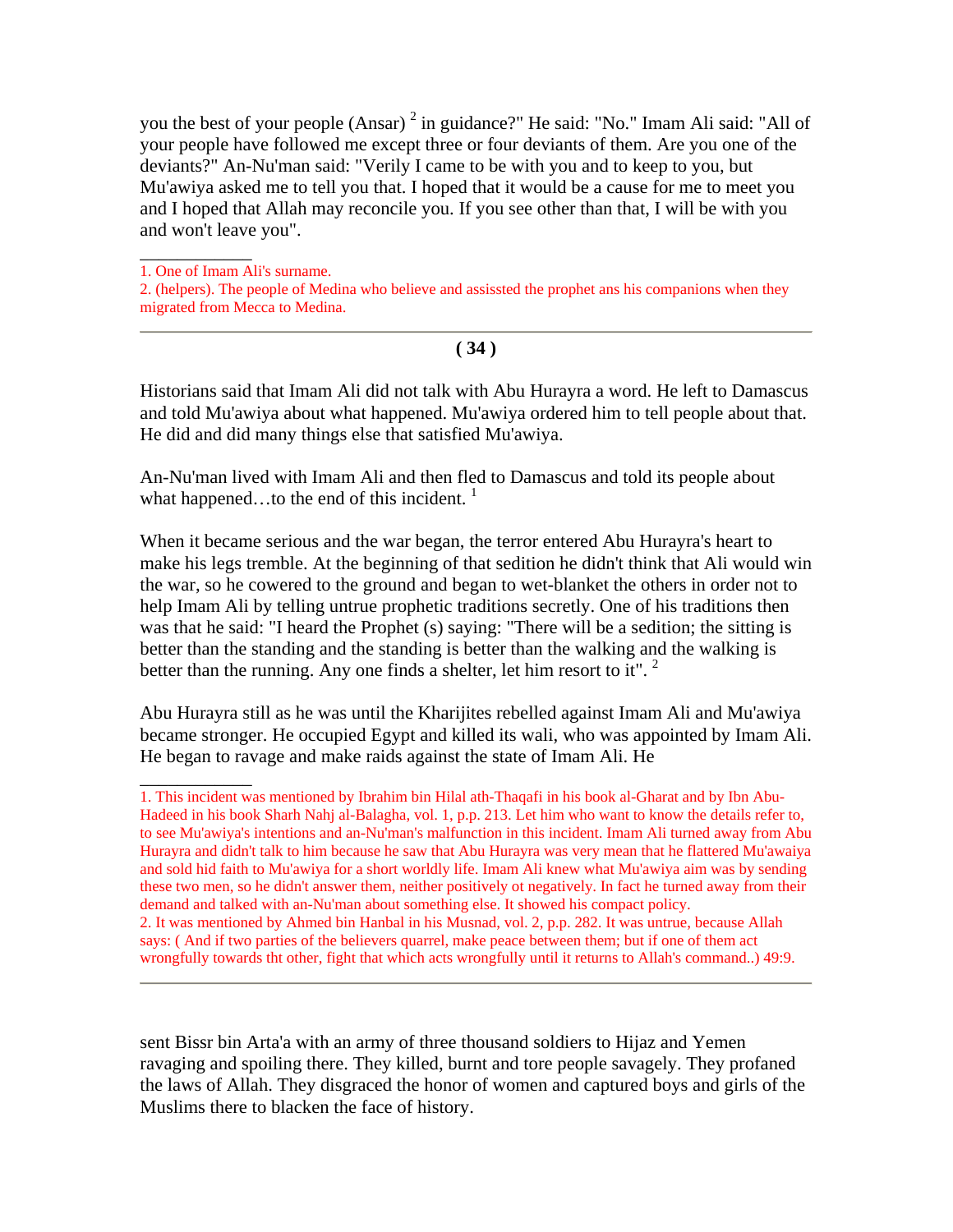you the best of your people (Ansar)<sup>2</sup> in guidance?" He said: "No." Imam Ali said: "All of your people have followed me except three or four deviants of them. Are you one of the deviants?" An-Nu'man said: "Verily I came to be with you and to keep to you, but Mu'awiya asked me to tell you that. I hoped that it would be a cause for me to meet you and I hoped that Allah may reconcile you. If you see other than that, I will be with you and won't leave you".

1. One of Imam Ali's surname.

\_\_\_\_\_\_\_\_\_\_\_\_

 $\overline{\phantom{a}}$ 

2. (helpers). The people of Medina who believe and assissted the prophet ans his companions when they migrated from Mecca to Medina.

#### **( 34 )**

Historians said that Imam Ali did not talk with Abu Hurayra a word. He left to Damascus and told Mu'awiya about what happened. Mu'awiya ordered him to tell people about that. He did and did many things else that satisfied Mu'awiya.

An-Nu'man lived with Imam Ali and then fled to Damascus and told its people about what happened...to the end of this incident.  $1$ 

When it became serious and the war began, the terror entered Abu Hurayra's heart to make his legs tremble. At the beginning of that sedition he didn't think that Ali would win the war, so he cowered to the ground and began to wet-blanket the others in order not to help Imam Ali by telling untrue prophetic traditions secretly. One of his traditions then was that he said: "I heard the Prophet (s) saying: "There will be a sedition; the sitting is better than the standing and the standing is better than the walking and the walking is better than the running. Any one finds a shelter, let him resort to it".  $2$ 

Abu Hurayra still as he was until the Kharijites rebelled against Imam Ali and Mu'awiya became stronger. He occupied Egypt and killed its wali, who was appointed by Imam Ali. He began to ravage and make raids against the state of Imam Ali. He

sent Bissr bin Arta'a with an army of three thousand soldiers to Hijaz and Yemen ravaging and spoiling there. They killed, burnt and tore people savagely. They profaned the laws of Allah. They disgraced the honor of women and captured boys and girls of the Muslims there to blacken the face of history.

<sup>1.</sup> This incident was mentioned by Ibrahim bin Hilal ath-Thaqafi in his book al-Gharat and by Ibn Abu-Hadeed in his book Sharh Nahj al-Balagha, vol. 1, p.p. 213. Let him who want to know the details refer to, to see Mu'awiya's intentions and an-Nu'man's malfunction in this incident. Imam Ali turned away from Abu Hurayra and didn't talk to him because he saw that Abu Hurayra was very mean that he flattered Mu'awaiya and sold hid faith to Mu'awiya for a short worldly life. Imam Ali knew what Mu'awiya aim was by sending these two men, so he didn't answer them, neither positively ot negatively. In fact he turned away from their demand and talked with an-Nu'man about something else. It showed his compact policy. 2. It was mentioned by Ahmed bin Hanbal in his Musnad, vol. 2, p.p. 282. It was untrue, because Allah says: ( And if two parties of the believers quarrel, make peace between them; but if one of them act wrongfully towards tht other, fight that which acts wrongfully until it returns to Allah's command..) 49:9.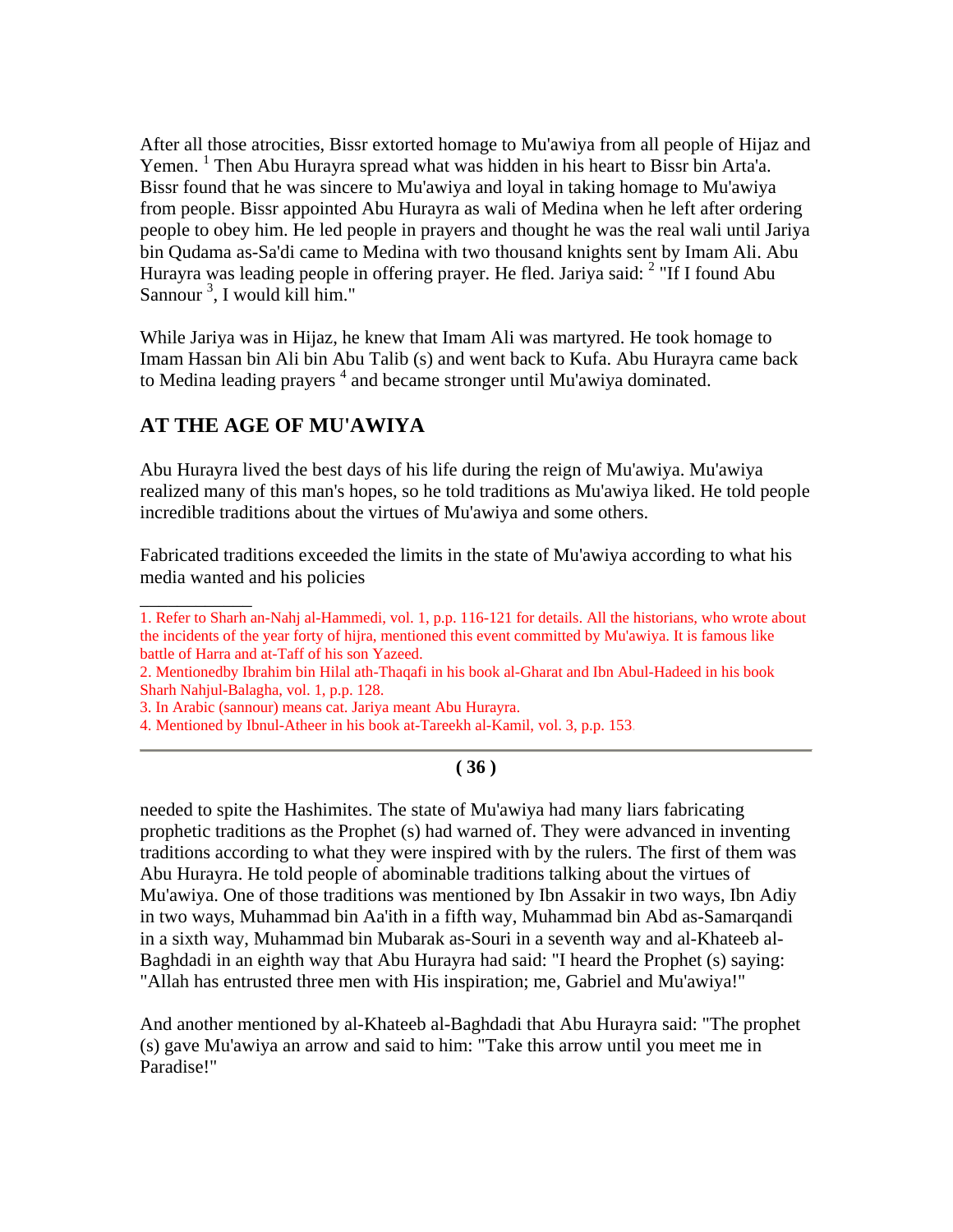After all those atrocities, Bissr extorted homage to Mu'awiya from all people of Hijaz and Yemen.<sup>1</sup> Then Abu Hurayra spread what was hidden in his heart to Bissr bin Arta'a. Bissr found that he was sincere to Mu'awiya and loyal in taking homage to Mu'awiya from people. Bissr appointed Abu Hurayra as wali of Medina when he left after ordering people to obey him. He led people in prayers and thought he was the real wali until Jariya bin Qudama as-Sa'di came to Medina with two thousand knights sent by Imam Ali. Abu Hurayra was leading people in offering prayer. He fled. Jariya said:  $2$  "If I found Abu Sannour<sup>3</sup>, I would kill him."

While Jariya was in Hijaz, he knew that Imam Ali was martyred. He took homage to Imam Hassan bin Ali bin Abu Talib (s) and went back to Kufa. Abu Hurayra came back to Medina leading prayers  $<sup>4</sup>$  and became stronger until Mu'awiya dominated.</sup>

# **AT THE AGE OF MU'AWIYA**

Abu Hurayra lived the best days of his life during the reign of Mu'awiya. Mu'awiya realized many of this man's hopes, so he told traditions as Mu'awiya liked. He told people incredible traditions about the virtues of Mu'awiya and some others.

Fabricated traditions exceeded the limits in the state of Mu'awiya according to what his media wanted and his policies

 $\overline{\phantom{a}}$ 1. Refer to Sharh an-Nahj al-Hammedi, vol. 1, p.p. 116-121 for details. All the historians, who wrote about the incidents of the year forty of hijra, mentioned this event committed by Mu'awiya. It is famous like battle of Harra and at-Taff of his son Yazeed.

2. Mentionedby Ibrahim bin Hilal ath-Thaqafi in his book al-Gharat and Ibn Abul-Hadeed in his book Sharh Nahjul-Balagha, vol. 1, p.p. 128.

3. In Arabic (sannour) means cat. Jariya meant Abu Hurayra.

4. Mentioned by Ibnul-Atheer in his book at-Tareekh al-Kamil, vol. 3, p.p. 153.

# **( 36 )**

needed to spite the Hashimites. The state of Mu'awiya had many liars fabricating prophetic traditions as the Prophet (s) had warned of. They were advanced in inventing traditions according to what they were inspired with by the rulers. The first of them was Abu Hurayra. He told people of abominable traditions talking about the virtues of Mu'awiya. One of those traditions was mentioned by Ibn Assakir in two ways, Ibn Adiy in two ways, Muhammad bin Aa'ith in a fifth way, Muhammad bin Abd as-Samarqandi in a sixth way, Muhammad bin Mubarak as-Souri in a seventh way and al-Khateeb al-Baghdadi in an eighth way that Abu Hurayra had said: "I heard the Prophet (s) saying: "Allah has entrusted three men with His inspiration; me, Gabriel and Mu'awiya!"

And another mentioned by al-Khateeb al-Baghdadi that Abu Hurayra said: "The prophet (s) gave Mu'awiya an arrow and said to him: "Take this arrow until you meet me in Paradise!"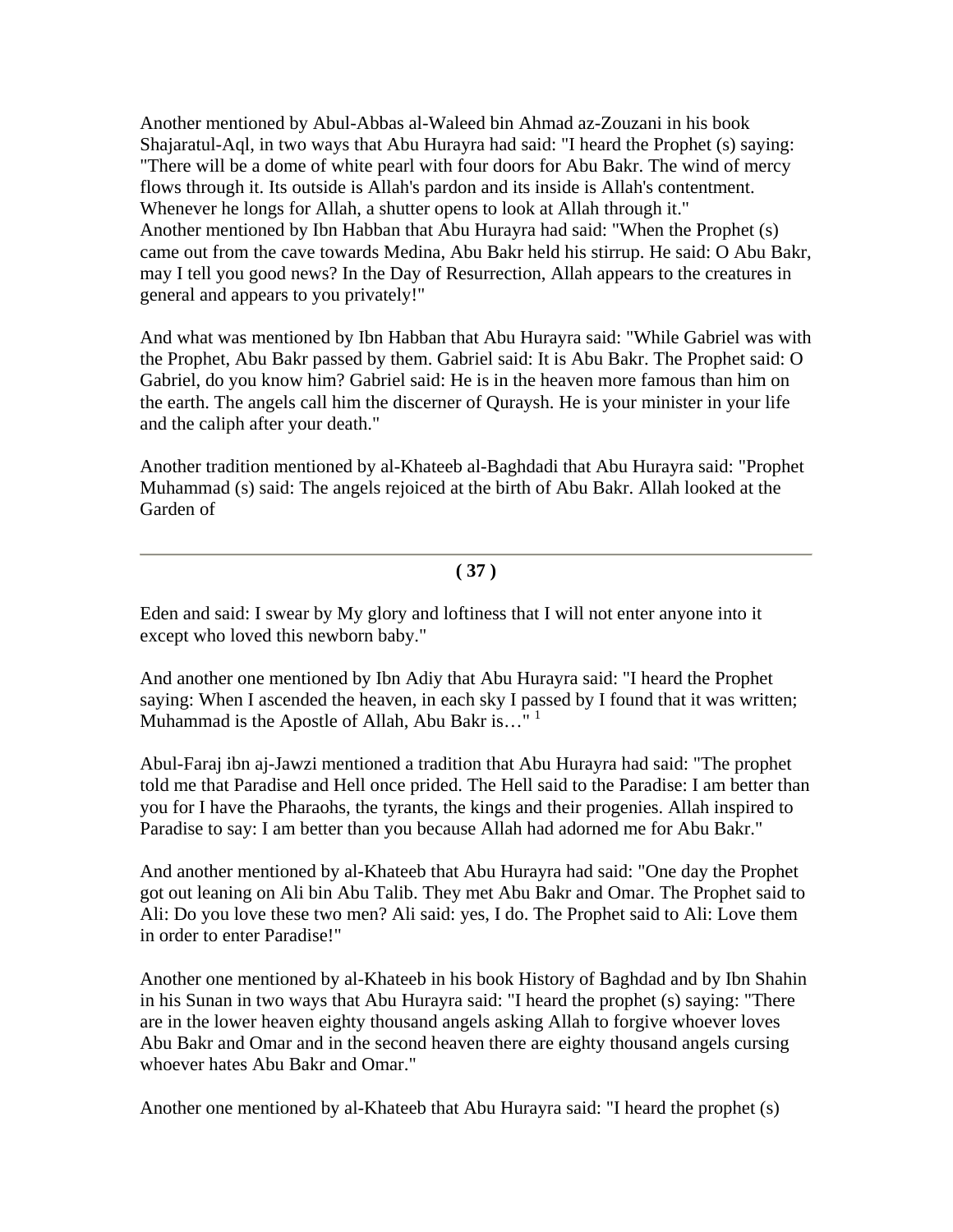Another mentioned by Abul-Abbas al-Waleed bin Ahmad az-Zouzani in his book Shajaratul-Aql, in two ways that Abu Hurayra had said: "I heard the Prophet (s) saying: "There will be a dome of white pearl with four doors for Abu Bakr. The wind of mercy flows through it. Its outside is Allah's pardon and its inside is Allah's contentment. Whenever he longs for Allah, a shutter opens to look at Allah through it." Another mentioned by Ibn Habban that Abu Hurayra had said: "When the Prophet (s) came out from the cave towards Medina, Abu Bakr held his stirrup. He said: O Abu Bakr, may I tell you good news? In the Day of Resurrection, Allah appears to the creatures in general and appears to you privately!"

And what was mentioned by Ibn Habban that Abu Hurayra said: "While Gabriel was with the Prophet, Abu Bakr passed by them. Gabriel said: It is Abu Bakr. The Prophet said: O Gabriel, do you know him? Gabriel said: He is in the heaven more famous than him on the earth. The angels call him the discerner of Quraysh. He is your minister in your life and the caliph after your death."

Another tradition mentioned by al-Khateeb al-Baghdadi that Abu Hurayra said: "Prophet Muhammad (s) said: The angels rejoiced at the birth of Abu Bakr. Allah looked at the Garden of

**( 37 )**

Eden and said: I swear by My glory and loftiness that I will not enter anyone into it except who loved this newborn baby."

And another one mentioned by Ibn Adiy that Abu Hurayra said: "I heard the Prophet saying: When I ascended the heaven, in each sky I passed by I found that it was written; Muhammad is the Apostle of Allah, Abu Bakr is... $^{\text{1}}$ <sup>1</sup>

Abul-Faraj ibn aj-Jawzi mentioned a tradition that Abu Hurayra had said: "The prophet told me that Paradise and Hell once prided. The Hell said to the Paradise: I am better than you for I have the Pharaohs, the tyrants, the kings and their progenies. Allah inspired to Paradise to say: I am better than you because Allah had adorned me for Abu Bakr."

And another mentioned by al-Khateeb that Abu Hurayra had said: "One day the Prophet got out leaning on Ali bin Abu Talib. They met Abu Bakr and Omar. The Prophet said to Ali: Do you love these two men? Ali said: yes, I do. The Prophet said to Ali: Love them in order to enter Paradise!"

Another one mentioned by al-Khateeb in his book History of Baghdad and by Ibn Shahin in his Sunan in two ways that Abu Hurayra said: "I heard the prophet (s) saying: "There are in the lower heaven eighty thousand angels asking Allah to forgive whoever loves Abu Bakr and Omar and in the second heaven there are eighty thousand angels cursing whoever hates Abu Bakr and Omar."

Another one mentioned by al-Khateeb that Abu Hurayra said: "I heard the prophet (s)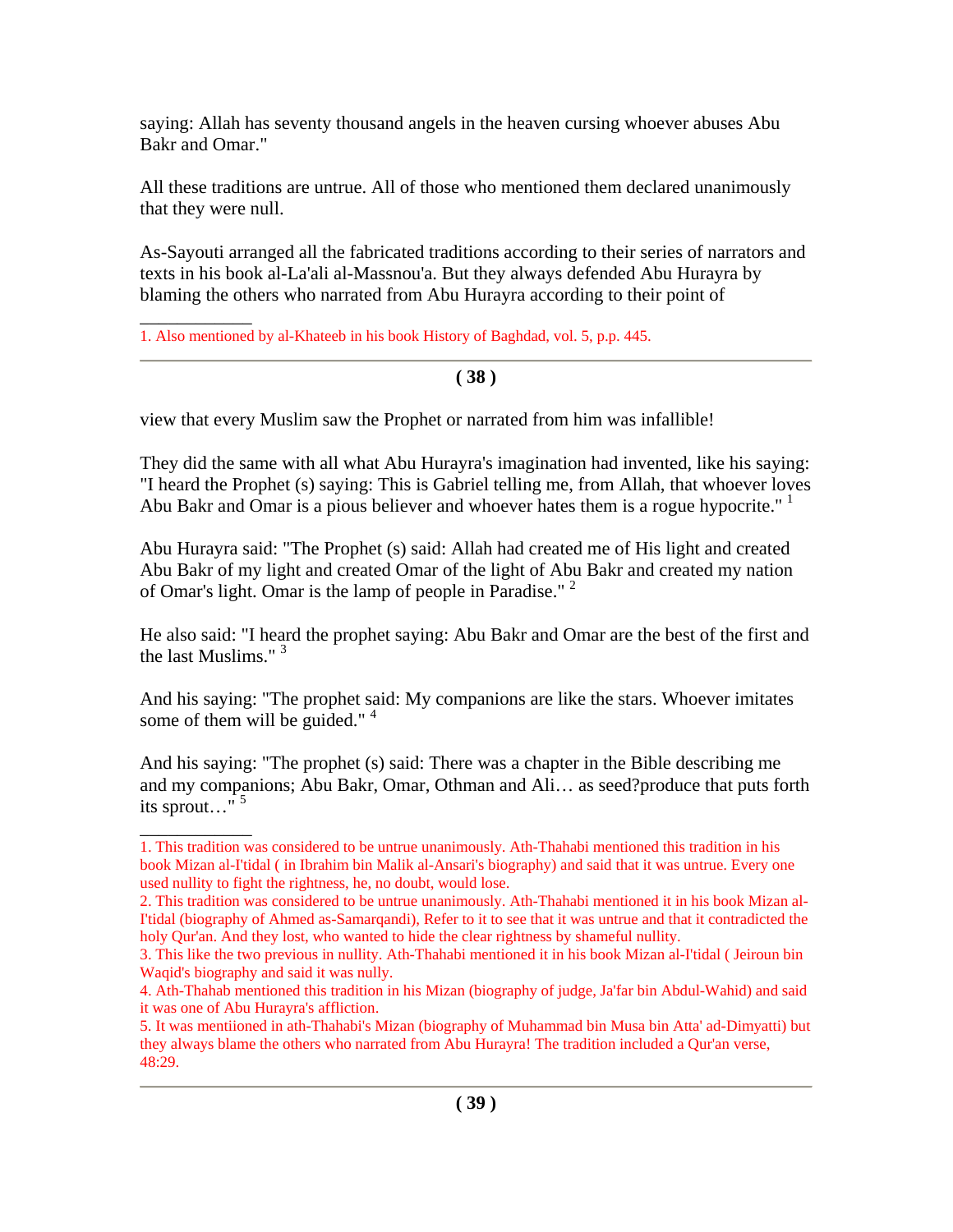saying: Allah has seventy thousand angels in the heaven cursing whoever abuses Abu Bakr and Omar."

All these traditions are untrue. All of those who mentioned them declared unanimously that they were null.

As-Sayouti arranged all the fabricated traditions according to their series of narrators and texts in his book al-La'ali al-Massnou'a. But they always defended Abu Hurayra by blaming the others who narrated from Abu Hurayra according to their point of

 $\overline{\phantom{a}}$ 1. Also mentioned by al-Khateeb in his book History of Baghdad, vol. 5, p.p. 445.

#### **( 38 )**

view that every Muslim saw the Prophet or narrated from him was infallible!

They did the same with all what Abu Hurayra's imagination had invented, like his saying: "I heard the Prophet (s) saying: This is Gabriel telling me, from Allah, that whoever loves Abu Bakr and Omar is a pious believer and whoever hates them is a rogue hypocrite."<sup>1</sup>

Abu Hurayra said: "The Prophet (s) said: Allah had created me of His light and created Abu Bakr of my light and created Omar of the light of Abu Bakr and created my nation of Omar's light. Omar is the lamp of people in Paradise." 2

He also said: "I heard the prophet saying: Abu Bakr and Omar are the best of the first and the last Muslims."<sup>3</sup>

And his saying: "The prophet said: My companions are like the stars. Whoever imitates some of them will be guided."<sup>4</sup>

And his saying: "The prophet (s) said: There was a chapter in the Bible describing me and my companions; Abu Bakr, Omar, Othman and Ali… as seed?produce that puts forth its sprout…" 5

 $\overline{\phantom{a}}$ 

<sup>1.</sup> This tradition was considered to be untrue unanimously. Ath-Thahabi mentioned this tradition in his book Mizan al-I'tidal ( in Ibrahim bin Malik al-Ansari's biography) and said that it was untrue. Every one used nullity to fight the rightness, he, no doubt, would lose.

<sup>2.</sup> This tradition was considered to be untrue unanimously. Ath-Thahabi mentioned it in his book Mizan al-I'tidal (biography of Ahmed as-Samarqandi), Refer to it to see that it was untrue and that it contradicted the holy Qur'an. And they lost, who wanted to hide the clear rightness by shameful nullity.

<sup>3.</sup> This like the two previous in nullity. Ath-Thahabi mentioned it in his book Mizan al-I'tidal ( Jeiroun bin Waqid's biography and said it was nully.

<sup>4.</sup> Ath-Thahab mentioned this tradition in his Mizan (biography of judge, Ja'far bin Abdul-Wahid) and said it was one of Abu Hurayra's affliction.

<sup>5.</sup> It was mentiioned in ath-Thahabi's Mizan (biography of Muhammad bin Musa bin Atta' ad-Dimyatti) but they always blame the others who narrated from Abu Hurayra! The tradition included a Qur'an verse, 48:29.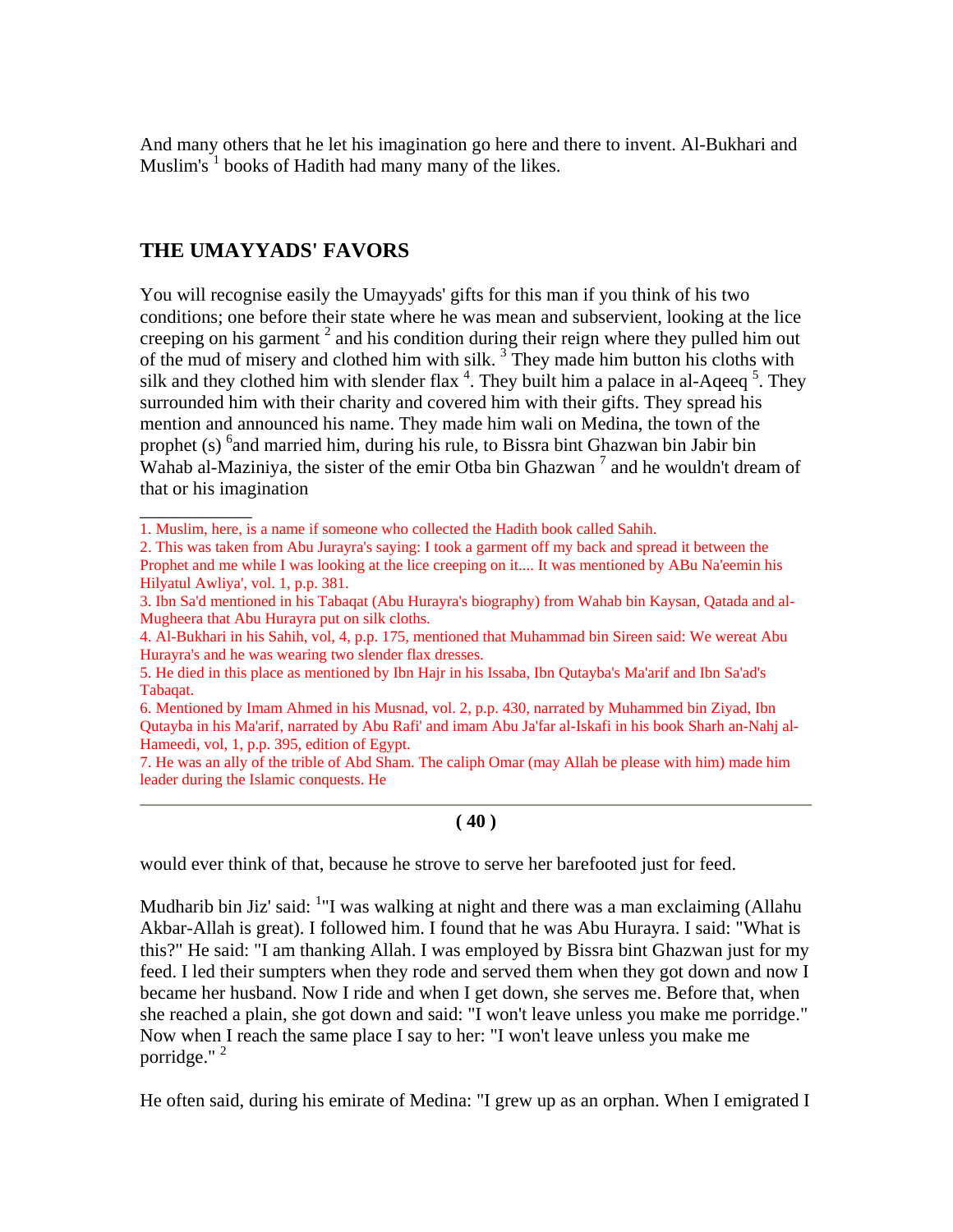And many others that he let his imagination go here and there to invent. Al-Bukhari and Muslim's  $1$  books of Hadith had many many of the likes.

# **THE UMAYYADS' FAVORS**

 $\overline{\phantom{a}}$ 

You will recognise easily the Umayyads' gifts for this man if you think of his two conditions; one before their state where he was mean and subservient, looking at the lice creeping on his garment<sup>2</sup> and his condition during their reign where they pulled him out of the mud of misery and clothed him with silk.  $3$  They made him button his cloths with silk and they clothed him with slender flax  $4$ . They built him a palace in al-Aqeeq  $5$ . They surrounded him with their charity and covered him with their gifts. They spread his mention and announced his name. They made him wali on Medina, the town of the prophet (s) <sup>6</sup> and married him, during his rule, to Bissra bint Ghazwan bin Jabir bin Wahab al-Maziniya, the sister of the emir Otba bin Ghazwan<sup>7</sup> and he wouldn't dream of that or his imagination

6. Mentioned by Imam Ahmed in his Musnad, vol. 2, p.p. 430, narrated by Muhammed bin Ziyad, Ibn Qutayba in his Ma'arif, narrated by Abu Rafi' and imam Abu Ja'far al-Iskafi in his book Sharh an-Nahj al-Hameedi, vol, 1, p.p. 395, edition of Egypt.

7. He was an ally of the trible of Abd Sham. The caliph Omar (may Allah be please with him) made him leader during the Islamic conquests. He

#### **( 40 )**

would ever think of that, because he strove to serve her barefooted just for feed.

Mudharib bin Jiz' said: <sup>1</sup>"I was walking at night and there was a man exclaiming (Allahu Akbar-Allah is great). I followed him. I found that he was Abu Hurayra. I said: "What is this?" He said: "I am thanking Allah. I was employed by Bissra bint Ghazwan just for my feed. I led their sumpters when they rode and served them when they got down and now I became her husband. Now I ride and when I get down, she serves me. Before that, when she reached a plain, she got down and said: "I won't leave unless you make me porridge." Now when I reach the same place I say to her: "I won't leave unless you make me porridge."<sup>2</sup>

He often said, during his emirate of Medina: "I grew up as an orphan. When I emigrated I

<sup>1.</sup> Muslim, here, is a name if someone who collected the Hadith book called Sahih.

<sup>2.</sup> This was taken from Abu Jurayra's saying: I took a garment off my back and spread it between the Prophet and me while I was looking at the lice creeping on it.... It was mentioned by ABu Na'eemin his Hilyatul Awliya', vol. 1, p.p. 381.

<sup>3.</sup> Ibn Sa'd mentioned in his Tabaqat (Abu Hurayra's biography) from Wahab bin Kaysan, Qatada and al-Mugheera that Abu Hurayra put on silk cloths.

<sup>4.</sup> Al-Bukhari in his Sahih, vol, 4, p.p. 175, mentioned that Muhammad bin Sireen said: We wereat Abu Hurayra's and he was wearing two slender flax dresses.

<sup>5.</sup> He died in this place as mentioned by Ibn Hajr in his Issaba, Ibn Qutayba's Ma'arif and Ibn Sa'ad's Tabaqat.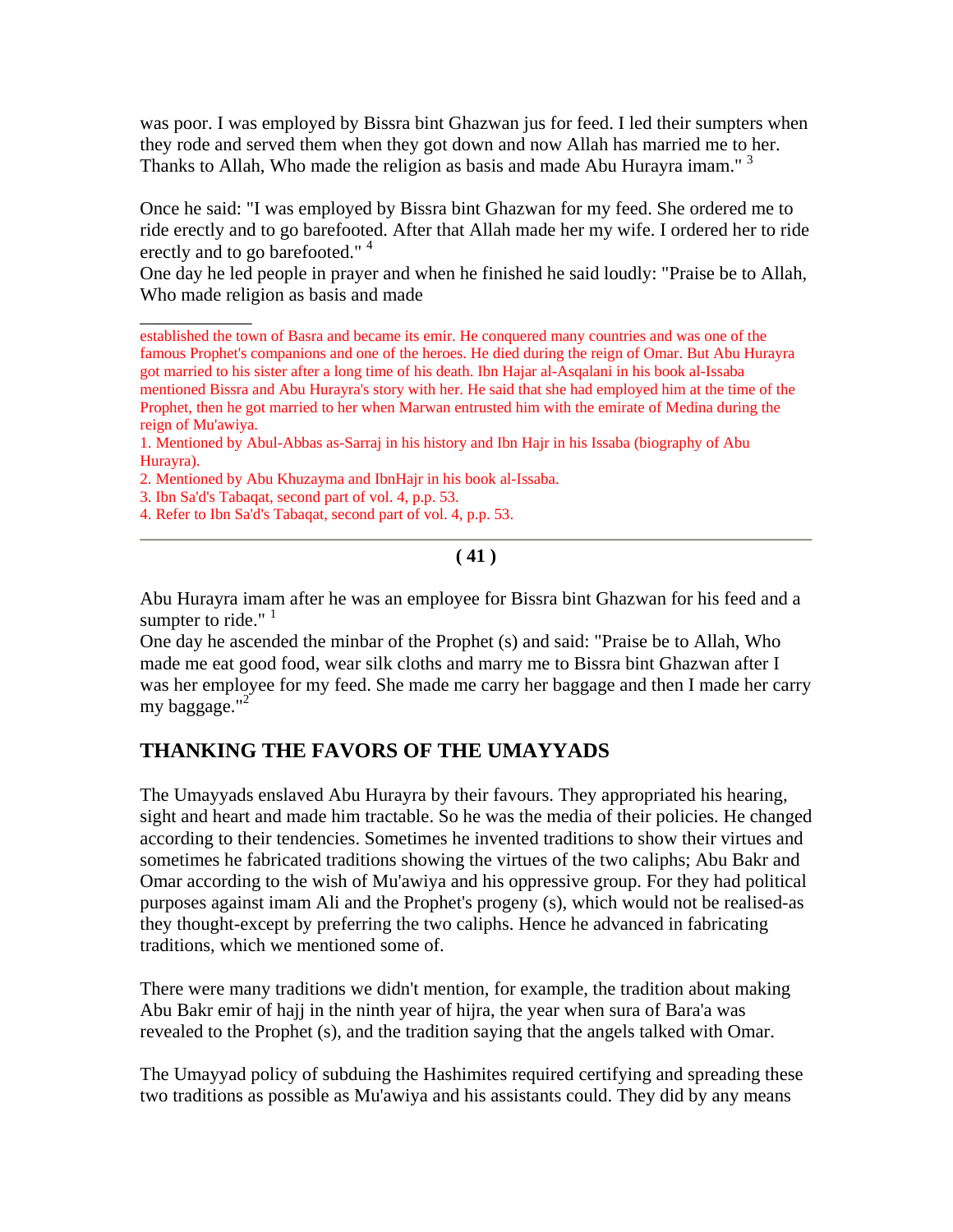was poor. I was employed by Bissra bint Ghazwan jus for feed. I led their sumpters when they rode and served them when they got down and now Allah has married me to her. Thanks to Allah, Who made the religion as basis and made Abu Hurayra imam." $3$ 

Once he said: "I was employed by Bissra bint Ghazwan for my feed. She ordered me to ride erectly and to go barefooted. After that Allah made her my wife. I ordered her to ride erectly and to go barefooted."<sup>4</sup>

One day he led people in prayer and when he finished he said loudly: "Praise be to Allah, Who made religion as basis and made

1. Mentioned by Abul-Abbas as-Sarraj in his history and Ibn Hajr in his Issaba (biography of Abu Hurayra).

2. Mentioned by Abu Khuzayma and IbnHajr in his book al-Issaba.

3. Ibn Sa'd's Tabaqat, second part of vol. 4, p.p. 53.

 $\overline{\phantom{a}}$ 

4. Refer to Ibn Sa'd's Tabaqat, second part of vol. 4, p.p. 53.

**( 41 )**

Abu Hurayra imam after he was an employee for Bissra bint Ghazwan for his feed and a sumpter to ride." $1$ 

One day he ascended the minbar of the Prophet (s) and said: "Praise be to Allah, Who made me eat good food, wear silk cloths and marry me to Bissra bint Ghazwan after I was her employee for my feed. She made me carry her baggage and then I made her carry my baggage."<sup>2</sup>

# **THANKING THE FAVORS OF THE UMAYYADS**

The Umayyads enslaved Abu Hurayra by their favours. They appropriated his hearing, sight and heart and made him tractable. So he was the media of their policies. He changed according to their tendencies. Sometimes he invented traditions to show their virtues and sometimes he fabricated traditions showing the virtues of the two caliphs; Abu Bakr and Omar according to the wish of Mu'awiya and his oppressive group. For they had political purposes against imam Ali and the Prophet's progeny (s), which would not be realised-as they thought-except by preferring the two caliphs. Hence he advanced in fabricating traditions, which we mentioned some of.

There were many traditions we didn't mention, for example, the tradition about making Abu Bakr emir of hajj in the ninth year of hijra, the year when sura of Bara'a was revealed to the Prophet (s), and the tradition saying that the angels talked with Omar.

The Umayyad policy of subduing the Hashimites required certifying and spreading these two traditions as possible as Mu'awiya and his assistants could. They did by any means

established the town of Basra and became its emir. He conquered many countries and was one of the famous Prophet's companions and one of the heroes. He died during the reign of Omar. But Abu Hurayra got married to his sister after a long time of his death. Ibn Hajar al-Asqalani in his book al-Issaba mentioned Bissra and Abu Hurayra's story with her. He said that she had employed him at the time of the Prophet, then he got married to her when Marwan entrusted him with the emirate of Medina during the reign of Mu'awiya.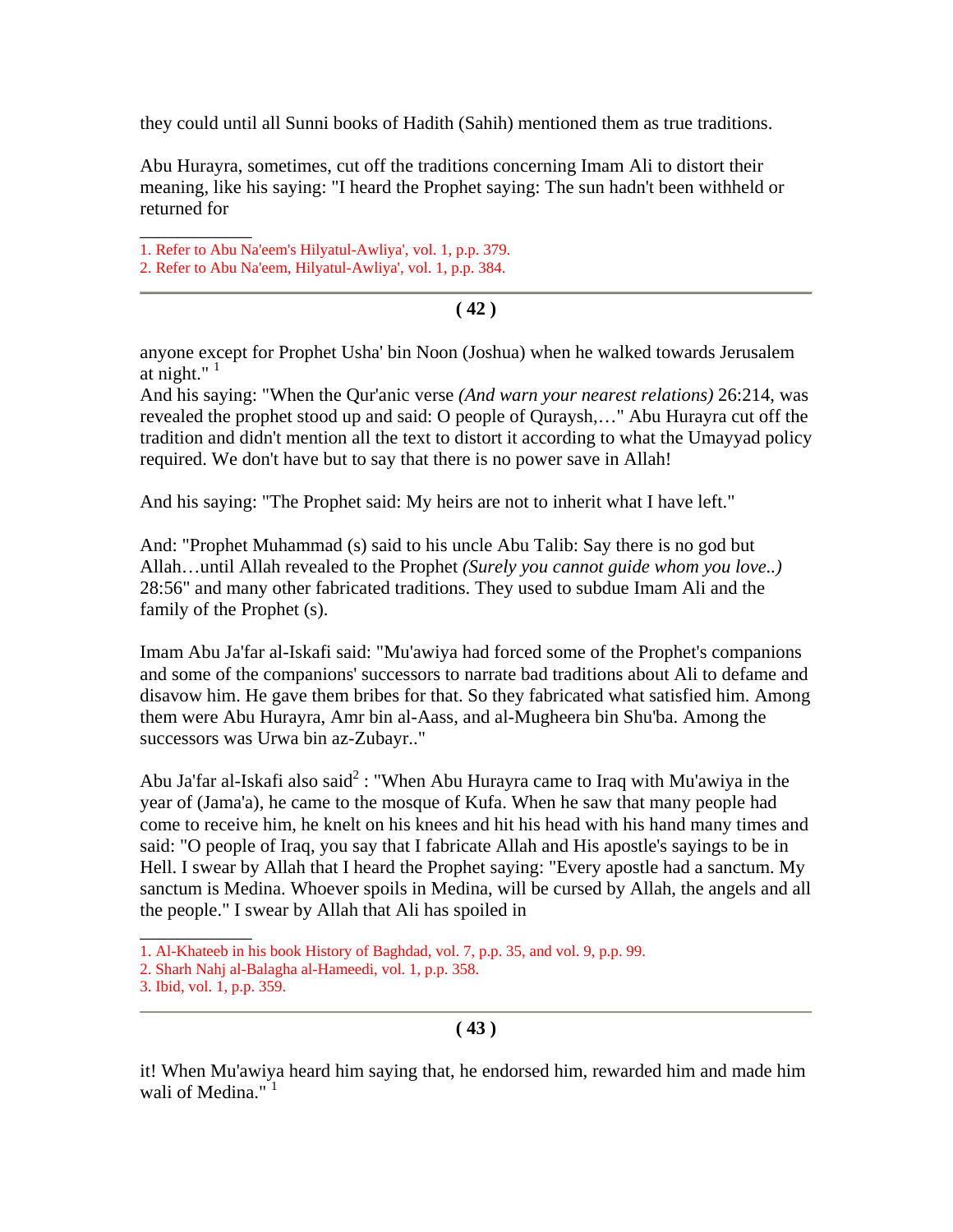they could until all Sunni books of Hadith (Sahih) mentioned them as true traditions.

Abu Hurayra, sometimes, cut off the traditions concerning Imam Ali to distort their meaning, like his saying: "I heard the Prophet saying: The sun hadn't been withheld or returned for

\_\_\_\_\_\_\_\_\_\_\_\_ 1. Refer to Abu Na'eem's Hilyatul-Awliya', vol. 1, p.p. 379.

#### **( 42 )**

anyone except for Prophet Usha' bin Noon (Joshua) when he walked towards Jerusalem at night." $1$ 

And his saying: "When the Qur'anic verse *(And warn your nearest relations)* 26:214, was revealed the prophet stood up and said: O people of Quraysh,…" Abu Hurayra cut off the tradition and didn't mention all the text to distort it according to what the Umayyad policy required. We don't have but to say that there is no power save in Allah!

And his saying: "The Prophet said: My heirs are not to inherit what I have left."

And: "Prophet Muhammad (s) said to his uncle Abu Talib: Say there is no god but Allah…until Allah revealed to the Prophet *(Surely you cannot guide whom you love..)* 28:56" and many other fabricated traditions. They used to subdue Imam Ali and the family of the Prophet (s).

Imam Abu Ja'far al-Iskafi said: "Mu'awiya had forced some of the Prophet's companions and some of the companions' successors to narrate bad traditions about Ali to defame and disavow him. He gave them bribes for that. So they fabricated what satisfied him. Among them were Abu Hurayra, Amr bin al-Aass, and al-Mugheera bin Shu'ba. Among the successors was Urwa bin az-Zubayr.."

Abu Ja'far al-Iskafi also said<sup>2</sup> : "When Abu Hurayra came to Iraq with Mu'awiya in the year of (Jama'a), he came to the mosque of Kufa. When he saw that many people had come to receive him, he knelt on his knees and hit his head with his hand many times and said: "O people of Iraq, you say that I fabricate Allah and His apostle's sayings to be in Hell. I swear by Allah that I heard the Prophet saying: "Every apostle had a sanctum. My sanctum is Medina. Whoever spoils in Medina, will be cursed by Allah, the angels and all the people." I swear by Allah that Ali has spoiled in

 $\overline{\phantom{a}}$ 

it! When Mu'awiya heard him saying that, he endorsed him, rewarded him and made him wali of Medina."<sup>1</sup>

<sup>2.</sup> Refer to Abu Na'eem, Hilyatul-Awliya', vol. 1, p.p. 384.

<sup>1.</sup> Al-Khateeb in his book History of Baghdad, vol. 7, p.p. 35, and vol. 9, p.p. 99.

<sup>2.</sup> Sharh Nahj al-Balagha al-Hameedi, vol. 1, p.p. 358.

<sup>3.</sup> Ibid, vol. 1, p.p. 359.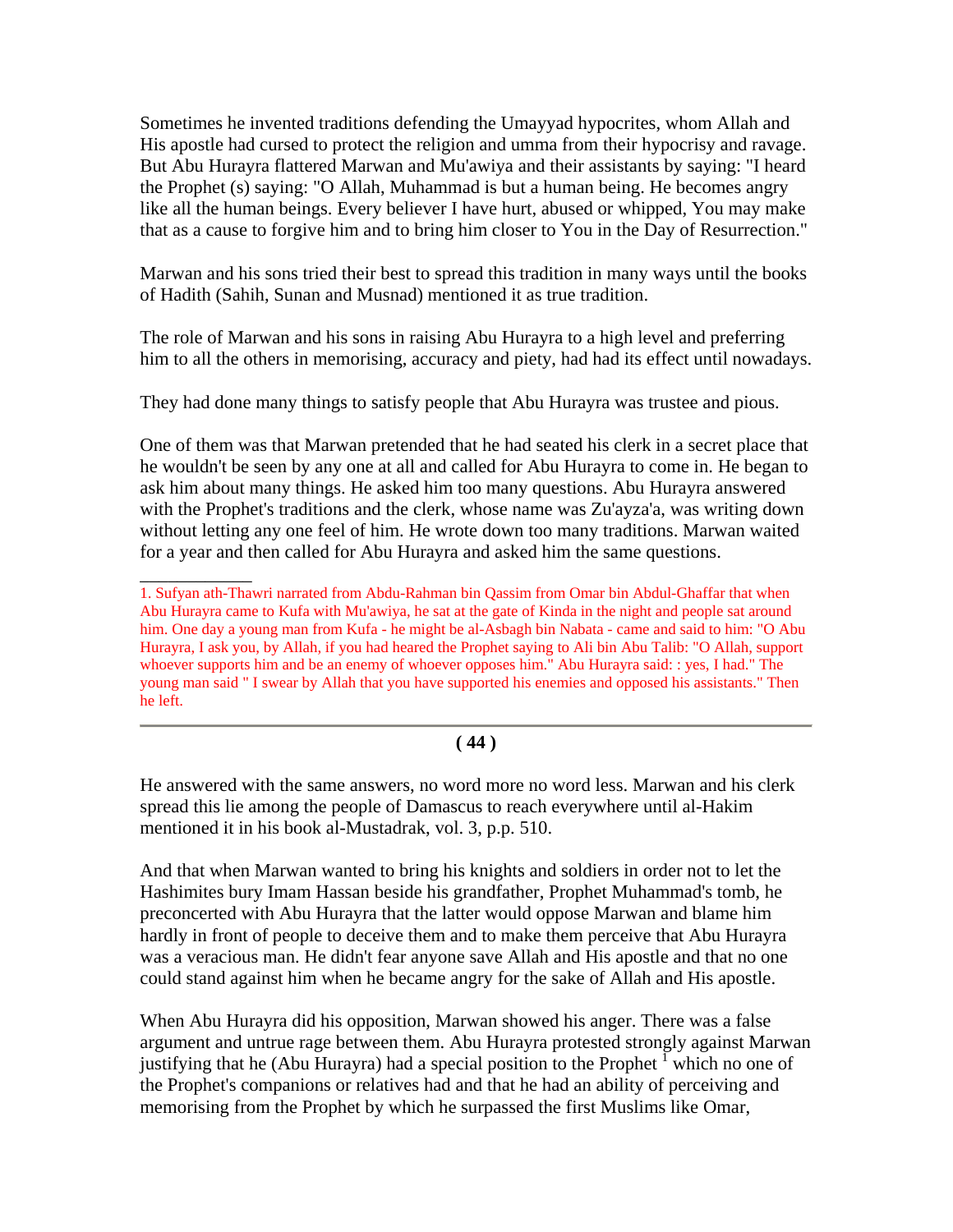Sometimes he invented traditions defending the Umayyad hypocrites, whom Allah and His apostle had cursed to protect the religion and umma from their hypocrisy and ravage. But Abu Hurayra flattered Marwan and Mu'awiya and their assistants by saying: "I heard the Prophet (s) saying: "O Allah, Muhammad is but a human being. He becomes angry like all the human beings. Every believer I have hurt, abused or whipped, You may make that as a cause to forgive him and to bring him closer to You in the Day of Resurrection."

Marwan and his sons tried their best to spread this tradition in many ways until the books of Hadith (Sahih, Sunan and Musnad) mentioned it as true tradition.

The role of Marwan and his sons in raising Abu Hurayra to a high level and preferring him to all the others in memorising, accuracy and piety, had had its effect until nowadays.

They had done many things to satisfy people that Abu Hurayra was trustee and pious.

One of them was that Marwan pretended that he had seated his clerk in a secret place that he wouldn't be seen by any one at all and called for Abu Hurayra to come in. He began to ask him about many things. He asked him too many questions. Abu Hurayra answered with the Prophet's traditions and the clerk, whose name was Zu'ayza'a, was writing down without letting any one feel of him. He wrote down too many traditions. Marwan waited for a year and then called for Abu Hurayra and asked him the same questions.

\_\_\_\_\_\_\_\_\_\_\_\_

#### **( 44 )**

He answered with the same answers, no word more no word less. Marwan and his clerk spread this lie among the people of Damascus to reach everywhere until al-Hakim mentioned it in his book al-Mustadrak, vol. 3, p.p. 510.

And that when Marwan wanted to bring his knights and soldiers in order not to let the Hashimites bury Imam Hassan beside his grandfather, Prophet Muhammad's tomb, he preconcerted with Abu Hurayra that the latter would oppose Marwan and blame him hardly in front of people to deceive them and to make them perceive that Abu Hurayra was a veracious man. He didn't fear anyone save Allah and His apostle and that no one could stand against him when he became angry for the sake of Allah and His apostle.

When Abu Hurayra did his opposition, Marwan showed his anger. There was a false argument and untrue rage between them. Abu Hurayra protested strongly against Marwan justifying that he (Abu Hurayra) had a special position to the Prophet  $\frac{1}{1}$  which no one of the Prophet's companions or relatives had and that he had an ability of perceiving and memorising from the Prophet by which he surpassed the first Muslims like Omar,

<sup>1.</sup> Sufyan ath-Thawri narrated from Abdu-Rahman bin Qassim from Omar bin Abdul-Ghaffar that when Abu Hurayra came to Kufa with Mu'awiya, he sat at the gate of Kinda in the night and people sat around him. One day a young man from Kufa - he might be al-Asbagh bin Nabata - came and said to him: "O Abu Hurayra, I ask you, by Allah, if you had heared the Prophet saying to Ali bin Abu Talib: "O Allah, support whoever supports him and be an enemy of whoever opposes him." Abu Hurayra said: : yes, I had." The young man said " I swear by Allah that you have supported his enemies and opposed his assistants." Then he left.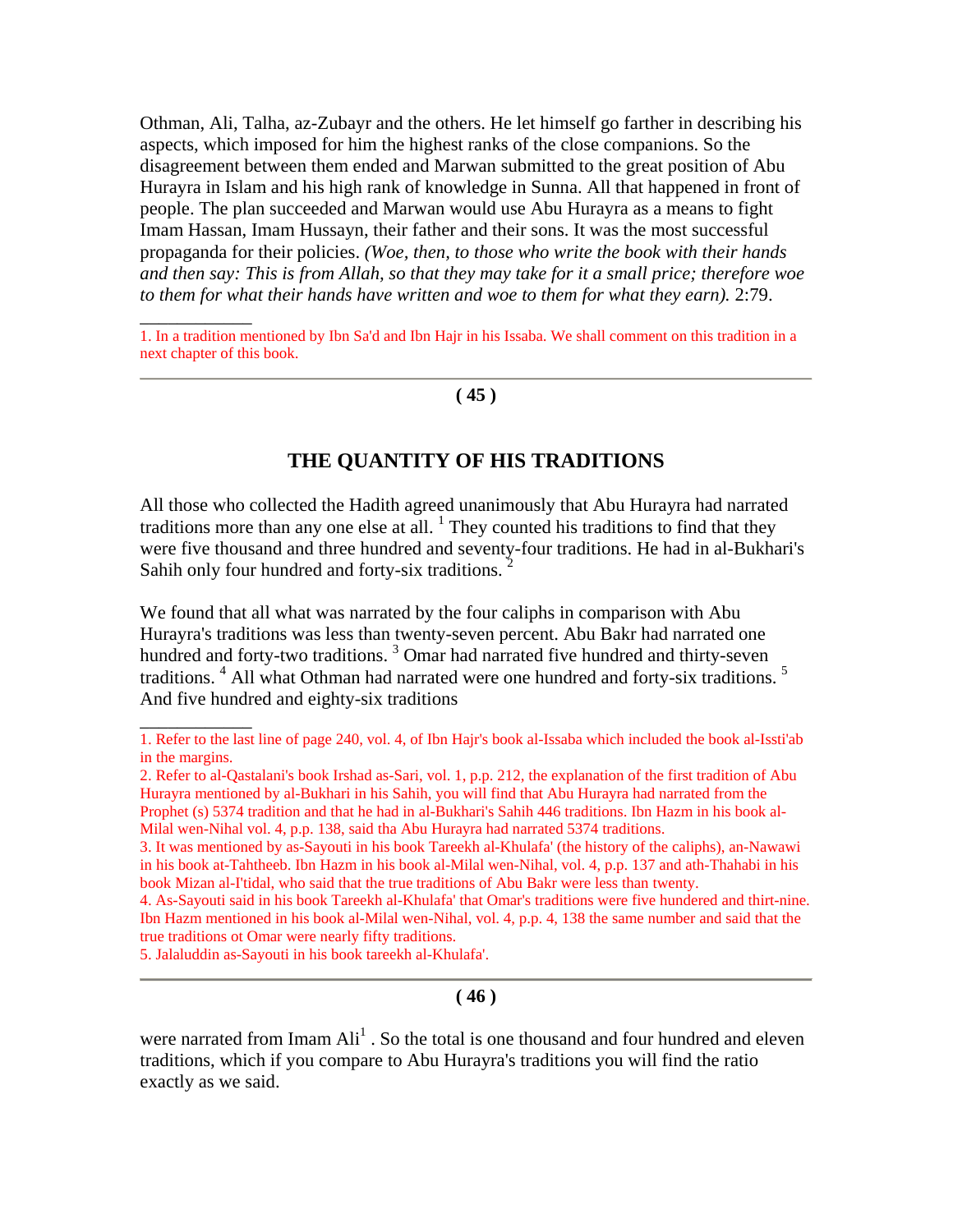Othman, Ali, Talha, az-Zubayr and the others. He let himself go farther in describing his aspects, which imposed for him the highest ranks of the close companions. So the disagreement between them ended and Marwan submitted to the great position of Abu Hurayra in Islam and his high rank of knowledge in Sunna. All that happened in front of people. The plan succeeded and Marwan would use Abu Hurayra as a means to fight Imam Hassan, Imam Hussayn, their father and their sons. It was the most successful propaganda for their policies. *(Woe, then, to those who write the book with their hands and then say: This is from Allah, so that they may take for it a small price; therefore woe to them for what their hands have written and woe to them for what they earn).* 2:79.

#### **( 45 )**

## **THE QUANTITY OF HIS TRADITIONS**

All those who collected the Hadith agreed unanimously that Abu Hurayra had narrated traditions more than any one else at all.  $<sup>1</sup>$  They counted his traditions to find that they</sup> were five thousand and three hundred and seventy-four traditions. He had in al-Bukhari's Sahih only four hundred and forty-six traditions. 2

We found that all what was narrated by the four caliphs in comparison with Abu Hurayra's traditions was less than twenty-seven percent. Abu Bakr had narrated one hundred and forty-two traditions.<sup>3</sup> Omar had narrated five hundred and thirty-seven traditions.<sup>4</sup> All what Othman had narrated were one hundred and forty-six traditions.<sup>5</sup> And five hundred and eighty-six traditions

4. As-Sayouti said in his book Tareekh al-Khulafa' that Omar's traditions were five hundered and thirt-nine. Ibn Hazm mentioned in his book al-Milal wen-Nihal, vol. 4, p.p. 4, 138 the same number and said that the true traditions ot Omar were nearly fifty traditions.

5. Jalaluddin as-Sayouti in his book tareekh al-Khulafa'.

 $\overline{\phantom{a}}$ 

\_\_\_\_\_\_\_\_\_\_\_\_

#### **( 46 )**

<sup>1.</sup> In a tradition mentioned by Ibn Sa'd and Ibn Hajr in his Issaba. We shall comment on this tradition in a next chapter of this book.

<sup>1.</sup> Refer to the last line of page 240, vol. 4, of Ibn Hajr's book al-Issaba which included the book al-Issti'ab in the margins.

<sup>2.</sup> Refer to al-Qastalani's book Irshad as-Sari, vol. 1, p.p. 212, the explanation of the first tradition of Abu Hurayra mentioned by al-Bukhari in his Sahih, you will find that Abu Hurayra had narrated from the Prophet (s) 5374 tradition and that he had in al-Bukhari's Sahih 446 traditions. Ibn Hazm in his book al-Milal wen-Nihal vol. 4, p.p. 138, said tha Abu Hurayra had narrated 5374 traditions.

<sup>3.</sup> It was mentioned by as-Sayouti in his book Tareekh al-Khulafa' (the history of the caliphs), an-Nawawi in his book at-Tahtheeb. Ibn Hazm in his book al-Milal wen-Nihal, vol. 4, p.p. 137 and ath-Thahabi in his book Mizan al-I'tidal, who said that the true traditions of Abu Bakr were less than twenty.

were narrated from Imam  $\text{Ali}^1$ . So the total is one thousand and four hundred and eleven traditions, which if you compare to Abu Hurayra's traditions you will find the ratio exactly as we said.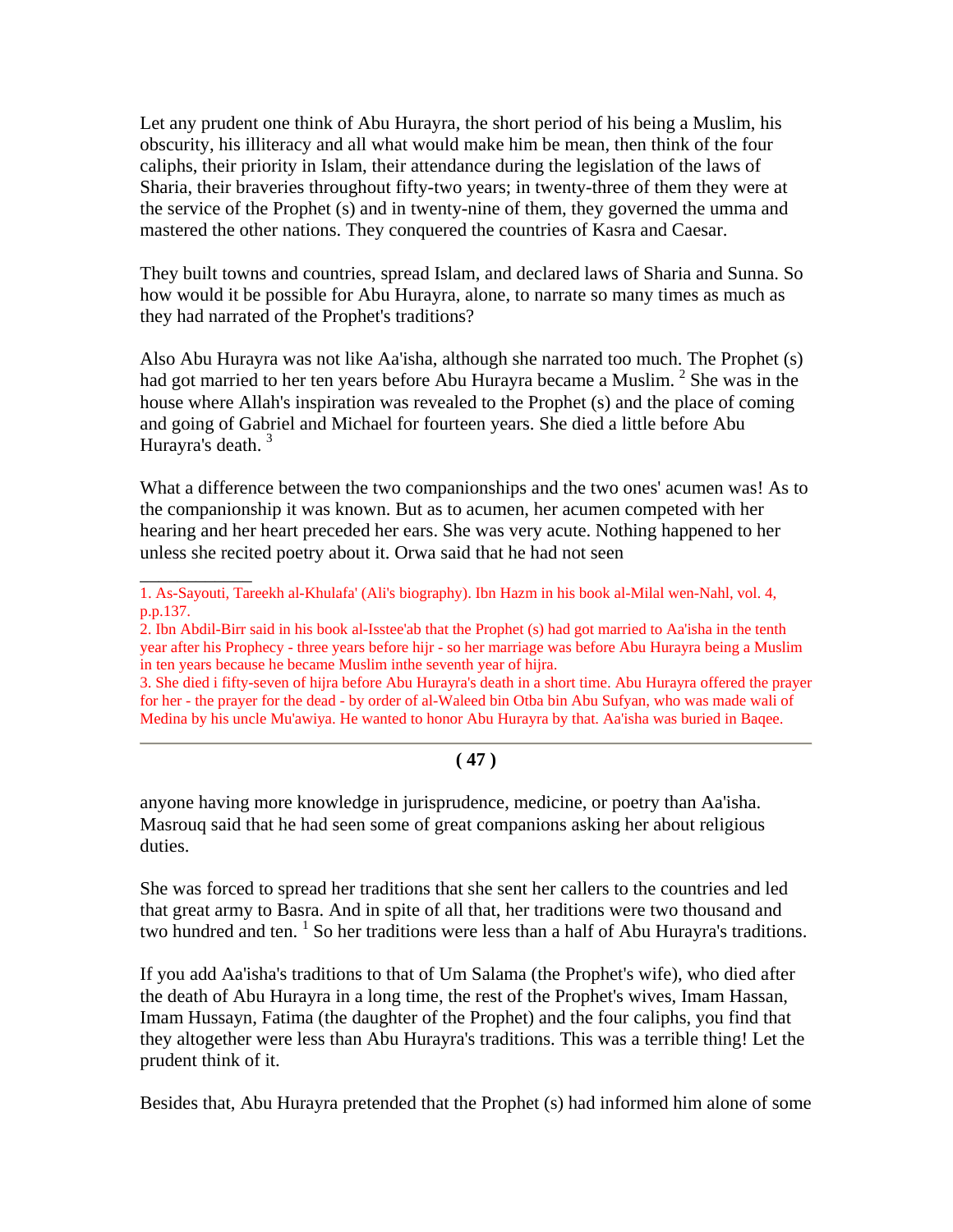Let any prudent one think of Abu Hurayra, the short period of his being a Muslim, his obscurity, his illiteracy and all what would make him be mean, then think of the four caliphs, their priority in Islam, their attendance during the legislation of the laws of Sharia, their braveries throughout fifty-two years; in twenty-three of them they were at the service of the Prophet (s) and in twenty-nine of them, they governed the umma and mastered the other nations. They conquered the countries of Kasra and Caesar.

They built towns and countries, spread Islam, and declared laws of Sharia and Sunna. So how would it be possible for Abu Hurayra, alone, to narrate so many times as much as they had narrated of the Prophet's traditions?

Also Abu Hurayra was not like Aa'isha, although she narrated too much. The Prophet (s) had got married to her ten years before Abu Hurayra became a Muslim.  $2$  She was in the house where Allah's inspiration was revealed to the Prophet (s) and the place of coming and going of Gabriel and Michael for fourteen years. She died a little before Abu Hurayra's death.<sup>3</sup>

What a difference between the two companionships and the two ones' acumen was! As to the companionship it was known. But as to acumen, her acumen competed with her hearing and her heart preceded her ears. She was very acute. Nothing happened to her unless she recited poetry about it. Orwa said that he had not seen

\_\_\_\_\_\_\_\_\_\_\_\_

3. She died i fifty-seven of hijra before Abu Hurayra's death in a short time. Abu Hurayra offered the prayer for her - the prayer for the dead - by order of al-Waleed bin Otba bin Abu Sufyan, who was made wali of Medina by his uncle Mu'awiya. He wanted to honor Abu Hurayra by that. Aa'isha was buried in Baqee.

#### **( 47 )**

anyone having more knowledge in jurisprudence, medicine, or poetry than Aa'isha. Masrouq said that he had seen some of great companions asking her about religious duties.

She was forced to spread her traditions that she sent her callers to the countries and led that great army to Basra. And in spite of all that, her traditions were two thousand and two hundred and ten.  $\frac{1}{1}$  So her traditions were less than a half of Abu Hurayra's traditions.

If you add Aa'isha's traditions to that of Um Salama (the Prophet's wife), who died after the death of Abu Hurayra in a long time, the rest of the Prophet's wives, Imam Hassan, Imam Hussayn, Fatima (the daughter of the Prophet) and the four caliphs, you find that they altogether were less than Abu Hurayra's traditions. This was a terrible thing! Let the prudent think of it.

Besides that, Abu Hurayra pretended that the Prophet (s) had informed him alone of some

<sup>1.</sup> As-Sayouti, Tareekh al-Khulafa' (Ali's biography). Ibn Hazm in his book al-Milal wen-Nahl, vol. 4, p.p.137.

<sup>2.</sup> Ibn Abdil-Birr said in his book al-Isstee'ab that the Prophet (s) had got married to Aa'isha in the tenth year after his Prophecy - three years before hijr - so her marriage was before Abu Hurayra being a Muslim in ten years because he became Muslim inthe seventh year of hijra.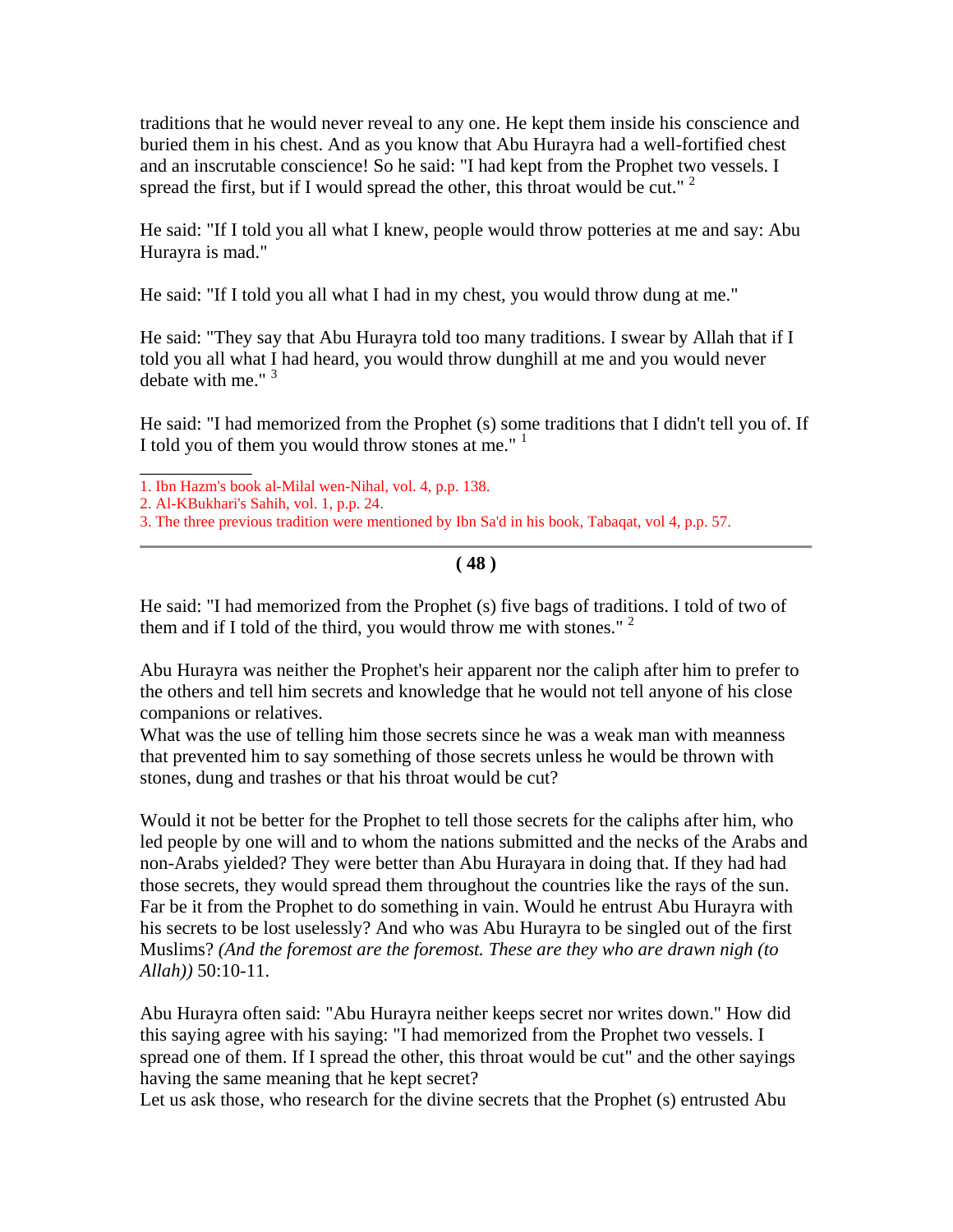traditions that he would never reveal to any one. He kept them inside his conscience and buried them in his chest. And as you know that Abu Hurayra had a well-fortified chest and an inscrutable conscience! So he said: "I had kept from the Prophet two vessels. I spread the first, but if I would spread the other, this throat would be cut."  $2$ 

He said: "If I told you all what I knew, people would throw potteries at me and say: Abu Hurayra is mad."

He said: "If I told you all what I had in my chest, you would throw dung at me."

He said: "They say that Abu Hurayra told too many traditions. I swear by Allah that if I told you all what I had heard, you would throw dunghill at me and you would never debate with me."  $3$ 

He said: "I had memorized from the Prophet (s) some traditions that I didn't tell you of. If I told you of them you would throw stones at me."<sup>1</sup>

3. The three previous tradition were mentioned by Ibn Sa'd in his book, Tabaqat, vol 4, p.p. 57.

**( 48 )**

He said: "I had memorized from the Prophet (s) five bags of traditions. I told of two of them and if I told of the third, you would throw me with stones."<sup>2</sup>

Abu Hurayra was neither the Prophet's heir apparent nor the caliph after him to prefer to the others and tell him secrets and knowledge that he would not tell anyone of his close companions or relatives.

What was the use of telling him those secrets since he was a weak man with meanness that prevented him to say something of those secrets unless he would be thrown with stones, dung and trashes or that his throat would be cut?

Would it not be better for the Prophet to tell those secrets for the caliphs after him, who led people by one will and to whom the nations submitted and the necks of the Arabs and non-Arabs yielded? They were better than Abu Hurayara in doing that. If they had had those secrets, they would spread them throughout the countries like the rays of the sun. Far be it from the Prophet to do something in vain. Would he entrust Abu Hurayra with his secrets to be lost uselessly? And who was Abu Hurayra to be singled out of the first Muslims? *(And the foremost are the foremost. These are they who are drawn nigh (to Allah))* 50:10-11.

Abu Hurayra often said: "Abu Hurayra neither keeps secret nor writes down." How did this saying agree with his saying: "I had memorized from the Prophet two vessels. I spread one of them. If I spread the other, this throat would be cut" and the other sayings having the same meaning that he kept secret?

Let us ask those, who research for the divine secrets that the Prophet (s) entrusted Abu

\_\_\_\_\_\_\_\_\_\_\_\_ 1. Ibn Hazm's book al-Milal wen-Nihal, vol. 4, p.p. 138.

<sup>2.</sup> Al-KBukhari's Sahih, vol. 1, p.p. 24.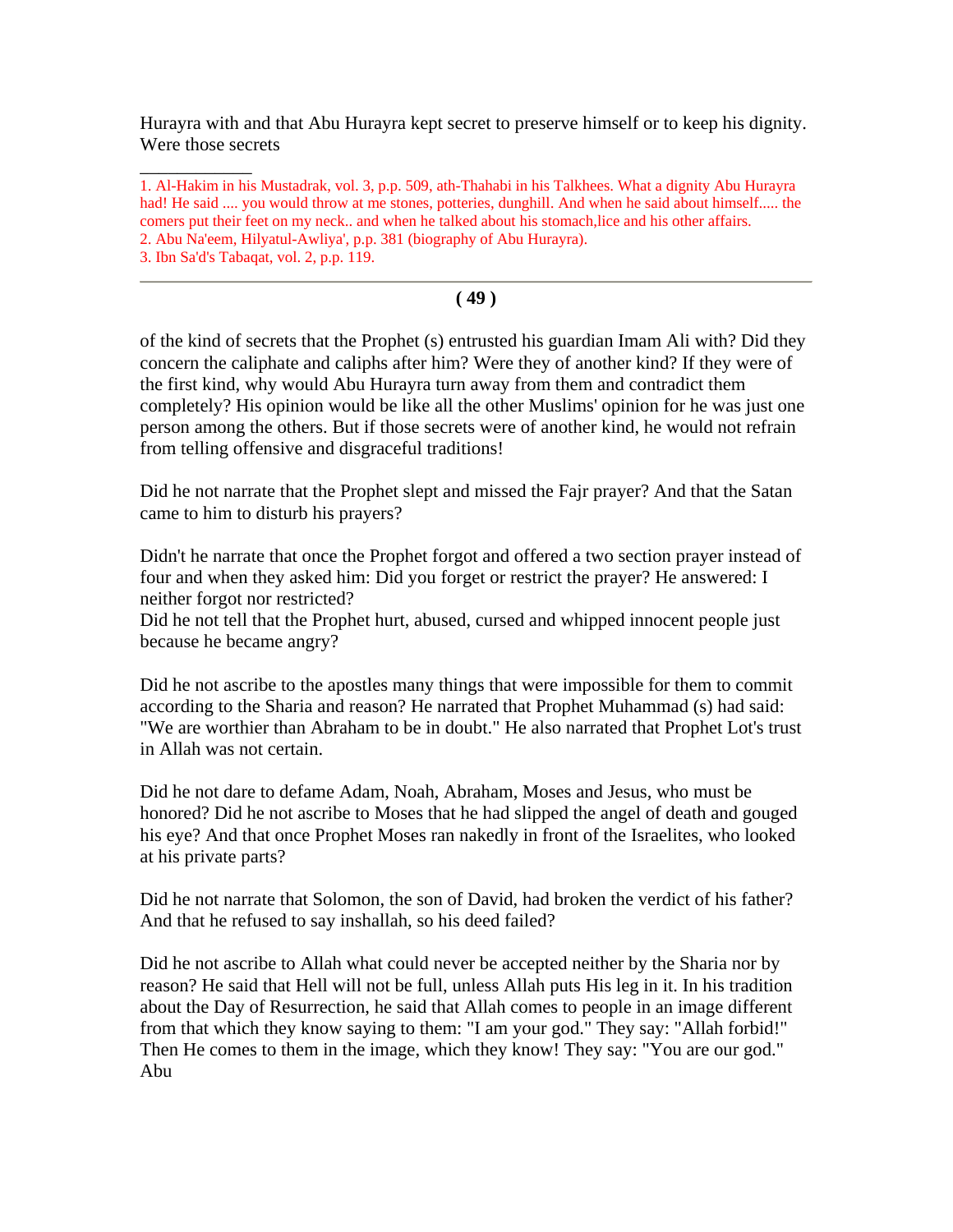Hurayra with and that Abu Hurayra kept secret to preserve himself or to keep his dignity. Were those secrets

1. Al-Hakim in his Mustadrak, vol. 3, p.p. 509, ath-Thahabi in his Talkhees. What a dignity Abu Hurayra had! He said .... you would throw at me stones, potteries, dunghill. And when he said about himself..... the comers put their feet on my neck.. and when he talked about his stomach,lice and his other affairs. 2. Abu Na'eem, Hilyatul-Awliya', p.p. 381 (biography of Abu Hurayra).

3. Ibn Sa'd's Tabaqat, vol. 2, p.p. 119.

\_\_\_\_\_\_\_\_\_\_\_\_

#### **( 49 )**

of the kind of secrets that the Prophet (s) entrusted his guardian Imam Ali with? Did they concern the caliphate and caliphs after him? Were they of another kind? If they were of the first kind, why would Abu Hurayra turn away from them and contradict them completely? His opinion would be like all the other Muslims' opinion for he was just one person among the others. But if those secrets were of another kind, he would not refrain from telling offensive and disgraceful traditions!

Did he not narrate that the Prophet slept and missed the Fajr prayer? And that the Satan came to him to disturb his prayers?

Didn't he narrate that once the Prophet forgot and offered a two section prayer instead of four and when they asked him: Did you forget or restrict the prayer? He answered: I neither forgot nor restricted?

Did he not tell that the Prophet hurt, abused, cursed and whipped innocent people just because he became angry?

Did he not ascribe to the apostles many things that were impossible for them to commit according to the Sharia and reason? He narrated that Prophet Muhammad (s) had said: "We are worthier than Abraham to be in doubt." He also narrated that Prophet Lot's trust in Allah was not certain.

Did he not dare to defame Adam, Noah, Abraham, Moses and Jesus, who must be honored? Did he not ascribe to Moses that he had slipped the angel of death and gouged his eye? And that once Prophet Moses ran nakedly in front of the Israelites, who looked at his private parts?

Did he not narrate that Solomon, the son of David, had broken the verdict of his father? And that he refused to say inshallah, so his deed failed?

Did he not ascribe to Allah what could never be accepted neither by the Sharia nor by reason? He said that Hell will not be full, unless Allah puts His leg in it. In his tradition about the Day of Resurrection, he said that Allah comes to people in an image different from that which they know saying to them: "I am your god." They say: "Allah forbid!" Then He comes to them in the image, which they know! They say: "You are our god." Abu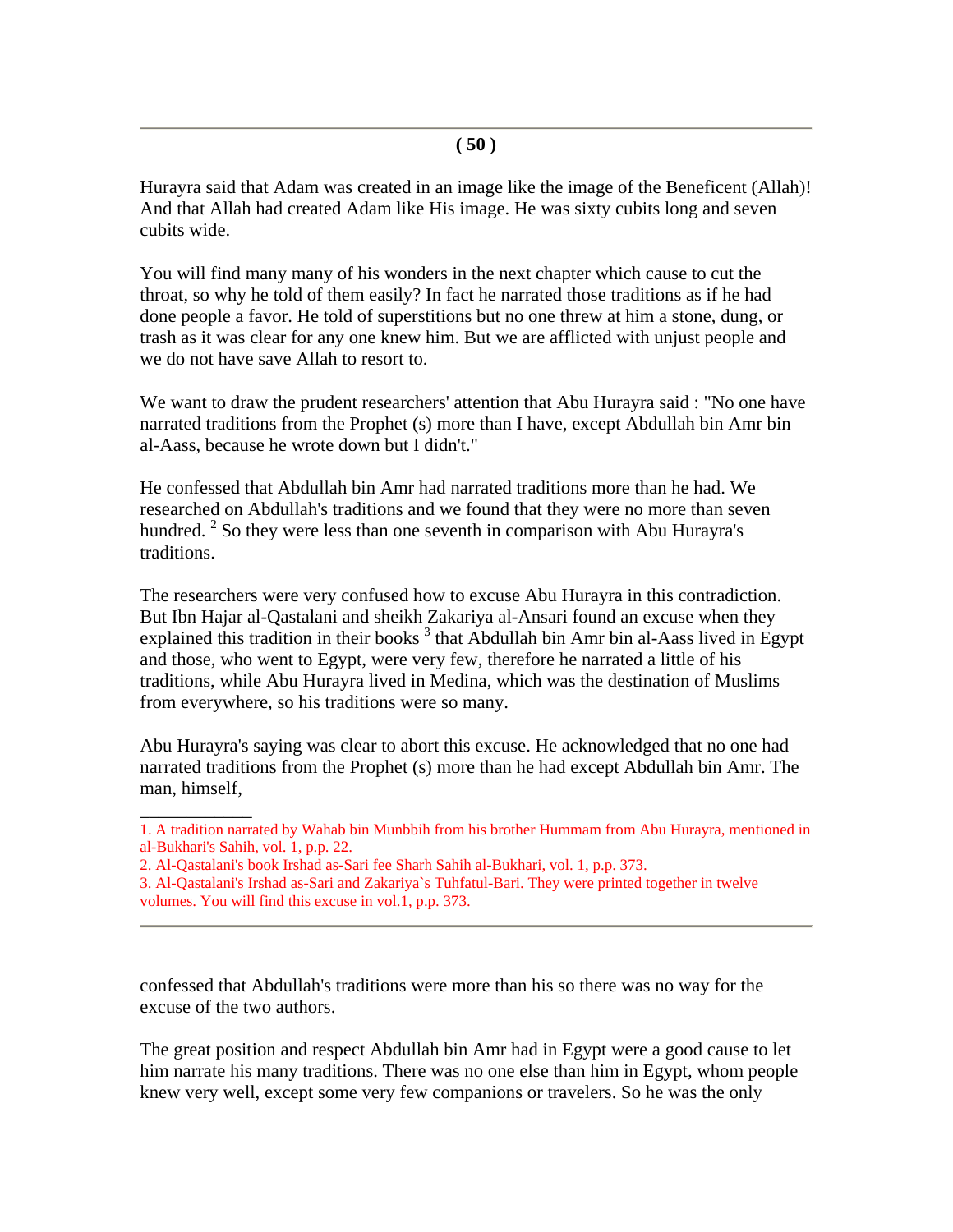Hurayra said that Adam was created in an image like the image of the Beneficent (Allah)! And that Allah had created Adam like His image. He was sixty cubits long and seven cubits wide.

You will find many many of his wonders in the next chapter which cause to cut the throat, so why he told of them easily? In fact he narrated those traditions as if he had done people a favor. He told of superstitions but no one threw at him a stone, dung, or trash as it was clear for any one knew him. But we are afflicted with unjust people and we do not have save Allah to resort to.

We want to draw the prudent researchers' attention that Abu Hurayra said : "No one have narrated traditions from the Prophet (s) more than I have, except Abdullah bin Amr bin al-Aass, because he wrote down but I didn't."

He confessed that Abdullah bin Amr had narrated traditions more than he had. We researched on Abdullah's traditions and we found that they were no more than seven hundred.  $2$  So they were less than one seventh in comparison with Abu Hurayra's traditions.

The researchers were very confused how to excuse Abu Hurayra in this contradiction. But Ibn Hajar al-Qastalani and sheikh Zakariya al-Ansari found an excuse when they explained this tradition in their books<sup>3</sup> that Abdullah bin Amr bin al-Aass lived in Egypt and those, who went to Egypt, were very few, therefore he narrated a little of his traditions, while Abu Hurayra lived in Medina, which was the destination of Muslims from everywhere, so his traditions were so many.

Abu Hurayra's saying was clear to abort this excuse. He acknowledged that no one had narrated traditions from the Prophet (s) more than he had except Abdullah bin Amr. The man, himself,

\_\_\_\_\_\_\_\_\_\_\_\_

confessed that Abdullah's traditions were more than his so there was no way for the excuse of the two authors.

The great position and respect Abdullah bin Amr had in Egypt were a good cause to let him narrate his many traditions. There was no one else than him in Egypt, whom people knew very well, except some very few companions or travelers. So he was the only

<sup>1.</sup> A tradition narrated by Wahab bin Munbbih from his brother Hummam from Abu Hurayra, mentioned in al-Bukhari's Sahih, vol. 1, p.p. 22.

<sup>2.</sup> Al-Qastalani's book Irshad as-Sari fee Sharh Sahih al-Bukhari, vol. 1, p.p. 373.

<sup>3.</sup> Al-Qastalani's Irshad as-Sari and Zakariya`s Tuhfatul-Bari. They were printed together in twelve volumes. You will find this excuse in vol.1, p.p. 373.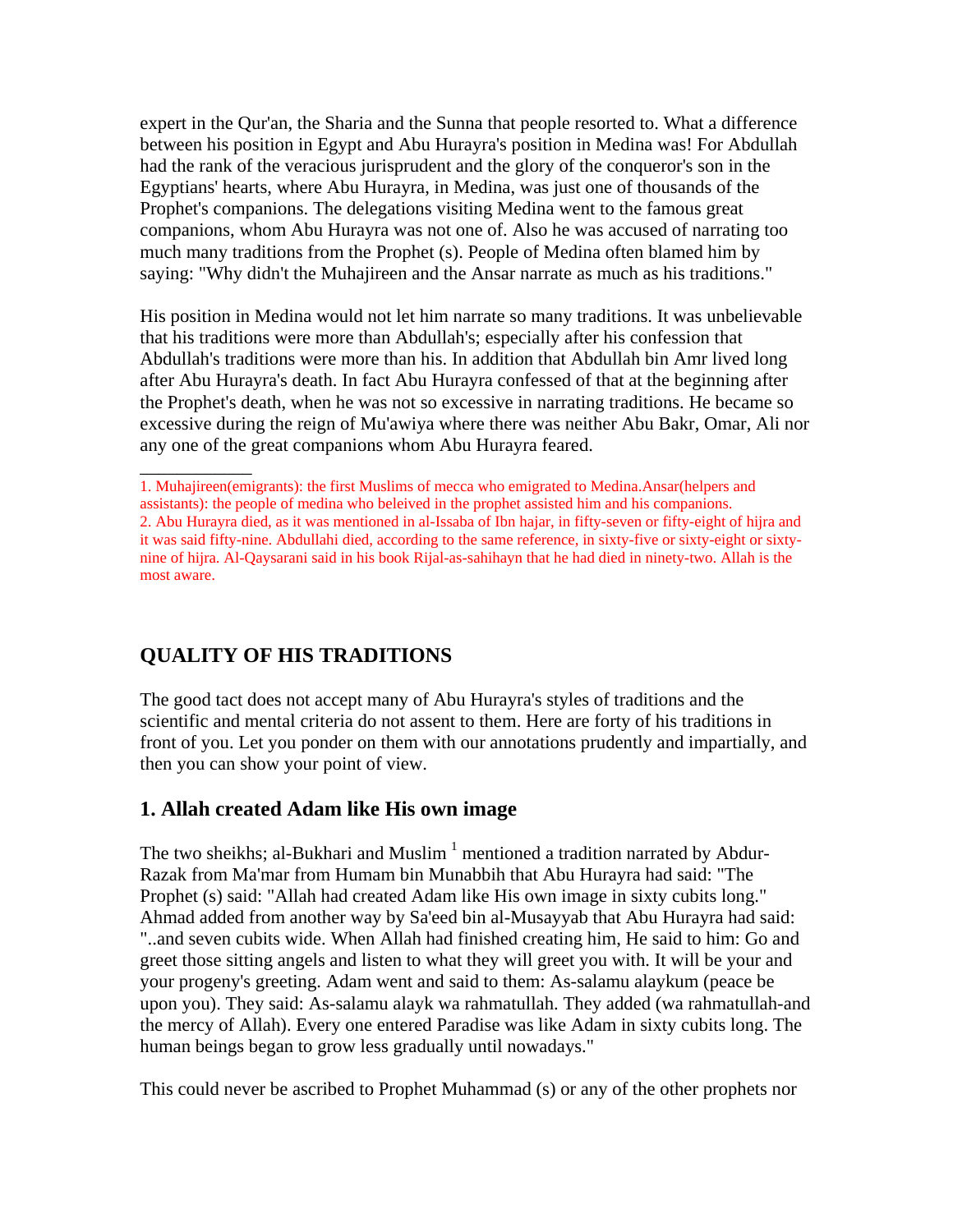expert in the Qur'an, the Sharia and the Sunna that people resorted to. What a difference between his position in Egypt and Abu Hurayra's position in Medina was! For Abdullah had the rank of the veracious jurisprudent and the glory of the conqueror's son in the Egyptians' hearts, where Abu Hurayra, in Medina, was just one of thousands of the Prophet's companions. The delegations visiting Medina went to the famous great companions, whom Abu Hurayra was not one of. Also he was accused of narrating too much many traditions from the Prophet (s). People of Medina often blamed him by saying: "Why didn't the Muhajireen and the Ansar narrate as much as his traditions."

His position in Medina would not let him narrate so many traditions. It was unbelievable that his traditions were more than Abdullah's; especially after his confession that Abdullah's traditions were more than his. In addition that Abdullah bin Amr lived long after Abu Hurayra's death. In fact Abu Hurayra confessed of that at the beginning after the Prophet's death, when he was not so excessive in narrating traditions. He became so excessive during the reign of Mu'awiya where there was neither Abu Bakr, Omar, Ali nor any one of the great companions whom Abu Hurayra feared.

# **QUALITY OF HIS TRADITIONS**

\_\_\_\_\_\_\_\_\_\_\_\_

The good tact does not accept many of Abu Hurayra's styles of traditions and the scientific and mental criteria do not assent to them. Here are forty of his traditions in front of you. Let you ponder on them with our annotations prudently and impartially, and then you can show your point of view.

# **1. Allah created Adam like His own image**

The two sheikhs; al-Bukhari and Muslim  $^1$  mentioned a tradition narrated by Abdur-Razak from Ma'mar from Humam bin Munabbih that Abu Hurayra had said: "The Prophet (s) said: "Allah had created Adam like His own image in sixty cubits long." Ahmad added from another way by Sa'eed bin al-Musayyab that Abu Hurayra had said: "..and seven cubits wide. When Allah had finished creating him, He said to him: Go and greet those sitting angels and listen to what they will greet you with. It will be your and your progeny's greeting. Adam went and said to them: As-salamu alaykum (peace be upon you). They said: As-salamu alayk wa rahmatullah. They added (wa rahmatullah-and the mercy of Allah). Every one entered Paradise was like Adam in sixty cubits long. The human beings began to grow less gradually until nowadays."

This could never be ascribed to Prophet Muhammad (s) or any of the other prophets nor

<sup>1.</sup> Muhajireen(emigrants): the first Muslims of mecca who emigrated to Medina.Ansar(helpers and assistants): the people of medina who beleived in the prophet assisted him and his companions. 2. Abu Hurayra died, as it was mentioned in al-Issaba of Ibn hajar, in fifty-seven or fifty-eight of hijra and it was said fifty-nine. Abdullahi died, according to the same reference, in sixty-five or sixty-eight or sixtynine of hijra. Al-Qaysarani said in his book Rijal-as-sahihayn that he had died in ninety-two. Allah is the most aware.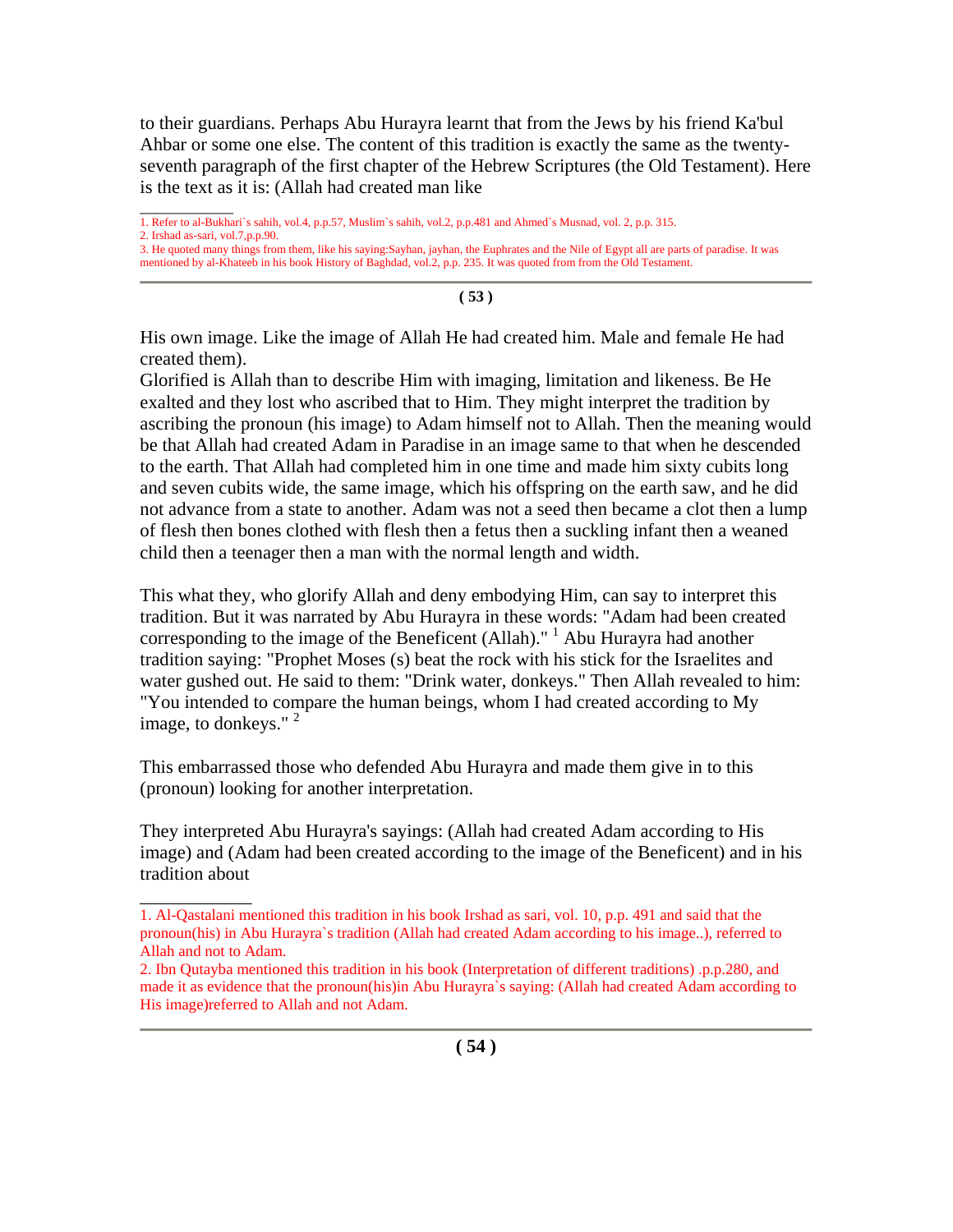to their guardians. Perhaps Abu Hurayra learnt that from the Jews by his friend Ka'bul Ahbar or some one else. The content of this tradition is exactly the same as the twentyseventh paragraph of the first chapter of the Hebrew Scriptures (the Old Testament). Here is the text as it is: (Allah had created man like

1. Refer to al-Bukhari`s sahih, vol.4, p.p.57, Muslim`s sahih, vol.2, p.p.481 and Ahmed`s Musnad, vol. 2, p.p. 315.

2. Irshad as-sari, vol.7,p.p.90.

\_\_\_\_\_\_\_\_\_\_\_\_

\_\_\_\_\_\_\_\_\_\_\_\_

**( 53 )**

His own image. Like the image of Allah He had created him. Male and female He had created them).

Glorified is Allah than to describe Him with imaging, limitation and likeness. Be He exalted and they lost who ascribed that to Him. They might interpret the tradition by ascribing the pronoun (his image) to Adam himself not to Allah. Then the meaning would be that Allah had created Adam in Paradise in an image same to that when he descended to the earth. That Allah had completed him in one time and made him sixty cubits long and seven cubits wide, the same image, which his offspring on the earth saw, and he did not advance from a state to another. Adam was not a seed then became a clot then a lump of flesh then bones clothed with flesh then a fetus then a suckling infant then a weaned child then a teenager then a man with the normal length and width.

This what they, who glorify Allah and deny embodying Him, can say to interpret this tradition. But it was narrated by Abu Hurayra in these words: "Adam had been created corresponding to the image of the Beneficent (Allah)."  $\frac{1}{1}$  Abu Hurayra had another tradition saying: "Prophet Moses (s) beat the rock with his stick for the Israelites and water gushed out. He said to them: "Drink water, donkeys." Then Allah revealed to him: "You intended to compare the human beings, whom I had created according to My image, to donkeys."  $2$ 

This embarrassed those who defended Abu Hurayra and made them give in to this (pronoun) looking for another interpretation.

They interpreted Abu Hurayra's sayings: (Allah had created Adam according to His image) and (Adam had been created according to the image of the Beneficent) and in his tradition about

<sup>3.</sup> He quoted many things from them, like his saying:Sayhan, jayhan, the Euphrates and the Nile of Egypt all are parts of paradise. It was mentioned by al-Khateeb in his book History of Baghdad, vol.2, p.p. 235. It was quoted from from the Old Testament.

<sup>1.</sup> Al-Qastalani mentioned this tradition in his book Irshad as sari, vol. 10, p.p. 491 and said that the pronoun(his) in Abu Hurayra`s tradition (Allah had created Adam according to his image..), referred to Allah and not to Adam.

<sup>2.</sup> Ibn Qutayba mentioned this tradition in his book (Interpretation of different traditions) .p.p.280, and made it as evidence that the pronoun(his)in Abu Hurayra`s saying: (Allah had created Adam according to His image)referred to Allah and not Adam.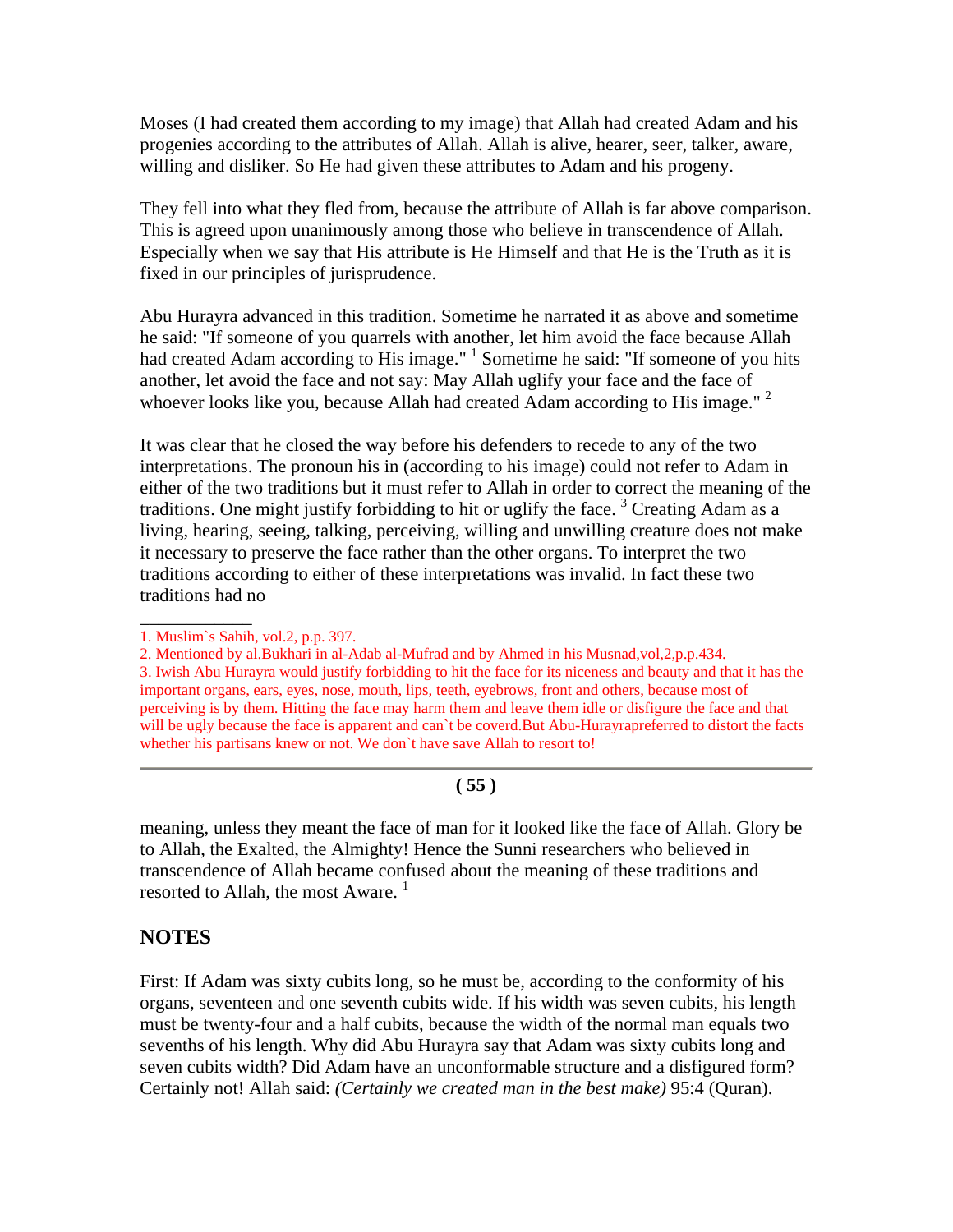Moses (I had created them according to my image) that Allah had created Adam and his progenies according to the attributes of Allah. Allah is alive, hearer, seer, talker, aware, willing and disliker. So He had given these attributes to Adam and his progeny.

They fell into what they fled from, because the attribute of Allah is far above comparison. This is agreed upon unanimously among those who believe in transcendence of Allah. Especially when we say that His attribute is He Himself and that He is the Truth as it is fixed in our principles of jurisprudence.

Abu Hurayra advanced in this tradition. Sometime he narrated it as above and sometime he said: "If someone of you quarrels with another, let him avoid the face because Allah had created Adam according to His image." <sup>1</sup> Sometime he said: "If someone of you hits another, let avoid the face and not say: May Allah uglify your face and the face of whoever looks like you, because Allah had created Adam according to His image."<sup>2</sup>

It was clear that he closed the way before his defenders to recede to any of the two interpretations. The pronoun his in (according to his image) could not refer to Adam in either of the two traditions but it must refer to Allah in order to correct the meaning of the traditions. One might justify forbidding to hit or uglify the face.<sup>3</sup> Creating Adam as a living, hearing, seeing, talking, perceiving, willing and unwilling creature does not make it necessary to preserve the face rather than the other organs. To interpret the two traditions according to either of these interpretations was invalid. In fact these two traditions had no

\_\_\_\_\_\_\_\_\_\_\_\_

#### **( 55 )**

meaning, unless they meant the face of man for it looked like the face of Allah. Glory be to Allah, the Exalted, the Almighty! Hence the Sunni researchers who believed in transcendence of Allah became confused about the meaning of these traditions and resorted to Allah, the most Aware. $<sup>1</sup>$ </sup>

# **NOTES**

First: If Adam was sixty cubits long, so he must be, according to the conformity of his organs, seventeen and one seventh cubits wide. If his width was seven cubits, his length must be twenty-four and a half cubits, because the width of the normal man equals two sevenths of his length. Why did Abu Hurayra say that Adam was sixty cubits long and seven cubits width? Did Adam have an unconformable structure and a disfigured form? Certainly not! Allah said: *(Certainly we created man in the best make)* 95:4 (Quran).

<sup>1.</sup> Muslim`s Sahih, vol.2, p.p. 397.

<sup>2.</sup> Mentioned by al.Bukhari in al-Adab al-Mufrad and by Ahmed in his Musnad,vol,2,p.p.434. 3. Iwish Abu Hurayra would justify forbidding to hit the face for its niceness and beauty and that it has the important organs, ears, eyes, nose, mouth, lips, teeth, eyebrows, front and others, because most of perceiving is by them. Hitting the face may harm them and leave them idle or disfigure the face and that will be ugly because the face is apparent and can't be coverd. But Abu-Hurayrapreferred to distort the facts whether his partisans knew or not. We don't have save Allah to resort to!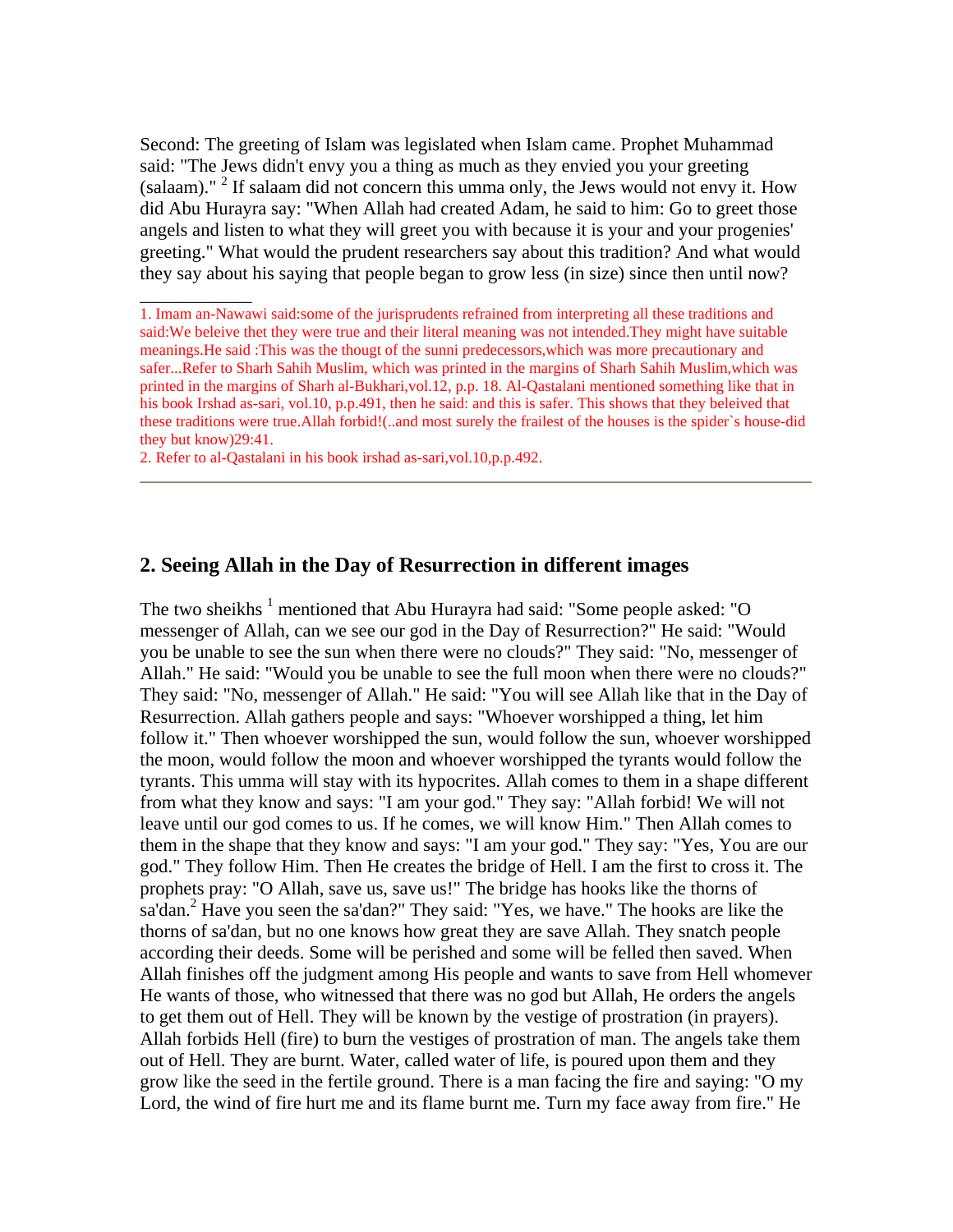Second: The greeting of Islam was legislated when Islam came. Prophet Muhammad said: "The Jews didn't envy you a thing as much as they envied you your greeting (salaam)." <sup>2</sup> If salaam did not concern this umma only, the Jews would not envy it. How did Abu Hurayra say: "When Allah had created Adam, he said to him: Go to greet those angels and listen to what they will greet you with because it is your and your progenies' greeting." What would the prudent researchers say about this tradition? And what would they say about his saying that people began to grow less (in size) since then until now?

\_\_\_\_\_\_\_\_\_\_\_\_

#### **2. Seeing Allah in the Day of Resurrection in different images**

The two sheikhs  $^1$  mentioned that Abu Hurayra had said: "Some people asked: "O messenger of Allah, can we see our god in the Day of Resurrection?" He said: "Would you be unable to see the sun when there were no clouds?" They said: "No, messenger of Allah." He said: "Would you be unable to see the full moon when there were no clouds?" They said: "No, messenger of Allah." He said: "You will see Allah like that in the Day of Resurrection. Allah gathers people and says: "Whoever worshipped a thing, let him follow it." Then whoever worshipped the sun, would follow the sun, whoever worshipped the moon, would follow the moon and whoever worshipped the tyrants would follow the tyrants. This umma will stay with its hypocrites. Allah comes to them in a shape different from what they know and says: "I am your god." They say: "Allah forbid! We will not leave until our god comes to us. If he comes, we will know Him." Then Allah comes to them in the shape that they know and says: "I am your god." They say: "Yes, You are our god." They follow Him. Then He creates the bridge of Hell. I am the first to cross it. The prophets pray: "O Allah, save us, save us!" The bridge has hooks like the thorns of sa'dan.<sup>2</sup> Have you seen the sa'dan?" They said: "Yes, we have." The hooks are like the thorns of sa'dan, but no one knows how great they are save Allah. They snatch people according their deeds. Some will be perished and some will be felled then saved. When Allah finishes off the judgment among His people and wants to save from Hell whomever He wants of those, who witnessed that there was no god but Allah, He orders the angels to get them out of Hell. They will be known by the vestige of prostration (in prayers). Allah forbids Hell (fire) to burn the vestiges of prostration of man. The angels take them out of Hell. They are burnt. Water, called water of life, is poured upon them and they grow like the seed in the fertile ground. There is a man facing the fire and saying: "O my Lord, the wind of fire hurt me and its flame burnt me. Turn my face away from fire." He

<sup>1.</sup> Imam an-Nawawi said:some of the jurisprudents refrained from interpreting all these traditions and said:We beleive thet they were true and their literal meaning was not intended.They might have suitable meanings.He said :This was the thougt of the sunni predecessors,which was more precautionary and safer...Refer to Sharh Sahih Muslim, which was printed in the margins of Sharh Sahih Muslim,which was printed in the margins of Sharh al-Bukhari,vol.12, p.p. 18. Al-Qastalani mentioned something like that in his book Irshad as-sari, vol.10, p.p.491, then he said: and this is safer. This shows that they beleived that these traditions were true.Allah forbid!(..and most surely the frailest of the houses is the spider`s house-did they but know)29:41.

<sup>2.</sup> Refer to al-Qastalani in his book irshad as-sari,vol.10,p.p.492.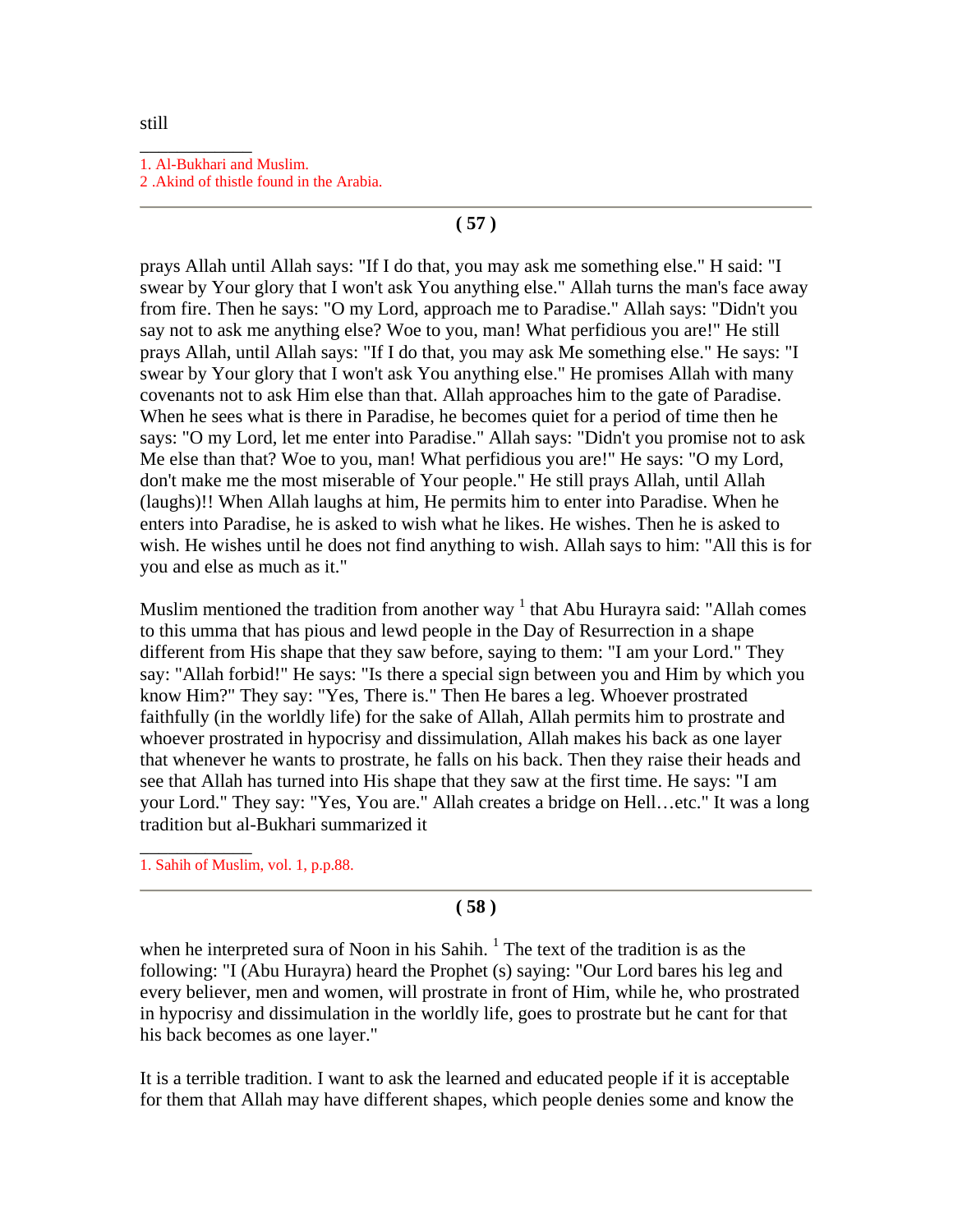#### \_\_\_\_\_\_\_\_\_\_\_\_ 1. Al-Bukhari and Muslim. 2 .Akind of thistle found in the Arabia.

### **( 57 )**

prays Allah until Allah says: "If I do that, you may ask me something else." H said: "I swear by Your glory that I won't ask You anything else." Allah turns the man's face away from fire. Then he says: "O my Lord, approach me to Paradise." Allah says: "Didn't you say not to ask me anything else? Woe to you, man! What perfidious you are!" He still prays Allah, until Allah says: "If I do that, you may ask Me something else." He says: "I swear by Your glory that I won't ask You anything else." He promises Allah with many covenants not to ask Him else than that. Allah approaches him to the gate of Paradise. When he sees what is there in Paradise, he becomes quiet for a period of time then he says: "O my Lord, let me enter into Paradise." Allah says: "Didn't you promise not to ask Me else than that? Woe to you, man! What perfidious you are!" He says: "O my Lord, don't make me the most miserable of Your people." He still prays Allah, until Allah (laughs)!! When Allah laughs at him, He permits him to enter into Paradise. When he enters into Paradise, he is asked to wish what he likes. He wishes. Then he is asked to wish. He wishes until he does not find anything to wish. Allah says to him: "All this is for you and else as much as it."

Muslim mentioned the tradition from another way  $1$  that Abu Hurayra said: "Allah comes to this umma that has pious and lewd people in the Day of Resurrection in a shape different from His shape that they saw before, saying to them: "I am your Lord." They say: "Allah forbid!" He says: "Is there a special sign between you and Him by which you know Him?" They say: "Yes, There is." Then He bares a leg. Whoever prostrated faithfully (in the worldly life) for the sake of Allah, Allah permits him to prostrate and whoever prostrated in hypocrisy and dissimulation, Allah makes his back as one layer that whenever he wants to prostrate, he falls on his back. Then they raise their heads and see that Allah has turned into His shape that they saw at the first time. He says: "I am your Lord." They say: "Yes, You are." Allah creates a bridge on Hell…etc." It was a long tradition but al-Bukhari summarized it

1. Sahih of Muslim, vol. 1, p.p.88.

\_\_\_\_\_\_\_\_\_\_\_\_

#### **( 58 )**

when he interpreted sura of Noon in his Sahih.<sup>1</sup> The text of the tradition is as the following: "I (Abu Hurayra) heard the Prophet (s) saying: "Our Lord bares his leg and every believer, men and women, will prostrate in front of Him, while he, who prostrated in hypocrisy and dissimulation in the worldly life, goes to prostrate but he cant for that his back becomes as one layer."

It is a terrible tradition. I want to ask the learned and educated people if it is acceptable for them that Allah may have different shapes, which people denies some and know the

still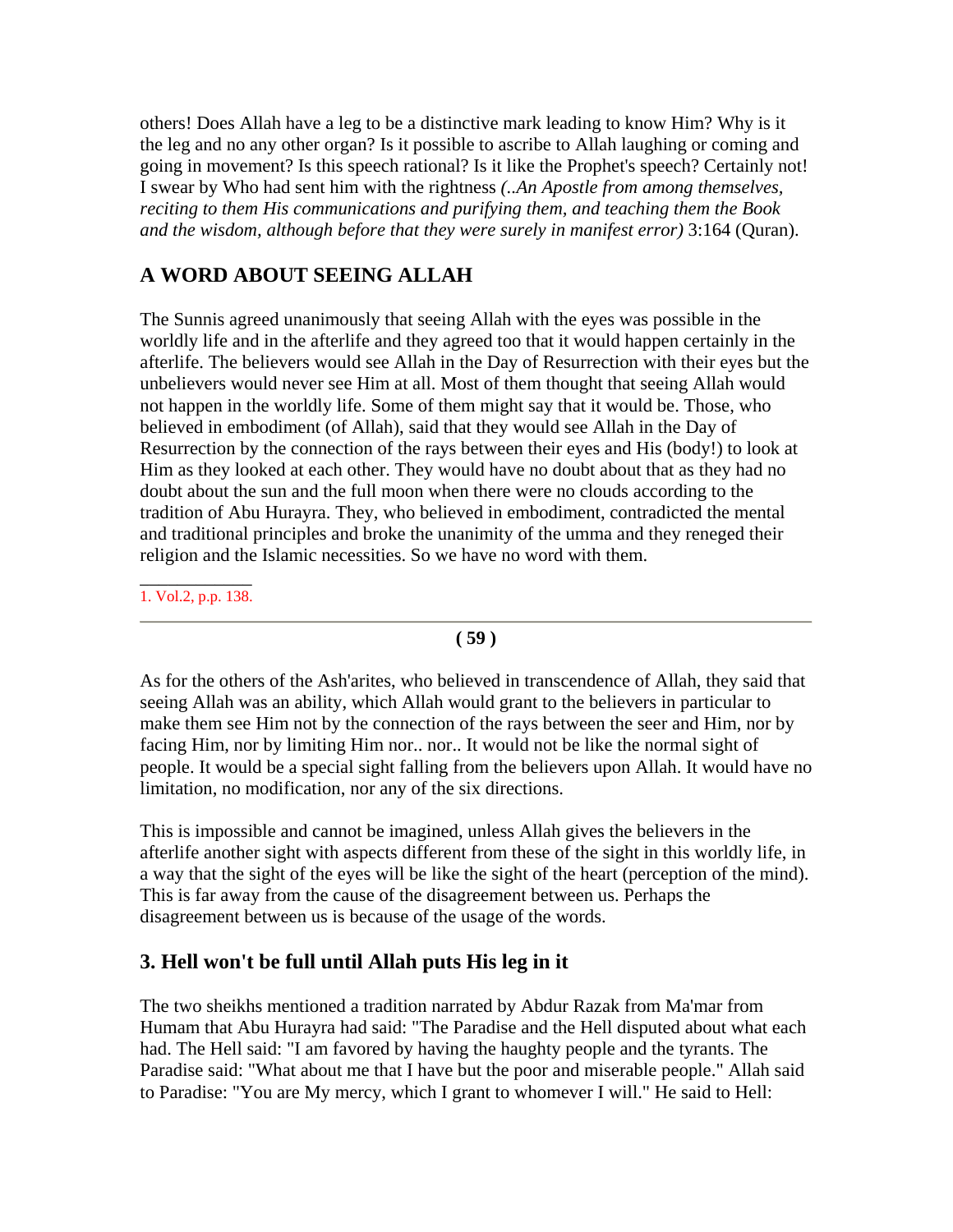others! Does Allah have a leg to be a distinctive mark leading to know Him? Why is it the leg and no any other organ? Is it possible to ascribe to Allah laughing or coming and going in movement? Is this speech rational? Is it like the Prophet's speech? Certainly not! I swear by Who had sent him with the rightness *(..An Apostle from among themselves, reciting to them His communications and purifying them, and teaching them the Book and the wisdom, although before that they were surely in manifest error)* 3:164 (Quran).

# **A WORD ABOUT SEEING ALLAH**

The Sunnis agreed unanimously that seeing Allah with the eyes was possible in the worldly life and in the afterlife and they agreed too that it would happen certainly in the afterlife. The believers would see Allah in the Day of Resurrection with their eyes but the unbelievers would never see Him at all. Most of them thought that seeing Allah would not happen in the worldly life. Some of them might say that it would be. Those, who believed in embodiment (of Allah), said that they would see Allah in the Day of Resurrection by the connection of the rays between their eyes and His (body!) to look at Him as they looked at each other. They would have no doubt about that as they had no doubt about the sun and the full moon when there were no clouds according to the tradition of Abu Hurayra. They, who believed in embodiment, contradicted the mental and traditional principles and broke the unanimity of the umma and they reneged their religion and the Islamic necessities. So we have no word with them.

\_\_\_\_\_\_\_\_\_\_\_\_ 1. Vol.2, p.p. 138.

**( 59 )**

As for the others of the Ash'arites, who believed in transcendence of Allah, they said that seeing Allah was an ability, which Allah would grant to the believers in particular to make them see Him not by the connection of the rays between the seer and Him, nor by facing Him, nor by limiting Him nor.. nor.. It would not be like the normal sight of people. It would be a special sight falling from the believers upon Allah. It would have no limitation, no modification, nor any of the six directions.

This is impossible and cannot be imagined, unless Allah gives the believers in the afterlife another sight with aspects different from these of the sight in this worldly life, in a way that the sight of the eyes will be like the sight of the heart (perception of the mind). This is far away from the cause of the disagreement between us. Perhaps the disagreement between us is because of the usage of the words.

## **3. Hell won't be full until Allah puts His leg in it**

The two sheikhs mentioned a tradition narrated by Abdur Razak from Ma'mar from Humam that Abu Hurayra had said: "The Paradise and the Hell disputed about what each had. The Hell said: "I am favored by having the haughty people and the tyrants. The Paradise said: "What about me that I have but the poor and miserable people." Allah said to Paradise: "You are My mercy, which I grant to whomever I will." He said to Hell: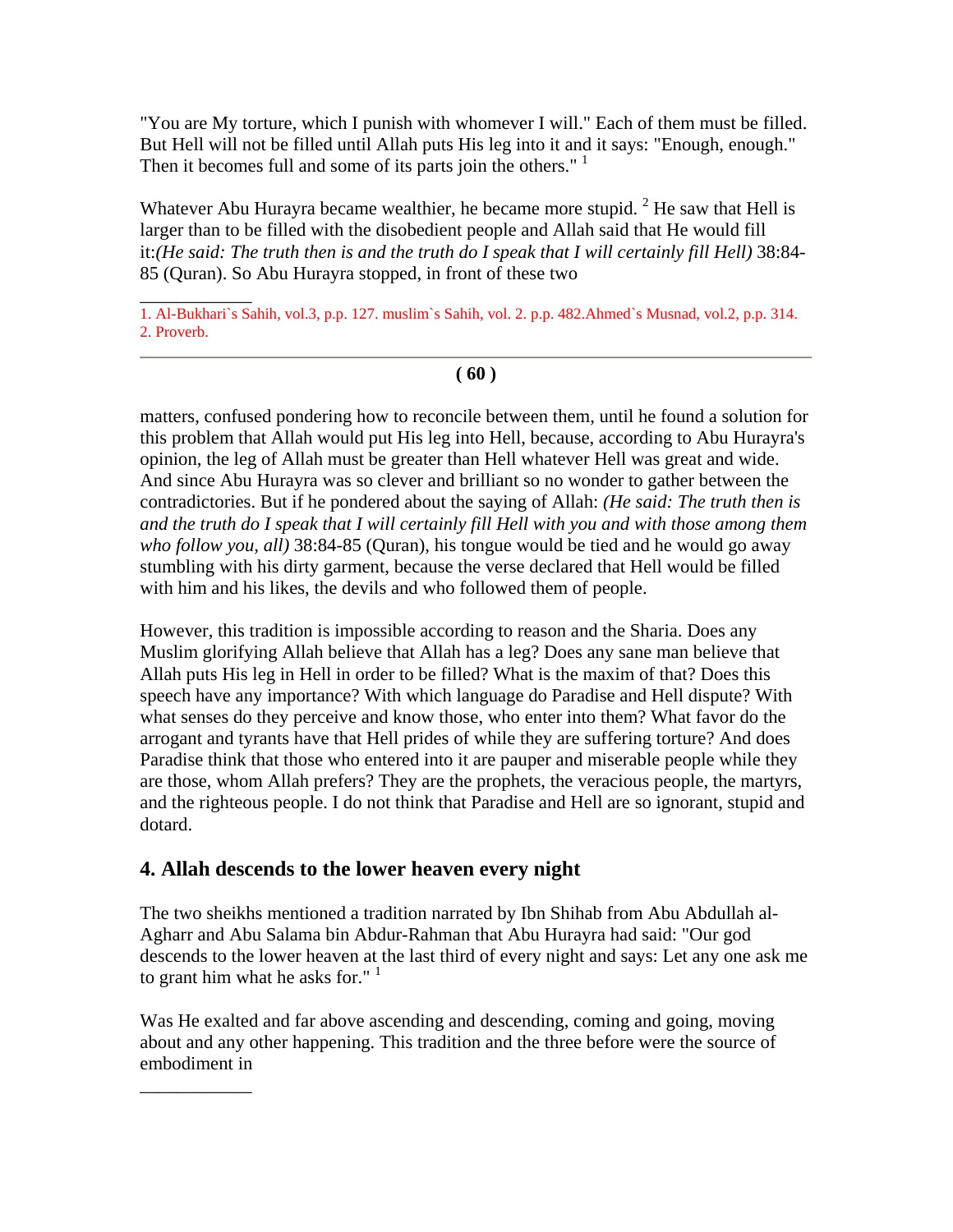"You are My torture, which I punish with whomever I will." Each of them must be filled. But Hell will not be filled until Allah puts His leg into it and it says: "Enough, enough." Then it becomes full and some of its parts join the others."<sup>1</sup>

Whatever Abu Hurayra became wealthier, he became more stupid.  $2^2$  He saw that Hell is larger than to be filled with the disobedient people and Allah said that He would fill it:*(He said: The truth then is and the truth do I speak that I will certainly fill Hell)* 38:84- 85 (Quran). So Abu Hurayra stopped, in front of these two

\_\_\_\_\_\_\_\_\_\_\_\_ 1. Al-Bukhari`s Sahih, vol.3, p.p. 127. muslim`s Sahih, vol. 2. p.p. 482.Ahmed`s Musnad, vol.2, p.p. 314. 2. Proverb.

### **( 60 )**

matters, confused pondering how to reconcile between them, until he found a solution for this problem that Allah would put His leg into Hell, because, according to Abu Hurayra's opinion, the leg of Allah must be greater than Hell whatever Hell was great and wide. And since Abu Hurayra was so clever and brilliant so no wonder to gather between the contradictories. But if he pondered about the saying of Allah: *(He said: The truth then is and the truth do I speak that I will certainly fill Hell with you and with those among them who follow you, all)* 38:84-85 (Quran), his tongue would be tied and he would go away stumbling with his dirty garment, because the verse declared that Hell would be filled with him and his likes, the devils and who followed them of people.

However, this tradition is impossible according to reason and the Sharia. Does any Muslim glorifying Allah believe that Allah has a leg? Does any sane man believe that Allah puts His leg in Hell in order to be filled? What is the maxim of that? Does this speech have any importance? With which language do Paradise and Hell dispute? With what senses do they perceive and know those, who enter into them? What favor do the arrogant and tyrants have that Hell prides of while they are suffering torture? And does Paradise think that those who entered into it are pauper and miserable people while they are those, whom Allah prefers? They are the prophets, the veracious people, the martyrs, and the righteous people. I do not think that Paradise and Hell are so ignorant, stupid and dotard.

## **4. Allah descends to the lower heaven every night**

 $\overline{\phantom{a}}$  , where  $\overline{\phantom{a}}$ 

The two sheikhs mentioned a tradition narrated by Ibn Shihab from Abu Abdullah al-Agharr and Abu Salama bin Abdur-Rahman that Abu Hurayra had said: "Our god descends to the lower heaven at the last third of every night and says: Let any one ask me to grant him what he asks for."  $1$ 

Was He exalted and far above ascending and descending, coming and going, moving about and any other happening. This tradition and the three before were the source of embodiment in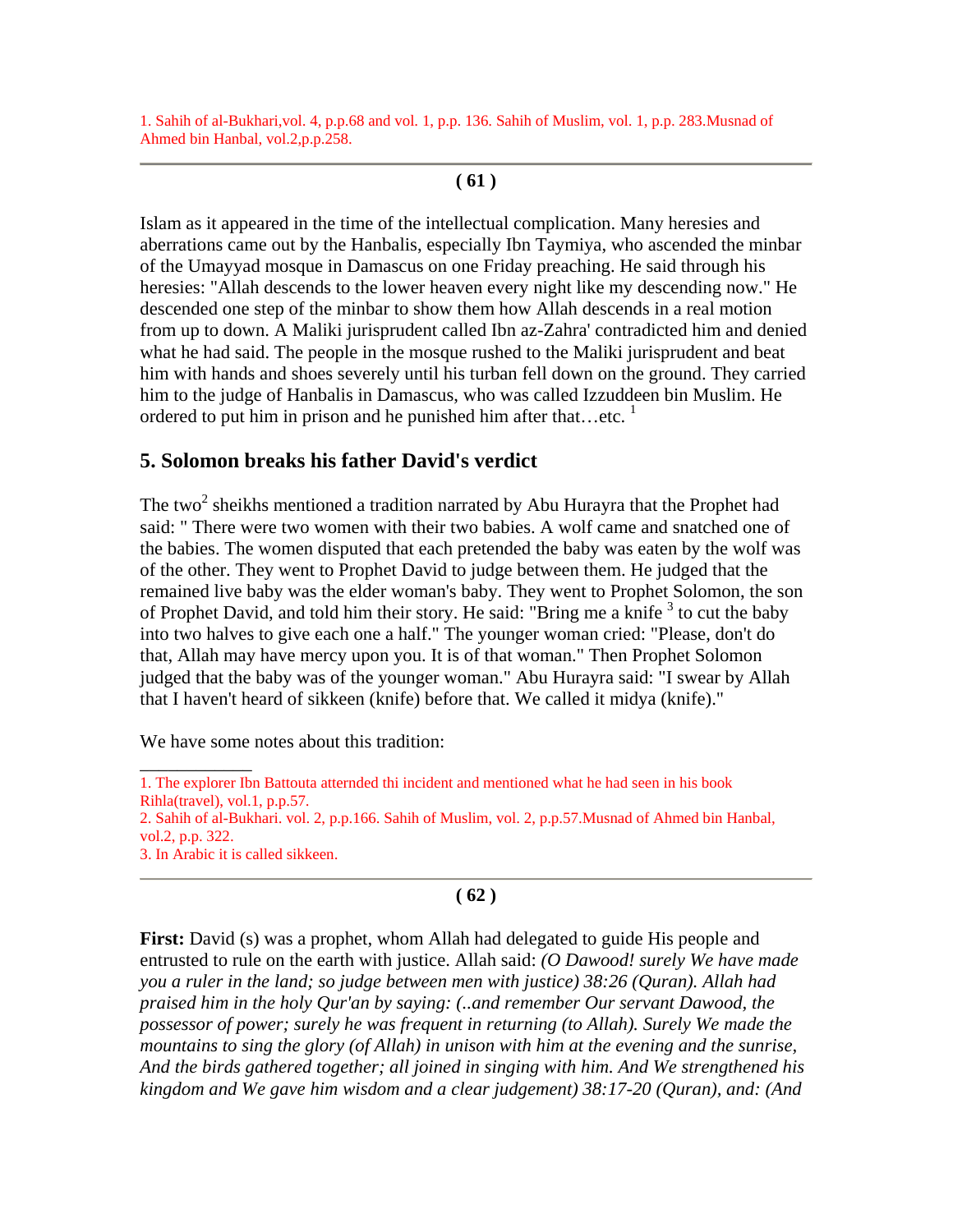1. Sahih of al-Bukhari,vol. 4, p.p.68 and vol. 1, p.p. 136. Sahih of Muslim, vol. 1, p.p. 283.Musnad of Ahmed bin Hanbal, vol.2,p.p.258.

**( 61 )**

Islam as it appeared in the time of the intellectual complication. Many heresies and aberrations came out by the Hanbalis, especially Ibn Taymiya, who ascended the minbar of the Umayyad mosque in Damascus on one Friday preaching. He said through his heresies: "Allah descends to the lower heaven every night like my descending now." He descended one step of the minbar to show them how Allah descends in a real motion from up to down. A Maliki jurisprudent called Ibn az-Zahra' contradicted him and denied what he had said. The people in the mosque rushed to the Maliki jurisprudent and beat him with hands and shoes severely until his turban fell down on the ground. They carried him to the judge of Hanbalis in Damascus, who was called Izzuddeen bin Muslim. He ordered to put him in prison and he punished him after that...etc.  $1$ 

## **5. Solomon breaks his father David's verdict**

The two<sup>2</sup> sheikhs mentioned a tradition narrated by Abu Hurayra that the Prophet had said: " There were two women with their two babies. A wolf came and snatched one of the babies. The women disputed that each pretended the baby was eaten by the wolf was of the other. They went to Prophet David to judge between them. He judged that the remained live baby was the elder woman's baby. They went to Prophet Solomon, the son of Prophet David, and told him their story. He said: "Bring me a knife  $3$  to cut the baby into two halves to give each one a half." The younger woman cried: "Please, don't do that, Allah may have mercy upon you. It is of that woman." Then Prophet Solomon judged that the baby was of the younger woman." Abu Hurayra said: "I swear by Allah that I haven't heard of sikkeen (knife) before that. We called it midya (knife)."

We have some notes about this tradition:

 $\overline{\phantom{a}}$  , where  $\overline{\phantom{a}}$ 1. The explorer Ibn Battouta atternded thi incident and mentioned what he had seen in his book Rihla(travel), vol.1, p.p.57.

2. Sahih of al-Bukhari. vol. 2, p.p.166. Sahih of Muslim, vol. 2, p.p.57.Musnad of Ahmed bin Hanbal, vol.2, p.p. 322.

3. In Arabic it is called sikkeen.

## **( 62 )**

**First:** David (s) was a prophet, whom Allah had delegated to guide His people and entrusted to rule on the earth with justice. Allah said: *(O Dawood! surely We have made you a ruler in the land; so judge between men with justice) 38:26 (Quran). Allah had praised him in the holy Qur'an by saying: (..and remember Our servant Dawood, the possessor of power; surely he was frequent in returning (to Allah). Surely We made the mountains to sing the glory (of Allah) in unison with him at the evening and the sunrise, And the birds gathered together; all joined in singing with him. And We strengthened his kingdom and We gave him wisdom and a clear judgement) 38:17-20 (Quran), and: (And*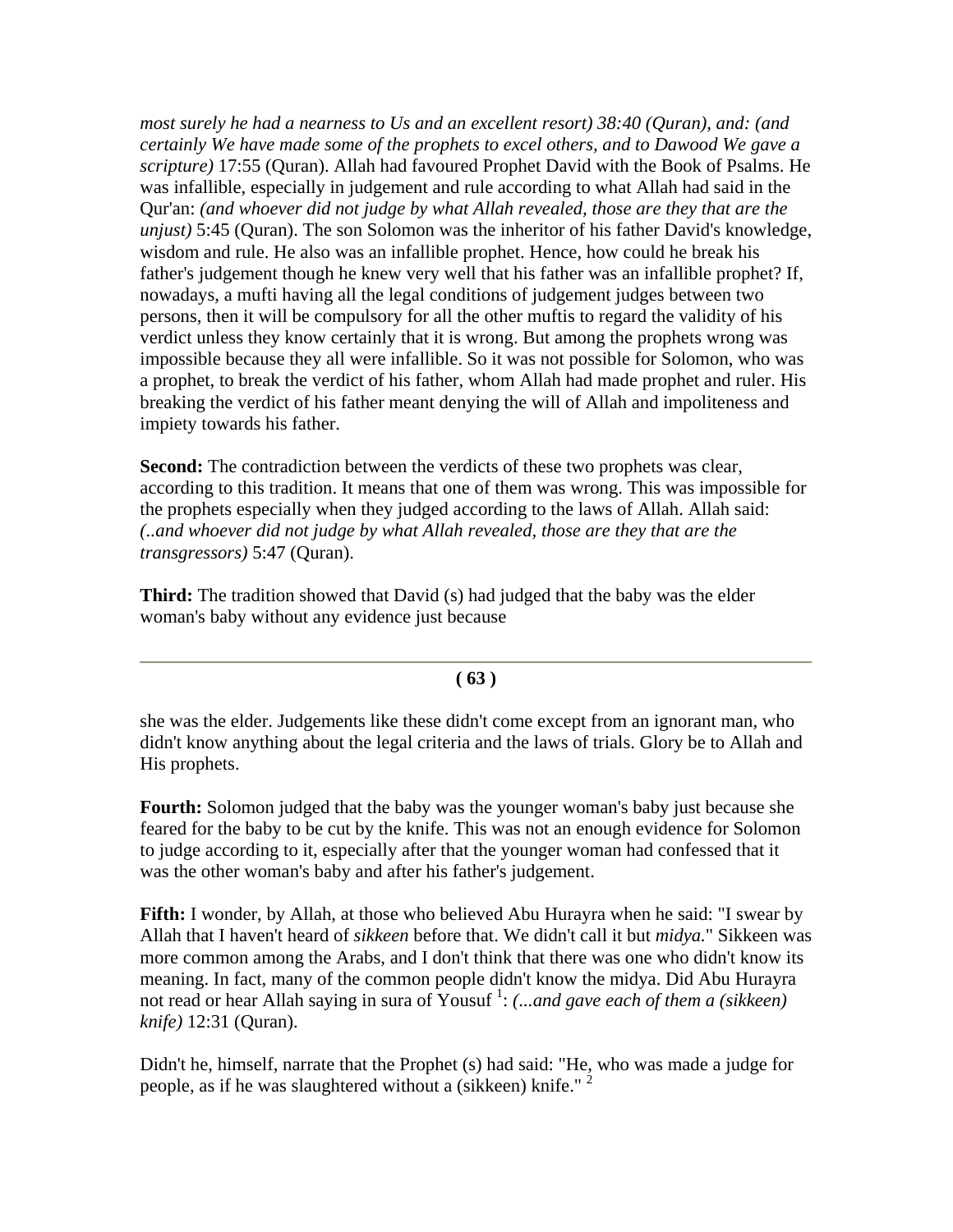*most surely he had a nearness to Us and an excellent resort) 38:40 (Quran), and: (and certainly We have made some of the prophets to excel others, and to Dawood We gave a scripture)* 17:55 (Quran). Allah had favoured Prophet David with the Book of Psalms. He was infallible, especially in judgement and rule according to what Allah had said in the Qur'an: *(and whoever did not judge by what Allah revealed, those are they that are the unjust)* 5:45 (Quran). The son Solomon was the inheritor of his father David's knowledge, wisdom and rule. He also was an infallible prophet. Hence, how could he break his father's judgement though he knew very well that his father was an infallible prophet? If, nowadays, a mufti having all the legal conditions of judgement judges between two persons, then it will be compulsory for all the other muftis to regard the validity of his verdict unless they know certainly that it is wrong. But among the prophets wrong was impossible because they all were infallible. So it was not possible for Solomon, who was a prophet, to break the verdict of his father, whom Allah had made prophet and ruler. His breaking the verdict of his father meant denying the will of Allah and impoliteness and impiety towards his father.

**Second:** The contradiction between the verdicts of these two prophets was clear, according to this tradition. It means that one of them was wrong. This was impossible for the prophets especially when they judged according to the laws of Allah. Allah said: *(..and whoever did not judge by what Allah revealed, those are they that are the transgressors)* 5:47 (Quran).

**Third:** The tradition showed that David (s) had judged that the baby was the elder woman's baby without any evidence just because

### **( 63 )**

she was the elder. Judgements like these didn't come except from an ignorant man, who didn't know anything about the legal criteria and the laws of trials. Glory be to Allah and His prophets.

**Fourth:** Solomon judged that the baby was the younger woman's baby just because she feared for the baby to be cut by the knife. This was not an enough evidence for Solomon to judge according to it, especially after that the younger woman had confessed that it was the other woman's baby and after his father's judgement.

**Fifth:** I wonder, by Allah, at those who believed Abu Hurayra when he said: "I swear by Allah that I haven't heard of *sikkeen* before that. We didn't call it but *midya.*" Sikkeen was more common among the Arabs, and I don't think that there was one who didn't know its meaning. In fact, many of the common people didn't know the midya. Did Abu Hurayra not read or hear Allah saying in sura of Yousuf<sup>1</sup>: *(...and gave each of them a (sikkeen) knife)* 12:31 (Quran).

Didn't he, himself, narrate that the Prophet (s) had said: "He, who was made a judge for people, as if he was slaughtered without a (sikkeen) knife."<sup>2</sup>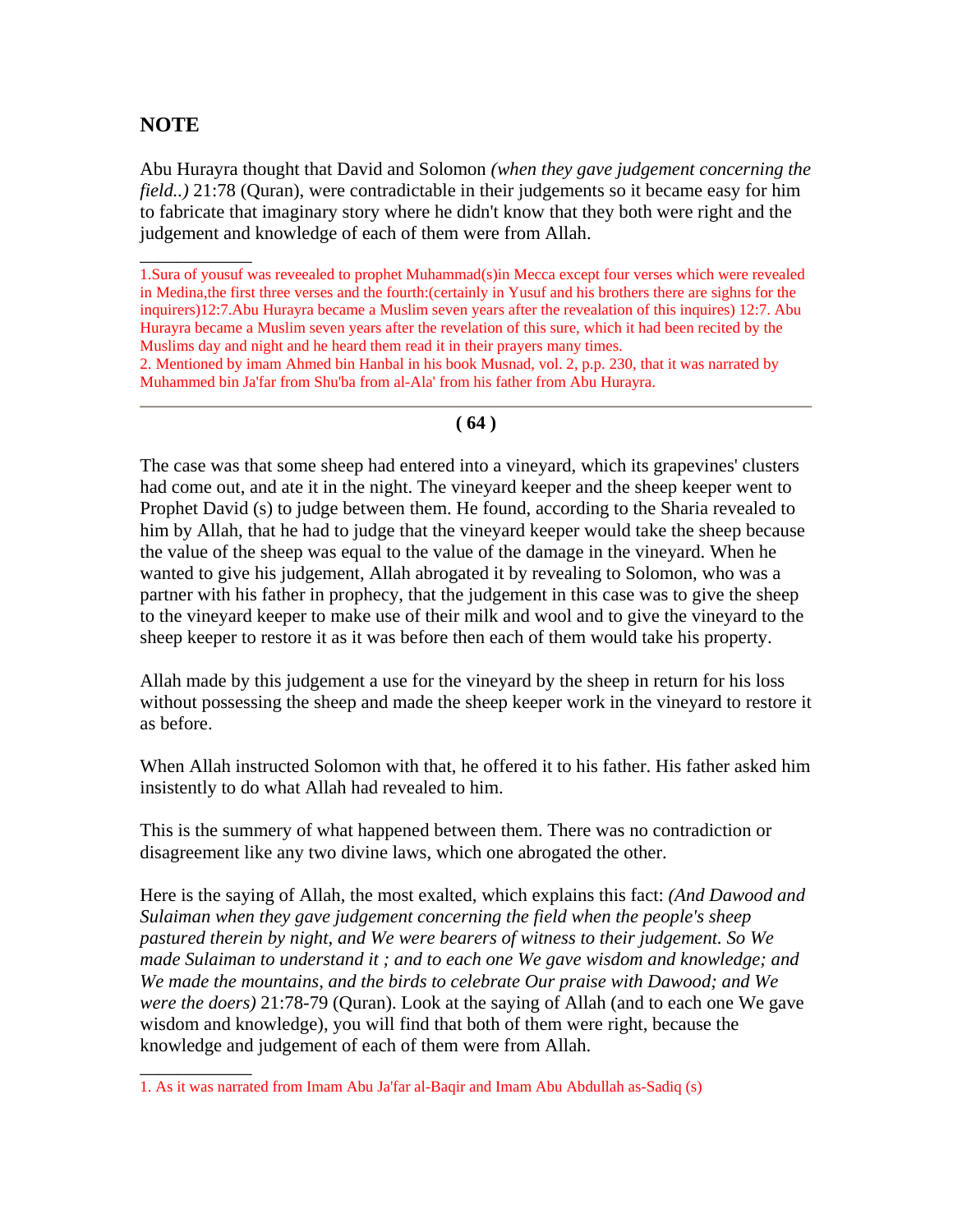# **NOTE**

\_\_\_\_\_\_\_\_\_\_\_\_

\_\_\_\_\_\_\_\_\_\_\_\_

Abu Hurayra thought that David and Solomon *(when they gave judgement concerning the field..*) 21:78 (Ouran), were contradictable in their judgements so it became easy for him to fabricate that imaginary story where he didn't know that they both were right and the judgement and knowledge of each of them were from Allah.

1.Sura of yousuf was reveealed to prophet Muhammad(s)in Mecca except four verses which were revealed in Medina,the first three verses and the fourth:(certainly in Yusuf and his brothers there are sighns for the inquirers)12:7.Abu Hurayra became a Muslim seven years after the revealation of this inquires) 12:7. Abu Hurayra became a Muslim seven years after the revelation of this sure, which it had been recited by the Muslims day and night and he heard them read it in their prayers many times.

2. Mentioned by imam Ahmed bin Hanbal in his book Musnad, vol. 2, p.p. 230, that it was narrated by Muhammed bin Ja'far from Shu'ba from al-Ala' from his father from Abu Hurayra.

#### **( 64 )**

The case was that some sheep had entered into a vineyard, which its grapevines' clusters had come out, and ate it in the night. The vineyard keeper and the sheep keeper went to Prophet David (s) to judge between them. He found, according to the Sharia revealed to him by Allah, that he had to judge that the vineyard keeper would take the sheep because the value of the sheep was equal to the value of the damage in the vineyard. When he wanted to give his judgement, Allah abrogated it by revealing to Solomon, who was a partner with his father in prophecy, that the judgement in this case was to give the sheep to the vineyard keeper to make use of their milk and wool and to give the vineyard to the sheep keeper to restore it as it was before then each of them would take his property.

Allah made by this judgement a use for the vineyard by the sheep in return for his loss without possessing the sheep and made the sheep keeper work in the vineyard to restore it as before.

When Allah instructed Solomon with that, he offered it to his father. His father asked him insistently to do what Allah had revealed to him.

This is the summery of what happened between them. There was no contradiction or disagreement like any two divine laws, which one abrogated the other.

Here is the saying of Allah, the most exalted, which explains this fact: *(And Dawood and Sulaiman when they gave judgement concerning the field when the people's sheep pastured therein by night, and We were bearers of witness to their judgement. So We made Sulaiman to understand it ; and to each one We gave wisdom and knowledge; and We made the mountains, and the birds to celebrate Our praise with Dawood; and We were the doers)* 21:78-79 (Quran). Look at the saying of Allah (and to each one We gave wisdom and knowledge), you will find that both of them were right, because the knowledge and judgement of each of them were from Allah.

<sup>1.</sup> As it was narrated from Imam Abu Ja'far al-Baqir and Imam Abu Abdullah as-Sadiq (s)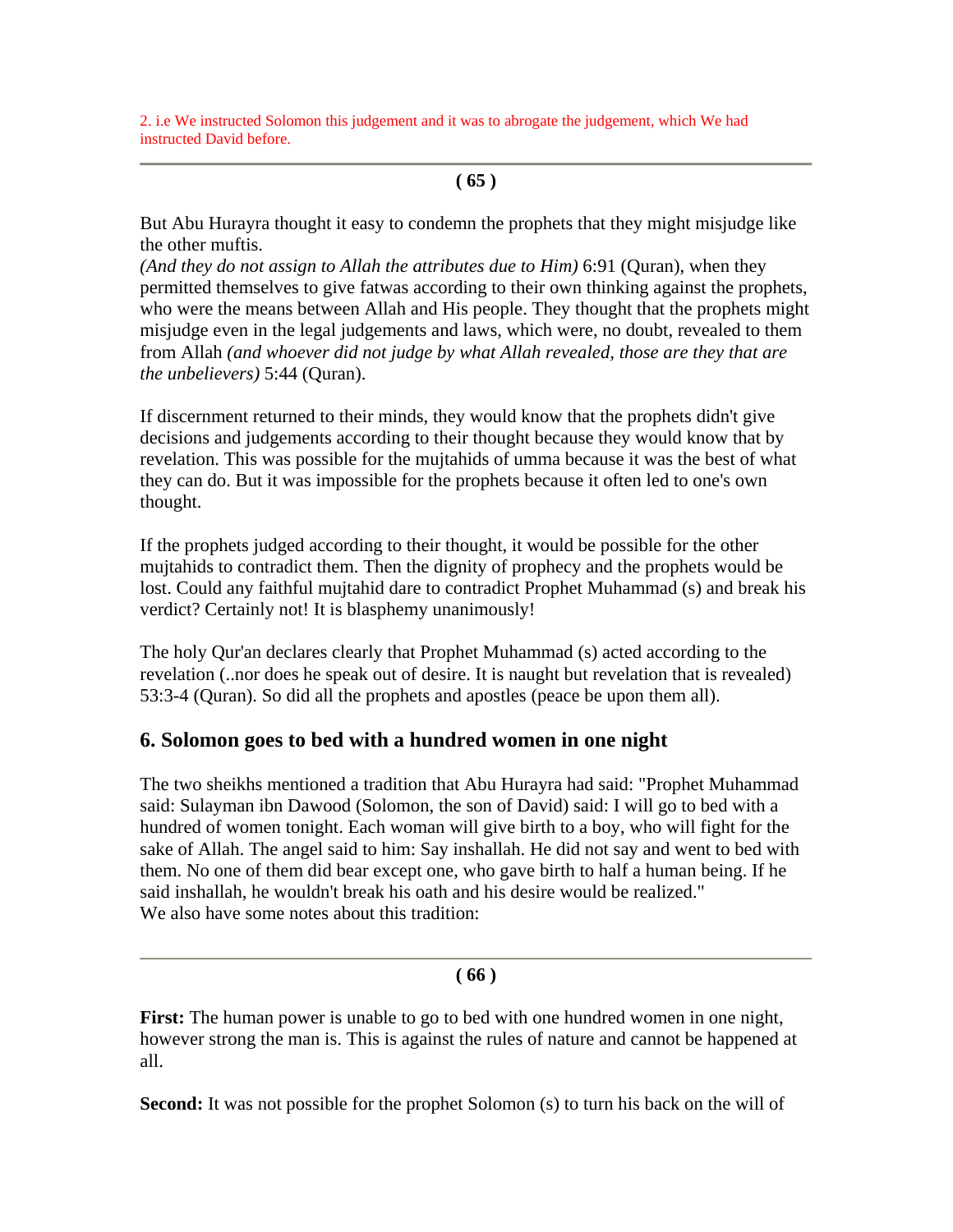2. i.e We instructed Solomon this judgement and it was to abrogate the judgement, which We had instructed David before.

### **( 65 )**

But Abu Hurayra thought it easy to condemn the prophets that they might misjudge like the other muftis.

*(And they do not assign to Allah the attributes due to Him)* 6:91 (Quran), when they permitted themselves to give fatwas according to their own thinking against the prophets, who were the means between Allah and His people. They thought that the prophets might misjudge even in the legal judgements and laws, which were, no doubt, revealed to them from Allah *(and whoever did not judge by what Allah revealed, those are they that are the unbelievers)* 5:44 (Quran).

If discernment returned to their minds, they would know that the prophets didn't give decisions and judgements according to their thought because they would know that by revelation. This was possible for the mujtahids of umma because it was the best of what they can do. But it was impossible for the prophets because it often led to one's own thought.

If the prophets judged according to their thought, it would be possible for the other mujtahids to contradict them. Then the dignity of prophecy and the prophets would be lost. Could any faithful mujtahid dare to contradict Prophet Muhammad (s) and break his verdict? Certainly not! It is blasphemy unanimously!

The holy Qur'an declares clearly that Prophet Muhammad (s) acted according to the revelation (..nor does he speak out of desire. It is naught but revelation that is revealed) 53:3-4 (Quran). So did all the prophets and apostles (peace be upon them all).

## **6. Solomon goes to bed with a hundred women in one night**

The two sheikhs mentioned a tradition that Abu Hurayra had said: "Prophet Muhammad said: Sulayman ibn Dawood (Solomon, the son of David) said: I will go to bed with a hundred of women tonight. Each woman will give birth to a boy, who will fight for the sake of Allah. The angel said to him: Say inshallah. He did not say and went to bed with them. No one of them did bear except one, who gave birth to half a human being. If he said inshallah, he wouldn't break his oath and his desire would be realized." We also have some notes about this tradition:

## **( 66 )**

**First:** The human power is unable to go to bed with one hundred women in one night, however strong the man is. This is against the rules of nature and cannot be happened at all.

**Second:** It was not possible for the prophet Solomon (s) to turn his back on the will of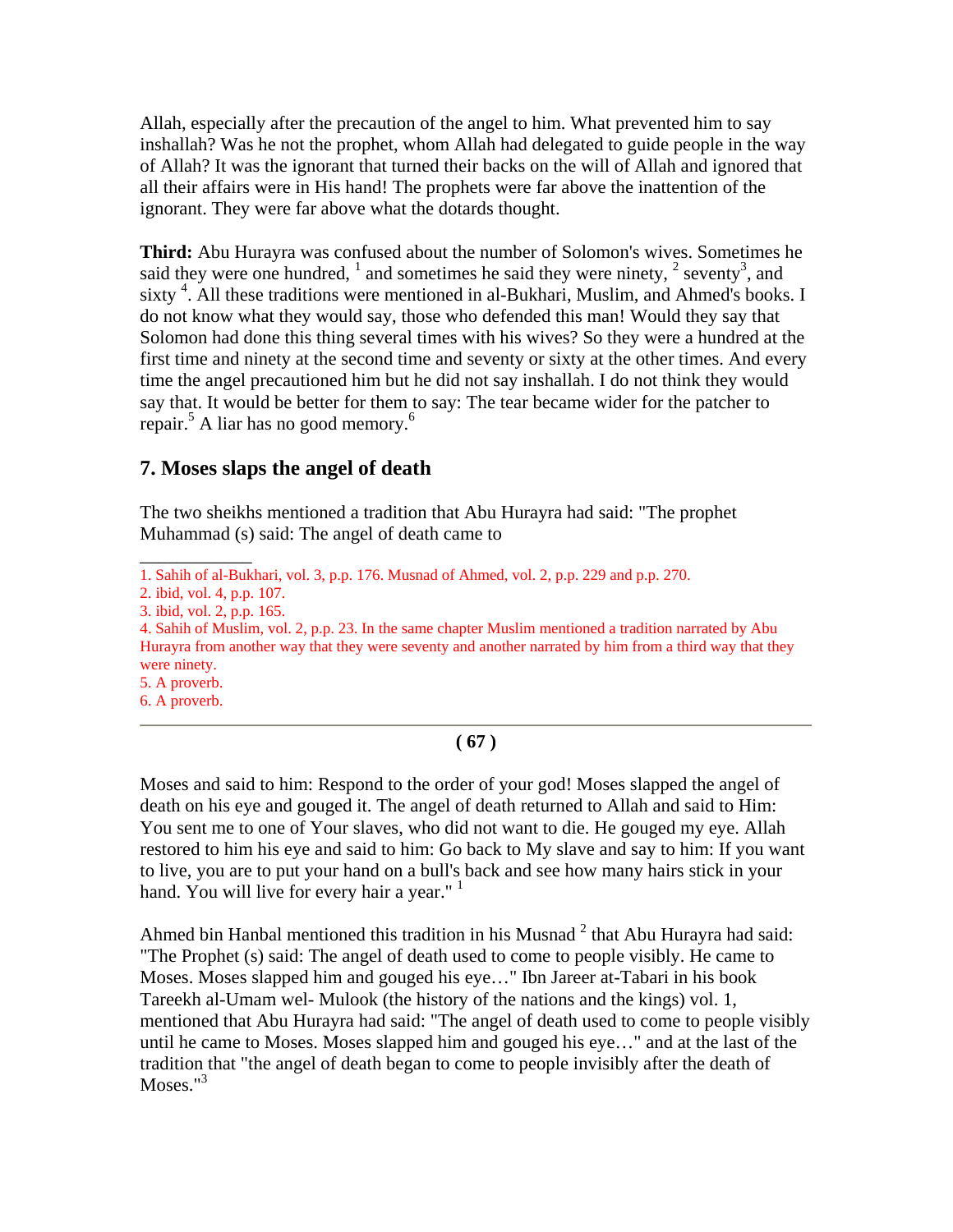Allah, especially after the precaution of the angel to him. What prevented him to say inshallah? Was he not the prophet, whom Allah had delegated to guide people in the way of Allah? It was the ignorant that turned their backs on the will of Allah and ignored that all their affairs were in His hand! The prophets were far above the inattention of the ignorant. They were far above what the dotards thought.

**Third:** Abu Hurayra was confused about the number of Solomon's wives. Sometimes he said they were one hundred,  $\frac{1}{2}$  and sometimes he said they were ninety,  $\frac{2}{3}$  seventy<sup>3</sup>, and sixty<sup>4</sup>. All these traditions were mentioned in al-Bukhari, Muslim, and Ahmed's books. I do not know what they would say, those who defended this man! Would they say that Solomon had done this thing several times with his wives? So they were a hundred at the first time and ninety at the second time and seventy or sixty at the other times. And every time the angel precautioned him but he did not say inshallah. I do not think they would say that. It would be better for them to say: The tear became wider for the patcher to repair.<sup>5</sup> A liar has no good memory.<sup>6</sup>

## **7. Moses slaps the angel of death**

The two sheikhs mentioned a tradition that Abu Hurayra had said: "The prophet Muhammad (s) said: The angel of death came to

\_\_\_\_\_\_\_\_\_\_\_\_

5. A proverb. 6. A proverb.

### **( 67 )**

Moses and said to him: Respond to the order of your god! Moses slapped the angel of death on his eye and gouged it. The angel of death returned to Allah and said to Him: You sent me to one of Your slaves, who did not want to die. He gouged my eye. Allah restored to him his eye and said to him: Go back to My slave and say to him: If you want to live, you are to put your hand on a bull's back and see how many hairs stick in your hand. You will live for every hair a year." $1$ 

Ahmed bin Hanbal mentioned this tradition in his Musnad  $2$  that Abu Hurayra had said: "The Prophet (s) said: The angel of death used to come to people visibly. He came to Moses. Moses slapped him and gouged his eye…" Ibn Jareer at-Tabari in his book Tareekh al-Umam wel- Mulook (the history of the nations and the kings) vol. 1, mentioned that Abu Hurayra had said: "The angel of death used to come to people visibly until he came to Moses. Moses slapped him and gouged his eye…" and at the last of the tradition that "the angel of death began to come to people invisibly after the death of Moses."<sup>3</sup>

<sup>1.</sup> Sahih of al-Bukhari, vol. 3, p.p. 176. Musnad of Ahmed, vol. 2, p.p. 229 and p.p. 270.

<sup>2.</sup> ibid, vol. 4, p.p. 107.

<sup>3.</sup> ibid, vol. 2, p.p. 165.

<sup>4.</sup> Sahih of Muslim, vol. 2, p.p. 23. In the same chapter Muslim mentioned a tradition narrated by Abu Hurayra from another way that they were seventy and another narrated by him from a third way that they were ninety.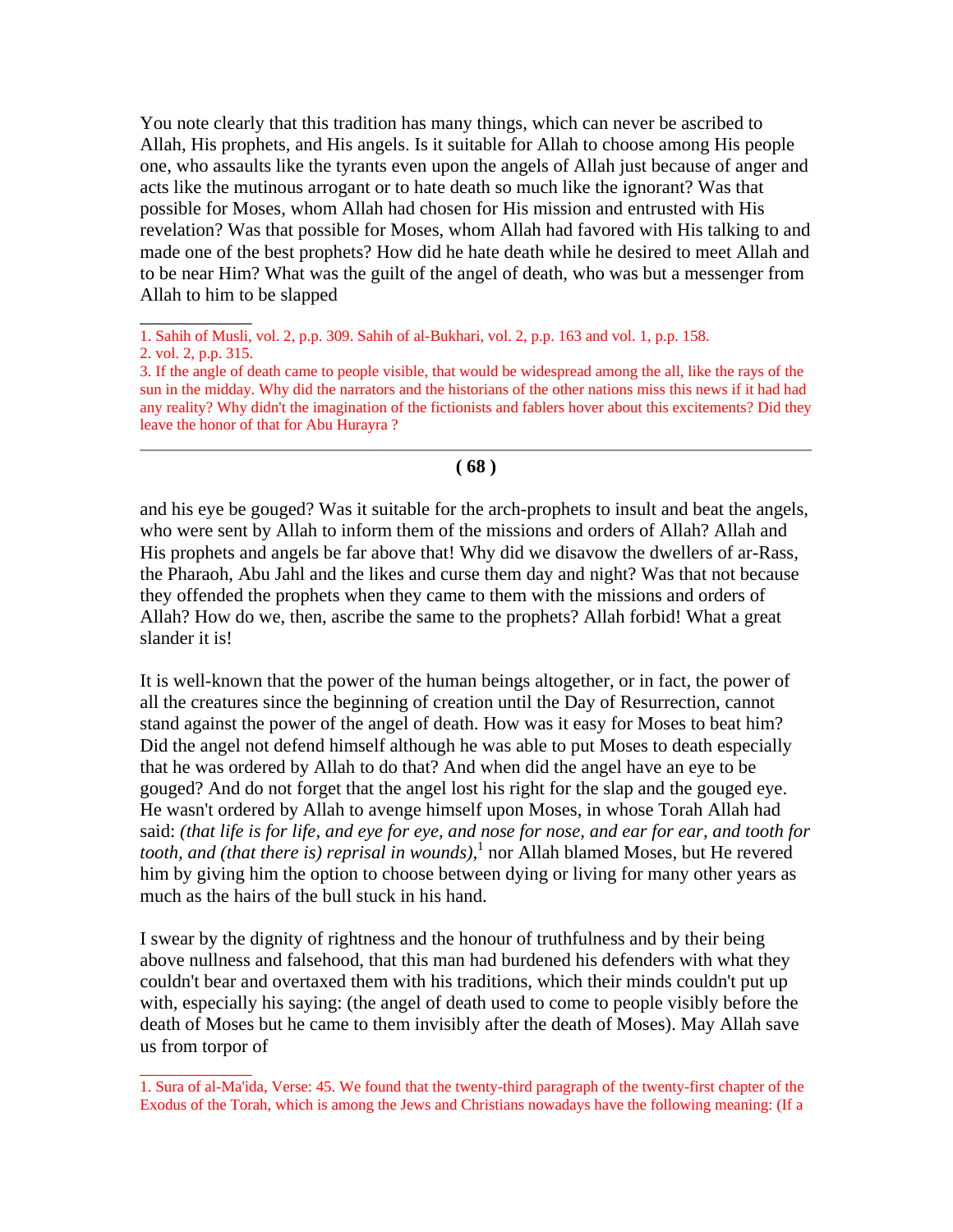You note clearly that this tradition has many things, which can never be ascribed to Allah, His prophets, and His angels. Is it suitable for Allah to choose among His people one, who assaults like the tyrants even upon the angels of Allah just because of anger and acts like the mutinous arrogant or to hate death so much like the ignorant? Was that possible for Moses, whom Allah had chosen for His mission and entrusted with His revelation? Was that possible for Moses, whom Allah had favored with His talking to and made one of the best prophets? How did he hate death while he desired to meet Allah and to be near Him? What was the guilt of the angel of death, who was but a messenger from Allah to him to be slapped

\_\_\_\_\_\_\_\_\_\_\_\_

 $\overline{\phantom{a}}$  , where  $\overline{\phantom{a}}$ 

**( 68 )**

and his eye be gouged? Was it suitable for the arch-prophets to insult and beat the angels, who were sent by Allah to inform them of the missions and orders of Allah? Allah and His prophets and angels be far above that! Why did we disavow the dwellers of ar-Rass, the Pharaoh, Abu Jahl and the likes and curse them day and night? Was that not because they offended the prophets when they came to them with the missions and orders of Allah? How do we, then, ascribe the same to the prophets? Allah forbid! What a great slander it is!

It is well-known that the power of the human beings altogether, or in fact, the power of all the creatures since the beginning of creation until the Day of Resurrection, cannot stand against the power of the angel of death. How was it easy for Moses to beat him? Did the angel not defend himself although he was able to put Moses to death especially that he was ordered by Allah to do that? And when did the angel have an eye to be gouged? And do not forget that the angel lost his right for the slap and the gouged eye. He wasn't ordered by Allah to avenge himself upon Moses, in whose Torah Allah had said: *(that life is for life, and eye for eye, and nose for nose, and ear for ear, and tooth for*  tooth, and (that there is) reprisal in wounds),<sup>1</sup> nor Allah blamed Moses, but He revered him by giving him the option to choose between dying or living for many other years as much as the hairs of the bull stuck in his hand.

I swear by the dignity of rightness and the honour of truthfulness and by their being above nullness and falsehood, that this man had burdened his defenders with what they couldn't bear and overtaxed them with his traditions, which their minds couldn't put up with, especially his saying: (the angel of death used to come to people visibly before the death of Moses but he came to them invisibly after the death of Moses). May Allah save us from torpor of

<sup>1.</sup> Sahih of Musli, vol. 2, p.p. 309. Sahih of al-Bukhari, vol. 2, p.p. 163 and vol. 1, p.p. 158.

<sup>2.</sup> vol. 2, p.p. 315.

<sup>3.</sup> If the angle of death came to people visible, that would be widespread among the all, like the rays of the sun in the midday. Why did the narrators and the historians of the other nations miss this news if it had had any reality? Why didn't the imagination of the fictionists and fablers hover about this excitements? Did they leave the honor of that for Abu Hurayra ?

<sup>1.</sup> Sura of al-Ma'ida, Verse: 45. We found that the twenty-third paragraph of the twenty-first chapter of the Exodus of the Torah, which is among the Jews and Christians nowadays have the following meaning: (If a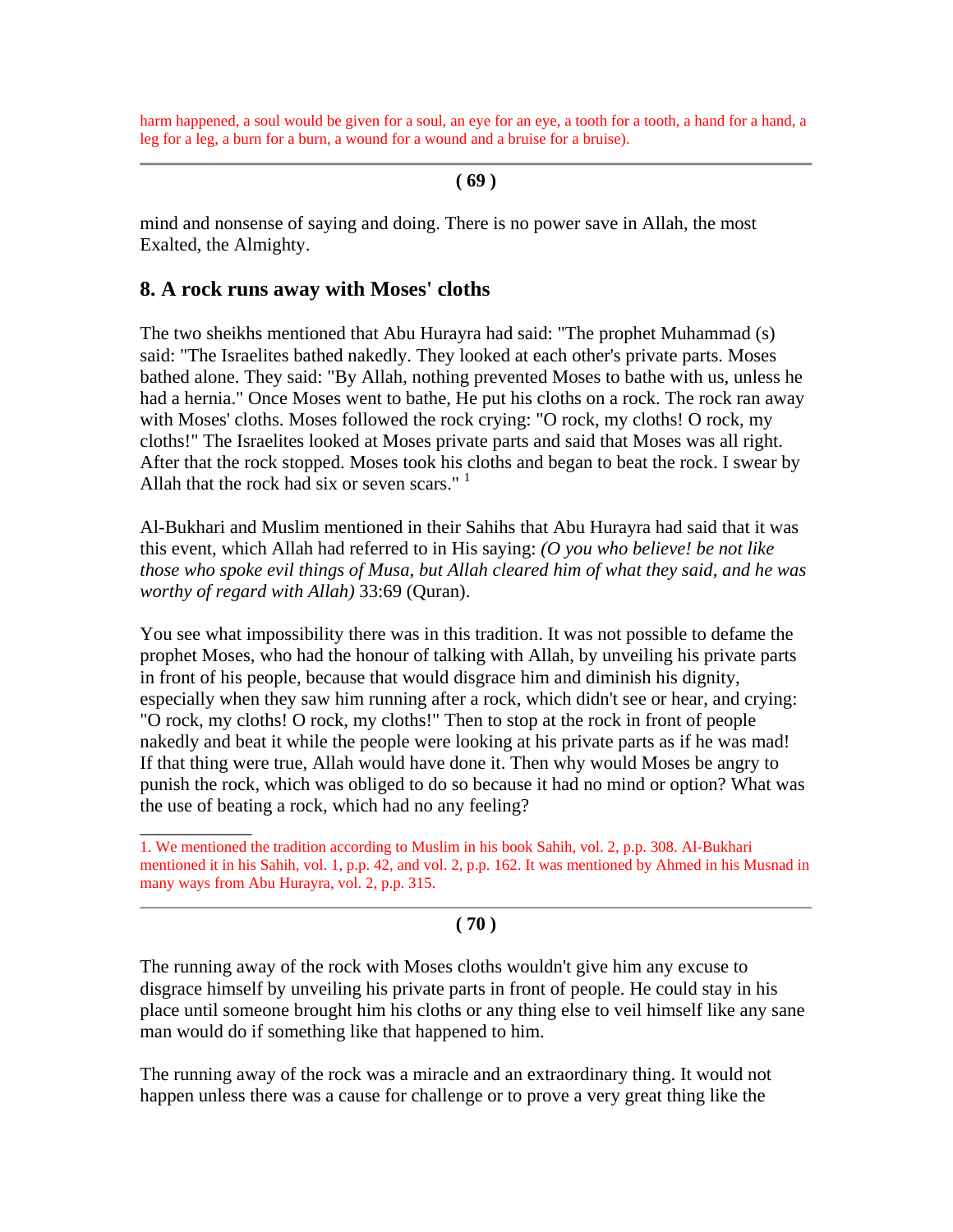harm happened, a soul would be given for a soul, an eye for an eye, a tooth for a tooth, a hand for a hand, a leg for a leg, a burn for a burn, a wound for a wound and a bruise for a bruise).

### **( 69 )**

mind and nonsense of saying and doing. There is no power save in Allah, the most Exalted, the Almighty.

### **8. A rock runs away with Moses' cloths**

\_\_\_\_\_\_\_\_\_\_\_\_

The two sheikhs mentioned that Abu Hurayra had said: "The prophet Muhammad (s) said: "The Israelites bathed nakedly. They looked at each other's private parts. Moses bathed alone. They said: "By Allah, nothing prevented Moses to bathe with us, unless he had a hernia." Once Moses went to bathe, He put his cloths on a rock. The rock ran away with Moses' cloths. Moses followed the rock crying: "O rock, my cloths! O rock, my cloths!" The Israelites looked at Moses private parts and said that Moses was all right. After that the rock stopped. Moses took his cloths and began to beat the rock. I swear by Allah that the rock had six or seven scars."  $1$ 

Al-Bukhari and Muslim mentioned in their Sahihs that Abu Hurayra had said that it was this event, which Allah had referred to in His saying: *(O you who believe! be not like those who spoke evil things of Musa, but Allah cleared him of what they said, and he was worthy of regard with Allah)* 33:69 (Quran).

You see what impossibility there was in this tradition. It was not possible to defame the prophet Moses, who had the honour of talking with Allah, by unveiling his private parts in front of his people, because that would disgrace him and diminish his dignity, especially when they saw him running after a rock, which didn't see or hear, and crying: "O rock, my cloths! O rock, my cloths!" Then to stop at the rock in front of people nakedly and beat it while the people were looking at his private parts as if he was mad! If that thing were true, Allah would have done it. Then why would Moses be angry to punish the rock, which was obliged to do so because it had no mind or option? What was the use of beating a rock, which had no any feeling?

1. We mentioned the tradition according to Muslim in his book Sahih, vol. 2, p.p. 308. Al-Bukhari mentioned it in his Sahih, vol. 1, p.p. 42, and vol. 2, p.p. 162. It was mentioned by Ahmed in his Musnad in many ways from Abu Hurayra, vol. 2, p.p. 315.

### **( 70 )**

The running away of the rock with Moses cloths wouldn't give him any excuse to disgrace himself by unveiling his private parts in front of people. He could stay in his place until someone brought him his cloths or any thing else to veil himself like any sane man would do if something like that happened to him.

The running away of the rock was a miracle and an extraordinary thing. It would not happen unless there was a cause for challenge or to prove a very great thing like the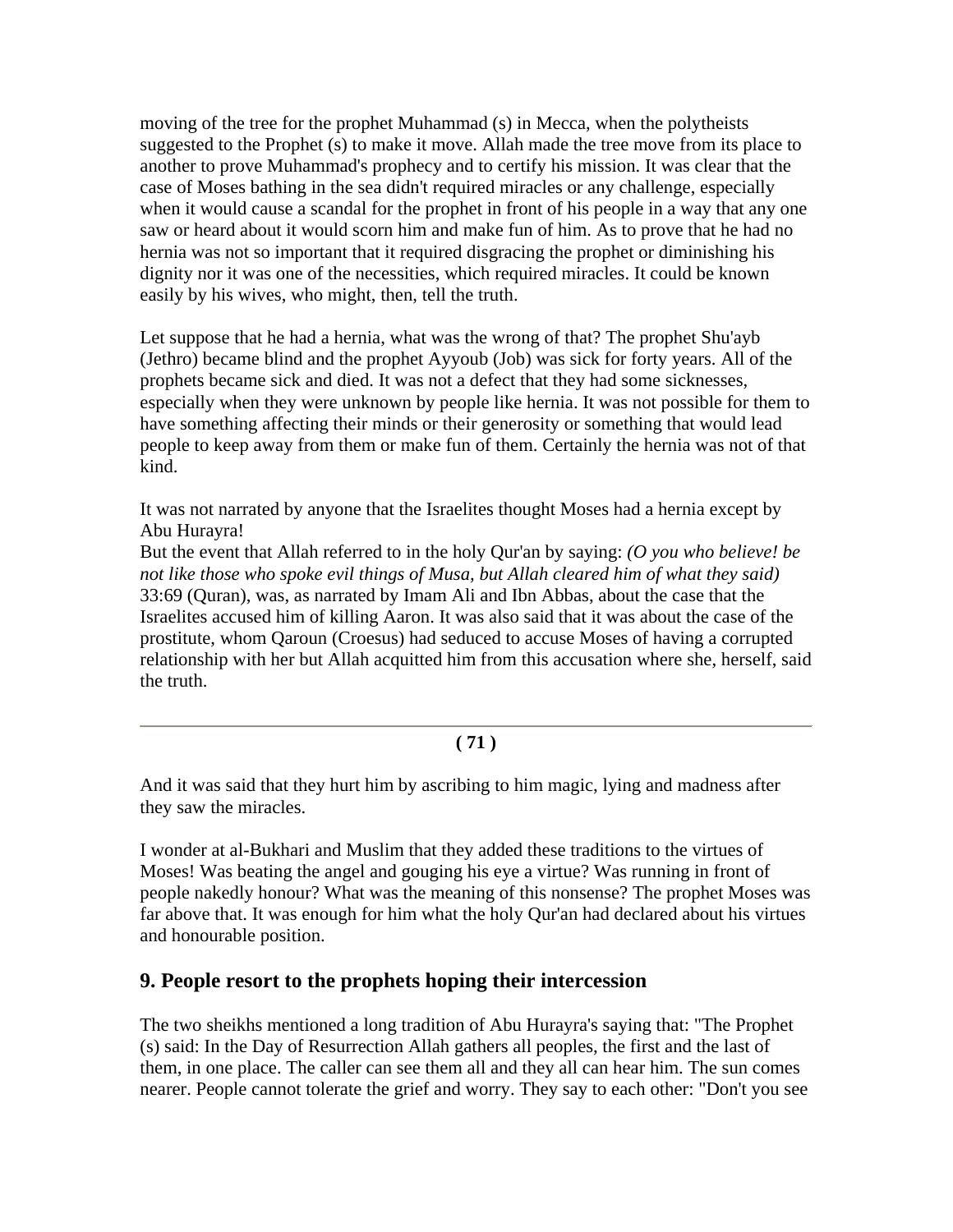moving of the tree for the prophet Muhammad (s) in Mecca, when the polytheists suggested to the Prophet (s) to make it move. Allah made the tree move from its place to another to prove Muhammad's prophecy and to certify his mission. It was clear that the case of Moses bathing in the sea didn't required miracles or any challenge, especially when it would cause a scandal for the prophet in front of his people in a way that any one saw or heard about it would scorn him and make fun of him. As to prove that he had no hernia was not so important that it required disgracing the prophet or diminishing his dignity nor it was one of the necessities, which required miracles. It could be known easily by his wives, who might, then, tell the truth.

Let suppose that he had a hernia, what was the wrong of that? The prophet Shu'ayb (Jethro) became blind and the prophet Ayyoub (Job) was sick for forty years. All of the prophets became sick and died. It was not a defect that they had some sicknesses, especially when they were unknown by people like hernia. It was not possible for them to have something affecting their minds or their generosity or something that would lead people to keep away from them or make fun of them. Certainly the hernia was not of that kind.

It was not narrated by anyone that the Israelites thought Moses had a hernia except by Abu Hurayra!

But the event that Allah referred to in the holy Qur'an by saying: *(O you who believe! be not like those who spoke evil things of Musa, but Allah cleared him of what they said)* 33:69 (Quran), was, as narrated by Imam Ali and Ibn Abbas, about the case that the Israelites accused him of killing Aaron. It was also said that it was about the case of the prostitute, whom Qaroun (Croesus) had seduced to accuse Moses of having a corrupted relationship with her but Allah acquitted him from this accusation where she, herself, said the truth.

## **( 71 )**

And it was said that they hurt him by ascribing to him magic, lying and madness after they saw the miracles.

I wonder at al-Bukhari and Muslim that they added these traditions to the virtues of Moses! Was beating the angel and gouging his eye a virtue? Was running in front of people nakedly honour? What was the meaning of this nonsense? The prophet Moses was far above that. It was enough for him what the holy Qur'an had declared about his virtues and honourable position.

## **9. People resort to the prophets hoping their intercession**

The two sheikhs mentioned a long tradition of Abu Hurayra's saying that: "The Prophet (s) said: In the Day of Resurrection Allah gathers all peoples, the first and the last of them, in one place. The caller can see them all and they all can hear him. The sun comes nearer. People cannot tolerate the grief and worry. They say to each other: "Don't you see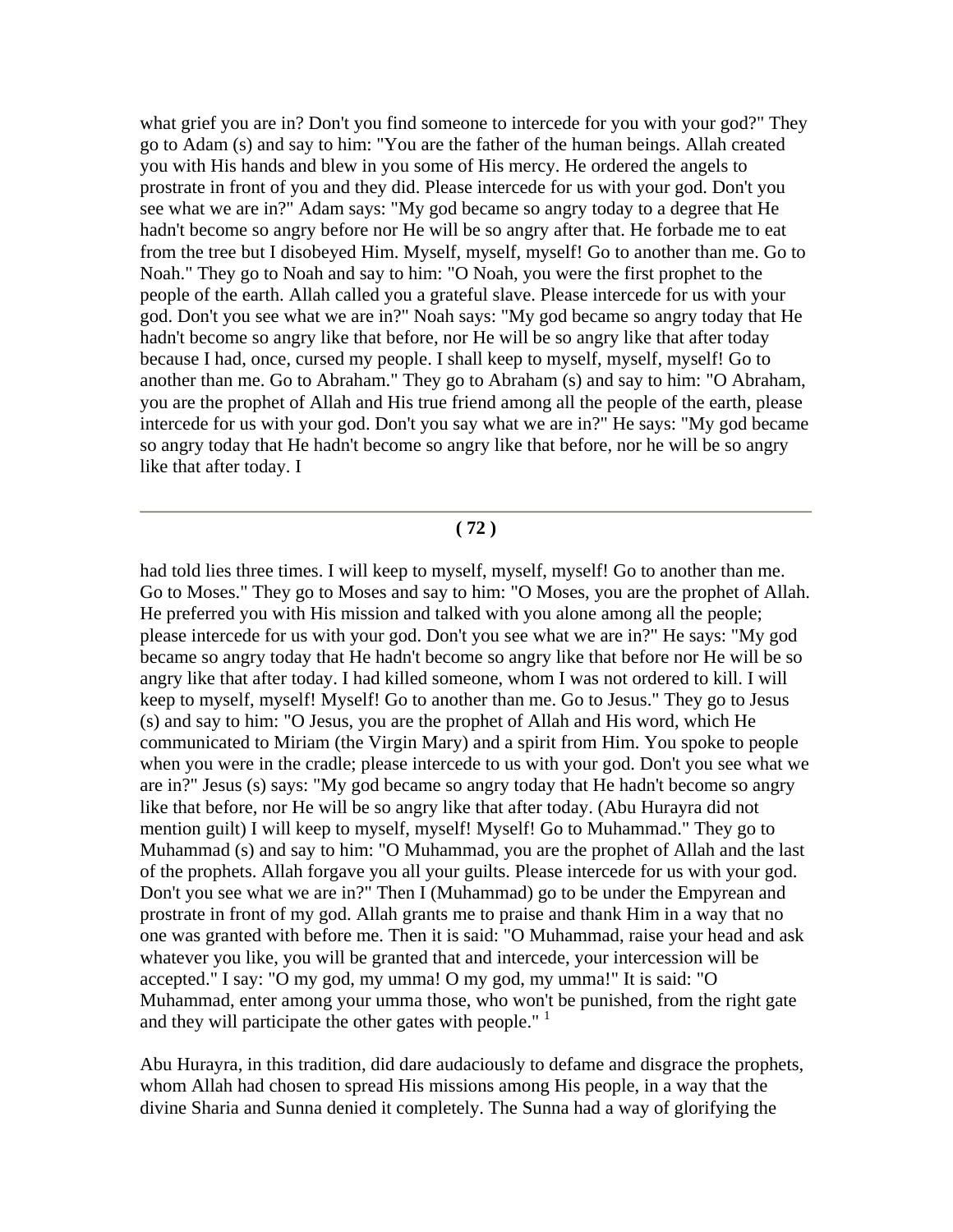what grief you are in? Don't you find someone to intercede for you with your god?" They go to Adam (s) and say to him: "You are the father of the human beings. Allah created you with His hands and blew in you some of His mercy. He ordered the angels to prostrate in front of you and they did. Please intercede for us with your god. Don't you see what we are in?" Adam says: "My god became so angry today to a degree that He hadn't become so angry before nor He will be so angry after that. He forbade me to eat from the tree but I disobeyed Him. Myself, myself, myself! Go to another than me. Go to Noah." They go to Noah and say to him: "O Noah, you were the first prophet to the people of the earth. Allah called you a grateful slave. Please intercede for us with your god. Don't you see what we are in?" Noah says: "My god became so angry today that He hadn't become so angry like that before, nor He will be so angry like that after today because I had, once, cursed my people. I shall keep to myself, myself, myself! Go to another than me. Go to Abraham." They go to Abraham (s) and say to him: "O Abraham, you are the prophet of Allah and His true friend among all the people of the earth, please intercede for us with your god. Don't you say what we are in?" He says: "My god became so angry today that He hadn't become so angry like that before, nor he will be so angry like that after today. I

#### **( 72 )**

had told lies three times. I will keep to myself, myself, myself! Go to another than me. Go to Moses." They go to Moses and say to him: "O Moses, you are the prophet of Allah. He preferred you with His mission and talked with you alone among all the people; please intercede for us with your god. Don't you see what we are in?" He says: "My god became so angry today that He hadn't become so angry like that before nor He will be so angry like that after today. I had killed someone, whom I was not ordered to kill. I will keep to myself, myself! Myself! Go to another than me. Go to Jesus." They go to Jesus (s) and say to him: "O Jesus, you are the prophet of Allah and His word, which He communicated to Miriam (the Virgin Mary) and a spirit from Him. You spoke to people when you were in the cradle; please intercede to us with your god. Don't you see what we are in?" Jesus (s) says: "My god became so angry today that He hadn't become so angry like that before, nor He will be so angry like that after today. (Abu Hurayra did not mention guilt) I will keep to myself, myself! Myself! Go to Muhammad." They go to Muhammad (s) and say to him: "O Muhammad, you are the prophet of Allah and the last of the prophets. Allah forgave you all your guilts. Please intercede for us with your god. Don't you see what we are in?" Then I (Muhammad) go to be under the Empyrean and prostrate in front of my god. Allah grants me to praise and thank Him in a way that no one was granted with before me. Then it is said: "O Muhammad, raise your head and ask whatever you like, you will be granted that and intercede, your intercession will be accepted." I say: "O my god, my umma! O my god, my umma!" It is said: "O Muhammad, enter among your umma those, who won't be punished, from the right gate and they will participate the other gates with people."<sup>1</sup>

Abu Hurayra, in this tradition, did dare audaciously to defame and disgrace the prophets, whom Allah had chosen to spread His missions among His people, in a way that the divine Sharia and Sunna denied it completely. The Sunna had a way of glorifying the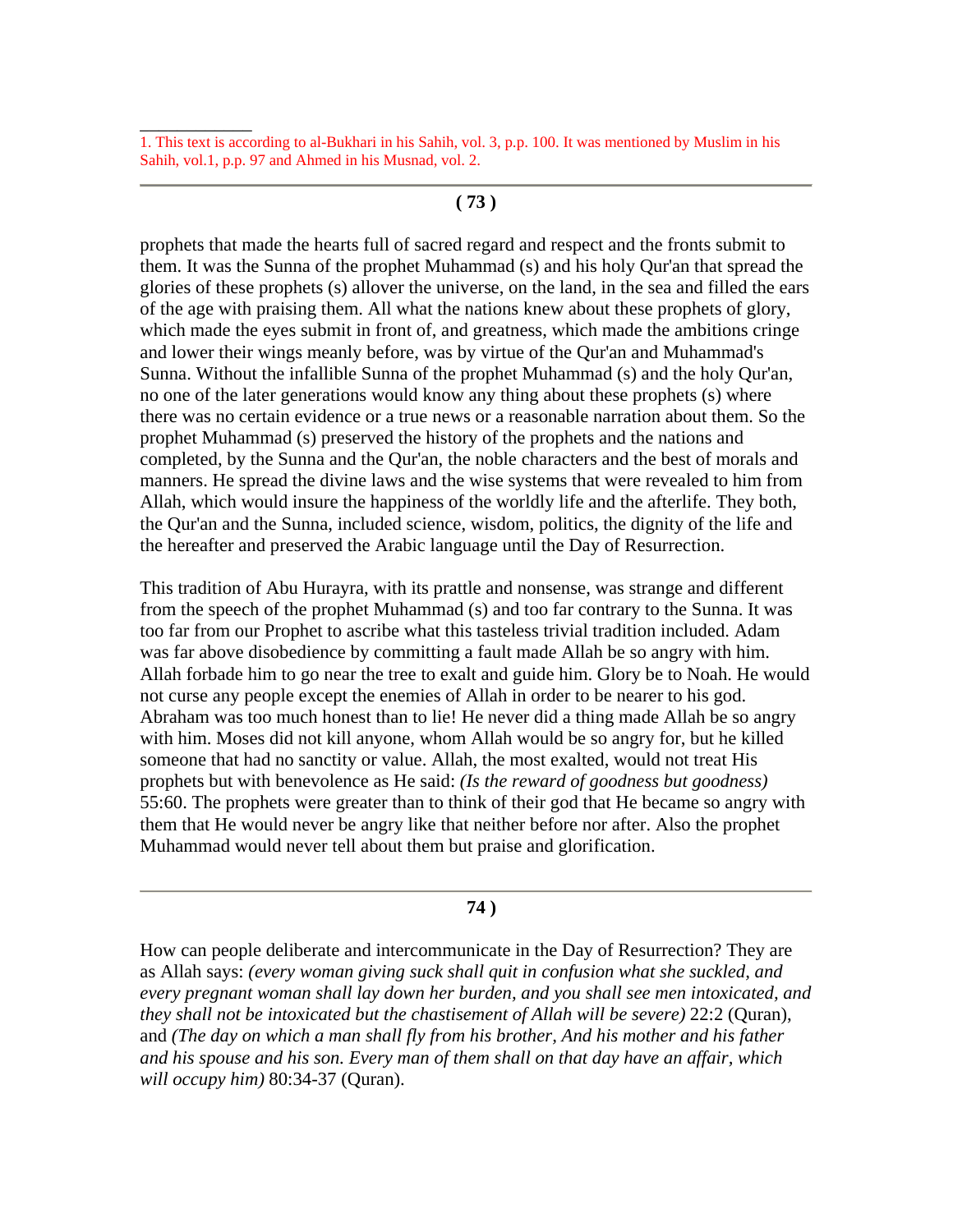\_\_\_\_\_\_\_\_\_\_\_\_

#### **( 73 )**

prophets that made the hearts full of sacred regard and respect and the fronts submit to them. It was the Sunna of the prophet Muhammad (s) and his holy Qur'an that spread the glories of these prophets (s) allover the universe, on the land, in the sea and filled the ears of the age with praising them. All what the nations knew about these prophets of glory, which made the eyes submit in front of, and greatness, which made the ambitions cringe and lower their wings meanly before, was by virtue of the Qur'an and Muhammad's Sunna. Without the infallible Sunna of the prophet Muhammad (s) and the holy Qur'an, no one of the later generations would know any thing about these prophets (s) where there was no certain evidence or a true news or a reasonable narration about them. So the prophet Muhammad (s) preserved the history of the prophets and the nations and completed, by the Sunna and the Qur'an, the noble characters and the best of morals and manners. He spread the divine laws and the wise systems that were revealed to him from Allah, which would insure the happiness of the worldly life and the afterlife. They both, the Qur'an and the Sunna, included science, wisdom, politics, the dignity of the life and the hereafter and preserved the Arabic language until the Day of Resurrection.

This tradition of Abu Hurayra, with its prattle and nonsense, was strange and different from the speech of the prophet Muhammad (s) and too far contrary to the Sunna. It was too far from our Prophet to ascribe what this tasteless trivial tradition included. Adam was far above disobedience by committing a fault made Allah be so angry with him. Allah forbade him to go near the tree to exalt and guide him. Glory be to Noah. He would not curse any people except the enemies of Allah in order to be nearer to his god. Abraham was too much honest than to lie! He never did a thing made Allah be so angry with him. Moses did not kill anyone, whom Allah would be so angry for, but he killed someone that had no sanctity or value. Allah, the most exalted, would not treat His prophets but with benevolence as He said: *(Is the reward of goodness but goodness)*  55:60. The prophets were greater than to think of their god that He became so angry with them that He would never be angry like that neither before nor after. Also the prophet Muhammad would never tell about them but praise and glorification.

#### **( 74 )**

How can people deliberate and intercommunicate in the Day of Resurrection? They are as Allah says: *(every woman giving suck shall quit in confusion what she suckled, and every pregnant woman shall lay down her burden, and you shall see men intoxicated, and they shall not be intoxicated but the chastisement of Allah will be severe)* 22:2 (Quran), and *(The day on which a man shall fly from his brother, And his mother and his father and his spouse and his son. Every man of them shall on that day have an affair, which will occupy him)* 80:34-37 (Quran).

<sup>1.</sup> This text is according to al-Bukhari in his Sahih, vol. 3, p.p. 100. It was mentioned by Muslim in his Sahih, vol.1, p.p. 97 and Ahmed in his Musnad, vol. 2.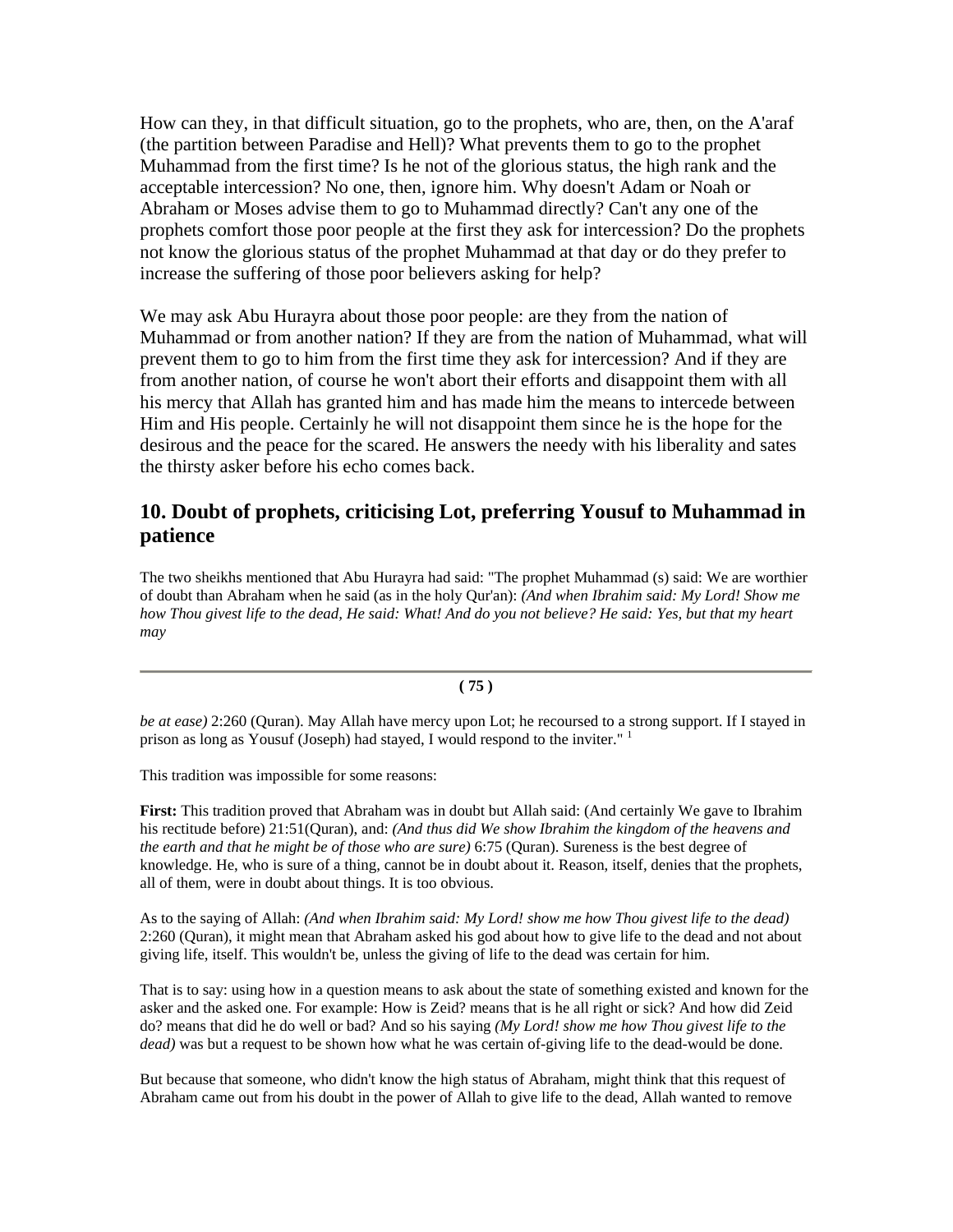How can they, in that difficult situation, go to the prophets, who are, then, on the A'araf (the partition between Paradise and Hell)? What prevents them to go to the prophet Muhammad from the first time? Is he not of the glorious status, the high rank and the acceptable intercession? No one, then, ignore him. Why doesn't Adam or Noah or Abraham or Moses advise them to go to Muhammad directly? Can't any one of the prophets comfort those poor people at the first they ask for intercession? Do the prophets not know the glorious status of the prophet Muhammad at that day or do they prefer to increase the suffering of those poor believers asking for help?

We may ask Abu Hurayra about those poor people: are they from the nation of Muhammad or from another nation? If they are from the nation of Muhammad, what will prevent them to go to him from the first time they ask for intercession? And if they are from another nation, of course he won't abort their efforts and disappoint them with all his mercy that Allah has granted him and has made him the means to intercede between Him and His people. Certainly he will not disappoint them since he is the hope for the desirous and the peace for the scared. He answers the needy with his liberality and sates the thirsty asker before his echo comes back.

## **10. Doubt of prophets, criticising Lot, preferring Yousuf to Muhammad in patience**

The two sheikhs mentioned that Abu Hurayra had said: "The prophet Muhammad (s) said: We are worthier of doubt than Abraham when he said (as in the holy Qur'an): *(And when Ibrahim said: My Lord! Show me how Thou givest life to the dead, He said: What! And do you not believe? He said: Yes, but that my heart may*

#### **( 75 )**

*be at ease)* 2:260 (Quran). May Allah have mercy upon Lot; he recoursed to a strong support. If I stayed in prison as long as Yousuf (Joseph) had stayed, I would respond to the inviter."<sup>1</sup>

This tradition was impossible for some reasons:

**First:** This tradition proved that Abraham was in doubt but Allah said: (And certainly We gave to Ibrahim his rectitude before) 21:51(Quran), and: *(And thus did We show Ibrahim the kingdom of the heavens and the earth and that he might be of those who are sure)* 6:75 (Quran). Sureness is the best degree of knowledge. He, who is sure of a thing, cannot be in doubt about it. Reason, itself, denies that the prophets, all of them, were in doubt about things. It is too obvious.

As to the saying of Allah: *(And when Ibrahim said: My Lord! show me how Thou givest life to the dead)* 2:260 (Quran), it might mean that Abraham asked his god about how to give life to the dead and not about giving life, itself. This wouldn't be, unless the giving of life to the dead was certain for him.

That is to say: using how in a question means to ask about the state of something existed and known for the asker and the asked one. For example: How is Zeid? means that is he all right or sick? And how did Zeid do? means that did he do well or bad? And so his saying *(My Lord! show me how Thou givest life to the dead)* was but a request to be shown how what he was certain of-giving life to the dead-would be done.

But because that someone, who didn't know the high status of Abraham, might think that this request of Abraham came out from his doubt in the power of Allah to give life to the dead, Allah wanted to remove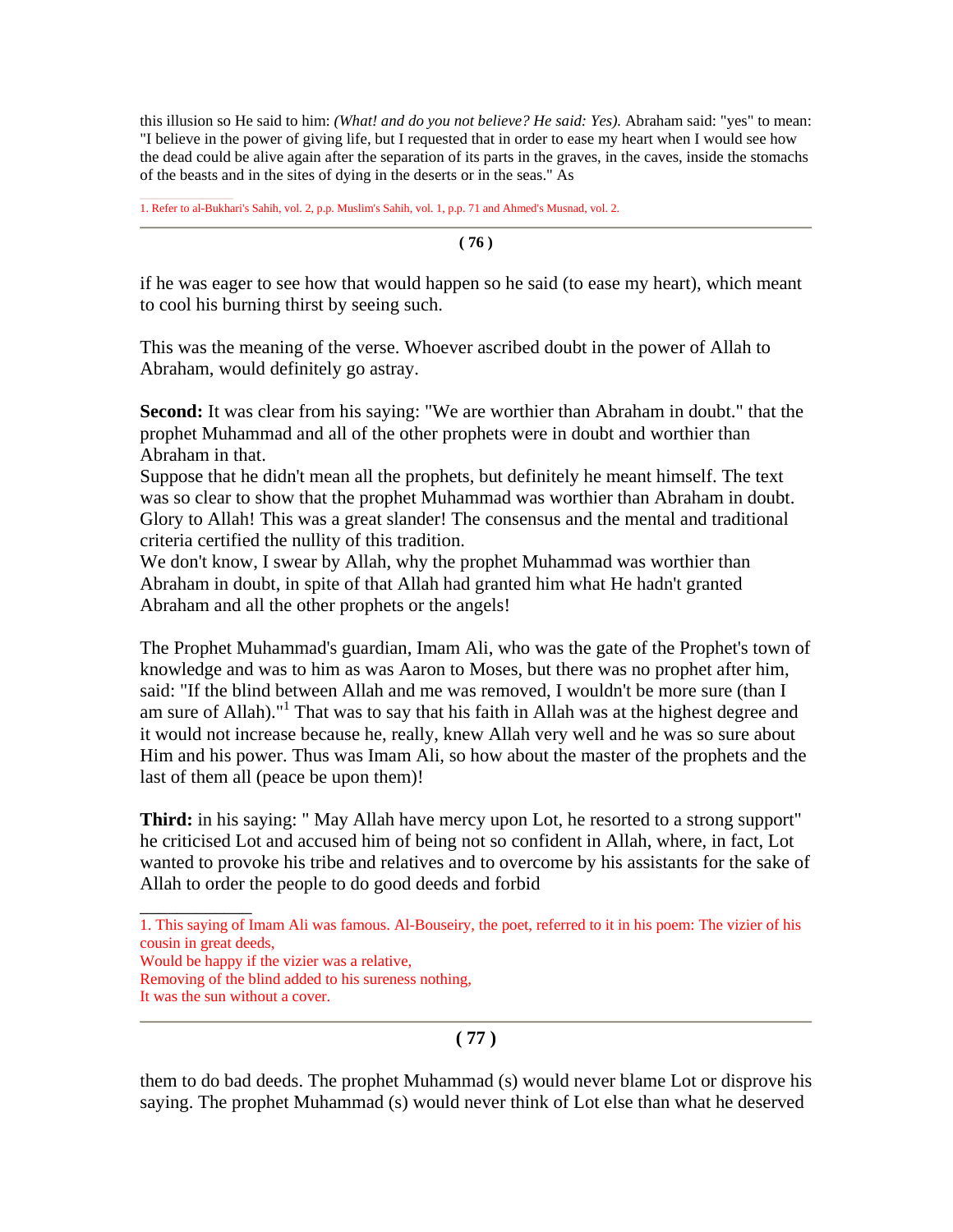this illusion so He said to him: *(What! and do you not believe? He said: Yes).* Abraham said: "yes" to mean: "I believe in the power of giving life, but I requested that in order to ease my heart when I would see how the dead could be alive again after the separation of its parts in the graves, in the caves, inside the stomachs of the beasts and in the sites of dying in the deserts or in the seas." As

1. Refer to al-Bukhari's Sahih, vol. 2, p.p. Muslim's Sahih, vol. 1, p.p. 71 and Ahmed's Musnad, vol. 2.

**( 76 )**

if he was eager to see how that would happen so he said (to ease my heart), which meant to cool his burning thirst by seeing such.

This was the meaning of the verse. Whoever ascribed doubt in the power of Allah to Abraham, would definitely go astray.

**Second:** It was clear from his saying: "We are worthier than Abraham in doubt." that the prophet Muhammad and all of the other prophets were in doubt and worthier than Abraham in that.

Suppose that he didn't mean all the prophets, but definitely he meant himself. The text was so clear to show that the prophet Muhammad was worthier than Abraham in doubt. Glory to Allah! This was a great slander! The consensus and the mental and traditional criteria certified the nullity of this tradition.

We don't know, I swear by Allah, why the prophet Muhammad was worthier than Abraham in doubt, in spite of that Allah had granted him what He hadn't granted Abraham and all the other prophets or the angels!

The Prophet Muhammad's guardian, Imam Ali, who was the gate of the Prophet's town of knowledge and was to him as was Aaron to Moses, but there was no prophet after him, said: "If the blind between Allah and me was removed, I wouldn't be more sure (than I am sure of Allah)."<sup>1</sup> That was to say that his faith in Allah was at the highest degree and it would not increase because he, really, knew Allah very well and he was so sure about Him and his power. Thus was Imam Ali, so how about the master of the prophets and the last of them all (peace be upon them)!

**Third:** in his saying: " May Allah have mercy upon Lot, he resorted to a strong support" he criticised Lot and accused him of being not so confident in Allah, where, in fact, Lot wanted to provoke his tribe and relatives and to overcome by his assistants for the sake of Allah to order the people to do good deeds and forbid

1. This saying of Imam Ali was famous. Al-Bouseiry, the poet, referred to it in his poem: The vizier of his cousin in great deeds,

Would be happy if the vizier was a relative,

Removing of the blind added to his sureness nothing,

\_\_\_\_\_\_\_\_\_\_\_\_

### **( 77 )**

them to do bad deeds. The prophet Muhammad (s) would never blame Lot or disprove his saying. The prophet Muhammad (s) would never think of Lot else than what he deserved

It was the sun without a cover.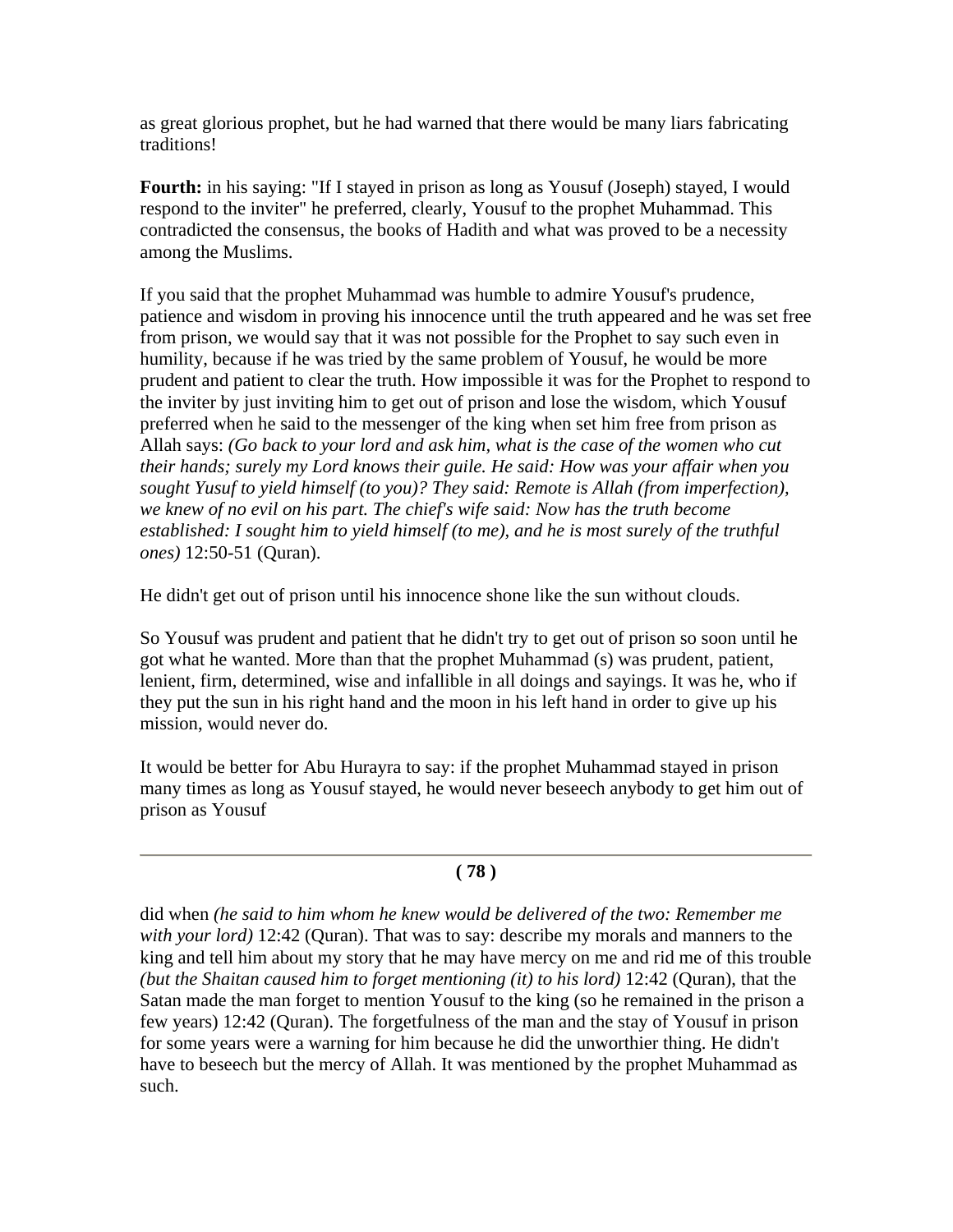as great glorious prophet, but he had warned that there would be many liars fabricating traditions!

**Fourth:** in his saying: "If I stayed in prison as long as Yousuf (Joseph) stayed, I would respond to the inviter" he preferred, clearly, Yousuf to the prophet Muhammad. This contradicted the consensus, the books of Hadith and what was proved to be a necessity among the Muslims.

If you said that the prophet Muhammad was humble to admire Yousuf's prudence, patience and wisdom in proving his innocence until the truth appeared and he was set free from prison, we would say that it was not possible for the Prophet to say such even in humility, because if he was tried by the same problem of Yousuf, he would be more prudent and patient to clear the truth. How impossible it was for the Prophet to respond to the inviter by just inviting him to get out of prison and lose the wisdom, which Yousuf preferred when he said to the messenger of the king when set him free from prison as Allah says: *(Go back to your lord and ask him, what is the case of the women who cut their hands; surely my Lord knows their guile. He said: How was your affair when you sought Yusuf to yield himself (to you)? They said: Remote is Allah (from imperfection), we knew of no evil on his part. The chief's wife said: Now has the truth become established: I sought him to yield himself (to me), and he is most surely of the truthful ones)* 12:50-51 (Quran).

He didn't get out of prison until his innocence shone like the sun without clouds.

So Yousuf was prudent and patient that he didn't try to get out of prison so soon until he got what he wanted. More than that the prophet Muhammad (s) was prudent, patient, lenient, firm, determined, wise and infallible in all doings and sayings. It was he, who if they put the sun in his right hand and the moon in his left hand in order to give up his mission, would never do.

It would be better for Abu Hurayra to say: if the prophet Muhammad stayed in prison many times as long as Yousuf stayed, he would never beseech anybody to get him out of prison as Yousuf

## **( 78 )**

did when *(he said to him whom he knew would be delivered of the two: Remember me with your lord)* 12:42 (Quran). That was to say: describe my morals and manners to the king and tell him about my story that he may have mercy on me and rid me of this trouble *(but the Shaitan caused him to forget mentioning (it) to his lord)* 12:42 (Quran), that the Satan made the man forget to mention Yousuf to the king (so he remained in the prison a few years) 12:42 (Quran). The forgetfulness of the man and the stay of Yousuf in prison for some years were a warning for him because he did the unworthier thing. He didn't have to beseech but the mercy of Allah. It was mentioned by the prophet Muhammad as such.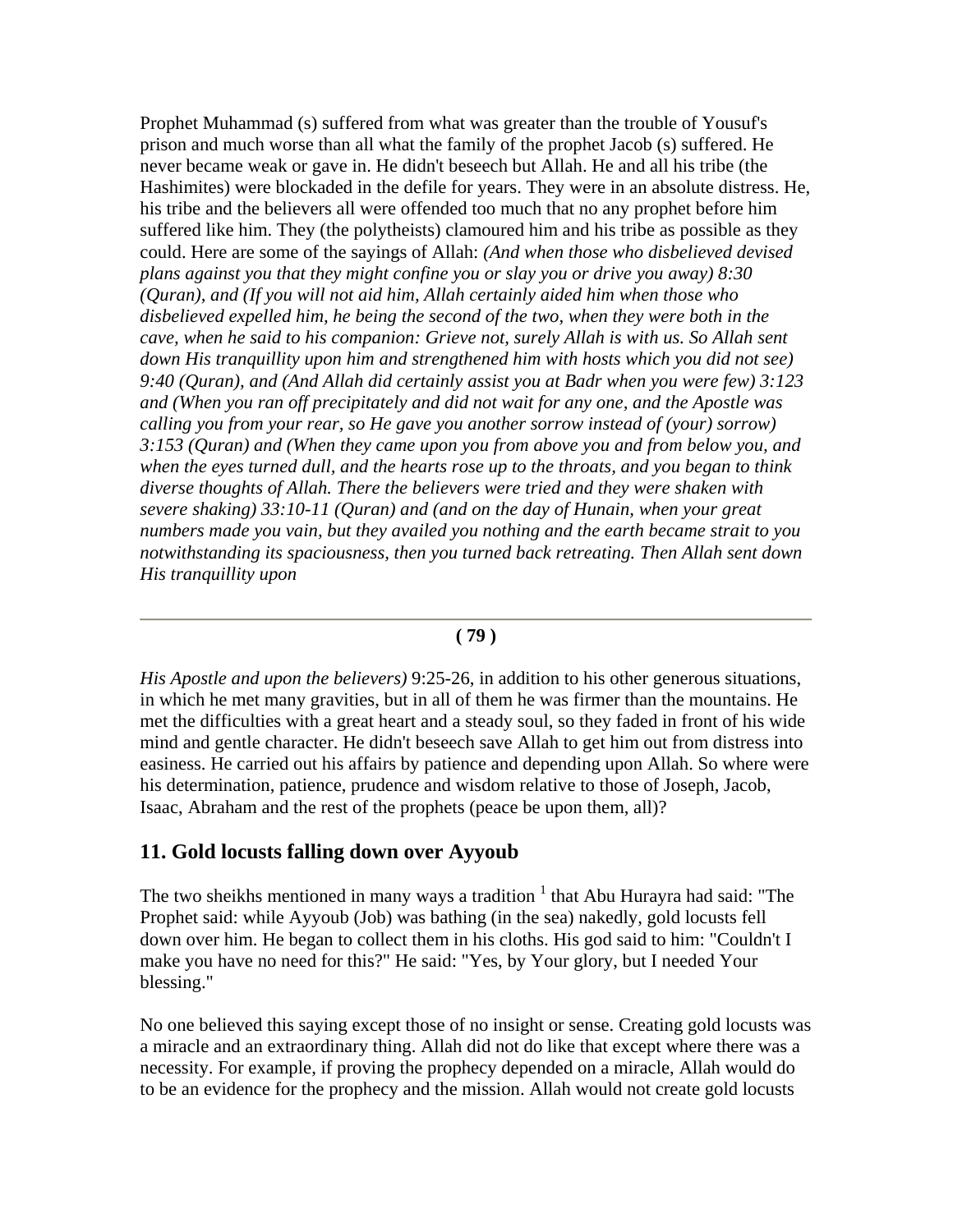Prophet Muhammad (s) suffered from what was greater than the trouble of Yousuf's prison and much worse than all what the family of the prophet Jacob (s) suffered. He never became weak or gave in. He didn't beseech but Allah. He and all his tribe (the Hashimites) were blockaded in the defile for years. They were in an absolute distress. He, his tribe and the believers all were offended too much that no any prophet before him suffered like him. They (the polytheists) clamoured him and his tribe as possible as they could. Here are some of the sayings of Allah: *(And when those who disbelieved devised plans against you that they might confine you or slay you or drive you away) 8:30 (Quran), and (If you will not aid him, Allah certainly aided him when those who disbelieved expelled him, he being the second of the two, when they were both in the cave, when he said to his companion: Grieve not, surely Allah is with us. So Allah sent down His tranquillity upon him and strengthened him with hosts which you did not see) 9:40 (Quran), and (And Allah did certainly assist you at Badr when you were few) 3:123 and (When you ran off precipitately and did not wait for any one, and the Apostle was calling you from your rear, so He gave you another sorrow instead of (your) sorrow) 3:153 (Quran) and (When they came upon you from above you and from below you, and when the eyes turned dull, and the hearts rose up to the throats, and you began to think diverse thoughts of Allah. There the believers were tried and they were shaken with severe shaking) 33:10-11 (Quran) and (and on the day of Hunain, when your great numbers made you vain, but they availed you nothing and the earth became strait to you notwithstanding its spaciousness, then you turned back retreating. Then Allah sent down His tranquillity upon* 

#### **( 79 )**

*His Apostle and upon the believers)* 9:25-26, in addition to his other generous situations, in which he met many gravities, but in all of them he was firmer than the mountains. He met the difficulties with a great heart and a steady soul, so they faded in front of his wide mind and gentle character. He didn't beseech save Allah to get him out from distress into easiness. He carried out his affairs by patience and depending upon Allah. So where were his determination, patience, prudence and wisdom relative to those of Joseph, Jacob, Isaac, Abraham and the rest of the prophets (peace be upon them, all)?

### **11. Gold locusts falling down over Ayyoub**

The two sheikhs mentioned in many ways a tradition  $1$  that Abu Hurayra had said: "The Prophet said: while Ayyoub (Job) was bathing (in the sea) nakedly, gold locusts fell down over him. He began to collect them in his cloths. His god said to him: "Couldn't I make you have no need for this?" He said: "Yes, by Your glory, but I needed Your blessing."

No one believed this saying except those of no insight or sense. Creating gold locusts was a miracle and an extraordinary thing. Allah did not do like that except where there was a necessity. For example, if proving the prophecy depended on a miracle, Allah would do to be an evidence for the prophecy and the mission. Allah would not create gold locusts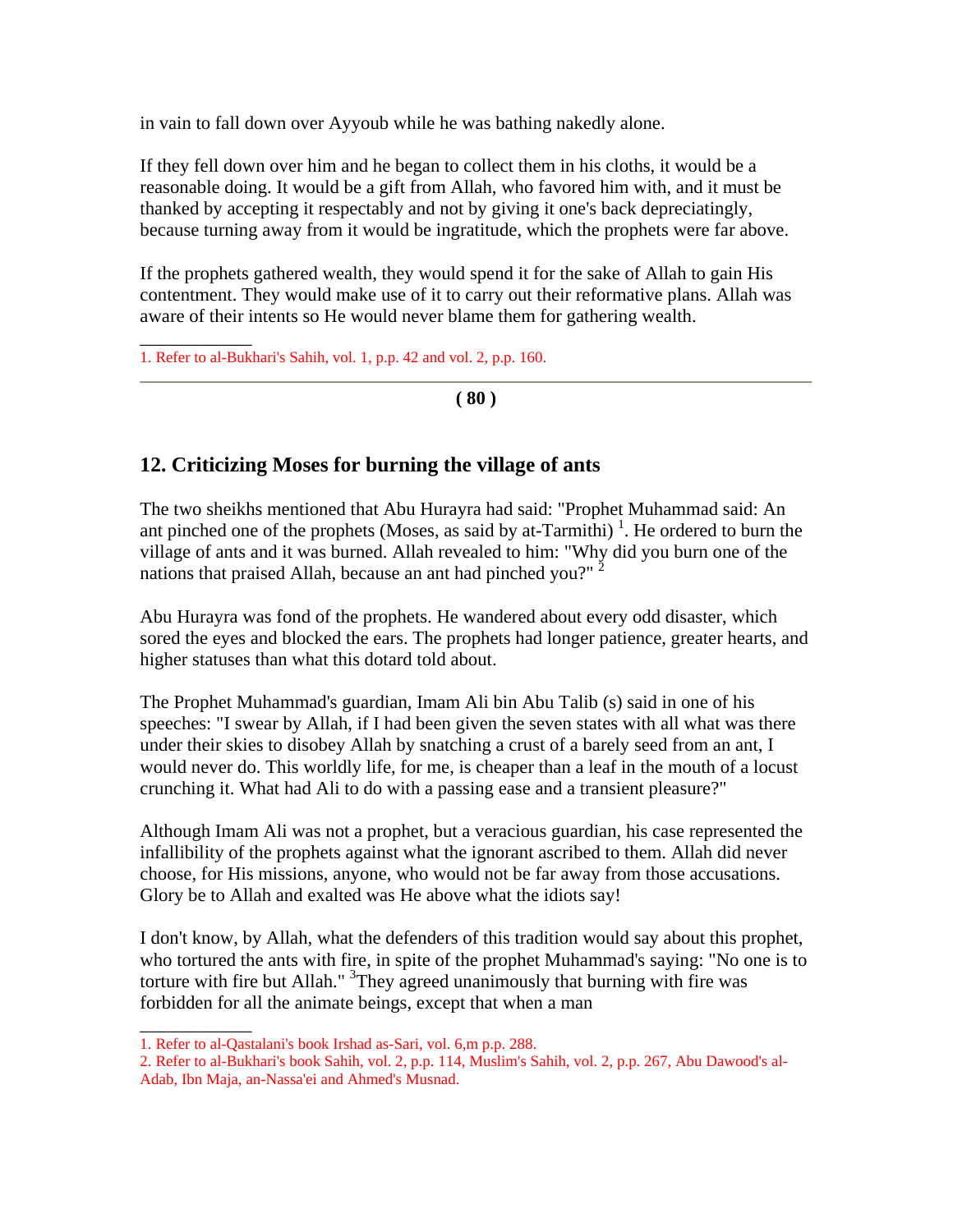in vain to fall down over Ayyoub while he was bathing nakedly alone.

If they fell down over him and he began to collect them in his cloths, it would be a reasonable doing. It would be a gift from Allah, who favored him with, and it must be thanked by accepting it respectably and not by giving it one's back depreciatingly, because turning away from it would be ingratitude, which the prophets were far above.

If the prophets gathered wealth, they would spend it for the sake of Allah to gain His contentment. They would make use of it to carry out their reformative plans. Allah was aware of their intents so He would never blame them for gathering wealth.

1. Refer to al-Bukhari's Sahih, vol. 1, p.p. 42 and vol. 2, p.p. 160.

\_\_\_\_\_\_\_\_\_\_\_\_

\_\_\_\_\_\_\_\_\_\_\_\_

**( 80 )**

## **12. Criticizing Moses for burning the village of ants**

The two sheikhs mentioned that Abu Hurayra had said: "Prophet Muhammad said: An ant pinched one of the prophets (Moses, as said by at-Tarmithi)<sup>1</sup>. He ordered to burn the village of ants and it was burned. Allah revealed to him: "Why did you burn one of the nations that praised Allah, because an ant had pinched you?"  $2^2$ 

Abu Hurayra was fond of the prophets. He wandered about every odd disaster, which sored the eyes and blocked the ears. The prophets had longer patience, greater hearts, and higher statuses than what this dotard told about.

The Prophet Muhammad's guardian, Imam Ali bin Abu Talib (s) said in one of his speeches: "I swear by Allah, if I had been given the seven states with all what was there under their skies to disobey Allah by snatching a crust of a barely seed from an ant, I would never do. This worldly life, for me, is cheaper than a leaf in the mouth of a locust crunching it. What had Ali to do with a passing ease and a transient pleasure?"

Although Imam Ali was not a prophet, but a veracious guardian, his case represented the infallibility of the prophets against what the ignorant ascribed to them. Allah did never choose, for His missions, anyone, who would not be far away from those accusations. Glory be to Allah and exalted was He above what the idiots say!

I don't know, by Allah, what the defenders of this tradition would say about this prophet, who tortured the ants with fire, in spite of the prophet Muhammad's saying: "No one is to torture with fire but Allah." <sup>3</sup>They agreed unanimously that burning with fire was forbidden for all the animate beings, except that when a man

<sup>1.</sup> Refer to al-Qastalani's book Irshad as-Sari, vol. 6,m p.p. 288.

<sup>2.</sup> Refer to al-Bukhari's book Sahih, vol. 2, p.p. 114, Muslim's Sahih, vol. 2, p.p. 267, Abu Dawood's al-Adab, Ibn Maja, an-Nassa'ei and Ahmed's Musnad.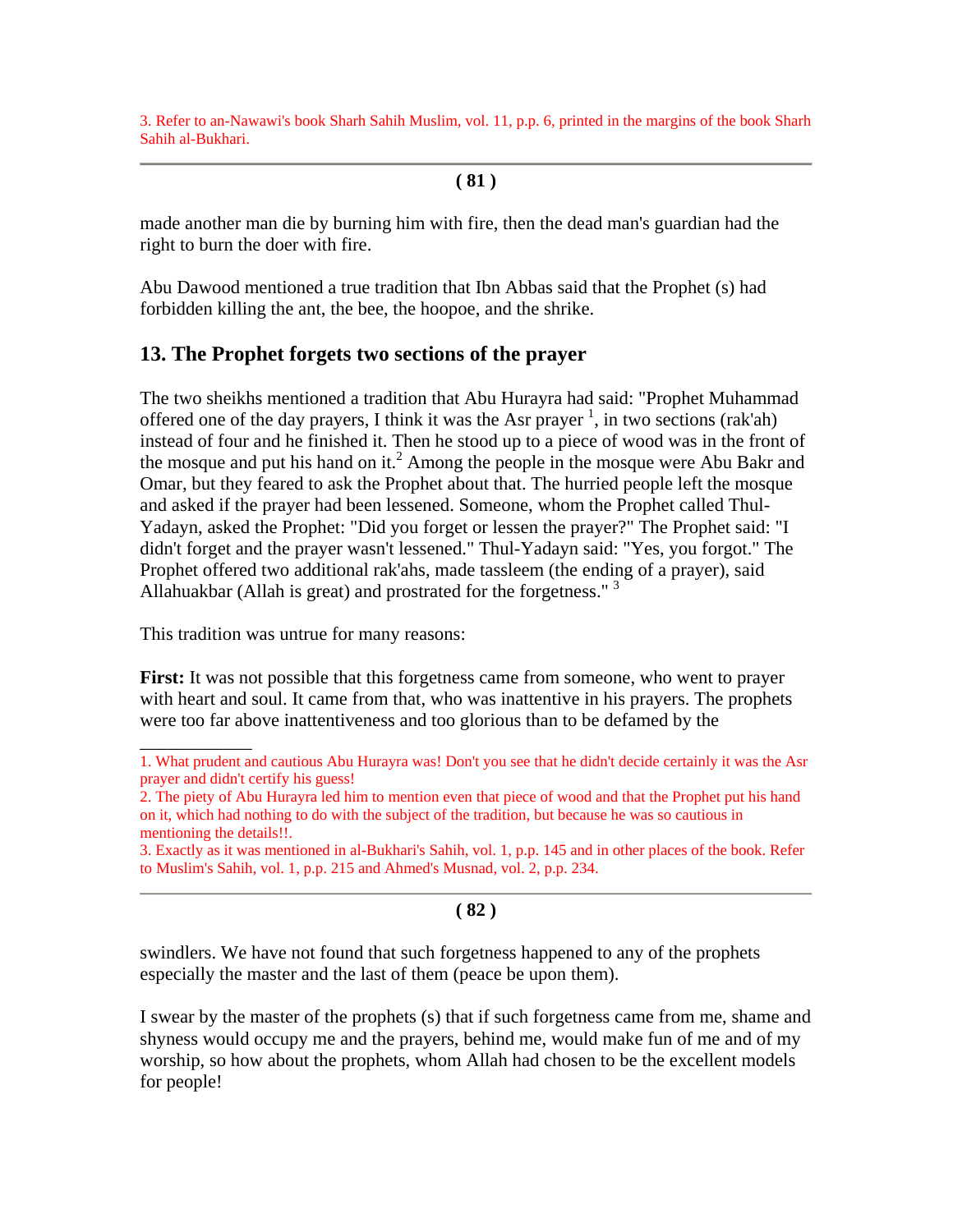3. Refer to an-Nawawi's book Sharh Sahih Muslim, vol. 11, p.p. 6, printed in the margins of the book Sharh Sahih al-Bukhari.

### **( 81 )**

made another man die by burning him with fire, then the dead man's guardian had the right to burn the doer with fire.

Abu Dawood mentioned a true tradition that Ibn Abbas said that the Prophet (s) had forbidden killing the ant, the bee, the hoopoe, and the shrike.

## **13. The Prophet forgets two sections of the prayer**

The two sheikhs mentioned a tradition that Abu Hurayra had said: "Prophet Muhammad offered one of the day prayers, I think it was the Asr prayer<sup>1</sup>, in two sections (rak'ah) instead of four and he finished it. Then he stood up to a piece of wood was in the front of the mosque and put his hand on it.<sup>2</sup> Among the people in the mosque were Abu Bakr and Omar, but they feared to ask the Prophet about that. The hurried people left the mosque and asked if the prayer had been lessened. Someone, whom the Prophet called Thul-Yadayn, asked the Prophet: "Did you forget or lessen the prayer?" The Prophet said: "I didn't forget and the prayer wasn't lessened." Thul-Yadayn said: "Yes, you forgot." The Prophet offered two additional rak'ahs, made tassleem (the ending of a prayer), said Allahuakbar (Allah is great) and prostrated for the forgetness."<sup>3</sup>

This tradition was untrue for many reasons:

\_\_\_\_\_\_\_\_\_\_\_\_

**First:** It was not possible that this forgetness came from someone, who went to prayer with heart and soul. It came from that, who was inattentive in his prayers. The prophets were too far above inattentiveness and too glorious than to be defamed by the

## **( 82 )**

swindlers. We have not found that such forgetness happened to any of the prophets especially the master and the last of them (peace be upon them).

I swear by the master of the prophets (s) that if such forgetness came from me, shame and shyness would occupy me and the prayers, behind me, would make fun of me and of my worship, so how about the prophets, whom Allah had chosen to be the excellent models for people!

<sup>1.</sup> What prudent and cautious Abu Hurayra was! Don't you see that he didn't decide certainly it was the Asr prayer and didn't certify his guess!

<sup>2.</sup> The piety of Abu Hurayra led him to mention even that piece of wood and that the Prophet put his hand on it, which had nothing to do with the subject of the tradition, but because he was so cautious in mentioning the details!!.

<sup>3.</sup> Exactly as it was mentioned in al-Bukhari's Sahih, vol. 1, p.p. 145 and in other places of the book. Refer to Muslim's Sahih, vol. 1, p.p. 215 and Ahmed's Musnad, vol. 2, p.p. 234.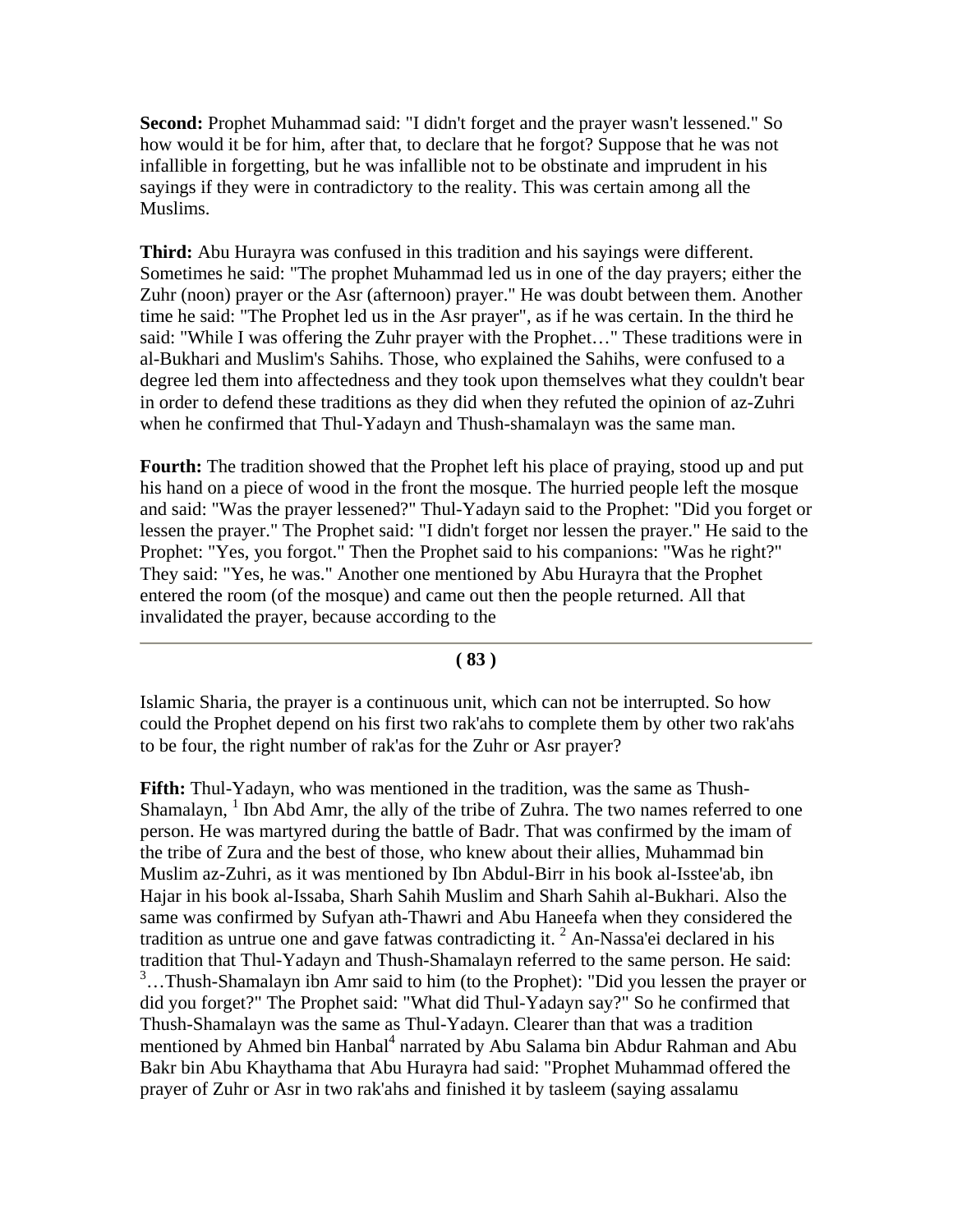**Second:** Prophet Muhammad said: "I didn't forget and the prayer wasn't lessened." So how would it be for him, after that, to declare that he forgot? Suppose that he was not infallible in forgetting, but he was infallible not to be obstinate and imprudent in his sayings if they were in contradictory to the reality. This was certain among all the Muslims.

**Third:** Abu Hurayra was confused in this tradition and his sayings were different. Sometimes he said: "The prophet Muhammad led us in one of the day prayers; either the Zuhr (noon) prayer or the Asr (afternoon) prayer." He was doubt between them. Another time he said: "The Prophet led us in the Asr prayer", as if he was certain. In the third he said: "While I was offering the Zuhr prayer with the Prophet…" These traditions were in al-Bukhari and Muslim's Sahihs. Those, who explained the Sahihs, were confused to a degree led them into affectedness and they took upon themselves what they couldn't bear in order to defend these traditions as they did when they refuted the opinion of az-Zuhri when he confirmed that Thul-Yadayn and Thush-shamalayn was the same man.

**Fourth:** The tradition showed that the Prophet left his place of praying, stood up and put his hand on a piece of wood in the front the mosque. The hurried people left the mosque and said: "Was the prayer lessened?" Thul-Yadayn said to the Prophet: "Did you forget or lessen the prayer." The Prophet said: "I didn't forget nor lessen the prayer." He said to the Prophet: "Yes, you forgot." Then the Prophet said to his companions: "Was he right?" They said: "Yes, he was." Another one mentioned by Abu Hurayra that the Prophet entered the room (of the mosque) and came out then the people returned. All that invalidated the prayer, because according to the

#### **( 83 )**

Islamic Sharia, the prayer is a continuous unit, which can not be interrupted. So how could the Prophet depend on his first two rak'ahs to complete them by other two rak'ahs to be four, the right number of rak'as for the Zuhr or Asr prayer?

**Fifth:** Thul-Yadayn, who was mentioned in the tradition, was the same as Thush-Shamalayn,  $1$  Ibn Abd Amr, the ally of the tribe of Zuhra. The two names referred to one person. He was martyred during the battle of Badr. That was confirmed by the imam of the tribe of Zura and the best of those, who knew about their allies, Muhammad bin Muslim az-Zuhri, as it was mentioned by Ibn Abdul-Birr in his book al-Isstee'ab, ibn Hajar in his book al-Issaba, Sharh Sahih Muslim and Sharh Sahih al-Bukhari. Also the same was confirmed by Sufyan ath-Thawri and Abu Haneefa when they considered the tradition as untrue one and gave fatwas contradicting it.<sup>2</sup> An-Nassa'ei declared in his tradition that Thul-Yadayn and Thush-Shamalayn referred to the same person. He said: <sup>3</sup>...Thush-Shamalayn ibn Amr said to him (to the Prophet): "Did you lessen the prayer or did you forget?" The Prophet said: "What did Thul-Yadayn say?" So he confirmed that Thush-Shamalayn was the same as Thul-Yadayn. Clearer than that was a tradition mentioned by Ahmed bin Hanbal<sup>4</sup> narrated by Abu Salama bin Abdur Rahman and Abu Bakr bin Abu Khaythama that Abu Hurayra had said: "Prophet Muhammad offered the prayer of Zuhr or Asr in two rak'ahs and finished it by tasleem (saying assalamu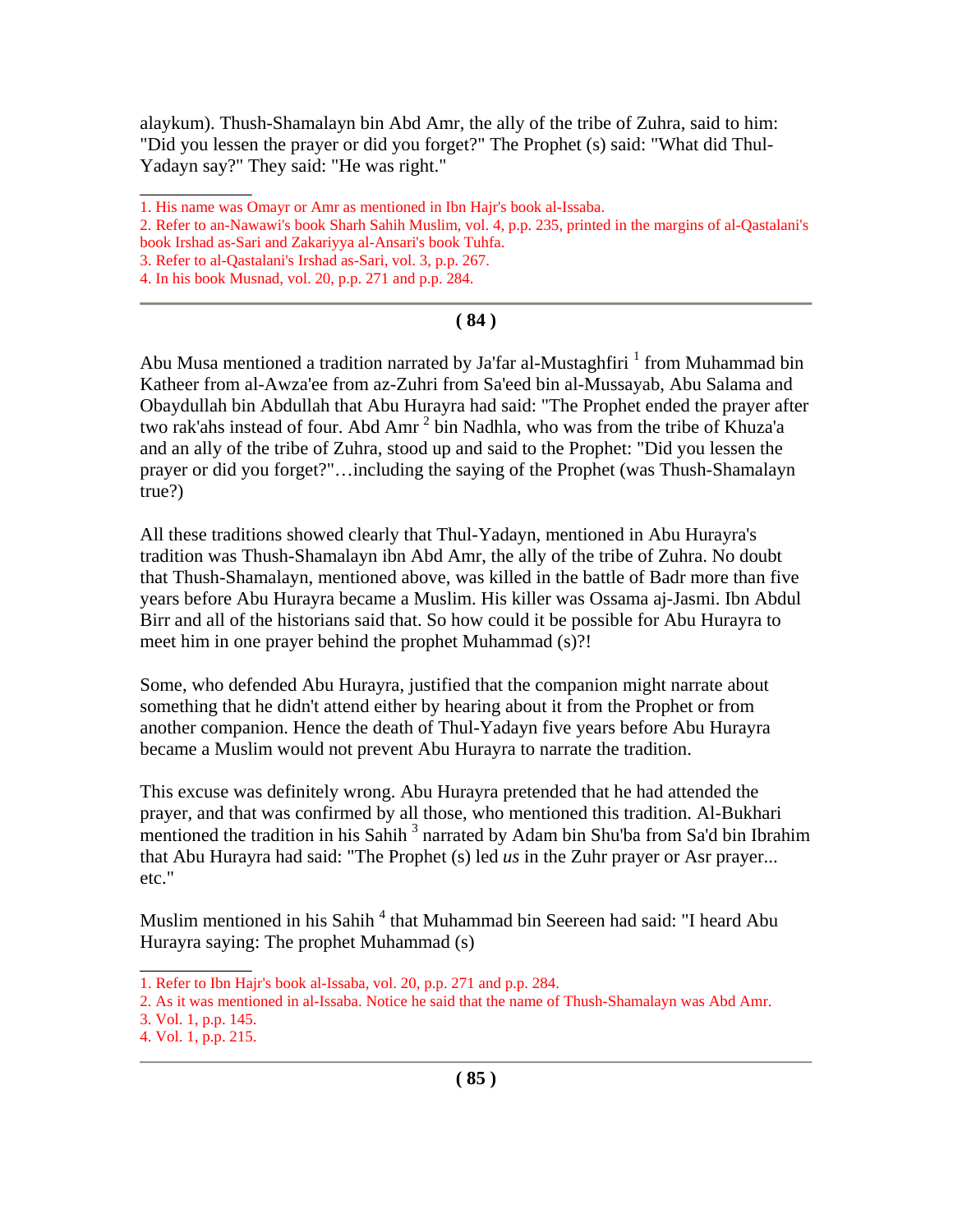alaykum). Thush-Shamalayn bin Abd Amr, the ally of the tribe of Zuhra, said to him: "Did you lessen the prayer or did you forget?" The Prophet (s) said: "What did Thul-Yadayn say?" They said: "He was right."

\_\_\_\_\_\_\_\_\_\_\_\_

### **( 84 )**

Abu Musa mentioned a tradition narrated by Ja'far al-Mustaghfiri  $^1$  from Muhammad bin Katheer from al-Awza'ee from az-Zuhri from Sa'eed bin al-Mussayab, Abu Salama and Obaydullah bin Abdullah that Abu Hurayra had said: "The Prophet ended the prayer after two rak'ahs instead of four. Abd Amr<sup>2</sup> bin Nadhla, who was from the tribe of Khuza'a and an ally of the tribe of Zuhra, stood up and said to the Prophet: "Did you lessen the prayer or did you forget?"…including the saying of the Prophet (was Thush-Shamalayn true?)

All these traditions showed clearly that Thul-Yadayn, mentioned in Abu Hurayra's tradition was Thush-Shamalayn ibn Abd Amr, the ally of the tribe of Zuhra. No doubt that Thush-Shamalayn, mentioned above, was killed in the battle of Badr more than five years before Abu Hurayra became a Muslim. His killer was Ossama aj-Jasmi. Ibn Abdul Birr and all of the historians said that. So how could it be possible for Abu Hurayra to meet him in one prayer behind the prophet Muhammad (s)?!

Some, who defended Abu Hurayra, justified that the companion might narrate about something that he didn't attend either by hearing about it from the Prophet or from another companion. Hence the death of Thul-Yadayn five years before Abu Hurayra became a Muslim would not prevent Abu Hurayra to narrate the tradition.

This excuse was definitely wrong. Abu Hurayra pretended that he had attended the prayer, and that was confirmed by all those, who mentioned this tradition. Al-Bukhari mentioned the tradition in his Sahih<sup>3</sup> narrated by Adam bin Shu'ba from Sa'd bin Ibrahim that Abu Hurayra had said: "The Prophet (s) led *us* in the Zuhr prayer or Asr prayer... etc."

Muslim mentioned in his Sahih<sup>4</sup> that Muhammad bin Seereen had said: "I heard Abu Hurayra saying: The prophet Muhammad (s)

 $\overline{\phantom{a}}$ 

<sup>1.</sup> His name was Omayr or Amr as mentioned in Ibn Hajr's book al-Issaba.

<sup>2.</sup> Refer to an-Nawawi's book Sharh Sahih Muslim, vol. 4, p.p. 235, printed in the margins of al-Qastalani's book Irshad as-Sari and Zakariyya al-Ansari's book Tuhfa.

<sup>3.</sup> Refer to al-Qastalani's Irshad as-Sari, vol. 3, p.p. 267.

<sup>4.</sup> In his book Musnad, vol. 20, p.p. 271 and p.p. 284.

<sup>1.</sup> Refer to Ibn Hajr's book al-Issaba, vol. 20, p.p. 271 and p.p. 284.

<sup>2.</sup> As it was mentioned in al-Issaba. Notice he said that the name of Thush-Shamalayn was Abd Amr.

<sup>3.</sup> Vol. 1, p.p. 145.

<sup>4.</sup> Vol. 1, p.p. 215.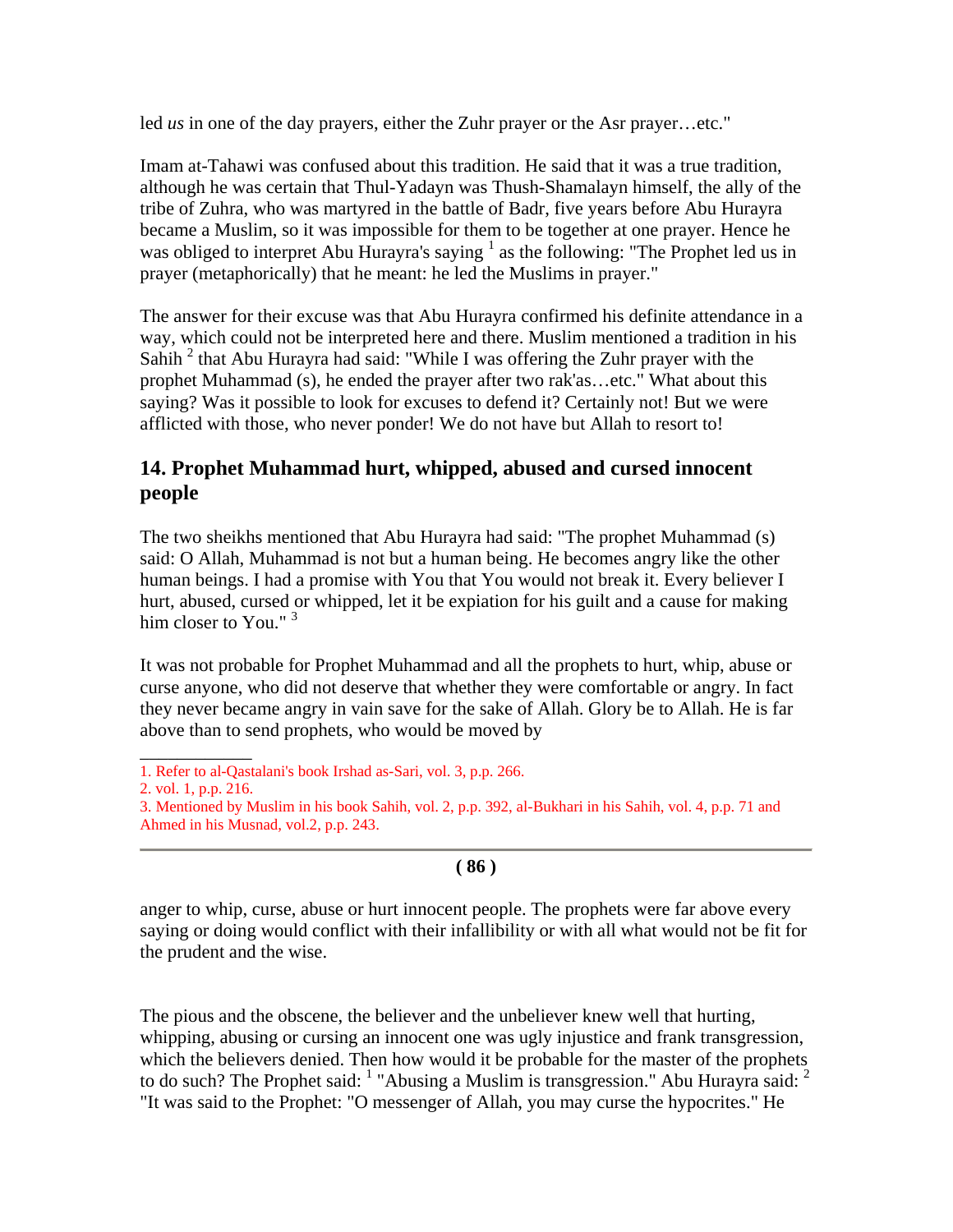led *us* in one of the day prayers, either the Zuhr prayer or the Asr prayer…etc."

Imam at-Tahawi was confused about this tradition. He said that it was a true tradition, although he was certain that Thul-Yadayn was Thush-Shamalayn himself, the ally of the tribe of Zuhra, who was martyred in the battle of Badr, five years before Abu Hurayra became a Muslim, so it was impossible for them to be together at one prayer. Hence he was obliged to interpret Abu Hurayra's saying  $<sup>1</sup>$  as the following: "The Prophet led us in</sup> prayer (metaphorically) that he meant: he led the Muslims in prayer."

The answer for their excuse was that Abu Hurayra confirmed his definite attendance in a way, which could not be interpreted here and there. Muslim mentioned a tradition in his Sahih<sup>2</sup> that Abu Hurayra had said: "While I was offering the Zuhr prayer with the prophet Muhammad (s), he ended the prayer after two rak'as…etc." What about this saying? Was it possible to look for excuses to defend it? Certainly not! But we were afflicted with those, who never ponder! We do not have but Allah to resort to!

# **14. Prophet Muhammad hurt, whipped, abused and cursed innocent people**

The two sheikhs mentioned that Abu Hurayra had said: "The prophet Muhammad (s) said: O Allah, Muhammad is not but a human being. He becomes angry like the other human beings. I had a promise with You that You would not break it. Every believer I hurt, abused, cursed or whipped, let it be expiation for his guilt and a cause for making him closer to You."<sup>3</sup>

It was not probable for Prophet Muhammad and all the prophets to hurt, whip, abuse or curse anyone, who did not deserve that whether they were comfortable or angry. In fact they never became angry in vain save for the sake of Allah. Glory be to Allah. He is far above than to send prophets, who would be moved by

\_\_\_\_\_\_\_\_\_\_\_\_

### **( 86 )**

anger to whip, curse, abuse or hurt innocent people. The prophets were far above every saying or doing would conflict with their infallibility or with all what would not be fit for the prudent and the wise.

The pious and the obscene, the believer and the unbeliever knew well that hurting, whipping, abusing or cursing an innocent one was ugly injustice and frank transgression, which the believers denied. Then how would it be probable for the master of the prophets to do such? The Prophet said:  $1$  "Abusing a Muslim is transgression." Abu Hurayra said:  $2$ "It was said to the Prophet: "O messenger of Allah, you may curse the hypocrites." He

<sup>1.</sup> Refer to al-Qastalani's book Irshad as-Sari, vol. 3, p.p. 266.

<sup>2.</sup> vol. 1, p.p. 216.

<sup>3.</sup> Mentioned by Muslim in his book Sahih, vol. 2, p.p. 392, al-Bukhari in his Sahih, vol. 4, p.p. 71 and Ahmed in his Musnad, vol.2, p.p. 243.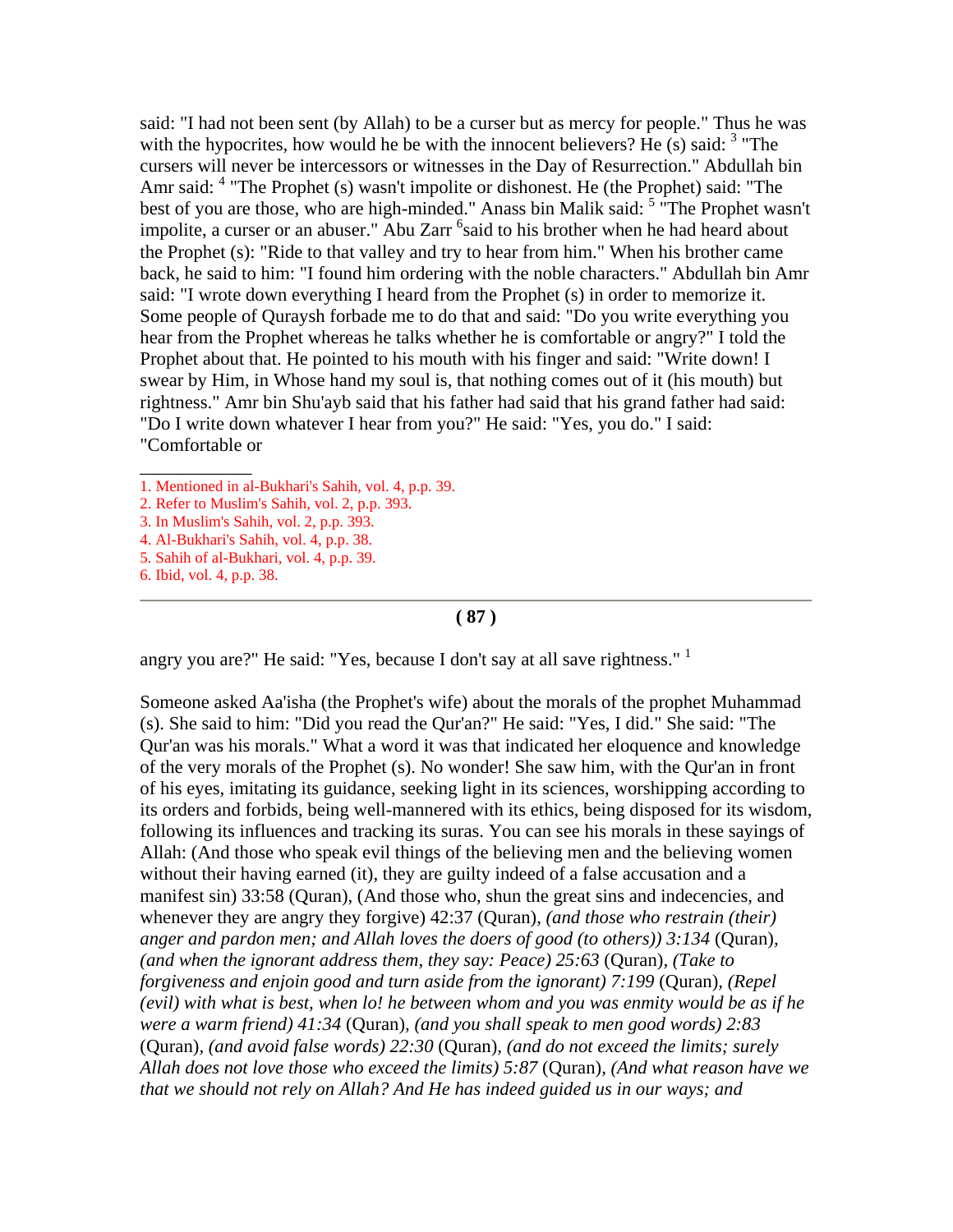said: "I had not been sent (by Allah) to be a curser but as mercy for people." Thus he was with the hypocrites, how would he be with the innocent believers? He  $(s)$  said:  $3$  "The cursers will never be intercessors or witnesses in the Day of Resurrection." Abdullah bin Amr said: <sup>4</sup> "The Prophet (s) wasn't impolite or dishonest. He (the Prophet) said: "The best of you are those, who are high-minded." Anass bin Malik said: <sup>5</sup> "The Prophet wasn't impolite, a curser or an abuser." Abu Zarr <sup>6</sup>said to his brother when he had heard about the Prophet (s): "Ride to that valley and try to hear from him." When his brother came back, he said to him: "I found him ordering with the noble characters." Abdullah bin Amr said: "I wrote down everything I heard from the Prophet (s) in order to memorize it. Some people of Quraysh forbade me to do that and said: "Do you write everything you hear from the Prophet whereas he talks whether he is comfortable or angry?" I told the Prophet about that. He pointed to his mouth with his finger and said: "Write down! I swear by Him, in Whose hand my soul is, that nothing comes out of it (his mouth) but rightness." Amr bin Shu'ayb said that his father had said that his grand father had said: "Do I write down whatever I hear from you?" He said: "Yes, you do." I said: "Comfortable or

- 4. Al-Bukhari's Sahih, vol. 4, p.p. 38.
- 5. Sahih of al-Bukhari, vol. 4, p.p. 39.

\_\_\_\_\_\_\_\_\_\_\_\_

#### **( 87 )**

angry you are?" He said: "Yes, because I don't say at all save rightness."<sup>1</sup>

Someone asked Aa'isha (the Prophet's wife) about the morals of the prophet Muhammad (s). She said to him: "Did you read the Qur'an?" He said: "Yes, I did." She said: "The Qur'an was his morals." What a word it was that indicated her eloquence and knowledge of the very morals of the Prophet (s). No wonder! She saw him, with the Qur'an in front of his eyes, imitating its guidance, seeking light in its sciences, worshipping according to its orders and forbids, being well-mannered with its ethics, being disposed for its wisdom, following its influences and tracking its suras. You can see his morals in these sayings of Allah: (And those who speak evil things of the believing men and the believing women without their having earned (it), they are guilty indeed of a false accusation and a manifest sin) 33:58 (Quran), (And those who, shun the great sins and indecencies, and whenever they are angry they forgive) 42:37 (Quran), *(and those who restrain (their) anger and pardon men; and Allah loves the doers of good (to others)) 3:134* (Quran)*, (and when the ignorant address them, they say: Peace) 25:63* (Quran)*, (Take to forgiveness and enjoin good and turn aside from the ignorant) 7:199* (Quran)*, (Repel (evil) with what is best, when lo! he between whom and you was enmity would be as if he were a warm friend) 41:34* (Quran)*, (and you shall speak to men good words) 2:83*  (Quran)*, (and avoid false words) 22:30* (Quran)*, (and do not exceed the limits; surely Allah does not love those who exceed the limits) 5:87* (Quran)*, (And what reason have we that we should not rely on Allah? And He has indeed guided us in our ways; and* 

<sup>1.</sup> Mentioned in al-Bukhari's Sahih, vol. 4, p.p. 39.

<sup>2.</sup> Refer to Muslim's Sahih, vol. 2, p.p. 393.

<sup>3.</sup> In Muslim's Sahih, vol. 2, p.p. 393.

<sup>6.</sup> Ibid, vol. 4, p.p. 38.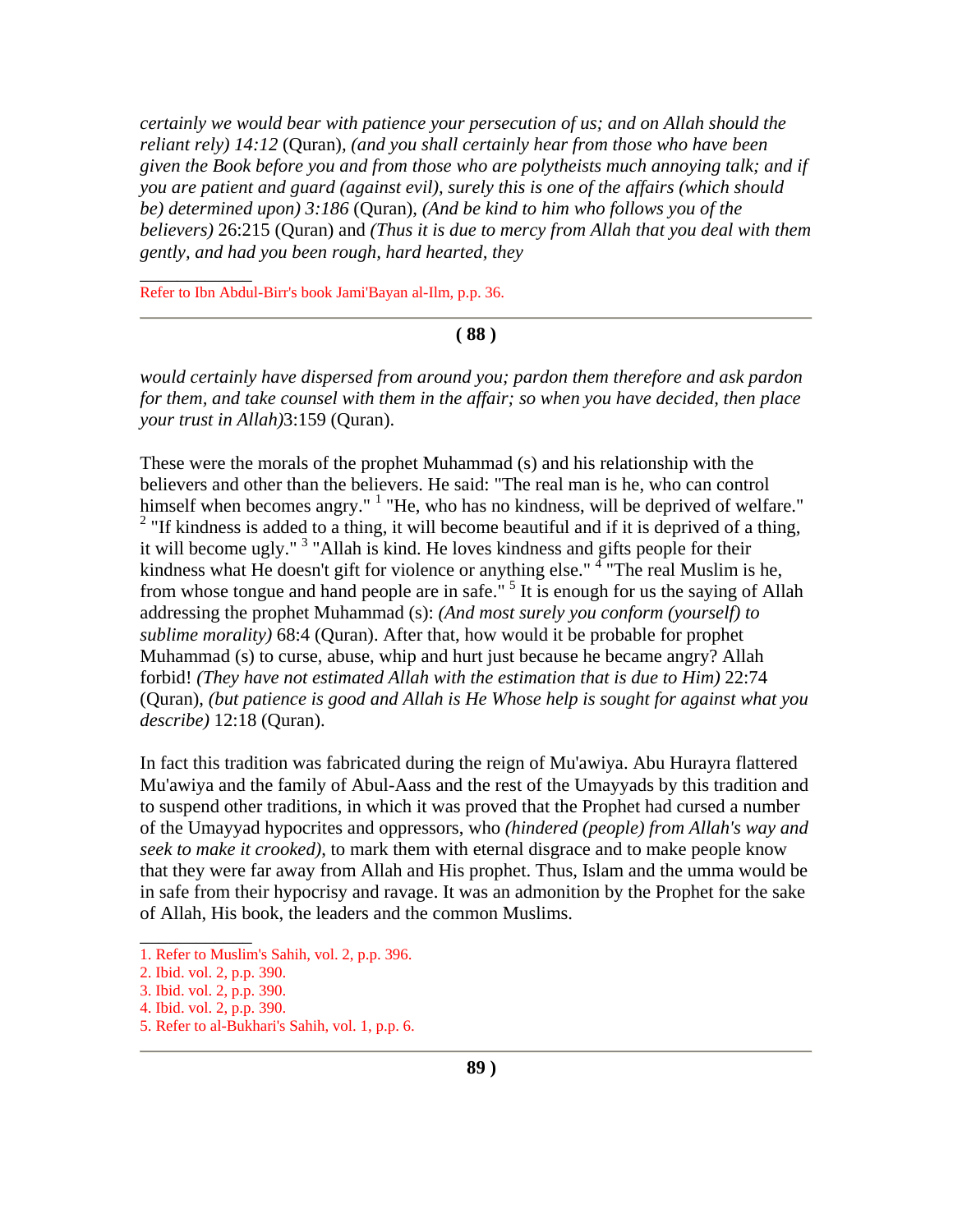*certainly we would bear with patience your persecution of us; and on Allah should the reliant rely) 14:12* (Quran)*, (and you shall certainly hear from those who have been given the Book before you and from those who are polytheists much annoying talk; and if you are patient and guard (against evil), surely this is one of the affairs (which should be) determined upon) 3:186* (Quran)*, (And be kind to him who follows you of the believers)* 26:215 (Quran) and *(Thus it is due to mercy from Allah that you deal with them gently, and had you been rough, hard hearted, they* 

Refer to Ibn Abdul-Birr's book Jami'Bayan al-Ilm, p.p. 36.

\_\_\_\_\_\_\_\_\_\_\_\_

#### **( 88 )**

*would certainly have dispersed from around you; pardon them therefore and ask pardon for them, and take counsel with them in the affair; so when you have decided, then place your trust in Allah)*3:159 (Quran).

These were the morals of the prophet Muhammad (s) and his relationship with the believers and other than the believers. He said: "The real man is he, who can control himself when becomes angry." <sup>1</sup> "He, who has no kindness, will be deprived of welfare." <sup>2</sup> "If kindness is added to a thing, it will become beautiful and if it is deprived of a thing, it will become ugly."<sup>3</sup> "Allah is kind. He loves kindness and gifts people for their kindness what He doesn't gift for violence or anything else."<sup>4</sup> "The real Muslim is he, from whose tongue and hand people are in safe."  $5$  It is enough for us the saying of Allah addressing the prophet Muhammad (s): *(And most surely you conform (yourself) to sublime morality)* 68:4 (Quran). After that, how would it be probable for prophet Muhammad (s) to curse, abuse, whip and hurt just because he became angry? Allah forbid! *(They have not estimated Allah with the estimation that is due to Him)* 22:74 (Quran), *(but patience is good and Allah is He Whose help is sought for against what you describe)* 12:18 (Quran).

In fact this tradition was fabricated during the reign of Mu'awiya. Abu Hurayra flattered Mu'awiya and the family of Abul-Aass and the rest of the Umayyads by this tradition and to suspend other traditions, in which it was proved that the Prophet had cursed a number of the Umayyad hypocrites and oppressors, who *(hindered (people) from Allah's way and seek to make it crooked)*, to mark them with eternal disgrace and to make people know that they were far away from Allah and His prophet. Thus, Islam and the umma would be in safe from their hypocrisy and ravage. It was an admonition by the Prophet for the sake of Allah, His book, the leaders and the common Muslims.

 $\overline{\phantom{a}}$ 

<sup>1.</sup> Refer to Muslim's Sahih, vol. 2, p.p. 396.

<sup>2.</sup> Ibid. vol. 2, p.p. 390.

<sup>3.</sup> Ibid. vol. 2, p.p. 390.

<sup>4.</sup> Ibid. vol. 2, p.p. 390.

<sup>5.</sup> Refer to al-Bukhari's Sahih, vol. 1, p.p. 6.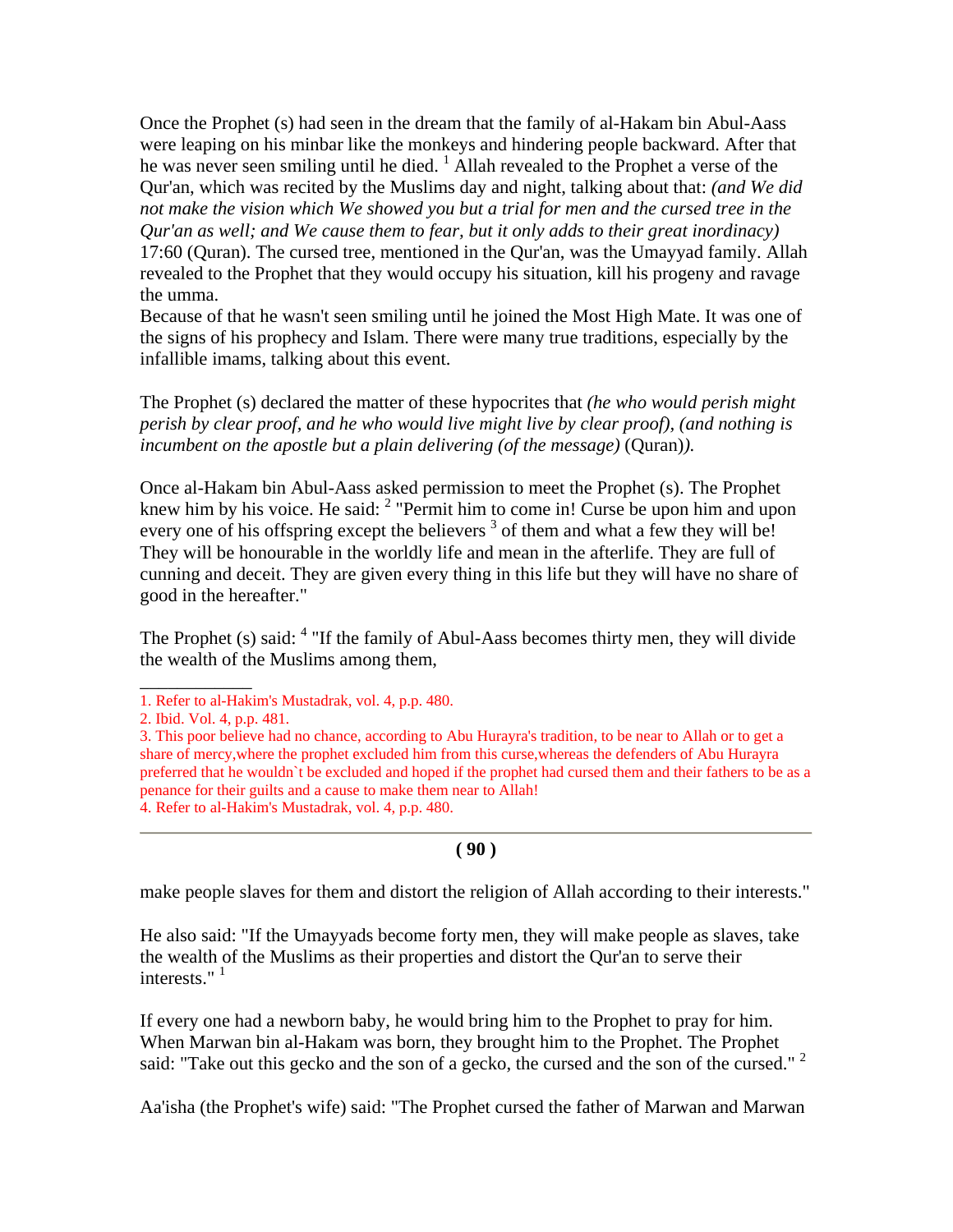Once the Prophet (s) had seen in the dream that the family of al-Hakam bin Abul-Aass were leaping on his minbar like the monkeys and hindering people backward. After that he was never seen smiling until he died.<sup>1</sup> Allah revealed to the Prophet a verse of the Qur'an, which was recited by the Muslims day and night, talking about that: *(and We did not make the vision which We showed you but a trial for men and the cursed tree in the Qur'an as well; and We cause them to fear, but it only adds to their great inordinacy)* 17:60 (Quran). The cursed tree, mentioned in the Qur'an, was the Umayyad family. Allah revealed to the Prophet that they would occupy his situation, kill his progeny and ravage the umma.

Because of that he wasn't seen smiling until he joined the Most High Mate. It was one of the signs of his prophecy and Islam. There were many true traditions, especially by the infallible imams, talking about this event.

The Prophet (s) declared the matter of these hypocrites that *(he who would perish might perish by clear proof, and he who would live might live by clear proof), (and nothing is incumbent on the apostle but a plain delivering (of the message)* (Quran)*).*

Once al-Hakam bin Abul-Aass asked permission to meet the Prophet (s). The Prophet knew him by his voice. He said: <sup>2</sup> "Permit him to come in! Curse be upon him and upon every one of his offspring except the believers  $3$  of them and what a few they will be! They will be honourable in the worldly life and mean in the afterlife. They are full of cunning and deceit. They are given every thing in this life but they will have no share of good in the hereafter."

The Prophet (s) said:  $4$  "If the family of Abul-Aass becomes thirty men, they will divide the wealth of the Muslims among them,

\_\_\_\_\_\_\_\_\_\_\_\_

make people slaves for them and distort the religion of Allah according to their interests."

He also said: "If the Umayyads become forty men, they will make people as slaves, take the wealth of the Muslims as their properties and distort the Qur'an to serve their interests." $1$ 

If every one had a newborn baby, he would bring him to the Prophet to pray for him. When Marwan bin al-Hakam was born, they brought him to the Prophet. The Prophet said: "Take out this gecko and the son of a gecko, the cursed and the son of the cursed."<sup>2</sup>

Aa'isha (the Prophet's wife) said: "The Prophet cursed the father of Marwan and Marwan

<sup>1.</sup> Refer to al-Hakim's Mustadrak, vol. 4, p.p. 480.

<sup>2.</sup> Ibid. Vol. 4, p.p. 481.

<sup>3.</sup> This poor believe had no chance, according to Abu Hurayra's tradition, to be near to Allah or to get a share of mercy,where the prophet excluded him from this curse,whereas the defenders of Abu Hurayra preferred that he wouldn`t be excluded and hoped if the prophet had cursed them and their fathers to be as a penance for their guilts and a cause to make them near to Allah! 4. Refer to al-Hakim's Mustadrak, vol. 4, p.p. 480.

**<sup>( 90 )</sup>**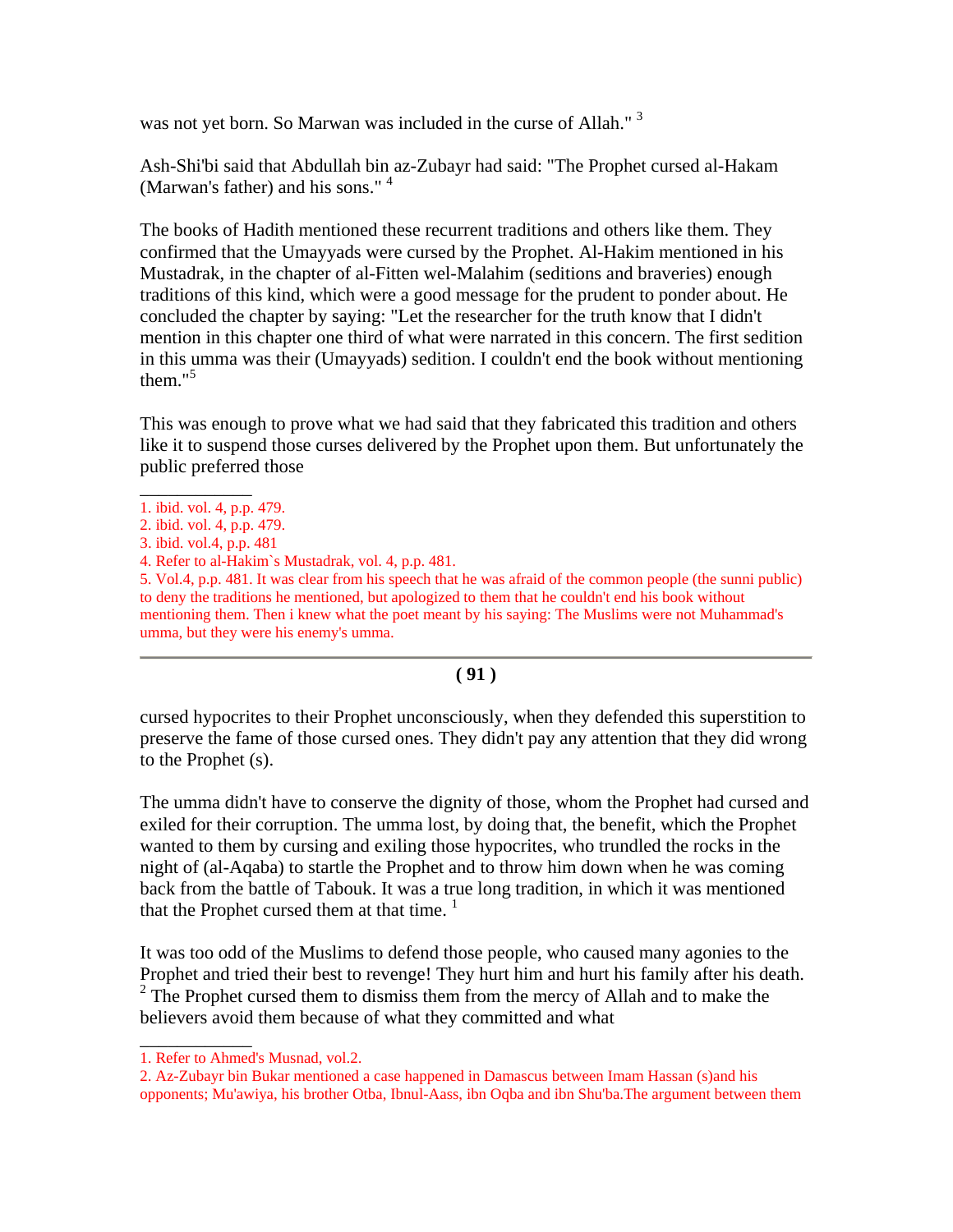was not yet born. So Marwan was included in the curse of Allah."<sup>3</sup>

Ash-Shi'bi said that Abdullah bin az-Zubayr had said: "The Prophet cursed al-Hakam (Marwan's father) and his sons."<sup>4</sup>

The books of Hadith mentioned these recurrent traditions and others like them. They confirmed that the Umayyads were cursed by the Prophet. Al-Hakim mentioned in his Mustadrak, in the chapter of al-Fitten wel-Malahim (seditions and braveries) enough traditions of this kind, which were a good message for the prudent to ponder about. He concluded the chapter by saying: "Let the researcher for the truth know that I didn't mention in this chapter one third of what were narrated in this concern. The first sedition in this umma was their (Umayyads) sedition. I couldn't end the book without mentioning them." $5$ 

This was enough to prove what we had said that they fabricated this tradition and others like it to suspend those curses delivered by the Prophet upon them. But unfortunately the public preferred those

5. Vol.4, p.p. 481. It was clear from his speech that he was afraid of the common people (the sunni public) to deny the traditions he mentioned, but apologized to them that he couldn't end his book without mentioning them. Then i knew what the poet meant by his saying: The Muslims were not Muhammad's umma, but they were his enemy's umma.

## **( 91 )**

cursed hypocrites to their Prophet unconsciously, when they defended this superstition to preserve the fame of those cursed ones. They didn't pay any attention that they did wrong to the Prophet (s).

The umma didn't have to conserve the dignity of those, whom the Prophet had cursed and exiled for their corruption. The umma lost, by doing that, the benefit, which the Prophet wanted to them by cursing and exiling those hypocrites, who trundled the rocks in the night of (al-Aqaba) to startle the Prophet and to throw him down when he was coming back from the battle of Tabouk. It was a true long tradition, in which it was mentioned that the Prophet cursed them at that time.  $1$ 

It was too odd of the Muslims to defend those people, who caused many agonies to the Prophet and tried their best to revenge! They hurt him and hurt his family after his death.  $2^2$  The Prophet cursed them to dismiss them from the mercy of Allah and to make the believers avoid them because of what they committed and what

\_\_\_\_\_\_\_\_\_\_\_\_

\_\_\_\_\_\_\_\_\_\_\_\_ 1. ibid. vol. 4, p.p. 479.

<sup>2.</sup> ibid. vol. 4, p.p. 479.

<sup>3.</sup> ibid. vol.4, p.p. 481

<sup>4.</sup> Refer to al-Hakim`s Mustadrak, vol. 4, p.p. 481.

<sup>1.</sup> Refer to Ahmed's Musnad, vol.2.

<sup>2.</sup> Az-Zubayr bin Bukar mentioned a case happened in Damascus between Imam Hassan (s)and his opponents; Mu'awiya, his brother Otba, Ibnul-Aass, ibn Oqba and ibn Shu'ba.The argument between them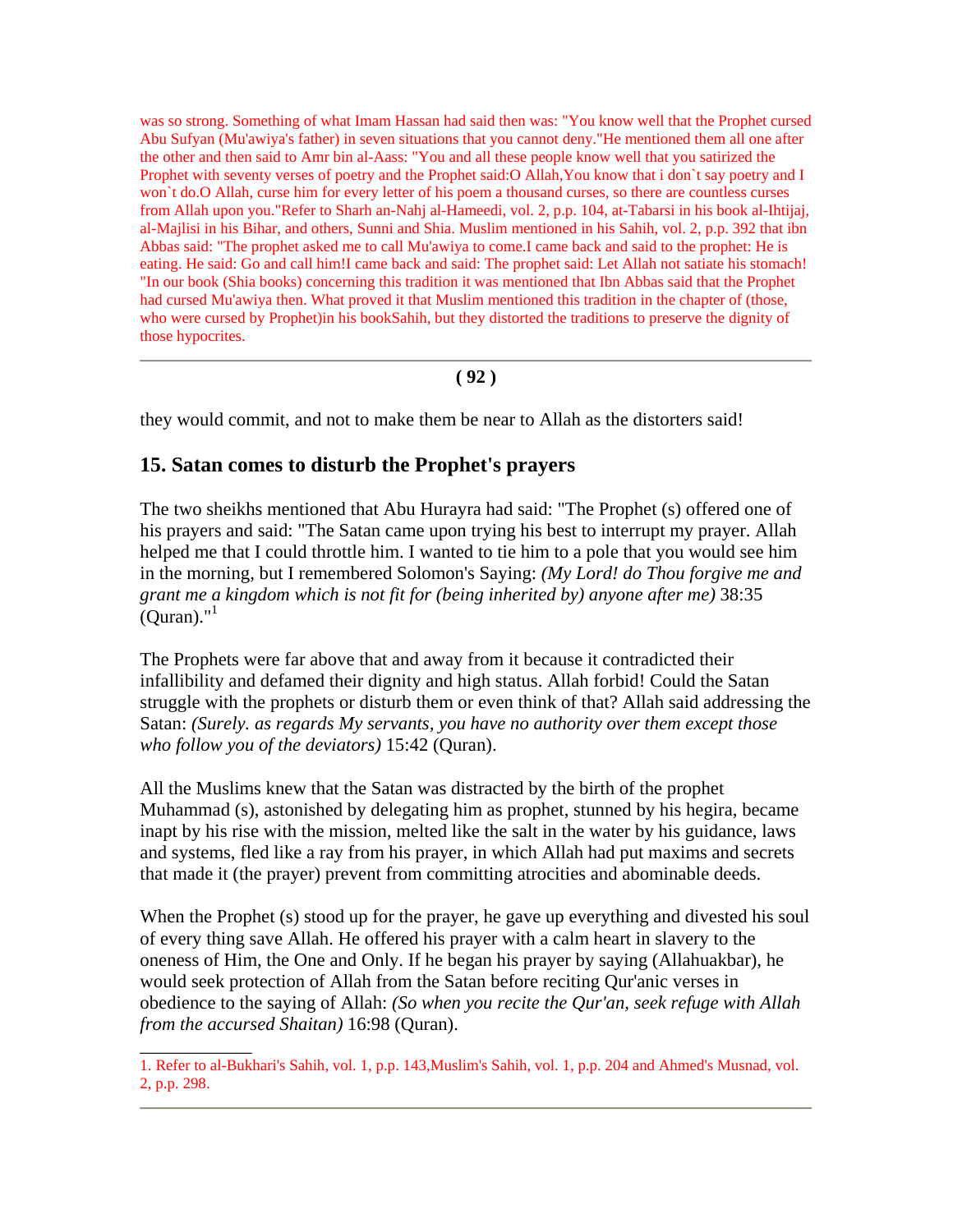was so strong. Something of what Imam Hassan had said then was: "You know well that the Prophet cursed Abu Sufyan (Mu'awiya's father) in seven situations that you cannot deny."He mentioned them all one after the other and then said to Amr bin al-Aass: "You and all these people know well that you satirized the Prophet with seventy verses of poetry and the Prophet said:O Allah,You know that i don`t say poetry and I won`t do.O Allah, curse him for every letter of his poem a thousand curses, so there are countless curses from Allah upon you."Refer to Sharh an-Nahj al-Hameedi, vol. 2, p.p. 104, at-Tabarsi in his book al-Ihtijaj, al-Majlisi in his Bihar, and others, Sunni and Shia. Muslim mentioned in his Sahih, vol. 2, p.p. 392 that ibn Abbas said: "The prophet asked me to call Mu'awiya to come.I came back and said to the prophet: He is eating. He said: Go and call him!I came back and said: The prophet said: Let Allah not satiate his stomach! "In our book (Shia books) concerning this tradition it was mentioned that Ibn Abbas said that the Prophet had cursed Mu'awiya then. What proved it that Muslim mentioned this tradition in the chapter of (those, who were cursed by Prophet)in his bookSahih, but they distorted the traditions to preserve the dignity of those hypocrites.

### **( 92 )**

they would commit, and not to make them be near to Allah as the distorters said!

## **15. Satan comes to disturb the Prophet's prayers**

\_\_\_\_\_\_\_\_\_\_\_\_

The two sheikhs mentioned that Abu Hurayra had said: "The Prophet (s) offered one of his prayers and said: "The Satan came upon trying his best to interrupt my prayer. Allah helped me that I could throttle him. I wanted to tie him to a pole that you would see him in the morning, but I remembered Solomon's Saying: *(My Lord! do Thou forgive me and grant me a kingdom which is not fit for (being inherited by) anyone after me)* 38:35  $\mathrm{Quran}$ ."<sup>1</sup>

The Prophets were far above that and away from it because it contradicted their infallibility and defamed their dignity and high status. Allah forbid! Could the Satan struggle with the prophets or disturb them or even think of that? Allah said addressing the Satan: *(Surely. as regards My servants, you have no authority over them except those who follow you of the deviators)* 15:42 (Quran).

All the Muslims knew that the Satan was distracted by the birth of the prophet Muhammad (s), astonished by delegating him as prophet, stunned by his hegira, became inapt by his rise with the mission, melted like the salt in the water by his guidance, laws and systems, fled like a ray from his prayer, in which Allah had put maxims and secrets that made it (the prayer) prevent from committing atrocities and abominable deeds.

When the Prophet (s) stood up for the prayer, he gave up everything and divested his soul of every thing save Allah. He offered his prayer with a calm heart in slavery to the oneness of Him, the One and Only. If he began his prayer by saying (Allahuakbar), he would seek protection of Allah from the Satan before reciting Qur'anic verses in obedience to the saying of Allah: *(So when you recite the Qur'an, seek refuge with Allah from the accursed Shaitan)* 16:98 (Quran).

<sup>1.</sup> Refer to al-Bukhari's Sahih, vol. 1, p.p. 143,Muslim's Sahih, vol. 1, p.p. 204 and Ahmed's Musnad, vol. 2, p.p. 298.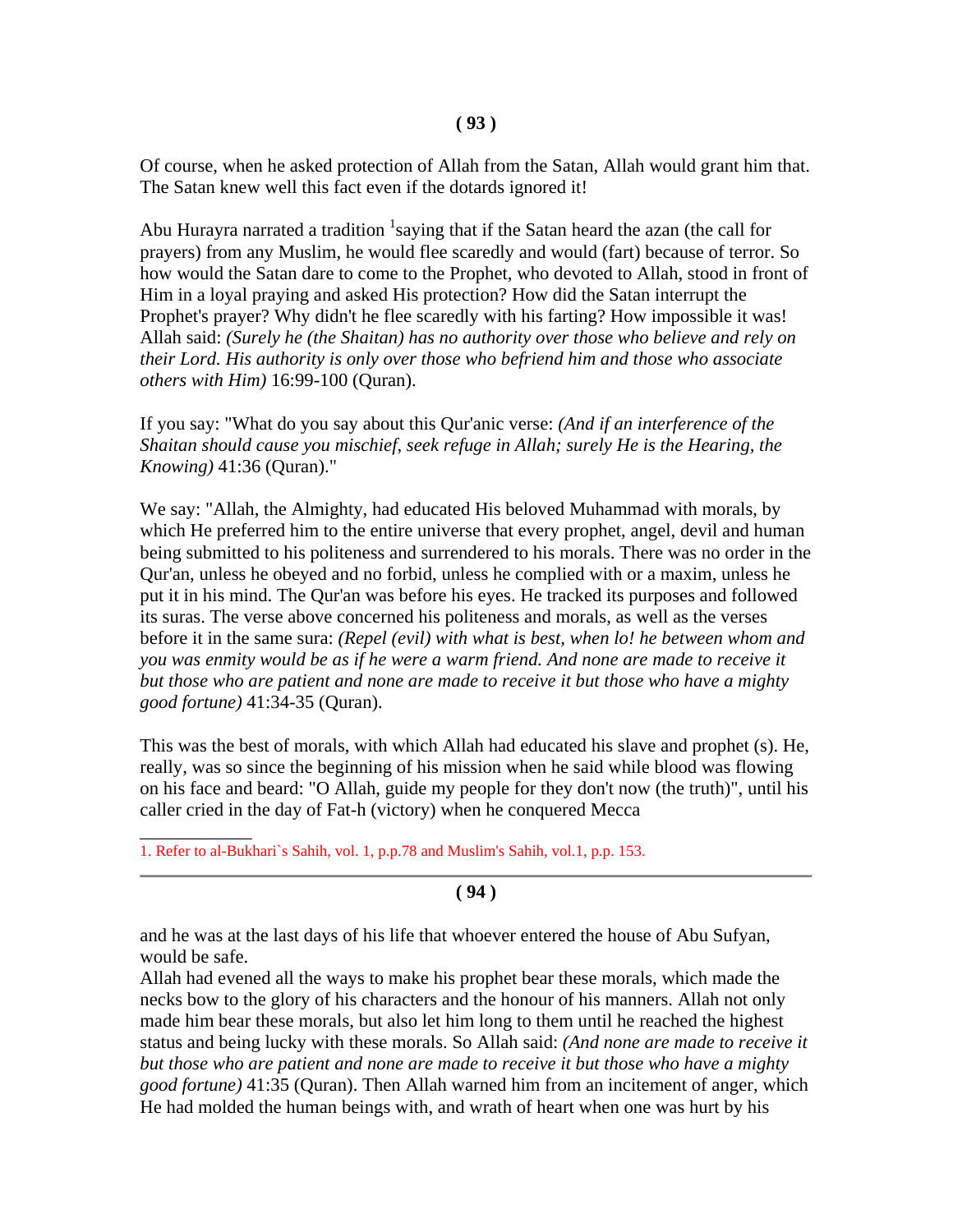Of course, when he asked protection of Allah from the Satan, Allah would grant him that. The Satan knew well this fact even if the dotards ignored it!

Abu Hurayra narrated a tradition  $1$ saying that if the Satan heard the azan (the call for prayers) from any Muslim, he would flee scaredly and would (fart) because of terror. So how would the Satan dare to come to the Prophet, who devoted to Allah, stood in front of Him in a loyal praying and asked His protection? How did the Satan interrupt the Prophet's prayer? Why didn't he flee scaredly with his farting? How impossible it was! Allah said: *(Surely he (the Shaitan) has no authority over those who believe and rely on their Lord. His authority is only over those who befriend him and those who associate others with Him)* 16:99-100 (Quran).

If you say: "What do you say about this Qur'anic verse: *(And if an interference of the Shaitan should cause you mischief, seek refuge in Allah; surely He is the Hearing, the Knowing)* 41:36 (Quran)."

We say: "Allah, the Almighty, had educated His beloved Muhammad with morals, by which He preferred him to the entire universe that every prophet, angel, devil and human being submitted to his politeness and surrendered to his morals. There was no order in the Qur'an, unless he obeyed and no forbid, unless he complied with or a maxim, unless he put it in his mind. The Qur'an was before his eyes. He tracked its purposes and followed its suras. The verse above concerned his politeness and morals, as well as the verses before it in the same sura: *(Repel (evil) with what is best, when lo! he between whom and you was enmity would be as if he were a warm friend. And none are made to receive it but those who are patient and none are made to receive it but those who have a mighty good fortune)* 41:34-35 (Quran).

This was the best of morals, with which Allah had educated his slave and prophet (s). He, really, was so since the beginning of his mission when he said while blood was flowing on his face and beard: "O Allah, guide my people for they don't now (the truth)", until his caller cried in the day of Fat-h (victory) when he conquered Mecca

 $\overline{\phantom{a}}$ 1. Refer to al-Bukhari`s Sahih, vol. 1, p.p.78 and Muslim's Sahih, vol.1, p.p. 153.

### **( 94 )**

and he was at the last days of his life that whoever entered the house of Abu Sufyan, would be safe.

Allah had evened all the ways to make his prophet bear these morals, which made the necks bow to the glory of his characters and the honour of his manners. Allah not only made him bear these morals, but also let him long to them until he reached the highest status and being lucky with these morals. So Allah said: *(And none are made to receive it but those who are patient and none are made to receive it but those who have a mighty good fortune)* 41:35 (Quran). Then Allah warned him from an incitement of anger, which He had molded the human beings with, and wrath of heart when one was hurt by his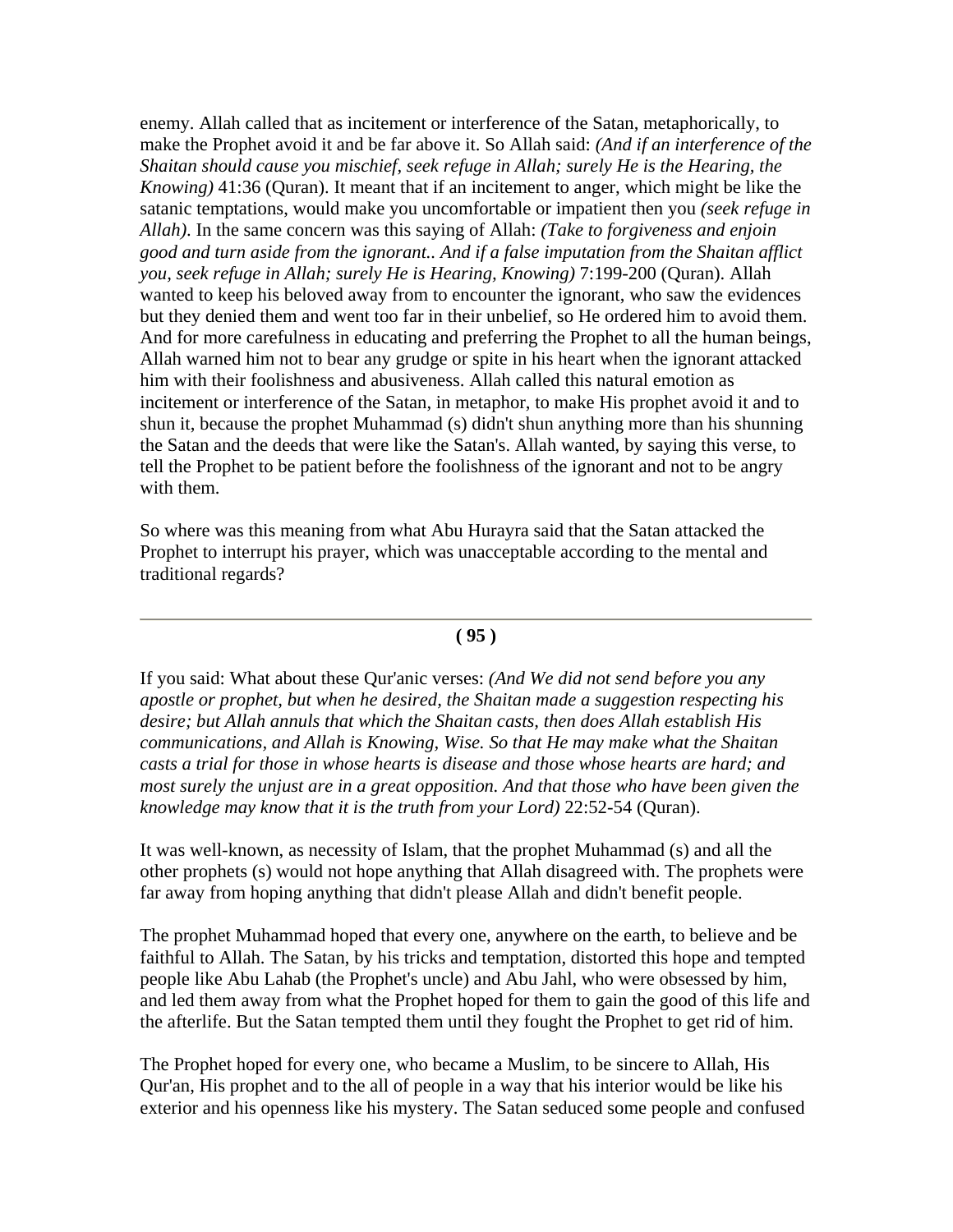enemy. Allah called that as incitement or interference of the Satan, metaphorically, to make the Prophet avoid it and be far above it. So Allah said: *(And if an interference of the Shaitan should cause you mischief, seek refuge in Allah; surely He is the Hearing, the Knowing)* 41:36 (Quran). It meant that if an incitement to anger, which might be like the satanic temptations, would make you uncomfortable or impatient then you *(seek refuge in Allah)*. In the same concern was this saying of Allah: *(Take to forgiveness and enjoin good and turn aside from the ignorant.. And if a false imputation from the Shaitan afflict you, seek refuge in Allah; surely He is Hearing, Knowing)* 7:199-200 (Quran). Allah wanted to keep his beloved away from to encounter the ignorant, who saw the evidences but they denied them and went too far in their unbelief, so He ordered him to avoid them. And for more carefulness in educating and preferring the Prophet to all the human beings, Allah warned him not to bear any grudge or spite in his heart when the ignorant attacked him with their foolishness and abusiveness. Allah called this natural emotion as incitement or interference of the Satan, in metaphor, to make His prophet avoid it and to shun it, because the prophet Muhammad (s) didn't shun anything more than his shunning the Satan and the deeds that were like the Satan's. Allah wanted, by saying this verse, to tell the Prophet to be patient before the foolishness of the ignorant and not to be angry with them.

So where was this meaning from what Abu Hurayra said that the Satan attacked the Prophet to interrupt his prayer, which was unacceptable according to the mental and traditional regards?

#### **( 95 )**

If you said: What about these Qur'anic verses: *(And We did not send before you any apostle or prophet, but when he desired, the Shaitan made a suggestion respecting his desire; but Allah annuls that which the Shaitan casts, then does Allah establish His communications, and Allah is Knowing, Wise. So that He may make what the Shaitan casts a trial for those in whose hearts is disease and those whose hearts are hard; and most surely the unjust are in a great opposition. And that those who have been given the knowledge may know that it is the truth from your Lord)* 22:52-54 (Quran).

It was well-known, as necessity of Islam, that the prophet Muhammad (s) and all the other prophets (s) would not hope anything that Allah disagreed with. The prophets were far away from hoping anything that didn't please Allah and didn't benefit people.

The prophet Muhammad hoped that every one, anywhere on the earth, to believe and be faithful to Allah. The Satan, by his tricks and temptation, distorted this hope and tempted people like Abu Lahab (the Prophet's uncle) and Abu Jahl, who were obsessed by him, and led them away from what the Prophet hoped for them to gain the good of this life and the afterlife. But the Satan tempted them until they fought the Prophet to get rid of him.

The Prophet hoped for every one, who became a Muslim, to be sincere to Allah, His Qur'an, His prophet and to the all of people in a way that his interior would be like his exterior and his openness like his mystery. The Satan seduced some people and confused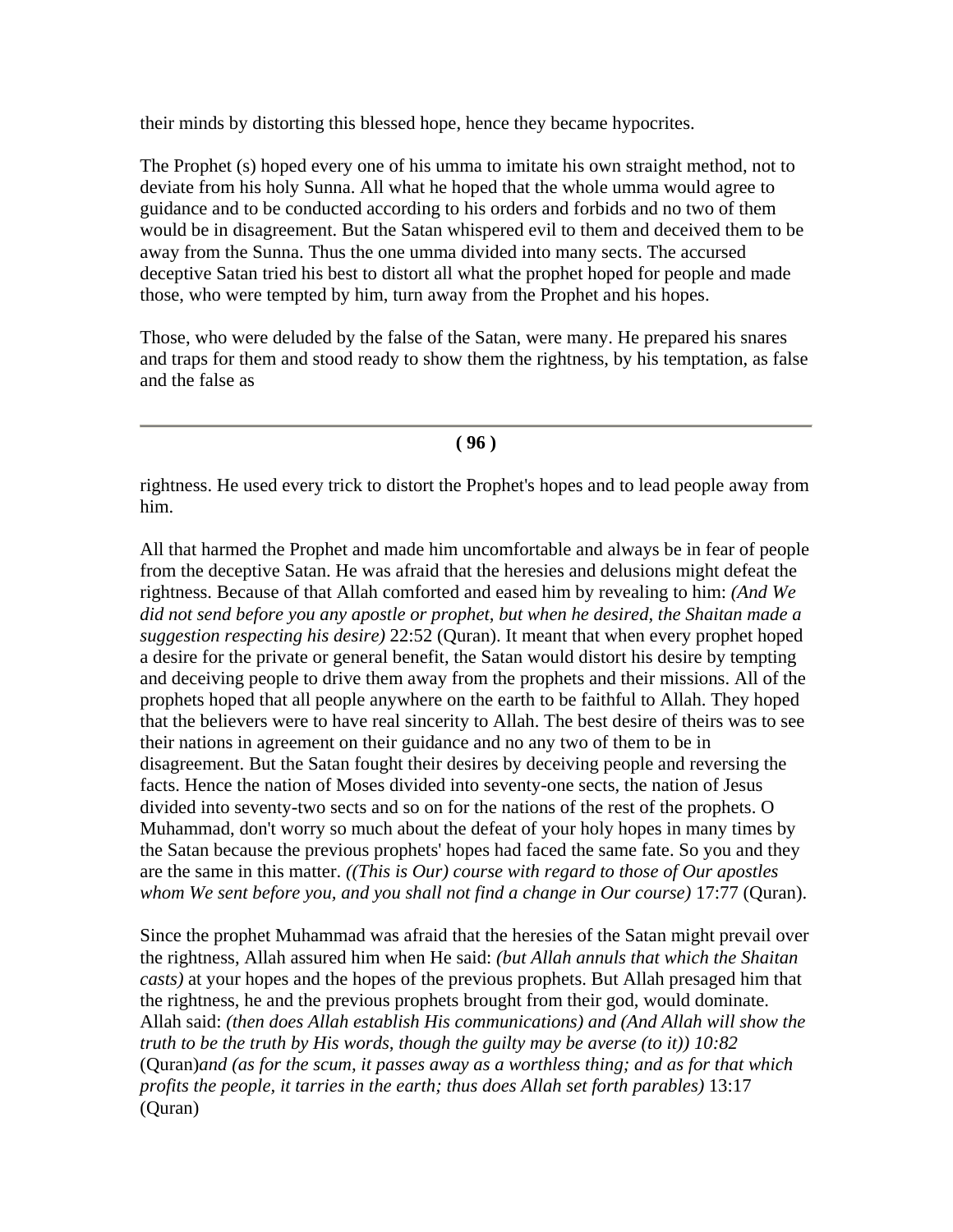their minds by distorting this blessed hope, hence they became hypocrites.

The Prophet (s) hoped every one of his umma to imitate his own straight method, not to deviate from his holy Sunna. All what he hoped that the whole umma would agree to guidance and to be conducted according to his orders and forbids and no two of them would be in disagreement. But the Satan whispered evil to them and deceived them to be away from the Sunna. Thus the one umma divided into many sects. The accursed deceptive Satan tried his best to distort all what the prophet hoped for people and made those, who were tempted by him, turn away from the Prophet and his hopes.

Those, who were deluded by the false of the Satan, were many. He prepared his snares and traps for them and stood ready to show them the rightness, by his temptation, as false and the false as

#### **( 96 )**

rightness. He used every trick to distort the Prophet's hopes and to lead people away from him.

All that harmed the Prophet and made him uncomfortable and always be in fear of people from the deceptive Satan. He was afraid that the heresies and delusions might defeat the rightness. Because of that Allah comforted and eased him by revealing to him: *(And We did not send before you any apostle or prophet, but when he desired, the Shaitan made a suggestion respecting his desire)* 22:52 (Quran). It meant that when every prophet hoped a desire for the private or general benefit, the Satan would distort his desire by tempting and deceiving people to drive them away from the prophets and their missions. All of the prophets hoped that all people anywhere on the earth to be faithful to Allah. They hoped that the believers were to have real sincerity to Allah. The best desire of theirs was to see their nations in agreement on their guidance and no any two of them to be in disagreement. But the Satan fought their desires by deceiving people and reversing the facts. Hence the nation of Moses divided into seventy-one sects, the nation of Jesus divided into seventy-two sects and so on for the nations of the rest of the prophets. O Muhammad, don't worry so much about the defeat of your holy hopes in many times by the Satan because the previous prophets' hopes had faced the same fate. So you and they are the same in this matter. *((This is Our) course with regard to those of Our apostles whom We sent before you, and you shall not find a change in Our course)* 17:77 (Quran).

Since the prophet Muhammad was afraid that the heresies of the Satan might prevail over the rightness, Allah assured him when He said: *(but Allah annuls that which the Shaitan casts)* at your hopes and the hopes of the previous prophets. But Allah presaged him that the rightness, he and the previous prophets brought from their god, would dominate. Allah said: *(then does Allah establish His communications) and (And Allah will show the truth to be the truth by His words, though the guilty may be averse (to it)) 10:82*  (Quran)*and (as for the scum, it passes away as a worthless thing; and as for that which profits the people, it tarries in the earth; thus does Allah set forth parables)* 13:17 (Quran)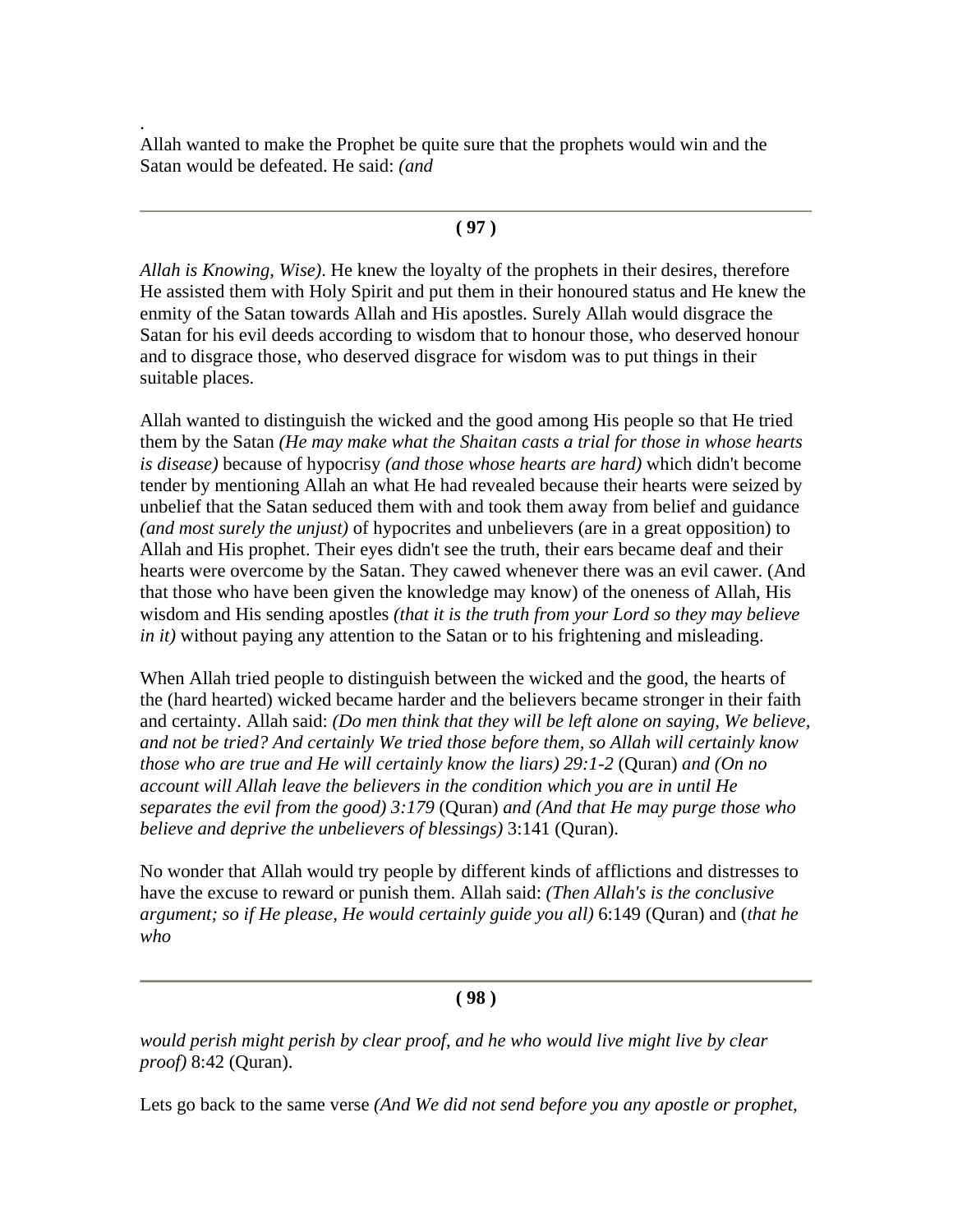Allah wanted to make the Prophet be quite sure that the prophets would win and the Satan would be defeated. He said: *(and*

.

#### **( 97 )**

*Allah is Knowing, Wise)*. He knew the loyalty of the prophets in their desires, therefore He assisted them with Holy Spirit and put them in their honoured status and He knew the enmity of the Satan towards Allah and His apostles. Surely Allah would disgrace the Satan for his evil deeds according to wisdom that to honour those, who deserved honour and to disgrace those, who deserved disgrace for wisdom was to put things in their suitable places.

Allah wanted to distinguish the wicked and the good among His people so that He tried them by the Satan *(He may make what the Shaitan casts a trial for those in whose hearts is disease)* because of hypocrisy *(and those whose hearts are hard)* which didn't become tender by mentioning Allah an what He had revealed because their hearts were seized by unbelief that the Satan seduced them with and took them away from belief and guidance *(and most surely the unjust)* of hypocrites and unbelievers (are in a great opposition) to Allah and His prophet. Their eyes didn't see the truth, their ears became deaf and their hearts were overcome by the Satan. They cawed whenever there was an evil cawer. (And that those who have been given the knowledge may know) of the oneness of Allah, His wisdom and His sending apostles *(that it is the truth from your Lord so they may believe in it)* without paying any attention to the Satan or to his frightening and misleading.

When Allah tried people to distinguish between the wicked and the good, the hearts of the (hard hearted) wicked became harder and the believers became stronger in their faith and certainty. Allah said: *(Do men think that they will be left alone on saying, We believe, and not be tried? And certainly We tried those before them, so Allah will certainly know those who are true and He will certainly know the liars) 29:1-2* (Quran) *and (On no account will Allah leave the believers in the condition which you are in until He separates the evil from the good) 3:179* (Quran) *and (And that He may purge those who believe and deprive the unbelievers of blessings)* 3:141 (Quran).

No wonder that Allah would try people by different kinds of afflictions and distresses to have the excuse to reward or punish them. Allah said: *(Then Allah's is the conclusive argument; so if He please, He would certainly guide you all)* 6:149 (Quran) and (*that he who*

#### **( 98 )**

*would perish might perish by clear proof, and he who would live might live by clear proof)* 8:42 (Quran).

Lets go back to the same verse *(And We did not send before you any apostle or prophet,*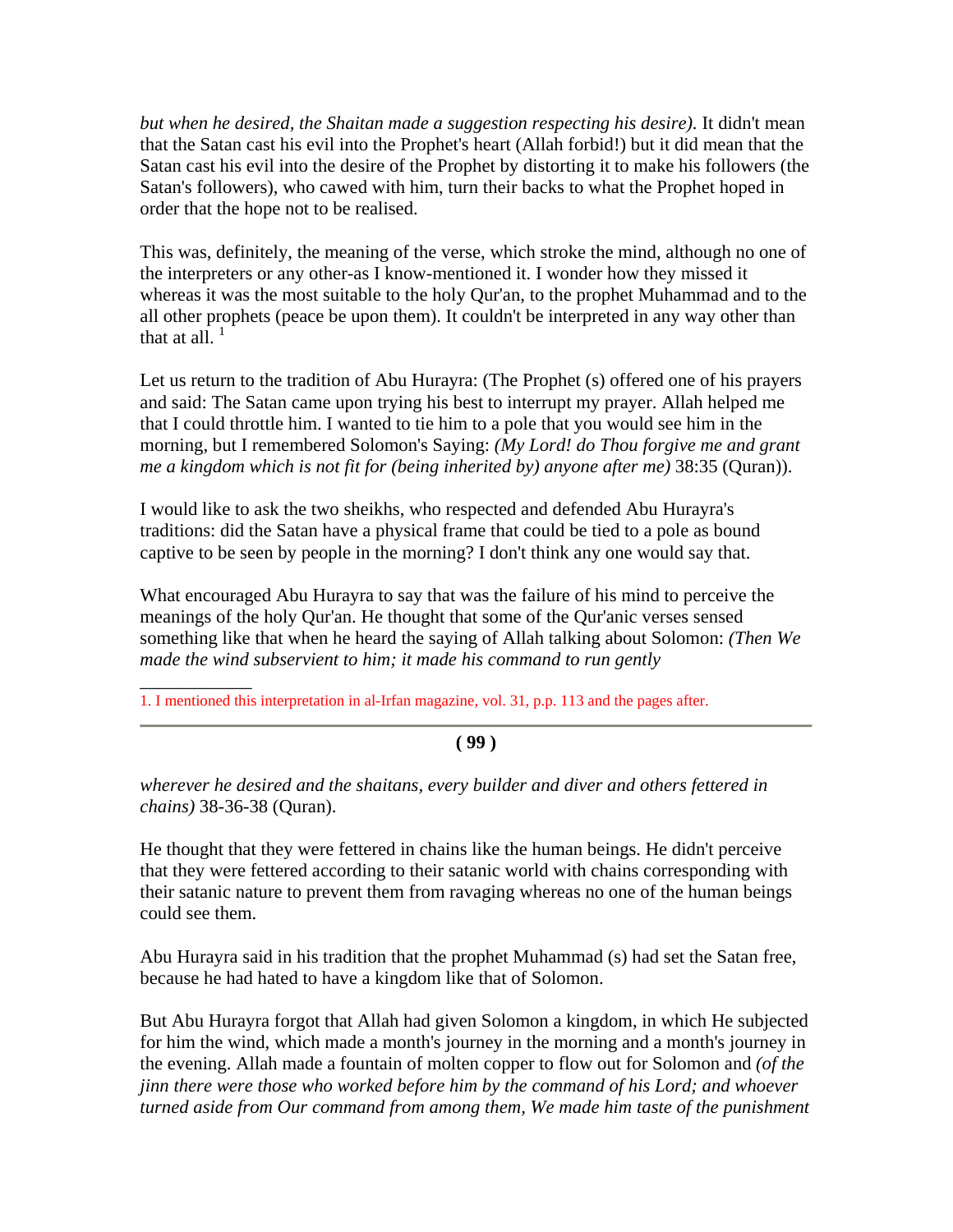*but when he desired, the Shaitan made a suggestion respecting his desire).* It didn't mean that the Satan cast his evil into the Prophet's heart (Allah forbid!) but it did mean that the Satan cast his evil into the desire of the Prophet by distorting it to make his followers (the Satan's followers), who cawed with him, turn their backs to what the Prophet hoped in order that the hope not to be realised.

This was, definitely, the meaning of the verse, which stroke the mind, although no one of the interpreters or any other-as I know-mentioned it. I wonder how they missed it whereas it was the most suitable to the holy Qur'an, to the prophet Muhammad and to the all other prophets (peace be upon them). It couldn't be interpreted in any way other than that at all.  $1$ 

Let us return to the tradition of Abu Hurayra: (The Prophet (s) offered one of his prayers and said: The Satan came upon trying his best to interrupt my prayer. Allah helped me that I could throttle him. I wanted to tie him to a pole that you would see him in the morning, but I remembered Solomon's Saying: *(My Lord! do Thou forgive me and grant me a kingdom which is not fit for (being inherited by) anyone after me)* 38:35 (Quran)).

I would like to ask the two sheikhs, who respected and defended Abu Hurayra's traditions: did the Satan have a physical frame that could be tied to a pole as bound captive to be seen by people in the morning? I don't think any one would say that.

What encouraged Abu Hurayra to say that was the failure of his mind to perceive the meanings of the holy Qur'an. He thought that some of the Qur'anic verses sensed something like that when he heard the saying of Allah talking about Solomon: *(Then We made the wind subservient to him; it made his command to run gently* 

\_\_\_\_\_\_\_\_\_\_\_\_ 1. I mentioned this interpretation in al-Irfan magazine, vol. 31, p.p. 113 and the pages after.

## **( 99 )**

*wherever he desired and the shaitans, every builder and diver and others fettered in chains)* 38-36-38 (Quran).

He thought that they were fettered in chains like the human beings. He didn't perceive that they were fettered according to their satanic world with chains corresponding with their satanic nature to prevent them from ravaging whereas no one of the human beings could see them.

Abu Hurayra said in his tradition that the prophet Muhammad (s) had set the Satan free, because he had hated to have a kingdom like that of Solomon.

But Abu Hurayra forgot that Allah had given Solomon a kingdom, in which He subjected for him the wind, which made a month's journey in the morning and a month's journey in the evening. Allah made a fountain of molten copper to flow out for Solomon and *(of the jinn there were those who worked before him by the command of his Lord; and whoever turned aside from Our command from among them, We made him taste of the punishment*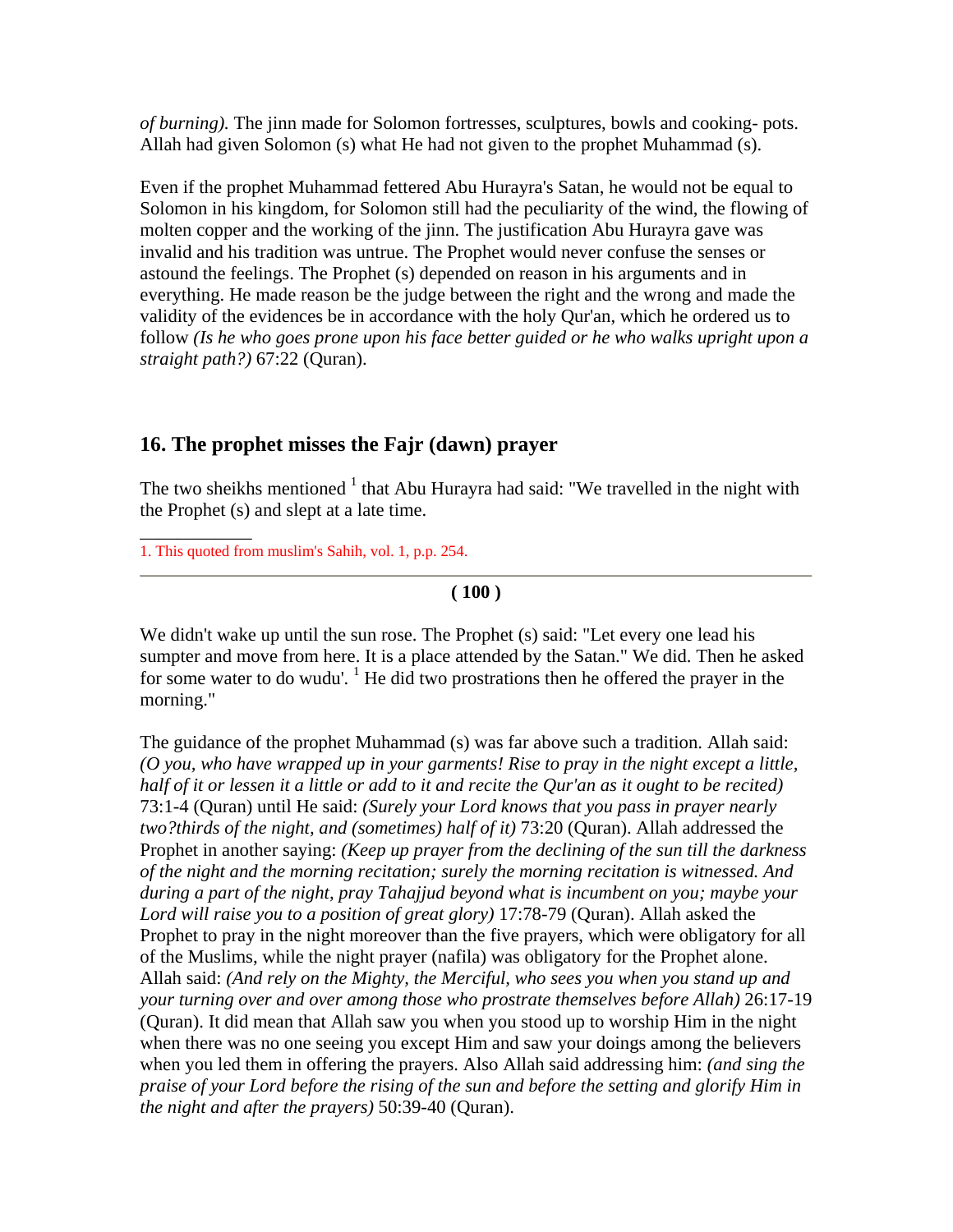*of burning).* The jinn made for Solomon fortresses, sculptures, bowls and cooking- pots. Allah had given Solomon (s) what He had not given to the prophet Muhammad (s).

Even if the prophet Muhammad fettered Abu Hurayra's Satan, he would not be equal to Solomon in his kingdom, for Solomon still had the peculiarity of the wind, the flowing of molten copper and the working of the jinn. The justification Abu Hurayra gave was invalid and his tradition was untrue. The Prophet would never confuse the senses or astound the feelings. The Prophet (s) depended on reason in his arguments and in everything. He made reason be the judge between the right and the wrong and made the validity of the evidences be in accordance with the holy Qur'an, which he ordered us to follow *(Is he who goes prone upon his face better guided or he who walks upright upon a straight path?)* 67:22 (Quran).

## **16. The prophet misses the Fajr (dawn) prayer**

The two sheikhs mentioned  $1$  that Abu Hurayra had said: "We travelled in the night with the Prophet (s) and slept at a late time.

1. This quoted from muslim's Sahih, vol. 1, p.p. 254.

\_\_\_\_\_\_\_\_\_\_\_\_

**( 100 )**

We didn't wake up until the sun rose. The Prophet (s) said: "Let every one lead his sumpter and move from here. It is a place attended by the Satan." We did. Then he asked for some water to do wudu'. <sup>1</sup> He did two prostrations then he offered the prayer in the morning."

The guidance of the prophet Muhammad (s) was far above such a tradition. Allah said: *(O you, who have wrapped up in your garments! Rise to pray in the night except a little, half of it or lessen it a little or add to it and recite the Qur'an as it ought to be recited)* 73:1-4 (Quran) until He said: *(Surely your Lord knows that you pass in prayer nearly two?thirds of the night, and (sometimes) half of it)* 73:20 (Quran). Allah addressed the Prophet in another saying: *(Keep up prayer from the declining of the sun till the darkness of the night and the morning recitation; surely the morning recitation is witnessed. And during a part of the night, pray Tahajjud beyond what is incumbent on you; maybe your Lord will raise you to a position of great glory)* 17:78-79 (Quran). Allah asked the Prophet to pray in the night moreover than the five prayers, which were obligatory for all of the Muslims, while the night prayer (nafila) was obligatory for the Prophet alone. Allah said: *(And rely on the Mighty, the Merciful, who sees you when you stand up and your turning over and over among those who prostrate themselves before Allah)* 26:17-19 (Quran). It did mean that Allah saw you when you stood up to worship Him in the night when there was no one seeing you except Him and saw your doings among the believers when you led them in offering the prayers. Also Allah said addressing him: *(and sing the praise of your Lord before the rising of the sun and before the setting and glorify Him in the night and after the prayers)* 50:39-40 (Quran).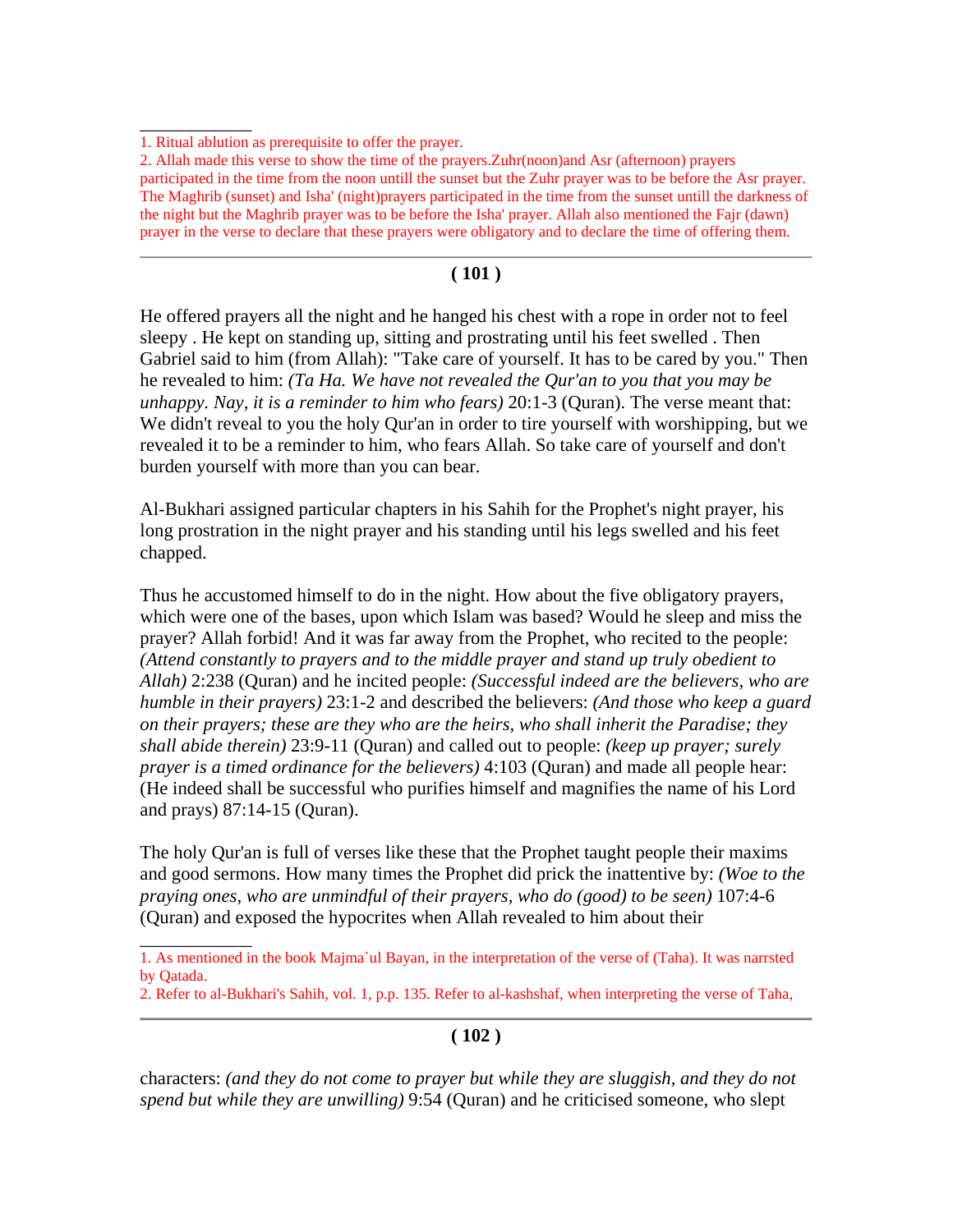\_\_\_\_\_\_\_\_\_\_\_\_

\_\_\_\_\_\_\_\_\_\_\_\_

### **( 101 )**

He offered prayers all the night and he hanged his chest with a rope in order not to feel sleepy . He kept on standing up, sitting and prostrating until his feet swelled . Then Gabriel said to him (from Allah): "Take care of yourself. It has to be cared by you." Then he revealed to him: *(Ta Ha. We have not revealed the Qur'an to you that you may be unhappy. Nay, it is a reminder to him who fears)* 20:1-3 (Quran). The verse meant that: We didn't reveal to you the holy Qur'an in order to tire yourself with worshipping, but we revealed it to be a reminder to him, who fears Allah. So take care of yourself and don't burden yourself with more than you can bear.

Al-Bukhari assigned particular chapters in his Sahih for the Prophet's night prayer, his long prostration in the night prayer and his standing until his legs swelled and his feet chapped.

Thus he accustomed himself to do in the night. How about the five obligatory prayers, which were one of the bases, upon which Islam was based? Would he sleep and miss the prayer? Allah forbid! And it was far away from the Prophet, who recited to the people: *(Attend constantly to prayers and to the middle prayer and stand up truly obedient to Allah)* 2:238 (Quran) and he incited people: *(Successful indeed are the believers, who are humble in their prayers)* 23:1-2 and described the believers: *(And those who keep a guard on their prayers; these are they who are the heirs, who shall inherit the Paradise; they shall abide therein)* 23:9-11 (Quran) and called out to people: *(keep up prayer; surely prayer is a timed ordinance for the believers)* 4:103 (Quran) and made all people hear: (He indeed shall be successful who purifies himself and magnifies the name of his Lord and prays) 87:14-15 (Quran).

The holy Qur'an is full of verses like these that the Prophet taught people their maxims and good sermons. How many times the Prophet did prick the inattentive by: *(Woe to the praying ones, who are unmindful of their prayers, who do (good) to be seen)* 107:4-6 (Quran) and exposed the hypocrites when Allah revealed to him about their

### **( 102 )**

characters: *(and they do not come to prayer but while they are sluggish, and they do not spend but while they are unwilling)* 9:54 (Quran) and he criticised someone, who slept

<sup>1.</sup> Ritual ablution as prerequisite to offer the prayer.

<sup>2.</sup> Allah made this verse to show the time of the prayers.Zuhr(noon)and Asr (afternoon) prayers participated in the time from the noon untill the sunset but the Zuhr prayer was to be before the Asr prayer. The Maghrib (sunset) and Isha' (night)prayers participated in the time from the sunset untill the darkness of the night but the Maghrib prayer was to be before the Isha' prayer. Allah also mentioned the Fajr (dawn) prayer in the verse to declare that these prayers were obligatory and to declare the time of offering them.

<sup>1.</sup> As mentioned in the book Majma`ul Bayan, in the interpretation of the verse of (Taha). It was narrsted by Qatada.

<sup>2.</sup> Refer to al-Bukhari's Sahih, vol. 1, p.p. 135. Refer to al-kashshaf, when interpreting the verse of Taha,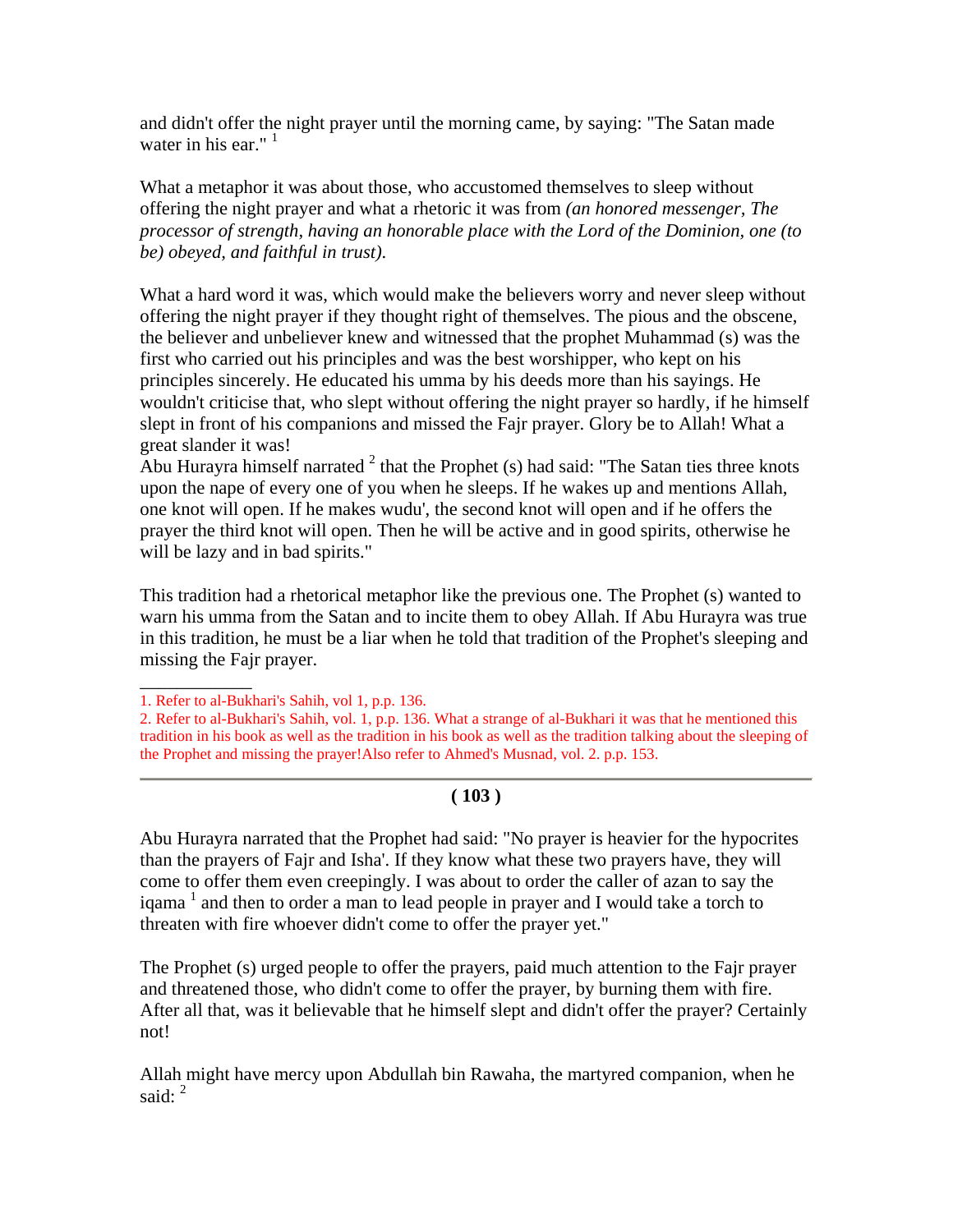and didn't offer the night prayer until the morning came, by saying: "The Satan made water in his ear." $<sup>1</sup>$ </sup>

What a metaphor it was about those, who accustomed themselves to sleep without offering the night prayer and what a rhetoric it was from *(an honored messenger, The processor of strength, having an honorable place with the Lord of the Dominion, one (to be) obeyed, and faithful in trust)*.

What a hard word it was, which would make the believers worry and never sleep without offering the night prayer if they thought right of themselves. The pious and the obscene, the believer and unbeliever knew and witnessed that the prophet Muhammad (s) was the first who carried out his principles and was the best worshipper, who kept on his principles sincerely. He educated his umma by his deeds more than his sayings. He wouldn't criticise that, who slept without offering the night prayer so hardly, if he himself slept in front of his companions and missed the Fajr prayer. Glory be to Allah! What a great slander it was!

Abu Hurayra himself narrated  $2$  that the Prophet (s) had said: "The Satan ties three knots upon the nape of every one of you when he sleeps. If he wakes up and mentions Allah, one knot will open. If he makes wudu', the second knot will open and if he offers the prayer the third knot will open. Then he will be active and in good spirits, otherwise he will be lazy and in bad spirits."

This tradition had a rhetorical metaphor like the previous one. The Prophet (s) wanted to warn his umma from the Satan and to incite them to obey Allah. If Abu Hurayra was true in this tradition, he must be a liar when he told that tradition of the Prophet's sleeping and missing the Fajr prayer.

\_\_\_\_\_\_\_\_\_\_\_\_

## **( 103 )**

Abu Hurayra narrated that the Prophet had said: "No prayer is heavier for the hypocrites than the prayers of Fajr and Isha'. If they know what these two prayers have, they will come to offer them even creepingly. I was about to order the caller of azan to say the iqama<sup>1</sup> and then to order a man to lead people in prayer and I would take a torch to threaten with fire whoever didn't come to offer the prayer yet."

The Prophet (s) urged people to offer the prayers, paid much attention to the Fajr prayer and threatened those, who didn't come to offer the prayer, by burning them with fire. After all that, was it believable that he himself slept and didn't offer the prayer? Certainly not!

Allah might have mercy upon Abdullah bin Rawaha, the martyred companion, when he said:  $2^2$ 

<sup>1.</sup> Refer to al-Bukhari's Sahih, vol 1, p.p. 136.

<sup>2.</sup> Refer to al-Bukhari's Sahih, vol. 1, p.p. 136. What a strange of al-Bukhari it was that he mentioned this tradition in his book as well as the tradition in his book as well as the tradition talking about the sleeping of the Prophet and missing the prayer!Also refer to Ahmed's Musnad, vol. 2. p.p. 153.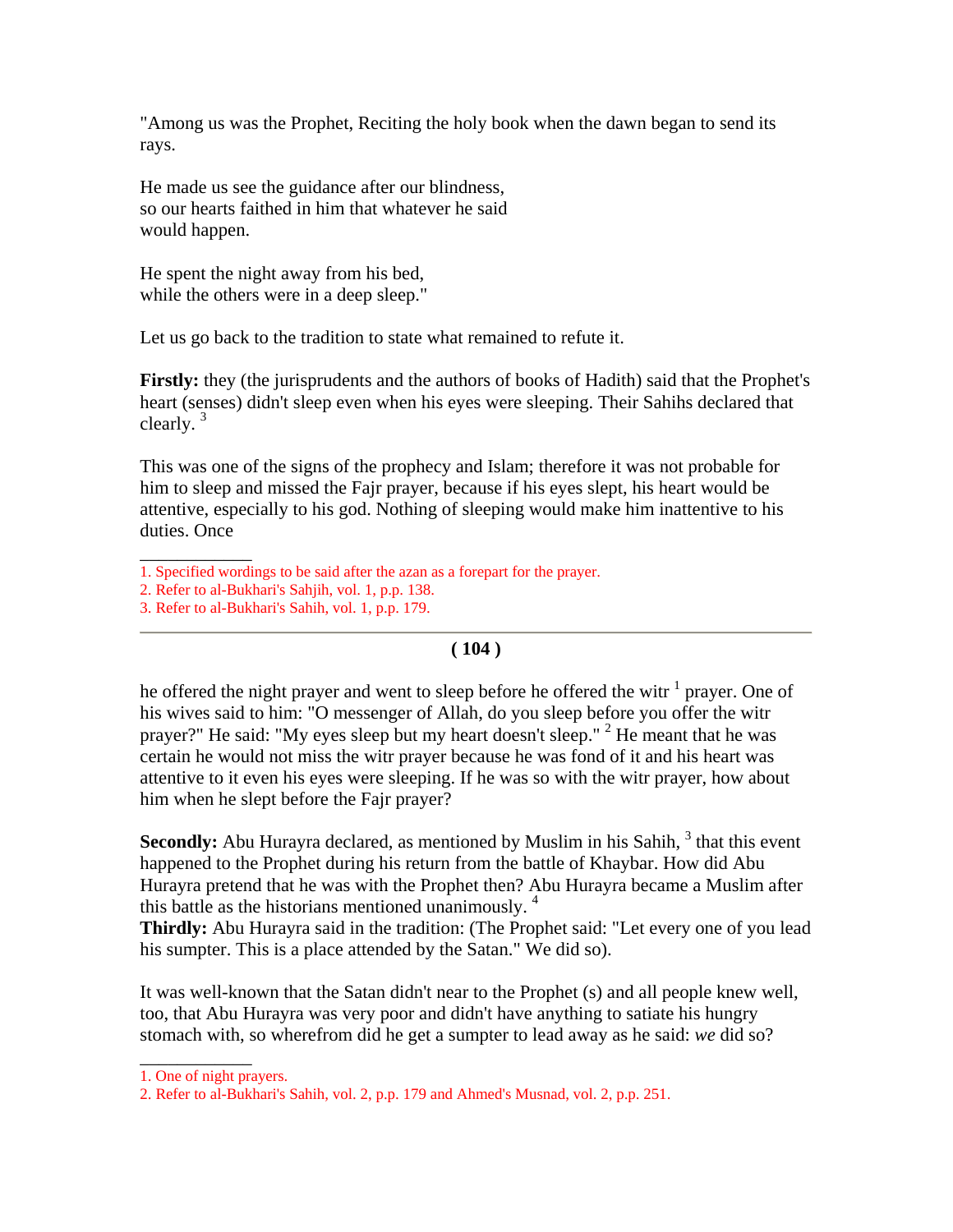"Among us was the Prophet, Reciting the holy book when the dawn began to send its rays.

He made us see the guidance after our blindness, so our hearts faithed in him that whatever he said would happen.

He spent the night away from his bed, while the others were in a deep sleep."

Let us go back to the tradition to state what remained to refute it.

**Firstly:** they (the jurisprudents and the authors of books of Hadith) said that the Prophet's heart (senses) didn't sleep even when his eyes were sleeping. Their Sahihs declared that clearly.  $3$ 

This was one of the signs of the prophecy and Islam; therefore it was not probable for him to sleep and missed the Fajr prayer, because if his eyes slept, his heart would be attentive, especially to his god. Nothing of sleeping would make him inattentive to his duties. Once

\_\_\_\_\_\_\_\_\_\_\_\_

## **( 104 )**

he offered the night prayer and went to sleep before he offered the witr  $1$  prayer. One of his wives said to him: "O messenger of Allah, do you sleep before you offer the witr prayer?" He said: "My eyes sleep but my heart doesn't sleep."  $2$  He meant that he was certain he would not miss the witr prayer because he was fond of it and his heart was attentive to it even his eyes were sleeping. If he was so with the witr prayer, how about him when he slept before the Fajr prayer?

**Secondly:** Abu Hurayra declared, as mentioned by Muslim in his Sahih, <sup>3</sup> that this event happened to the Prophet during his return from the battle of Khaybar. How did Abu Hurayra pretend that he was with the Prophet then? Abu Hurayra became a Muslim after this battle as the historians mentioned unanimously.<sup>4</sup>

**Thirdly:** Abu Hurayra said in the tradition: (The Prophet said: "Let every one of you lead his sumpter. This is a place attended by the Satan." We did so).

It was well-known that the Satan didn't near to the Prophet (s) and all people knew well, too, that Abu Hurayra was very poor and didn't have anything to satiate his hungry stomach with, so wherefrom did he get a sumpter to lead away as he said: *we* did so?

\_\_\_\_\_\_\_\_\_\_\_\_

<sup>1.</sup> Specified wordings to be said after the azan as a forepart for the prayer.

<sup>2.</sup> Refer to al-Bukhari's Sahjih, vol. 1, p.p. 138.

<sup>3.</sup> Refer to al-Bukhari's Sahih, vol. 1, p.p. 179.

<sup>1.</sup> One of night prayers.

<sup>2.</sup> Refer to al-Bukhari's Sahih, vol. 2, p.p. 179 and Ahmed's Musnad, vol. 2, p.p. 251.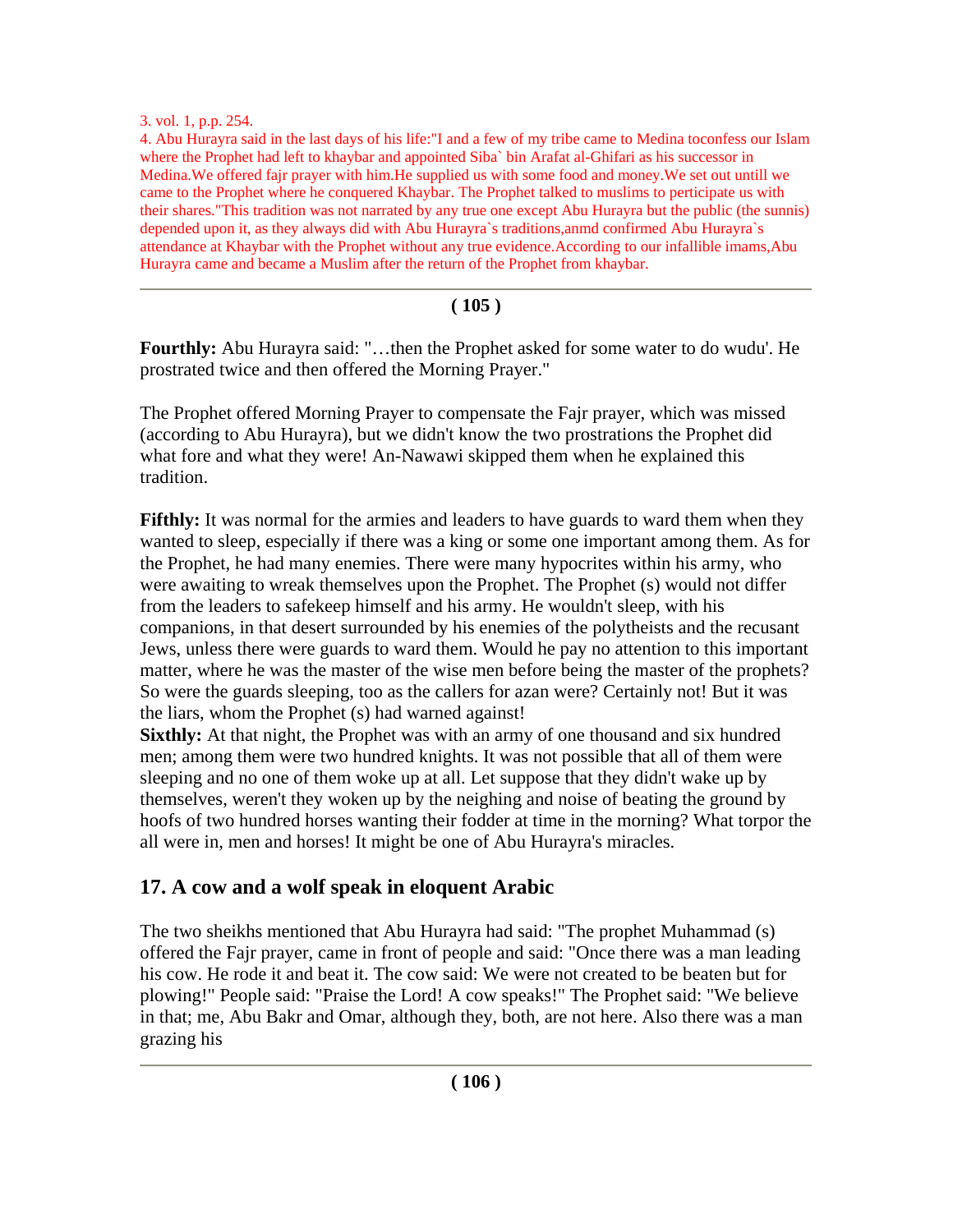#### 3. vol. 1, p.p. 254.

4. Abu Hurayra said in the last days of his life:"I and a few of my tribe came to Medina toconfess our Islam where the Prophet had left to khaybar and appointed Siba` bin Arafat al-Ghifari as his successor in Medina.We offered fajr prayer with him.He supplied us with some food and money.We set out untill we came to the Prophet where he conquered Khaybar. The Prophet talked to muslims to perticipate us with their shares."This tradition was not narrated by any true one except Abu Hurayra but the public (the sunnis) depended upon it, as they always did with Abu Hurayra`s traditions,anmd confirmed Abu Hurayra`s attendance at Khaybar with the Prophet without any true evidence.According to our infallible imams,Abu Hurayra came and became a Muslim after the return of the Prophet from khaybar.

### **( 105 )**

**Fourthly:** Abu Hurayra said: "…then the Prophet asked for some water to do wudu'. He prostrated twice and then offered the Morning Prayer."

The Prophet offered Morning Prayer to compensate the Fajr prayer, which was missed (according to Abu Hurayra), but we didn't know the two prostrations the Prophet did what fore and what they were! An-Nawawi skipped them when he explained this tradition.

**Fifthly:** It was normal for the armies and leaders to have guards to ward them when they wanted to sleep, especially if there was a king or some one important among them. As for the Prophet, he had many enemies. There were many hypocrites within his army, who were awaiting to wreak themselves upon the Prophet. The Prophet (s) would not differ from the leaders to safekeep himself and his army. He wouldn't sleep, with his companions, in that desert surrounded by his enemies of the polytheists and the recusant Jews, unless there were guards to ward them. Would he pay no attention to this important matter, where he was the master of the wise men before being the master of the prophets? So were the guards sleeping, too as the callers for azan were? Certainly not! But it was the liars, whom the Prophet (s) had warned against!

**Sixthly:** At that night, the Prophet was with an army of one thousand and six hundred men; among them were two hundred knights. It was not possible that all of them were sleeping and no one of them woke up at all. Let suppose that they didn't wake up by themselves, weren't they woken up by the neighing and noise of beating the ground by hoofs of two hundred horses wanting their fodder at time in the morning? What torpor the all were in, men and horses! It might be one of Abu Hurayra's miracles.

## **17. A cow and a wolf speak in eloquent Arabic**

The two sheikhs mentioned that Abu Hurayra had said: "The prophet Muhammad (s) offered the Fajr prayer, came in front of people and said: "Once there was a man leading his cow. He rode it and beat it. The cow said: We were not created to be beaten but for plowing!" People said: "Praise the Lord! A cow speaks!" The Prophet said: "We believe in that; me, Abu Bakr and Omar, although they, both, are not here. Also there was a man grazing his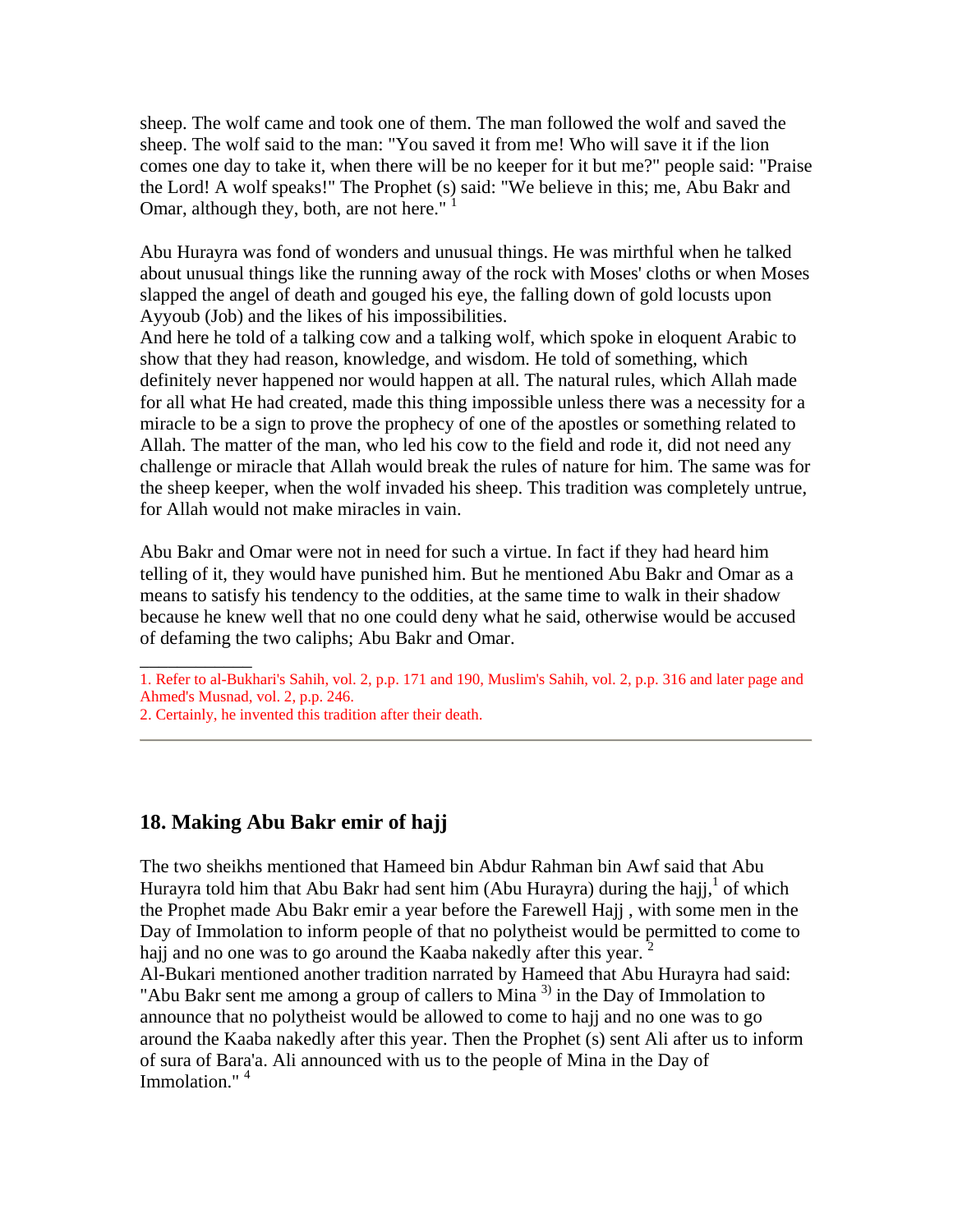sheep. The wolf came and took one of them. The man followed the wolf and saved the sheep. The wolf said to the man: "You saved it from me! Who will save it if the lion comes one day to take it, when there will be no keeper for it but me?" people said: "Praise the Lord! A wolf speaks!" The Prophet (s) said: "We believe in this; me, Abu Bakr and Omar, although they, both, are not here."  $<sup>1</sup>$ </sup>

Abu Hurayra was fond of wonders and unusual things. He was mirthful when he talked about unusual things like the running away of the rock with Moses' cloths or when Moses slapped the angel of death and gouged his eye, the falling down of gold locusts upon Ayyoub (Job) and the likes of his impossibilities.

And here he told of a talking cow and a talking wolf, which spoke in eloquent Arabic to show that they had reason, knowledge, and wisdom. He told of something, which definitely never happened nor would happen at all. The natural rules, which Allah made for all what He had created, made this thing impossible unless there was a necessity for a miracle to be a sign to prove the prophecy of one of the apostles or something related to Allah. The matter of the man, who led his cow to the field and rode it, did not need any challenge or miracle that Allah would break the rules of nature for him. The same was for the sheep keeper, when the wolf invaded his sheep. This tradition was completely untrue, for Allah would not make miracles in vain.

Abu Bakr and Omar were not in need for such a virtue. In fact if they had heard him telling of it, they would have punished him. But he mentioned Abu Bakr and Omar as a means to satisfy his tendency to the oddities, at the same time to walk in their shadow because he knew well that no one could deny what he said, otherwise would be accused of defaming the two caliphs; Abu Bakr and Omar.

1. Refer to al-Bukhari's Sahih, vol. 2, p.p. 171 and 190, Muslim's Sahih, vol. 2, p.p. 316 and later page and Ahmed's Musnad, vol. 2, p.p. 246. 2. Certainly, he invented this tradition after their death.

## **18. Making Abu Bakr emir of hajj**

\_\_\_\_\_\_\_\_\_\_\_\_

The two sheikhs mentioned that Hameed bin Abdur Rahman bin Awf said that Abu Hurayra told him that Abu Bakr had sent him (Abu Hurayra) during the hajj,<sup>1</sup> of which the Prophet made Abu Bakr emir a year before the Farewell Hajj , with some men in the Day of Immolation to inform people of that no polytheist would be permitted to come to hajj and no one was to go around the Kaaba nakedly after this year.

Al-Bukari mentioned another tradition narrated by Hameed that Abu Hurayra had said: "Abu Bakr sent me among a group of callers to Mina  $3$ ) in the Day of Immolation to announce that no polytheist would be allowed to come to hajj and no one was to go around the Kaaba nakedly after this year. Then the Prophet (s) sent Ali after us to inform of sura of Bara'a. Ali announced with us to the people of Mina in the Day of Immolation."<sup>4</sup>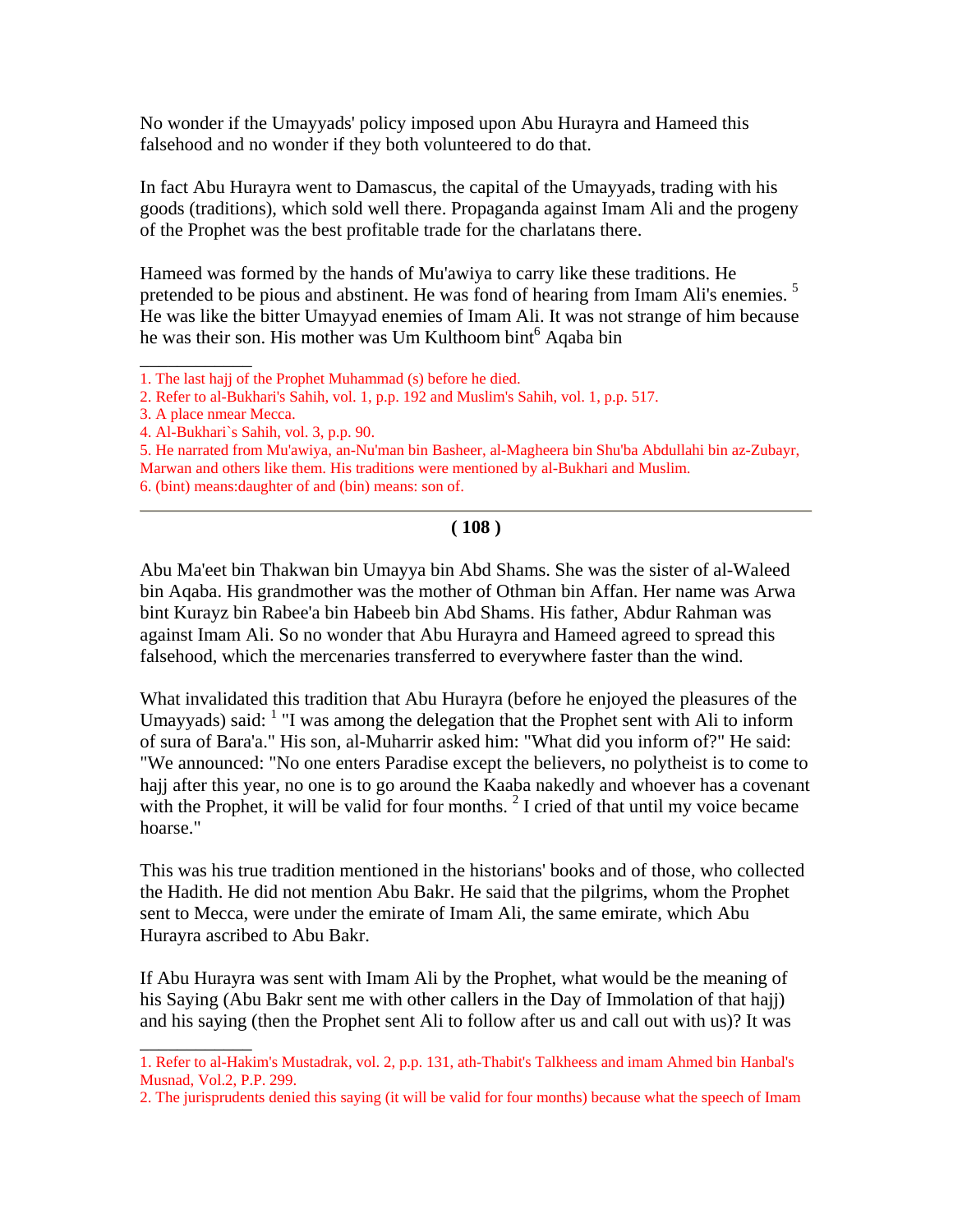No wonder if the Umayyads' policy imposed upon Abu Hurayra and Hameed this falsehood and no wonder if they both volunteered to do that.

In fact Abu Hurayra went to Damascus, the capital of the Umayyads, trading with his goods (traditions), which sold well there. Propaganda against Imam Ali and the progeny of the Prophet was the best profitable trade for the charlatans there.

Hameed was formed by the hands of Mu'awiya to carry like these traditions. He pretended to be pious and abstinent. He was fond of hearing from Imam Ali's enemies.<sup>5</sup> He was like the bitter Umayyad enemies of Imam Ali. It was not strange of him because he was their son. His mother was Um Kulthoom bint<sup>6</sup> Aqaba bin

\_\_\_\_\_\_\_\_\_\_\_\_

 $\overline{\phantom{a}}$ 

#### **( 108 )**

Abu Ma'eet bin Thakwan bin Umayya bin Abd Shams. She was the sister of al-Waleed bin Aqaba. His grandmother was the mother of Othman bin Affan. Her name was Arwa bint Kurayz bin Rabee'a bin Habeeb bin Abd Shams. His father, Abdur Rahman was against Imam Ali. So no wonder that Abu Hurayra and Hameed agreed to spread this falsehood, which the mercenaries transferred to everywhere faster than the wind.

What invalidated this tradition that Abu Hurayra (before he enjoyed the pleasures of the Umayyads) said: <sup>1</sup> "I was among the delegation that the Prophet sent with Ali to inform of sura of Bara'a." His son, al-Muharrir asked him: "What did you inform of?" He said: "We announced: "No one enters Paradise except the believers, no polytheist is to come to hajj after this year, no one is to go around the Kaaba nakedly and whoever has a covenant with the Prophet, it will be valid for four months.  $2 \times 1$  cried of that until my voice became hoarse."

This was his true tradition mentioned in the historians' books and of those, who collected the Hadith. He did not mention Abu Bakr. He said that the pilgrims, whom the Prophet sent to Mecca, were under the emirate of Imam Ali, the same emirate, which Abu Hurayra ascribed to Abu Bakr.

If Abu Hurayra was sent with Imam Ali by the Prophet, what would be the meaning of his Saying (Abu Bakr sent me with other callers in the Day of Immolation of that hajj) and his saying (then the Prophet sent Ali to follow after us and call out with us)? It was

<sup>1.</sup> The last hajj of the Prophet Muhammad (s) before he died.

<sup>2.</sup> Refer to al-Bukhari's Sahih, vol. 1, p.p. 192 and Muslim's Sahih, vol. 1, p.p. 517.

<sup>3.</sup> A place nmear Mecca.

<sup>4.</sup> Al-Bukhari`s Sahih, vol. 3, p.p. 90.

<sup>5.</sup> He narrated from Mu'awiya, an-Nu'man bin Basheer, al-Magheera bin Shu'ba Abdullahi bin az-Zubayr, Marwan and others like them. His traditions were mentioned by al-Bukhari and Muslim. 6. (bint) means:daughter of and (bin) means: son of.

<sup>1.</sup> Refer to al-Hakim's Mustadrak, vol. 2, p.p. 131, ath-Thabit's Talkheess and imam Ahmed bin Hanbal's Musnad, Vol.2, P.P. 299.

<sup>2.</sup> The jurisprudents denied this saying (it will be valid for four months) because what the speech of Imam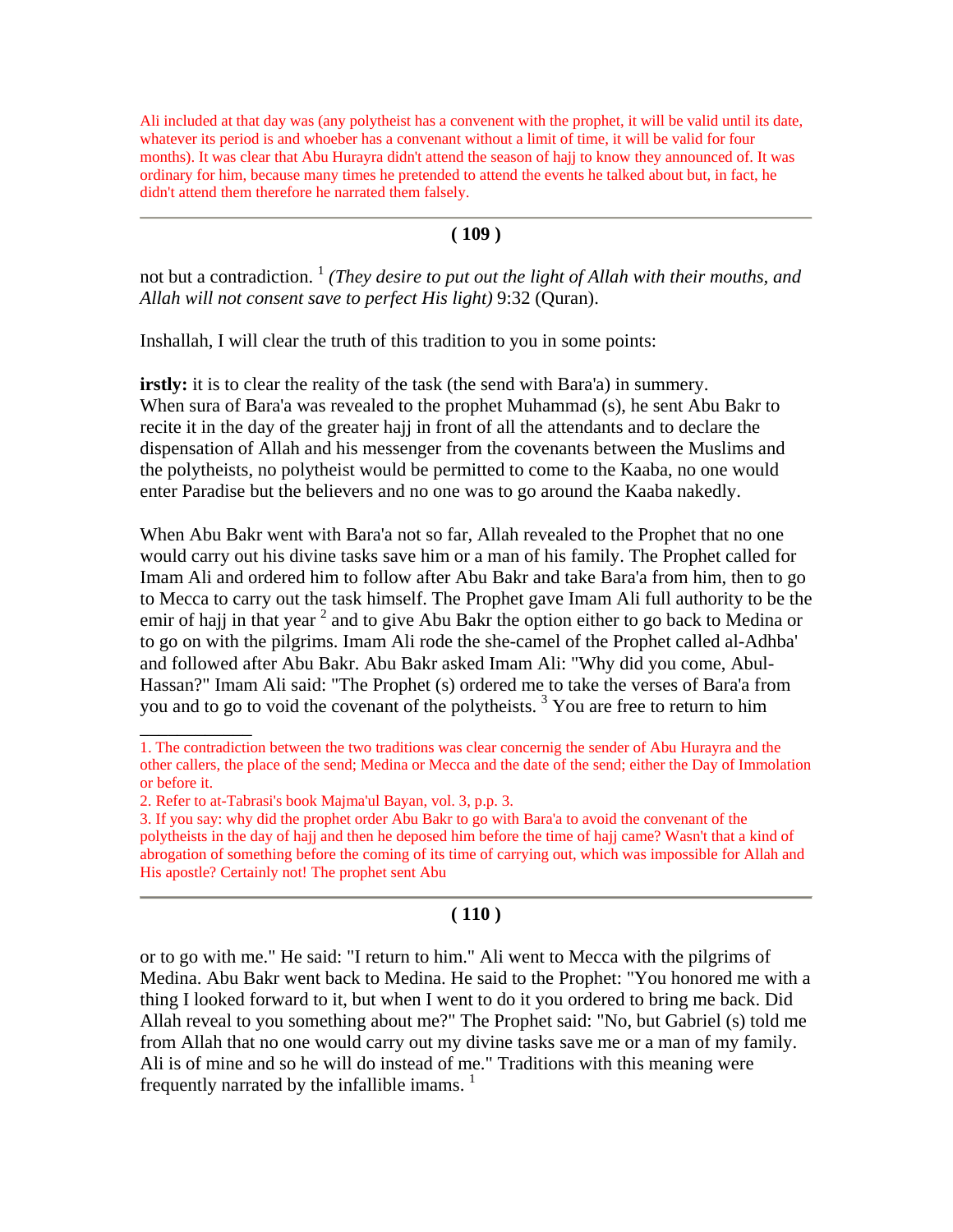Ali included at that day was (any polytheist has a convenent with the prophet, it will be valid until its date, whatever its period is and whoeber has a convenant without a limit of time, it will be valid for four months). It was clear that Abu Hurayra didn't attend the season of hajj to know they announced of. It was ordinary for him, because many times he pretended to attend the events he talked about but, in fact, he didn't attend them therefore he narrated them falsely.

#### **( 109 )**

not but a contradiction.<sup>1</sup> *(They desire to put out the light of Allah with their mouths, and Allah will not consent save to perfect His light)* 9:32 (Quran).

Inshallah, I will clear the truth of this tradition to you in some points:

**irstly:** it is to clear the reality of the task (the send with Bara'a) in summery. When sura of Bara'a was revealed to the prophet Muhammad (s), he sent Abu Bakr to recite it in the day of the greater hajj in front of all the attendants and to declare the dispensation of Allah and his messenger from the covenants between the Muslims and the polytheists, no polytheist would be permitted to come to the Kaaba, no one would enter Paradise but the believers and no one was to go around the Kaaba nakedly.

When Abu Bakr went with Bara'a not so far, Allah revealed to the Prophet that no one would carry out his divine tasks save him or a man of his family. The Prophet called for Imam Ali and ordered him to follow after Abu Bakr and take Bara'a from him, then to go to Mecca to carry out the task himself. The Prophet gave Imam Ali full authority to be the emir of hajj in that year  $2$  and to give Abu Bakr the option either to go back to Medina or to go on with the pilgrims. Imam Ali rode the she-camel of the Prophet called al-Adhba' and followed after Abu Bakr. Abu Bakr asked Imam Ali: "Why did you come, Abul-Hassan?" Imam Ali said: "The Prophet (s) ordered me to take the verses of Bara'a from you and to go to void the covenant of the polytheists.<sup>3</sup> You are free to return to him

\_\_\_\_\_\_\_\_\_\_\_\_

### **( 110 )**

or to go with me." He said: "I return to him." Ali went to Mecca with the pilgrims of Medina. Abu Bakr went back to Medina. He said to the Prophet: "You honored me with a thing I looked forward to it, but when I went to do it you ordered to bring me back. Did Allah reveal to you something about me?" The Prophet said: "No, but Gabriel (s) told me from Allah that no one would carry out my divine tasks save me or a man of my family. Ali is of mine and so he will do instead of me." Traditions with this meaning were frequently narrated by the infallible imams.  $<sup>1</sup>$ </sup>

<sup>1.</sup> The contradiction between the two traditions was clear concernig the sender of Abu Hurayra and the other callers, the place of the send; Medina or Mecca and the date of the send; either the Day of Immolation or before it.

<sup>2.</sup> Refer to at-Tabrasi's book Majma'ul Bayan, vol. 3, p.p. 3.

<sup>3.</sup> If you say: why did the prophet order Abu Bakr to go with Bara'a to avoid the convenant of the polytheists in the day of hajj and then he deposed him before the time of hajj came? Wasn't that a kind of abrogation of something before the coming of its time of carrying out, which was impossible for Allah and His apostle? Certainly not! The prophet sent Abu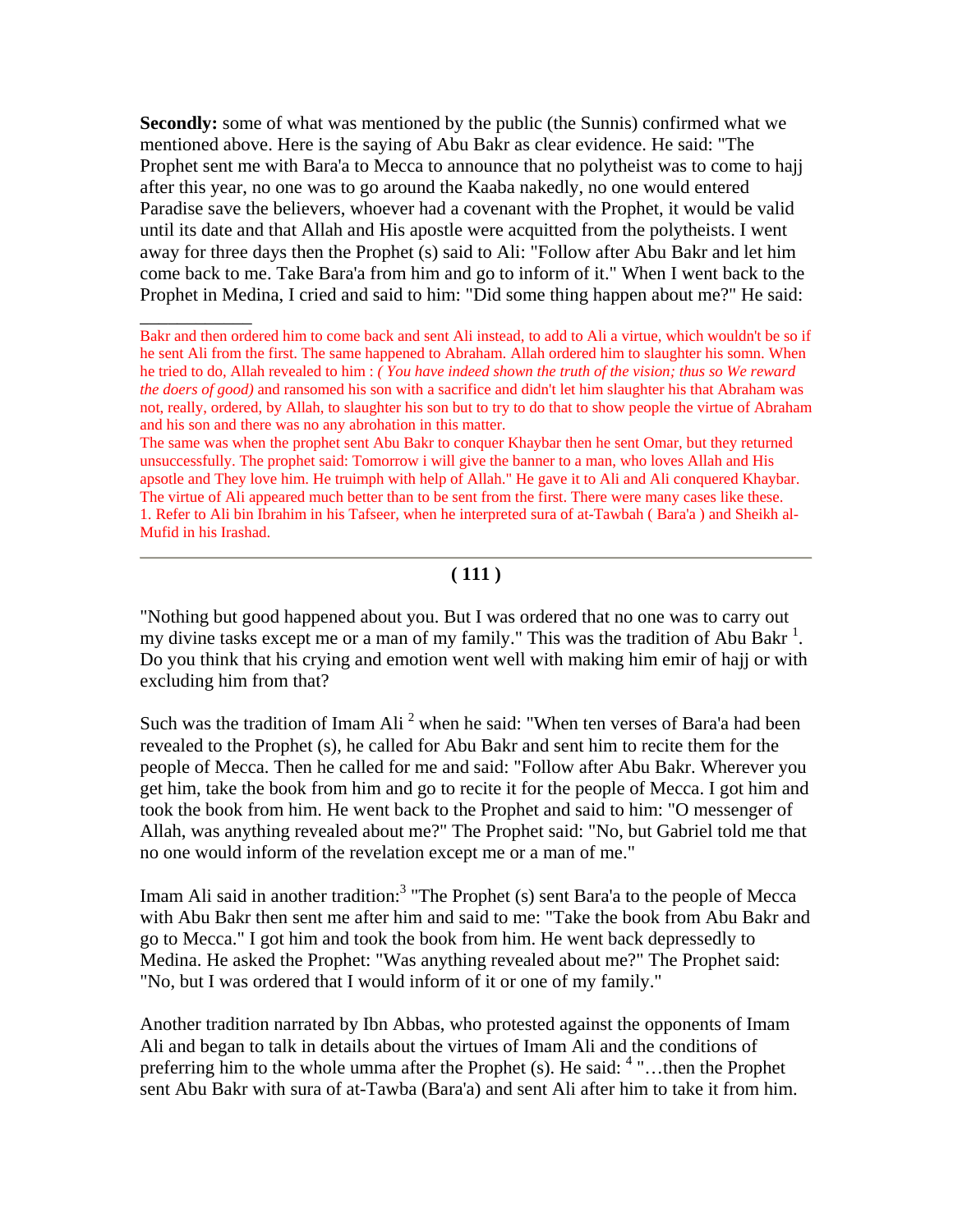**Secondly:** some of what was mentioned by the public (the Sunnis) confirmed what we mentioned above. Here is the saying of Abu Bakr as clear evidence. He said: "The Prophet sent me with Bara'a to Mecca to announce that no polytheist was to come to hajj after this year, no one was to go around the Kaaba nakedly, no one would entered Paradise save the believers, whoever had a covenant with the Prophet, it would be valid until its date and that Allah and His apostle were acquitted from the polytheists. I went away for three days then the Prophet (s) said to Ali: "Follow after Abu Bakr and let him come back to me. Take Bara'a from him and go to inform of it." When I went back to the Prophet in Medina, I cried and said to him: "Did some thing happen about me?" He said:

 $\overline{\phantom{a}}$ 

The same was when the prophet sent Abu Bakr to conquer Khaybar then he sent Omar, but they returned unsuccessfully. The prophet said: Tomorrow i will give the banner to a man, who loves Allah and His apsotle and They love him. He truimph with help of Allah." He gave it to Ali and Ali conquered Khaybar. The virtue of Ali appeared much better than to be sent from the first. There were many cases like these. 1. Refer to Ali bin Ibrahim in his Tafseer, when he interpreted sura of at-Tawbah ( Bara'a ) and Sheikh al-Mufid in his Irashad.

### **( 111 )**

"Nothing but good happened about you. But I was ordered that no one was to carry out my divine tasks except me or a man of my family." This was the tradition of Abu Bakr<sup>1</sup>. Do you think that his crying and emotion went well with making him emir of hajj or with excluding him from that?

Such was the tradition of Imam Ali<sup>2</sup> when he said: "When ten verses of Bara'a had been revealed to the Prophet (s), he called for Abu Bakr and sent him to recite them for the people of Mecca. Then he called for me and said: "Follow after Abu Bakr. Wherever you get him, take the book from him and go to recite it for the people of Mecca. I got him and took the book from him. He went back to the Prophet and said to him: "O messenger of Allah, was anything revealed about me?" The Prophet said: "No, but Gabriel told me that no one would inform of the revelation except me or a man of me."

Imam Ali said in another tradition:<sup>3</sup> "The Prophet (s) sent Bara'a to the people of Mecca with Abu Bakr then sent me after him and said to me: "Take the book from Abu Bakr and go to Mecca." I got him and took the book from him. He went back depressedly to Medina. He asked the Prophet: "Was anything revealed about me?" The Prophet said: "No, but I was ordered that I would inform of it or one of my family."

Another tradition narrated by Ibn Abbas, who protested against the opponents of Imam Ali and began to talk in details about the virtues of Imam Ali and the conditions of preferring him to the whole umma after the Prophet (s). He said: <sup>4</sup> "...then the Prophet sent Abu Bakr with sura of at-Tawba (Bara'a) and sent Ali after him to take it from him.

Bakr and then ordered him to come back and sent Ali instead, to add to Ali a virtue, which wouldn't be so if he sent Ali from the first. The same happened to Abraham. Allah ordered him to slaughter his somn. When he tried to do, Allah revealed to him : *( You have indeed shown the truth of the vision; thus so We reward the doers of good)* and ransomed his son with a sacrifice and didn't let him slaughter his that Abraham was not, really, ordered, by Allah, to slaughter his son but to try to do that to show people the virtue of Abraham and his son and there was no any abrohation in this matter.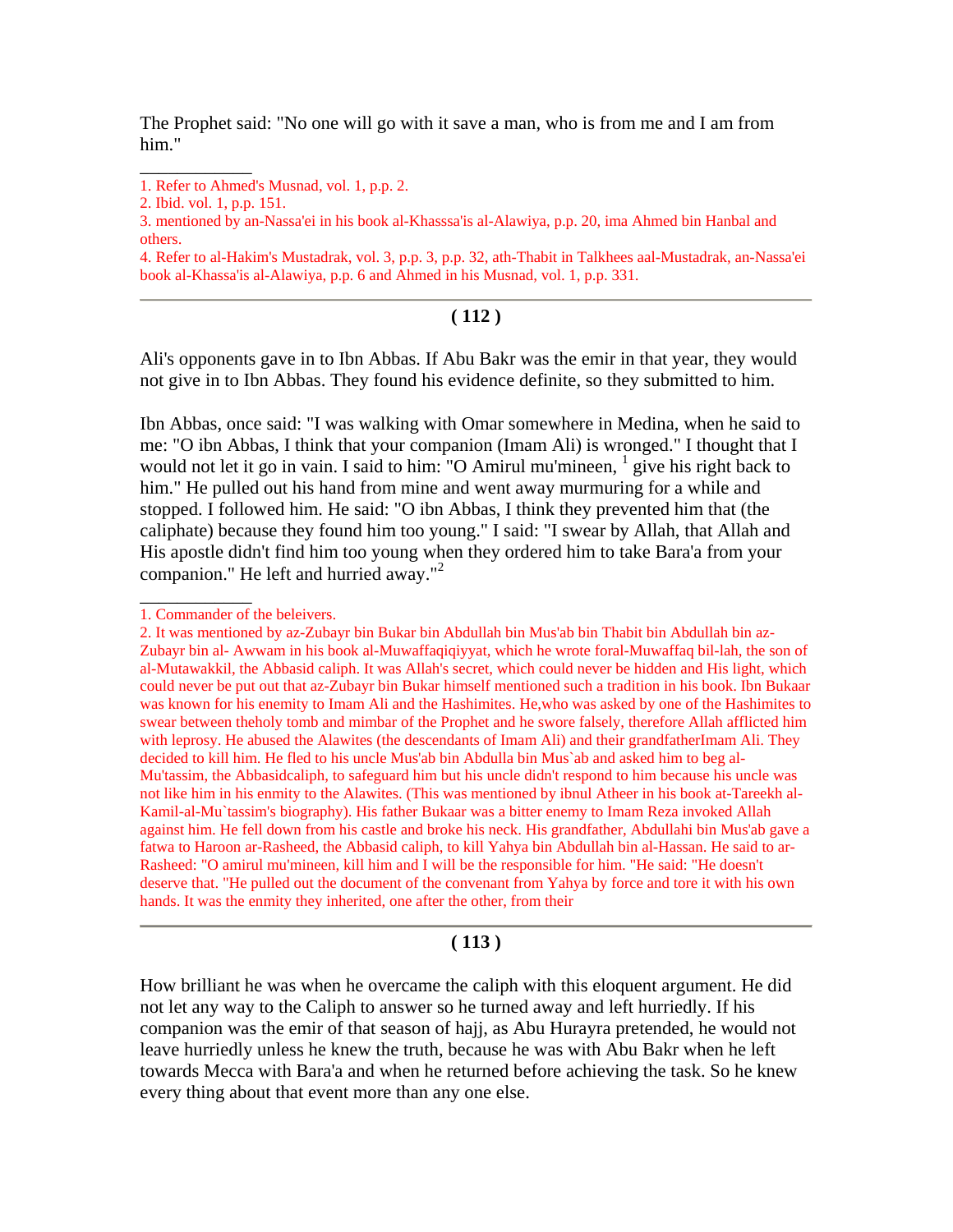The Prophet said: "No one will go with it save a man, who is from me and I am from him."

\_\_\_\_\_\_\_\_\_\_\_\_

4. Refer to al-Hakim's Mustadrak, vol. 3, p.p. 3, p.p. 32, ath-Thabit in Talkhees aal-Mustadrak, an-Nassa'ei book al-Khassa'is al-Alawiya, p.p. 6 and Ahmed in his Musnad, vol. 1, p.p. 331.

#### **( 112 )**

Ali's opponents gave in to Ibn Abbas. If Abu Bakr was the emir in that year, they would not give in to Ibn Abbas. They found his evidence definite, so they submitted to him.

Ibn Abbas, once said: "I was walking with Omar somewhere in Medina, when he said to me: "O ibn Abbas, I think that your companion (Imam Ali) is wronged." I thought that I would not let it go in vain. I said to him: "O Amirul mu'mineen,  $1$  give his right back to him." He pulled out his hand from mine and went away murmuring for a while and stopped. I followed him. He said: "O ibn Abbas, I think they prevented him that (the caliphate) because they found him too young." I said: "I swear by Allah, that Allah and His apostle didn't find him too young when they ordered him to take Bara'a from your companion." He left and hurried away."<sup>2</sup>

\_\_\_\_\_\_\_\_\_\_\_\_

#### **( 113 )**

How brilliant he was when he overcame the caliph with this eloquent argument. He did not let any way to the Caliph to answer so he turned away and left hurriedly. If his companion was the emir of that season of hajj, as Abu Hurayra pretended, he would not leave hurriedly unless he knew the truth, because he was with Abu Bakr when he left towards Mecca with Bara'a and when he returned before achieving the task. So he knew every thing about that event more than any one else.

<sup>1.</sup> Refer to Ahmed's Musnad, vol. 1, p.p. 2.

<sup>2.</sup> Ibid. vol. 1, p.p. 151.

<sup>3.</sup> mentioned by an-Nassa'ei in his book al-Khasssa'is al-Alawiya, p.p. 20, ima Ahmed bin Hanbal and others.

<sup>1.</sup> Commander of the beleivers.

<sup>2.</sup> It was mentioned by az-Zubayr bin Bukar bin Abdullah bin Mus'ab bin Thabit bin Abdullah bin az-Zubayr bin al- Awwam in his book al-Muwaffaqiqiyyat, which he wrote foral-Muwaffaq bil-lah, the son of al-Mutawakkil, the Abbasid caliph. It was Allah's secret, which could never be hidden and His light, which could never be put out that az-Zubayr bin Bukar himself mentioned such a tradition in his book. Ibn Bukaar was known for his enemity to Imam Ali and the Hashimites. He,who was asked by one of the Hashimites to swear between theholy tomb and mimbar of the Prophet and he swore falsely, therefore Allah afflicted him with leprosy. He abused the Alawites (the descendants of Imam Ali) and their grandfatherImam Ali. They decided to kill him. He fled to his uncle Mus'ab bin Abdulla bin Mus`ab and asked him to beg al-Mu'tassim, the Abbasidcaliph, to safeguard him but his uncle didn't respond to him because his uncle was not like him in his enmity to the Alawites. (This was mentioned by ibnul Atheer in his book at-Tareekh al-Kamil-al-Mu`tassim's biography). His father Bukaar was a bitter enemy to Imam Reza invoked Allah against him. He fell down from his castle and broke his neck. His grandfather, Abdullahi bin Mus'ab gave a fatwa to Haroon ar-Rasheed, the Abbasid caliph, to kill Yahya bin Abdullah bin al-Hassan. He said to ar-Rasheed: "O amirul mu'mineen, kill him and I will be the responsible for him. "He said: "He doesn't deserve that. "He pulled out the document of the convenant from Yahya by force and tore it with his own hands. It was the enmity they inherited, one after the other, from their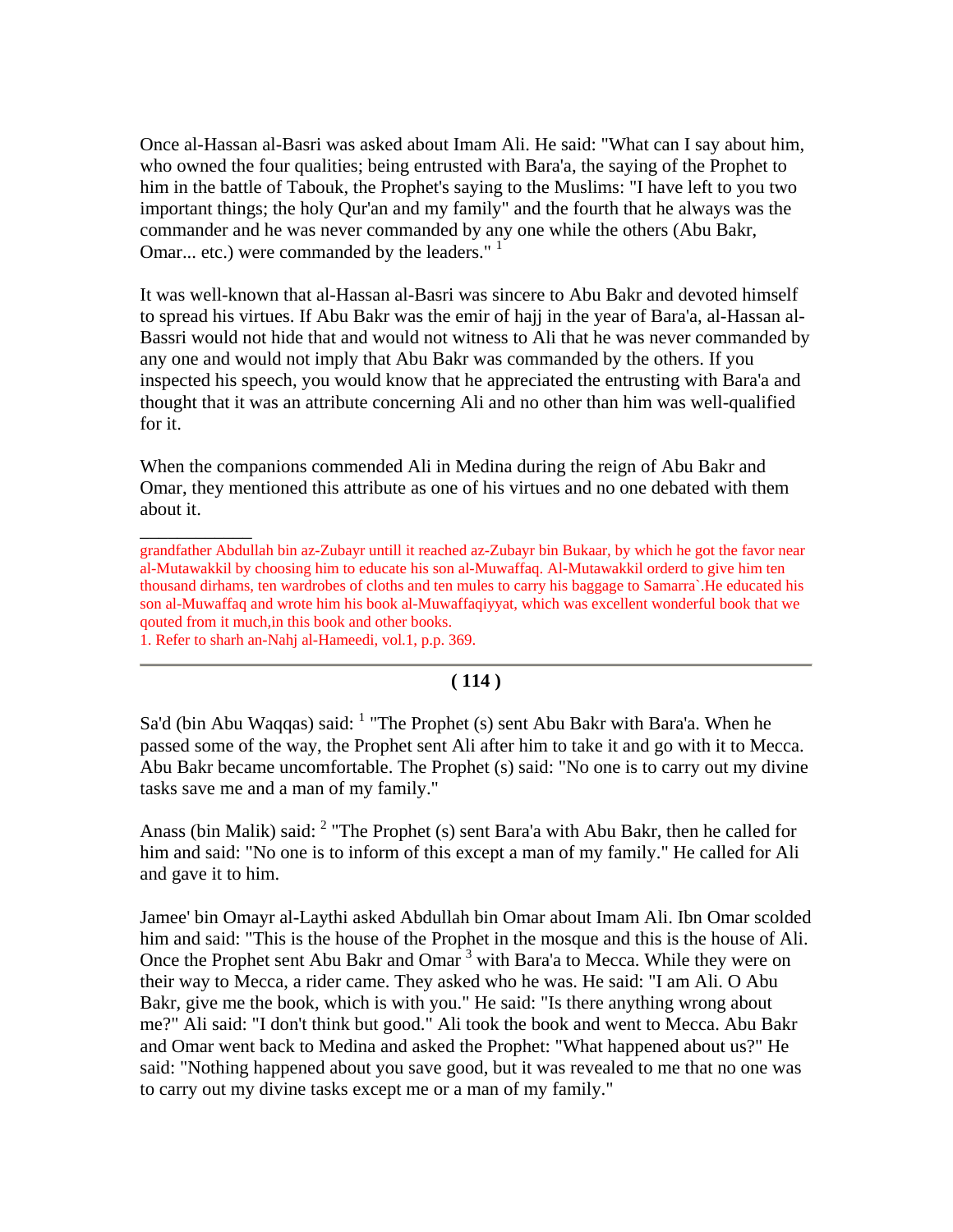Once al-Hassan al-Basri was asked about Imam Ali. He said: "What can I say about him, who owned the four qualities; being entrusted with Bara'a, the saying of the Prophet to him in the battle of Tabouk, the Prophet's saying to the Muslims: "I have left to you two important things; the holy Qur'an and my family" and the fourth that he always was the commander and he was never commanded by any one while the others (Abu Bakr, Omar... etc.) were commanded by the leaders."<sup>1</sup>

It was well-known that al-Hassan al-Basri was sincere to Abu Bakr and devoted himself to spread his virtues. If Abu Bakr was the emir of hajj in the year of Bara'a, al-Hassan al-Bassri would not hide that and would not witness to Ali that he was never commanded by any one and would not imply that Abu Bakr was commanded by the others. If you inspected his speech, you would know that he appreciated the entrusting with Bara'a and thought that it was an attribute concerning Ali and no other than him was well-qualified for it.

When the companions commended Ali in Medina during the reign of Abu Bakr and Omar, they mentioned this attribute as one of his virtues and no one debated with them about it.

grandfather Abdullah bin az-Zubayr untill it reached az-Zubayr bin Bukaar, by which he got the favor near al-Mutawakkil by choosing him to educate his son al-Muwaffaq. Al-Mutawakkil orderd to give him ten thousand dirhams, ten wardrobes of cloths and ten mules to carry his baggage to Samarra`.He educated his son al-Muwaffaq and wrote him his book al-Muwaffaqiyyat, which was excellent wonderful book that we qouted from it much,in this book and other books.

1. Refer to sharh an-Nahj al-Hameedi, vol.1, p.p. 369.

 $\overline{\phantom{a}}$ 

#### **( 114 )**

Sa'd (bin Abu Waqqas) said:  $<sup>1</sup>$  "The Prophet (s) sent Abu Bakr with Bara'a. When he</sup> passed some of the way, the Prophet sent Ali after him to take it and go with it to Mecca. Abu Bakr became uncomfortable. The Prophet (s) said: "No one is to carry out my divine tasks save me and a man of my family."

Anass (bin Malik) said:  $2$  "The Prophet (s) sent Bara'a with Abu Bakr, then he called for him and said: "No one is to inform of this except a man of my family." He called for Ali and gave it to him.

Jamee' bin Omayr al-Laythi asked Abdullah bin Omar about Imam Ali. Ibn Omar scolded him and said: "This is the house of the Prophet in the mosque and this is the house of Ali. Once the Prophet sent Abu Bakr and Omar<sup>3</sup> with Bara'a to Mecca. While they were on their way to Mecca, a rider came. They asked who he was. He said: "I am Ali. O Abu Bakr, give me the book, which is with you." He said: "Is there anything wrong about me?" Ali said: "I don't think but good." Ali took the book and went to Mecca. Abu Bakr and Omar went back to Medina and asked the Prophet: "What happened about us?" He said: "Nothing happened about you save good, but it was revealed to me that no one was to carry out my divine tasks except me or a man of my family."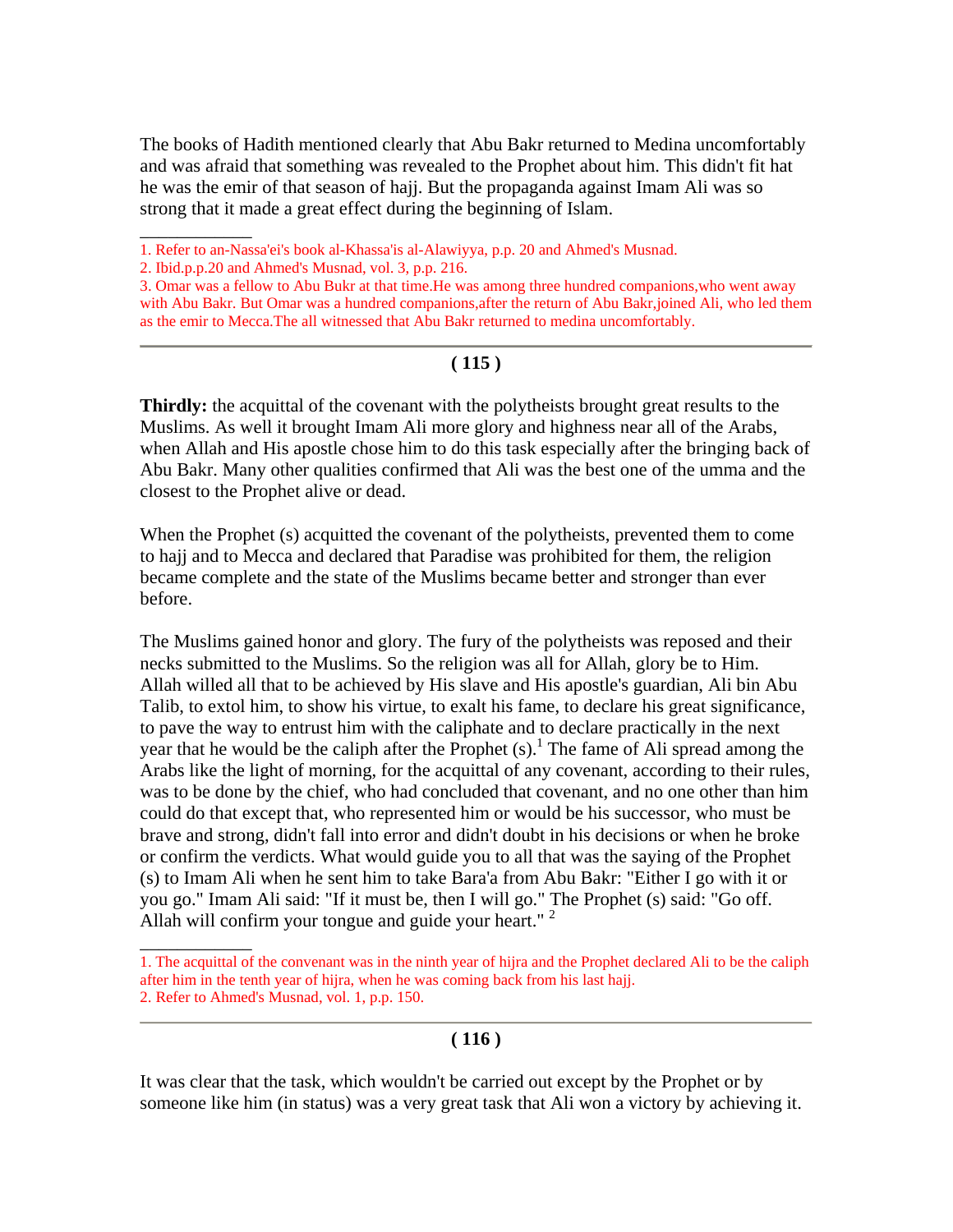The books of Hadith mentioned clearly that Abu Bakr returned to Medina uncomfortably and was afraid that something was revealed to the Prophet about him. This didn't fit hat he was the emir of that season of hajj. But the propaganda against Imam Ali was so strong that it made a great effect during the beginning of Islam.

\_\_\_\_\_\_\_\_\_\_\_\_

\_\_\_\_\_\_\_\_\_\_\_\_

### **( 115 )**

**Thirdly:** the acquittal of the covenant with the polytheists brought great results to the Muslims. As well it brought Imam Ali more glory and highness near all of the Arabs, when Allah and His apostle chose him to do this task especially after the bringing back of Abu Bakr. Many other qualities confirmed that Ali was the best one of the umma and the closest to the Prophet alive or dead.

When the Prophet (s) acquitted the covenant of the polytheists, prevented them to come to hajj and to Mecca and declared that Paradise was prohibited for them, the religion became complete and the state of the Muslims became better and stronger than ever before.

The Muslims gained honor and glory. The fury of the polytheists was reposed and their necks submitted to the Muslims. So the religion was all for Allah, glory be to Him. Allah willed all that to be achieved by His slave and His apostle's guardian, Ali bin Abu Talib, to extol him, to show his virtue, to exalt his fame, to declare his great significance, to pave the way to entrust him with the caliphate and to declare practically in the next year that he would be the caliph after the Prophet  $(s)$ .<sup>1</sup> The fame of Ali spread among the Arabs like the light of morning, for the acquittal of any covenant, according to their rules, was to be done by the chief, who had concluded that covenant, and no one other than him could do that except that, who represented him or would be his successor, who must be brave and strong, didn't fall into error and didn't doubt in his decisions or when he broke or confirm the verdicts. What would guide you to all that was the saying of the Prophet (s) to Imam Ali when he sent him to take Bara'a from Abu Bakr: "Either I go with it or you go." Imam Ali said: "If it must be, then I will go." The Prophet (s) said: "Go off. Allah will confirm your tongue and guide your heart."  $2$ 

### **( 116 )**

It was clear that the task, which wouldn't be carried out except by the Prophet or by someone like him (in status) was a very great task that Ali won a victory by achieving it.

<sup>1.</sup> Refer to an-Nassa'ei's book al-Khassa'is al-Alawiyya, p.p. 20 and Ahmed's Musnad.

<sup>2.</sup> Ibid.p.p.20 and Ahmed's Musnad, vol. 3, p.p. 216.

<sup>3.</sup> Omar was a fellow to Abu Bukr at that time.He was among three hundred companions,who went away with Abu Bakr. But Omar was a hundred companions,after the return of Abu Bakr,joined Ali, who led them as the emir to Mecca.The all witnessed that Abu Bakr returned to medina uncomfortably.

<sup>1.</sup> The acquittal of the convenant was in the ninth year of hijra and the Prophet declared Ali to be the caliph after him in the tenth year of hijra, when he was coming back from his last hajj. 2. Refer to Ahmed's Musnad, vol. 1, p.p. 150.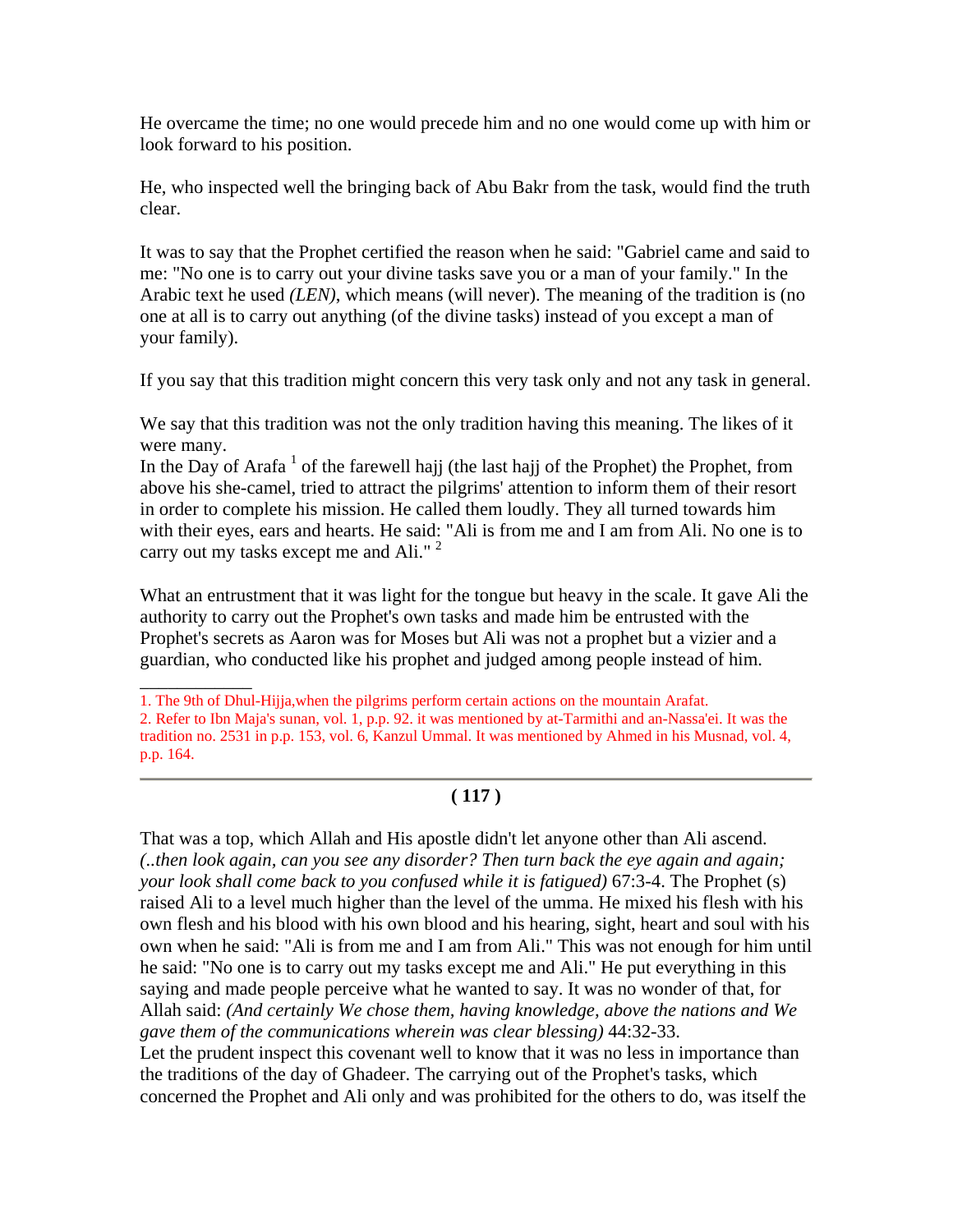He overcame the time; no one would precede him and no one would come up with him or look forward to his position.

He, who inspected well the bringing back of Abu Bakr from the task, would find the truth clear.

It was to say that the Prophet certified the reason when he said: "Gabriel came and said to me: "No one is to carry out your divine tasks save you or a man of your family." In the Arabic text he used *(LEN)*, which means (will never). The meaning of the tradition is (no one at all is to carry out anything (of the divine tasks) instead of you except a man of your family).

If you say that this tradition might concern this very task only and not any task in general.

We say that this tradition was not the only tradition having this meaning. The likes of it were many.

In the Day of Arafa<sup>1</sup> of the farewell hajj (the last hajj of the Prophet) the Prophet, from above his she-camel, tried to attract the pilgrims' attention to inform them of their resort in order to complete his mission. He called them loudly. They all turned towards him with their eyes, ears and hearts. He said: "Ali is from me and I am from Ali. No one is to carry out my tasks except me and Ali."<sup>2</sup>

What an entrustment that it was light for the tongue but heavy in the scale. It gave Ali the authority to carry out the Prophet's own tasks and made him be entrusted with the Prophet's secrets as Aaron was for Moses but Ali was not a prophet but a vizier and a guardian, who conducted like his prophet and judged among people instead of him.

## **( 117 )**

That was a top, which Allah and His apostle didn't let anyone other than Ali ascend. *(..then look again, can you see any disorder? Then turn back the eye again and again; your look shall come back to you confused while it is fatigued)* 67:3-4. The Prophet (s) raised Ali to a level much higher than the level of the umma. He mixed his flesh with his own flesh and his blood with his own blood and his hearing, sight, heart and soul with his own when he said: "Ali is from me and I am from Ali." This was not enough for him until he said: "No one is to carry out my tasks except me and Ali." He put everything in this saying and made people perceive what he wanted to say. It was no wonder of that, for Allah said: *(And certainly We chose them, having knowledge, above the nations and We gave them of the communications wherein was clear blessing)* 44:32-33.

Let the prudent inspect this covenant well to know that it was no less in importance than the traditions of the day of Ghadeer. The carrying out of the Prophet's tasks, which concerned the Prophet and Ali only and was prohibited for the others to do, was itself the

\_\_\_\_\_\_\_\_\_\_\_\_ 1. The 9th of Dhul-Hijja,when the pilgrims perform certain actions on the mountain Arafat. 2. Refer to Ibn Maja's sunan, vol. 1, p.p. 92. it was mentioned by at-Tarmithi and an-Nassa'ei. It was the tradition no. 2531 in p.p. 153, vol. 6, Kanzul Ummal. It was mentioned by Ahmed in his Musnad, vol. 4, p.p. 164.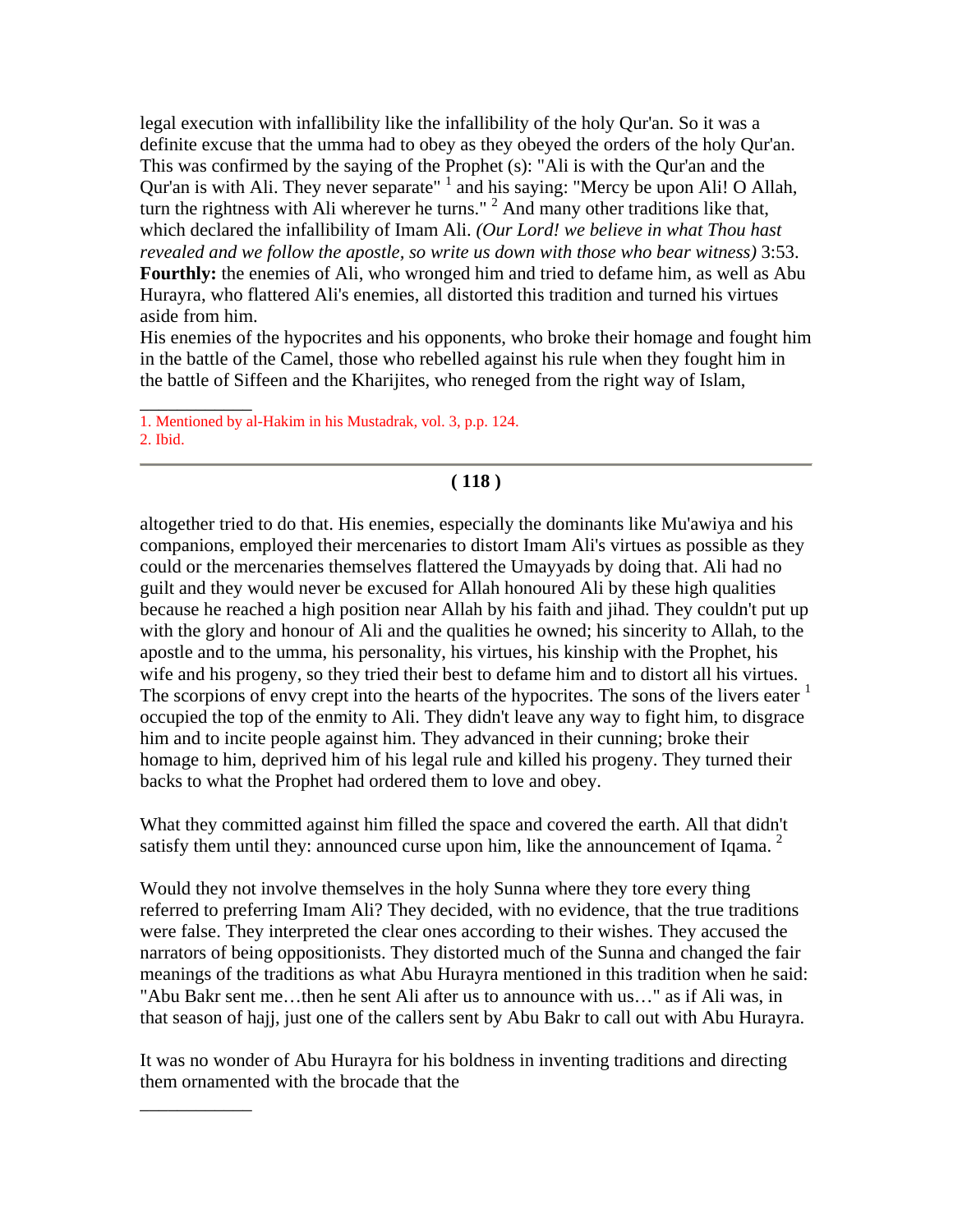legal execution with infallibility like the infallibility of the holy Qur'an. So it was a definite excuse that the umma had to obey as they obeyed the orders of the holy Qur'an. This was confirmed by the saying of the Prophet (s): "Ali is with the Qur'an and the Qur'an is with Ali. They never separate"  $\frac{1}{1}$  and his saying: "Mercy be upon Ali! O Allah, turn the rightness with Ali wherever he turns."<sup>2</sup> And many other traditions like that, which declared the infallibility of Imam Ali. *(Our Lord! we believe in what Thou hast revealed and we follow the apostle, so write us down with those who bear witness)* 3:53. **Fourthly:** the enemies of Ali, who wronged him and tried to defame him, as well as Abu Hurayra, who flattered Ali's enemies, all distorted this tradition and turned his virtues aside from him.

His enemies of the hypocrites and his opponents, who broke their homage and fought him in the battle of the Camel, those who rebelled against his rule when they fought him in the battle of Siffeen and the Kharijites, who reneged from the right way of Islam,

1. Mentioned by al-Hakim in his Mustadrak, vol. 3, p.p. 124.

2. Ibid.

\_\_\_\_\_\_\_\_\_\_\_\_

\_\_\_\_\_\_\_\_\_\_\_\_

## **( 118 )**

altogether tried to do that. His enemies, especially the dominants like Mu'awiya and his companions, employed their mercenaries to distort Imam Ali's virtues as possible as they could or the mercenaries themselves flattered the Umayyads by doing that. Ali had no guilt and they would never be excused for Allah honoured Ali by these high qualities because he reached a high position near Allah by his faith and jihad. They couldn't put up with the glory and honour of Ali and the qualities he owned; his sincerity to Allah, to the apostle and to the umma, his personality, his virtues, his kinship with the Prophet, his wife and his progeny, so they tried their best to defame him and to distort all his virtues. The scorpions of envy crept into the hearts of the hypocrites. The sons of the livers eater  $\frac{1}{1}$ occupied the top of the enmity to Ali. They didn't leave any way to fight him, to disgrace him and to incite people against him. They advanced in their cunning; broke their homage to him, deprived him of his legal rule and killed his progeny. They turned their backs to what the Prophet had ordered them to love and obey.

What they committed against him filled the space and covered the earth. All that didn't satisfy them until they: announced curse upon him, like the announcement of Iqama.  $2^2$ 

Would they not involve themselves in the holy Sunna where they tore every thing referred to preferring Imam Ali? They decided, with no evidence, that the true traditions were false. They interpreted the clear ones according to their wishes. They accused the narrators of being oppositionists. They distorted much of the Sunna and changed the fair meanings of the traditions as what Abu Hurayra mentioned in this tradition when he said: "Abu Bakr sent me…then he sent Ali after us to announce with us…" as if Ali was, in that season of hajj, just one of the callers sent by Abu Bakr to call out with Abu Hurayra.

It was no wonder of Abu Hurayra for his boldness in inventing traditions and directing them ornamented with the brocade that the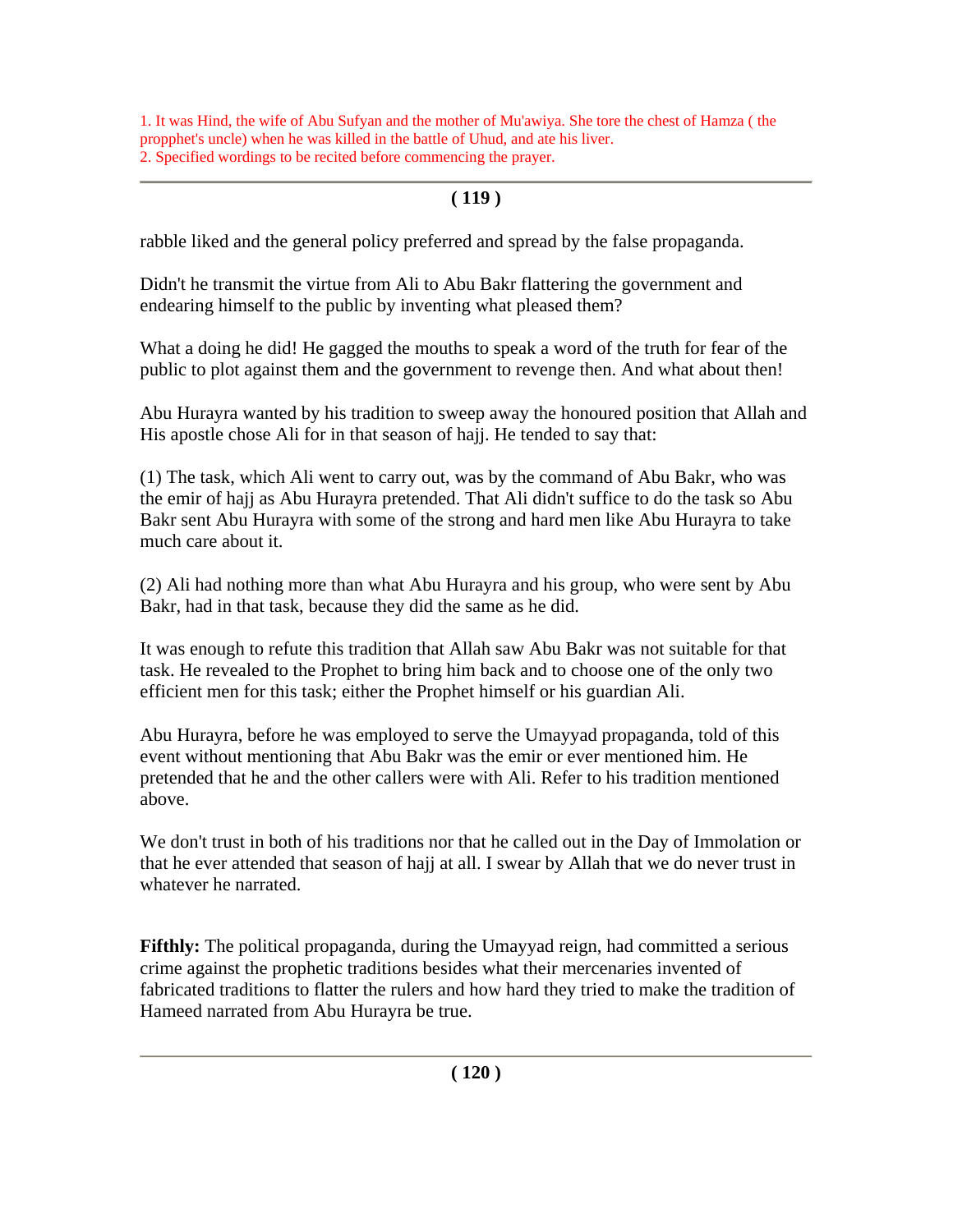1. It was Hind, the wife of Abu Sufyan and the mother of Mu'awiya. She tore the chest of Hamza ( the propphet's uncle) when he was killed in the battle of Uhud, and ate his liver. 2. Specified wordings to be recited before commencing the prayer.

# **( 119 )**

rabble liked and the general policy preferred and spread by the false propaganda.

Didn't he transmit the virtue from Ali to Abu Bakr flattering the government and endearing himself to the public by inventing what pleased them?

What a doing he did! He gagged the mouths to speak a word of the truth for fear of the public to plot against them and the government to revenge then. And what about then!

Abu Hurayra wanted by his tradition to sweep away the honoured position that Allah and His apostle chose Ali for in that season of hajj. He tended to say that:

(1) The task, which Ali went to carry out, was by the command of Abu Bakr, who was the emir of hajj as Abu Hurayra pretended. That Ali didn't suffice to do the task so Abu Bakr sent Abu Hurayra with some of the strong and hard men like Abu Hurayra to take much care about it.

(2) Ali had nothing more than what Abu Hurayra and his group, who were sent by Abu Bakr, had in that task, because they did the same as he did.

It was enough to refute this tradition that Allah saw Abu Bakr was not suitable for that task. He revealed to the Prophet to bring him back and to choose one of the only two efficient men for this task; either the Prophet himself or his guardian Ali.

Abu Hurayra, before he was employed to serve the Umayyad propaganda, told of this event without mentioning that Abu Bakr was the emir or ever mentioned him. He pretended that he and the other callers were with Ali. Refer to his tradition mentioned above.

We don't trust in both of his traditions nor that he called out in the Day of Immolation or that he ever attended that season of hajj at all. I swear by Allah that we do never trust in whatever he narrated.

**Fifthly:** The political propaganda, during the Umayyad reign, had committed a serious crime against the prophetic traditions besides what their mercenaries invented of fabricated traditions to flatter the rulers and how hard they tried to make the tradition of Hameed narrated from Abu Hurayra be true.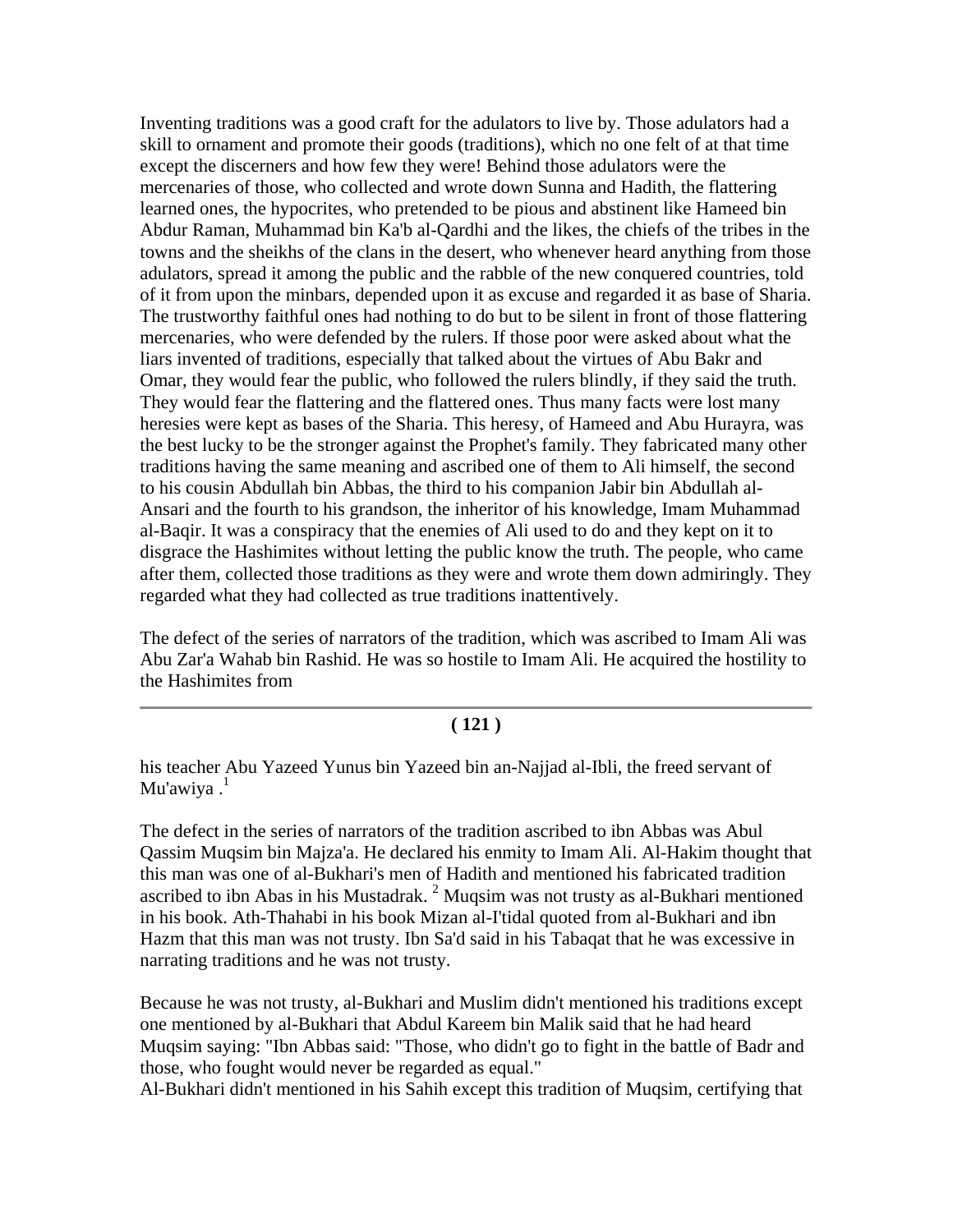Inventing traditions was a good craft for the adulators to live by. Those adulators had a skill to ornament and promote their goods (traditions), which no one felt of at that time except the discerners and how few they were! Behind those adulators were the mercenaries of those, who collected and wrote down Sunna and Hadith, the flattering learned ones, the hypocrites, who pretended to be pious and abstinent like Hameed bin Abdur Raman, Muhammad bin Ka'b al-Qardhi and the likes, the chiefs of the tribes in the towns and the sheikhs of the clans in the desert, who whenever heard anything from those adulators, spread it among the public and the rabble of the new conquered countries, told of it from upon the minbars, depended upon it as excuse and regarded it as base of Sharia. The trustworthy faithful ones had nothing to do but to be silent in front of those flattering mercenaries, who were defended by the rulers. If those poor were asked about what the liars invented of traditions, especially that talked about the virtues of Abu Bakr and Omar, they would fear the public, who followed the rulers blindly, if they said the truth. They would fear the flattering and the flattered ones. Thus many facts were lost many heresies were kept as bases of the Sharia. This heresy, of Hameed and Abu Hurayra, was the best lucky to be the stronger against the Prophet's family. They fabricated many other traditions having the same meaning and ascribed one of them to Ali himself, the second to his cousin Abdullah bin Abbas, the third to his companion Jabir bin Abdullah al-Ansari and the fourth to his grandson, the inheritor of his knowledge, Imam Muhammad al-Baqir. It was a conspiracy that the enemies of Ali used to do and they kept on it to disgrace the Hashimites without letting the public know the truth. The people, who came after them, collected those traditions as they were and wrote them down admiringly. They regarded what they had collected as true traditions inattentively.

The defect of the series of narrators of the tradition, which was ascribed to Imam Ali was Abu Zar'a Wahab bin Rashid. He was so hostile to Imam Ali. He acquired the hostility to the Hashimites from

#### **( 121 )**

his teacher Abu Yazeed Yunus bin Yazeed bin an-Najjad al-Ibli, the freed servant of Mu'awiya  $<sup>1</sup>$ </sup>

The defect in the series of narrators of the tradition ascribed to ibn Abbas was Abul Qassim Muqsim bin Majza'a. He declared his enmity to Imam Ali. Al-Hakim thought that this man was one of al-Bukhari's men of Hadith and mentioned his fabricated tradition ascribed to ibn Abas in his Mustadrak.<sup>2</sup> Muqsim was not trusty as al-Bukhari mentioned in his book. Ath-Thahabi in his book Mizan al-I'tidal quoted from al-Bukhari and ibn Hazm that this man was not trusty. Ibn Sa'd said in his Tabaqat that he was excessive in narrating traditions and he was not trusty.

Because he was not trusty, al-Bukhari and Muslim didn't mentioned his traditions except one mentioned by al-Bukhari that Abdul Kareem bin Malik said that he had heard Muqsim saying: "Ibn Abbas said: "Those, who didn't go to fight in the battle of Badr and those, who fought would never be regarded as equal."

Al-Bukhari didn't mentioned in his Sahih except this tradition of Muqsim, certifying that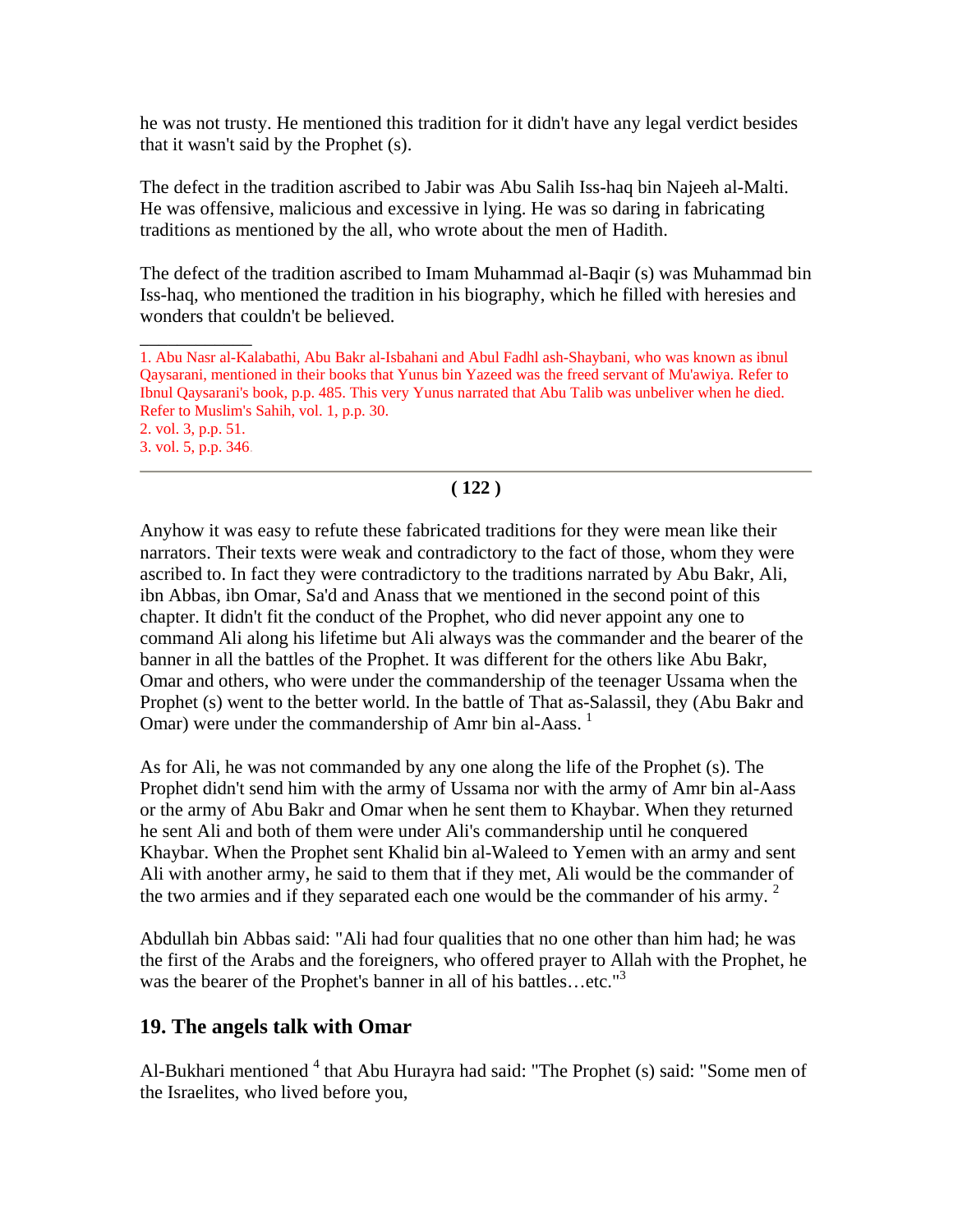he was not trusty. He mentioned this tradition for it didn't have any legal verdict besides that it wasn't said by the Prophet (s).

The defect in the tradition ascribed to Jabir was Abu Salih Iss-haq bin Najeeh al-Malti. He was offensive, malicious and excessive in lying. He was so daring in fabricating traditions as mentioned by the all, who wrote about the men of Hadith.

The defect of the tradition ascribed to Imam Muhammad al-Baqir (s) was Muhammad bin Iss-haq, who mentioned the tradition in his biography, which he filled with heresies and wonders that couldn't be believed.

## **( 122 )**

Anyhow it was easy to refute these fabricated traditions for they were mean like their narrators. Their texts were weak and contradictory to the fact of those, whom they were ascribed to. In fact they were contradictory to the traditions narrated by Abu Bakr, Ali, ibn Abbas, ibn Omar, Sa'd and Anass that we mentioned in the second point of this chapter. It didn't fit the conduct of the Prophet, who did never appoint any one to command Ali along his lifetime but Ali always was the commander and the bearer of the banner in all the battles of the Prophet. It was different for the others like Abu Bakr, Omar and others, who were under the commandership of the teenager Ussama when the Prophet (s) went to the better world. In the battle of That as-Salassil, they (Abu Bakr and Omar) were under the commandership of Amr bin al-Aass.<sup>1</sup>

As for Ali, he was not commanded by any one along the life of the Prophet (s). The Prophet didn't send him with the army of Ussama nor with the army of Amr bin al-Aass or the army of Abu Bakr and Omar when he sent them to Khaybar. When they returned he sent Ali and both of them were under Ali's commandership until he conquered Khaybar. When the Prophet sent Khalid bin al-Waleed to Yemen with an army and sent Ali with another army, he said to them that if they met, Ali would be the commander of the two armies and if they separated each one would be the commander of his army.  $2$ 

Abdullah bin Abbas said: "Ali had four qualities that no one other than him had; he was the first of the Arabs and the foreigners, who offered prayer to Allah with the Prophet, he was the bearer of the Prophet's banner in all of his battles...etc."<sup>3</sup>

### **19. The angels talk with Omar**

\_\_\_\_\_\_\_\_\_\_\_\_

Al-Bukhari mentioned <sup>4</sup> that Abu Hurayra had said: "The Prophet (s) said: "Some men of the Israelites, who lived before you,

<sup>1.</sup> Abu Nasr al-Kalabathi, Abu Bakr al-Isbahani and Abul Fadhl ash-Shaybani, who was known as ibnul Qaysarani, mentioned in their books that Yunus bin Yazeed was the freed servant of Mu'awiya. Refer to Ibnul Qaysarani's book, p.p. 485. This very Yunus narrated that Abu Talib was unbeliver when he died. Refer to Muslim's Sahih, vol. 1, p.p. 30. 2. vol. 3, p.p. 51. 3. vol. 5, p.p. 346.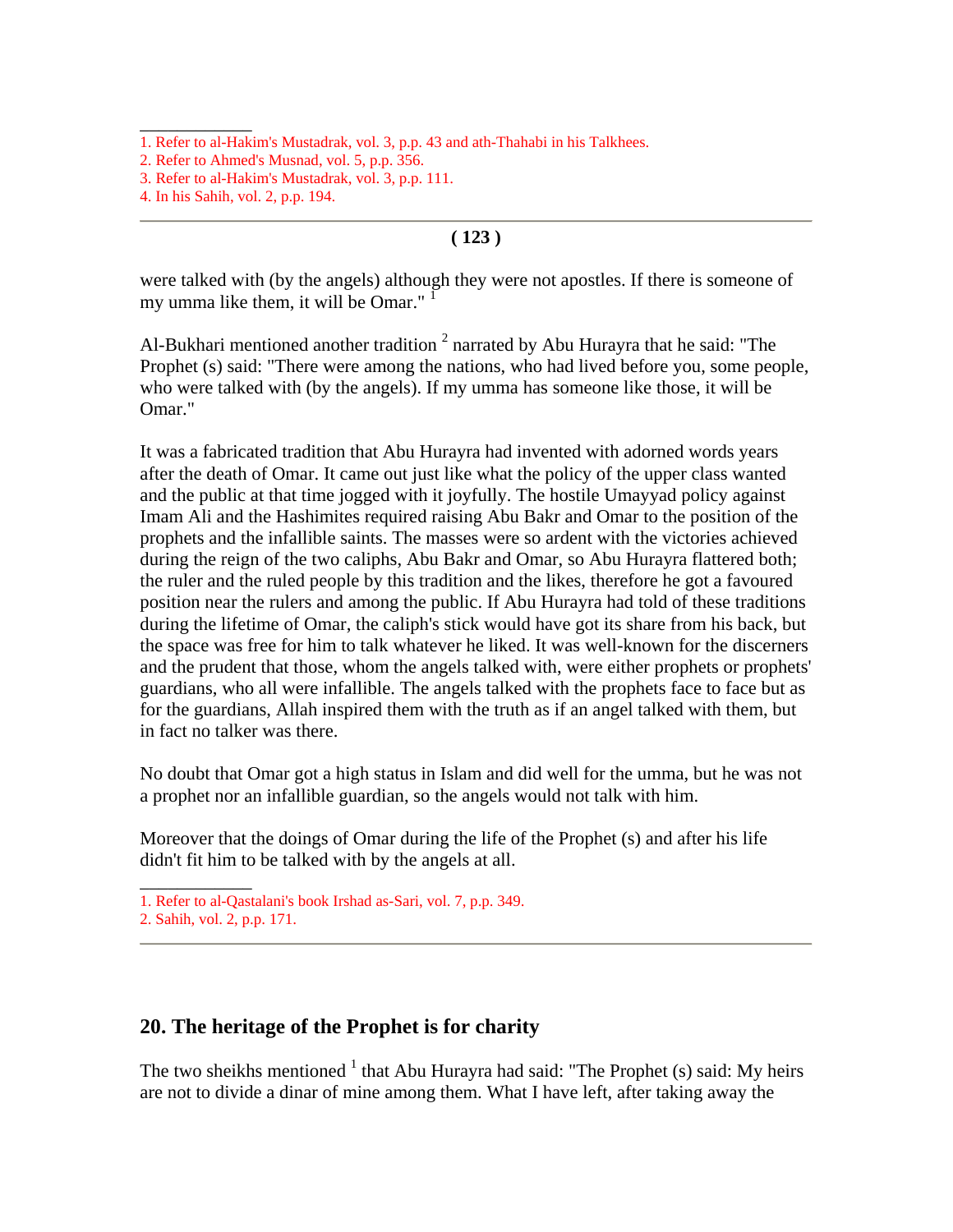\_\_\_\_\_\_\_\_\_\_\_\_

#### **( 123 )**

were talked with (by the angels) although they were not apostles. If there is someone of my umma like them, it will be Omar."

Al-Bukhari mentioned another tradition  $2$  narrated by Abu Hurayra that he said: "The Prophet (s) said: "There were among the nations, who had lived before you, some people, who were talked with (by the angels). If my umma has someone like those, it will be Omar."

It was a fabricated tradition that Abu Hurayra had invented with adorned words years after the death of Omar. It came out just like what the policy of the upper class wanted and the public at that time jogged with it joyfully. The hostile Umayyad policy against Imam Ali and the Hashimites required raising Abu Bakr and Omar to the position of the prophets and the infallible saints. The masses were so ardent with the victories achieved during the reign of the two caliphs, Abu Bakr and Omar, so Abu Hurayra flattered both; the ruler and the ruled people by this tradition and the likes, therefore he got a favoured position near the rulers and among the public. If Abu Hurayra had told of these traditions during the lifetime of Omar, the caliph's stick would have got its share from his back, but the space was free for him to talk whatever he liked. It was well-known for the discerners and the prudent that those, whom the angels talked with, were either prophets or prophets' guardians, who all were infallible. The angels talked with the prophets face to face but as for the guardians, Allah inspired them with the truth as if an angel talked with them, but in fact no talker was there.

No doubt that Omar got a high status in Islam and did well for the umma, but he was not a prophet nor an infallible guardian, so the angels would not talk with him.

Moreover that the doings of Omar during the life of the Prophet (s) and after his life didn't fit him to be talked with by the angels at all.

 $\overline{\phantom{a}}$ 

#### **20. The heritage of the Prophet is for charity**

The two sheikhs mentioned  $<sup>1</sup>$  that Abu Hurayra had said: "The Prophet (s) said: My heirs</sup> are not to divide a dinar of mine among them. What I have left, after taking away the

<sup>1.</sup> Refer to al-Hakim's Mustadrak, vol. 3, p.p. 43 and ath-Thahabi in his Talkhees.

<sup>2.</sup> Refer to Ahmed's Musnad, vol. 5, p.p. 356.

<sup>3.</sup> Refer to al-Hakim's Mustadrak, vol. 3, p.p. 111.

<sup>4.</sup> In his Sahih, vol. 2, p.p. 194.

<sup>1.</sup> Refer to al-Qastalani's book Irshad as-Sari, vol. 7, p.p. 349.

<sup>2.</sup> Sahih, vol. 2, p.p. 171.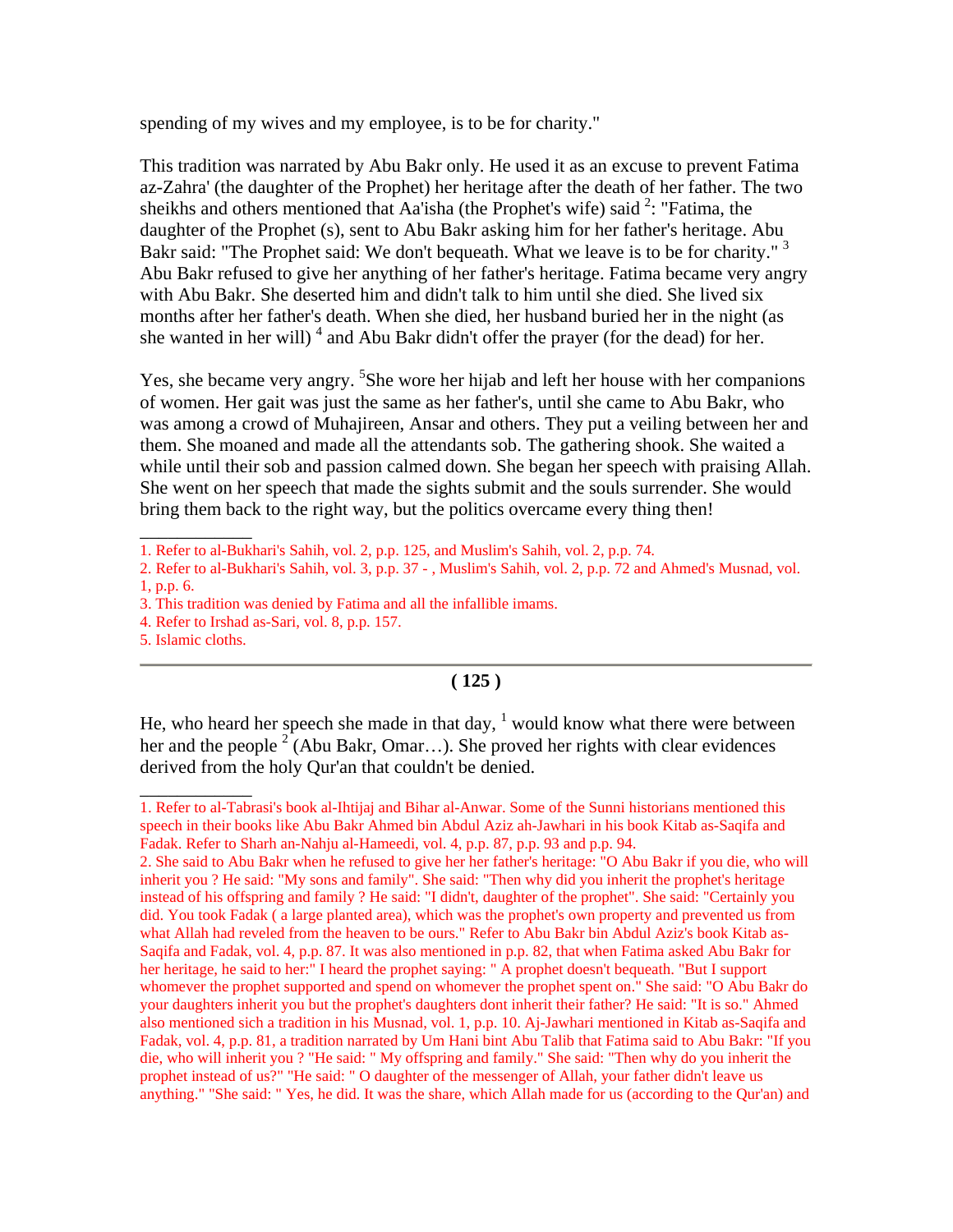spending of my wives and my employee, is to be for charity."

This tradition was narrated by Abu Bakr only. He used it as an excuse to prevent Fatima az-Zahra' (the daughter of the Prophet) her heritage after the death of her father. The two sheikhs and others mentioned that Aa'isha (the Prophet's wife) said  $2$ : "Fatima, the daughter of the Prophet (s), sent to Abu Bakr asking him for her father's heritage. Abu Bakr said: "The Prophet said: We don't bequeath. What we leave is to be for charity." <sup>3</sup> Abu Bakr refused to give her anything of her father's heritage. Fatima became very angry with Abu Bakr. She deserted him and didn't talk to him until she died. She lived six months after her father's death. When she died, her husband buried her in the night (as she wanted in her will)<sup>4</sup> and Abu Bakr didn't offer the prayer (for the dead) for her.

Yes, she became very angry. <sup>5</sup>She wore her hijab and left her house with her companions of women. Her gait was just the same as her father's, until she came to Abu Bakr, who was among a crowd of Muhajireen, Ansar and others. They put a veiling between her and them. She moaned and made all the attendants sob. The gathering shook. She waited a while until their sob and passion calmed down. She began her speech with praising Allah. She went on her speech that made the sights submit and the souls surrender. She would bring them back to the right way, but the politics overcame every thing then!

\_\_\_\_\_\_\_\_\_\_\_\_

 $\overline{\phantom{a}}$ 

#### **( 125 )**

He, who heard her speech she made in that day,  $\frac{1}{1}$  would know what there were between her and the people  $2^{\infty}$  (Abu Bakr, Omar...). She proved her rights with clear evidences derived from the holy Qur'an that couldn't be denied.

<sup>1.</sup> Refer to al-Bukhari's Sahih, vol. 2, p.p. 125, and Muslim's Sahih, vol. 2, p.p. 74.

<sup>2.</sup> Refer to al-Bukhari's Sahih, vol. 3, p.p. 37 - , Muslim's Sahih, vol. 2, p.p. 72 and Ahmed's Musnad, vol. 1, p.p. 6.

<sup>3.</sup> This tradition was denied by Fatima and all the infallible imams.

<sup>4.</sup> Refer to Irshad as-Sari, vol. 8, p.p. 157.

<sup>5.</sup> Islamic cloths.

<sup>1.</sup> Refer to al-Tabrasi's book al-Ihtijaj and Bihar al-Anwar. Some of the Sunni historians mentioned this speech in their books like Abu Bakr Ahmed bin Abdul Aziz ah-Jawhari in his book Kitab as-Saqifa and Fadak. Refer to Sharh an-Nahju al-Hameedi, vol. 4, p.p. 87, p.p. 93 and p.p. 94.

<sup>2.</sup> She said to Abu Bakr when he refused to give her her father's heritage: "O Abu Bakr if you die, who will inherit you ? He said: "My sons and family". She said: "Then why did you inherit the prophet's heritage instead of his offspring and family ? He said: "I didn't, daughter of the prophet". She said: "Certainly you did. You took Fadak ( a large planted area), which was the prophet's own property and prevented us from what Allah had reveled from the heaven to be ours." Refer to Abu Bakr bin Abdul Aziz's book Kitab as-Saqifa and Fadak, vol. 4, p.p. 87. It was also mentioned in p.p. 82, that when Fatima asked Abu Bakr for her heritage, he said to her:" I heard the prophet saying: " A prophet doesn't bequeath. "But I support whomever the prophet supported and spend on whomever the prophet spent on." She said: "O Abu Bakr do your daughters inherit you but the prophet's daughters dont inherit their father? He said: "It is so." Ahmed also mentioned sich a tradition in his Musnad, vol. 1, p.p. 10. Aj-Jawhari mentioned in Kitab as-Saqifa and Fadak, vol. 4, p.p. 81, a tradition narrated by Um Hani bint Abu Talib that Fatima said to Abu Bakr: "If you die, who will inherit you ? "He said: " My offspring and family." She said: "Then why do you inherit the prophet instead of us?" "He said: " O daughter of the messenger of Allah, your father didn't leave us anything." "She said: " Yes, he did. It was the share, which Allah made for us (according to the Qur'an) and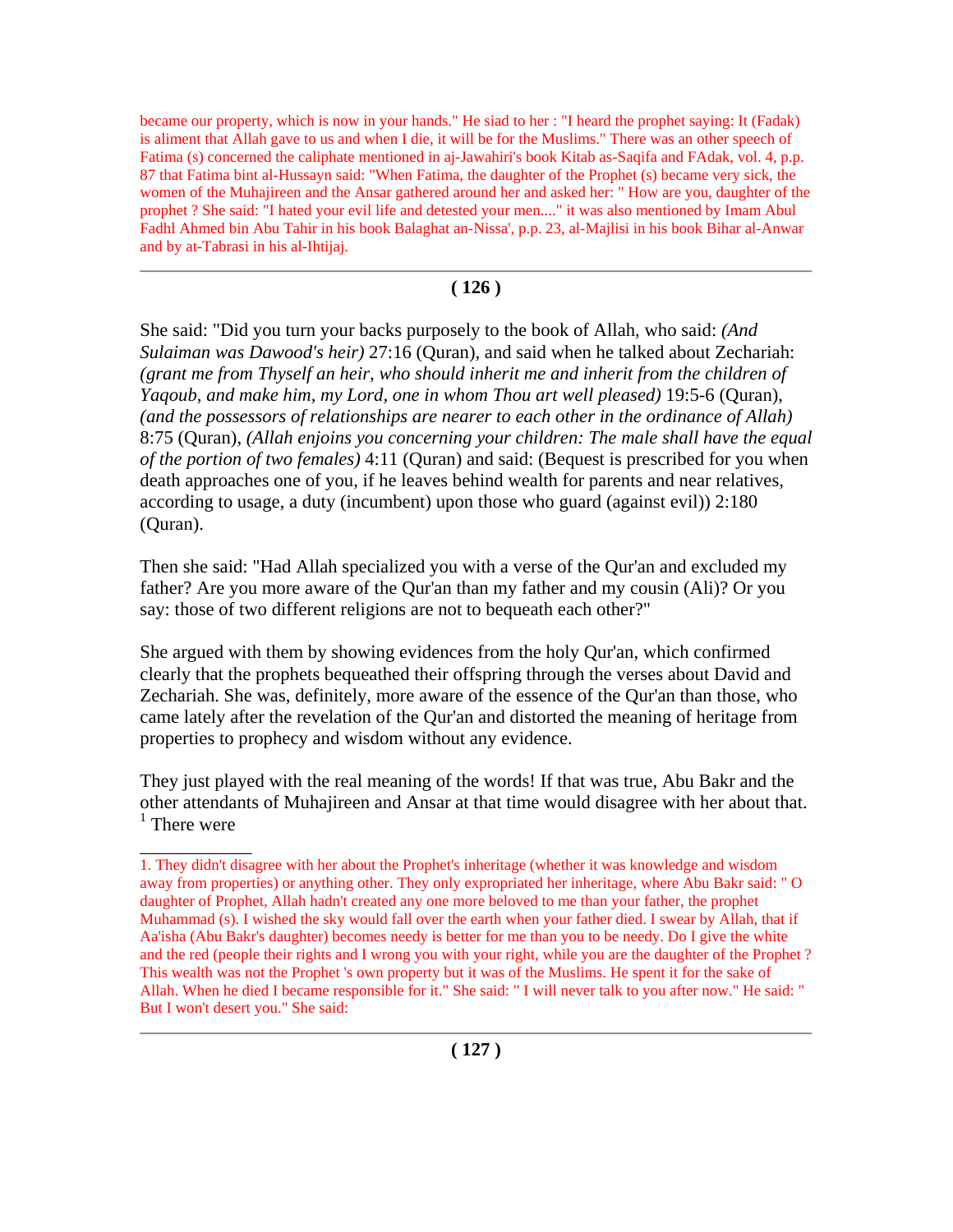became our property, which is now in your hands." He siad to her : "I heard the prophet saying: It (Fadak) is aliment that Allah gave to us and when I die, it will be for the Muslims." There was an other speech of Fatima (s) concerned the caliphate mentioned in aj-Jawahiri's book Kitab as-Saqifa and FAdak, vol. 4, p.p. 87 that Fatima bint al-Hussayn said: "When Fatima, the daughter of the Prophet (s) became very sick, the women of the Muhajireen and the Ansar gathered around her and asked her: " How are you, daughter of the prophet ? She said: "I hated your evil life and detested your men...." it was also mentioned by Imam Abul Fadhl Ahmed bin Abu Tahir in his book Balaghat an-Nissa', p.p. 23, al-Majlisi in his book Bihar al-Anwar and by at-Tabrasi in his al-Ihtijaj.

### **( 126 )**

She said: "Did you turn your backs purposely to the book of Allah, who said: *(And Sulaiman was Dawood's heir)* 27:16 (Quran), and said when he talked about Zechariah: *(grant me from Thyself an heir, who should inherit me and inherit from the children of Yaqoub, and make him, my Lord, one in whom Thou art well pleased)* 19:5-6 (Quran), *(and the possessors of relationships are nearer to each other in the ordinance of Allah)* 8:75 (Quran), *(Allah enjoins you concerning your children: The male shall have the equal of the portion of two females)* 4:11 (Quran) and said: (Bequest is prescribed for you when death approaches one of you, if he leaves behind wealth for parents and near relatives, according to usage, a duty (incumbent) upon those who guard (against evil)) 2:180 (Quran).

Then she said: "Had Allah specialized you with a verse of the Qur'an and excluded my father? Are you more aware of the Qur'an than my father and my cousin (Ali)? Or you say: those of two different religions are not to bequeath each other?"

She argued with them by showing evidences from the holy Qur'an, which confirmed clearly that the prophets bequeathed their offspring through the verses about David and Zechariah. She was, definitely, more aware of the essence of the Qur'an than those, who came lately after the revelation of the Qur'an and distorted the meaning of heritage from properties to prophecy and wisdom without any evidence.

They just played with the real meaning of the words! If that was true, Abu Bakr and the other attendants of Muhajireen and Ansar at that time would disagree with her about that. <sup>1</sup> There were

\_\_\_\_\_\_\_\_\_\_\_\_

<sup>1.</sup> They didn't disagree with her about the Prophet's inheritage (whether it was knowledge and wisdom away from properties) or anything other. They only expropriated her inheritage, where Abu Bakr said: " O daughter of Prophet, Allah hadn't created any one more beloved to me than your father, the prophet Muhammad (s). I wished the sky would fall over the earth when your father died. I swear by Allah, that if Aa'isha (Abu Bakr's daughter) becomes needy is better for me than you to be needy. Do I give the white and the red (people their rights and I wrong you with your right, while you are the daughter of the Prophet ? This wealth was not the Prophet 's own property but it was of the Muslims. He spent it for the sake of Allah. When he died I became responsible for it." She said: " I will never talk to you after now." He said: " But I won't desert you." She said: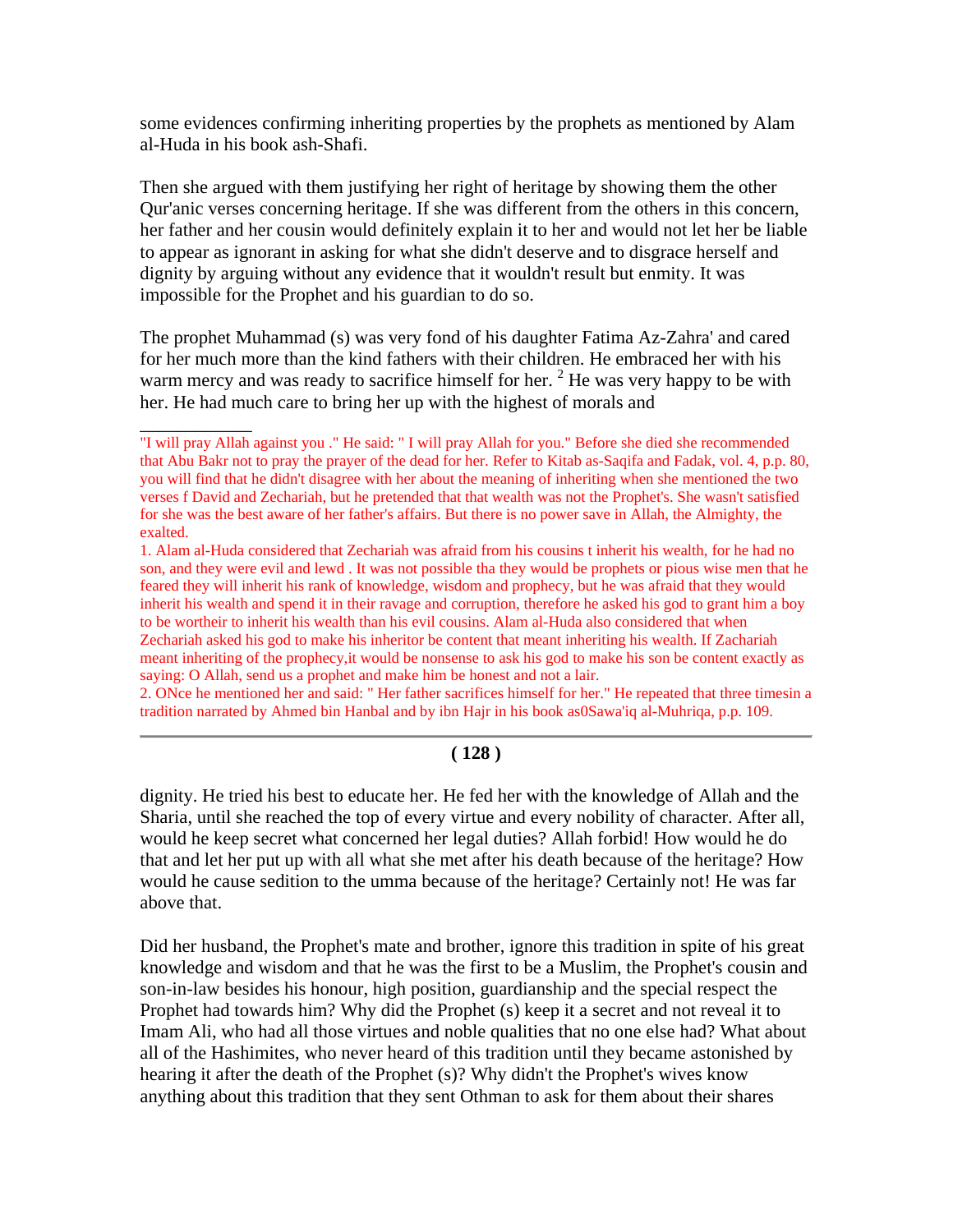some evidences confirming inheriting properties by the prophets as mentioned by Alam al-Huda in his book ash-Shafi.

Then she argued with them justifying her right of heritage by showing them the other Qur'anic verses concerning heritage. If she was different from the others in this concern, her father and her cousin would definitely explain it to her and would not let her be liable to appear as ignorant in asking for what she didn't deserve and to disgrace herself and dignity by arguing without any evidence that it wouldn't result but enmity. It was impossible for the Prophet and his guardian to do so.

The prophet Muhammad (s) was very fond of his daughter Fatima Az-Zahra' and cared for her much more than the kind fathers with their children. He embraced her with his warm mercy and was ready to sacrifice himself for her.  $2$  He was very happy to be with her. He had much care to bring her up with the highest of morals and

 $\overline{\phantom{a}}$ 

2. ONce he mentioned her and said: " Her father sacrifices himself for her." He repeated that three timesin a tradition narrated by Ahmed bin Hanbal and by ibn Hajr in his book as0Sawa'iq al-Muhriqa, p.p. 109.

#### **( 128 )**

dignity. He tried his best to educate her. He fed her with the knowledge of Allah and the Sharia, until she reached the top of every virtue and every nobility of character. After all, would he keep secret what concerned her legal duties? Allah forbid! How would he do that and let her put up with all what she met after his death because of the heritage? How would he cause sedition to the umma because of the heritage? Certainly not! He was far above that.

Did her husband, the Prophet's mate and brother, ignore this tradition in spite of his great knowledge and wisdom and that he was the first to be a Muslim, the Prophet's cousin and son-in-law besides his honour, high position, guardianship and the special respect the Prophet had towards him? Why did the Prophet (s) keep it a secret and not reveal it to Imam Ali, who had all those virtues and noble qualities that no one else had? What about all of the Hashimites, who never heard of this tradition until they became astonished by hearing it after the death of the Prophet (s)? Why didn't the Prophet's wives know anything about this tradition that they sent Othman to ask for them about their shares

<sup>&</sup>quot;I will pray Allah against you ." He said: " I will pray Allah for you." Before she died she recommended that Abu Bakr not to pray the prayer of the dead for her. Refer to Kitab as-Saqifa and Fadak, vol. 4, p.p. 80, you will find that he didn't disagree with her about the meaning of inheriting when she mentioned the two verses f David and Zechariah, but he pretended that that wealth was not the Prophet's. She wasn't satisfied for she was the best aware of her father's affairs. But there is no power save in Allah, the Almighty, the exalted.

<sup>1.</sup> Alam al-Huda considered that Zechariah was afraid from his cousins t inherit his wealth, for he had no son, and they were evil and lewd . It was not possible tha they would be prophets or pious wise men that he feared they will inherit his rank of knowledge, wisdom and prophecy, but he was afraid that they would inherit his wealth and spend it in their ravage and corruption, therefore he asked his god to grant him a boy to be wortheir to inherit his wealth than his evil cousins. Alam al-Huda also considered that when Zechariah asked his god to make his inheritor be content that meant inheriting his wealth. If Zachariah meant inheriting of the prophecy,it would be nonsense to ask his god to make his son be content exactly as saying: O Allah, send us a prophet and make him be honest and not a lair.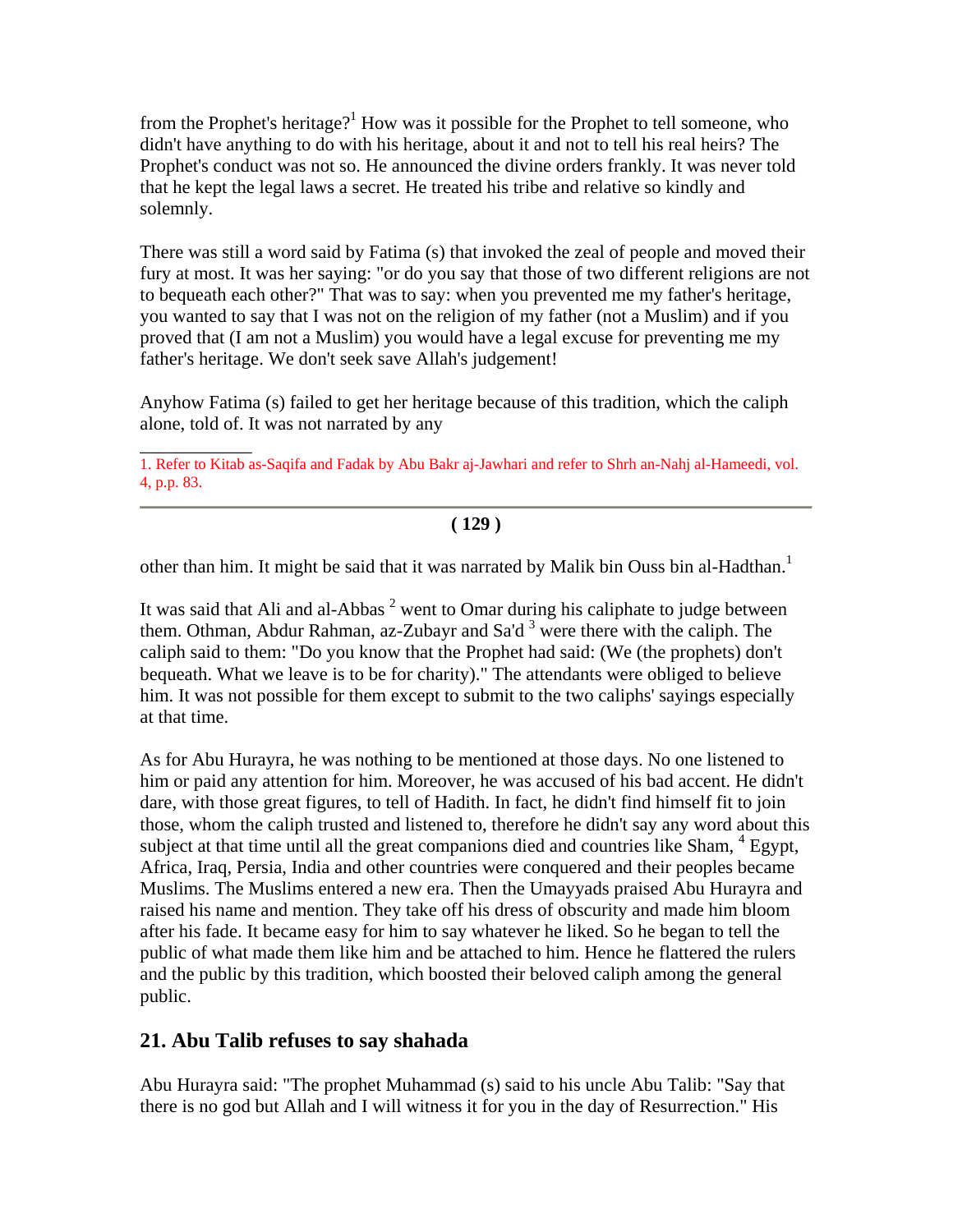from the Prophet's heritage?<sup>1</sup> How was it possible for the Prophet to tell someone, who didn't have anything to do with his heritage, about it and not to tell his real heirs? The Prophet's conduct was not so. He announced the divine orders frankly. It was never told that he kept the legal laws a secret. He treated his tribe and relative so kindly and solemnly.

There was still a word said by Fatima (s) that invoked the zeal of people and moved their fury at most. It was her saying: "or do you say that those of two different religions are not to bequeath each other?" That was to say: when you prevented me my father's heritage, you wanted to say that I was not on the religion of my father (not a Muslim) and if you proved that (I am not a Muslim) you would have a legal excuse for preventing me my father's heritage. We don't seek save Allah's judgement!

Anyhow Fatima (s) failed to get her heritage because of this tradition, which the caliph alone, told of. It was not narrated by any

#### **( 129 )**

other than him. It might be said that it was narrated by Malik bin Ouss bin al-Hadthan.<sup>1</sup>

It was said that Ali and al-Abbas  $2$  went to Omar during his caliphate to judge between them. Othman, Abdur Rahman, az-Zubayr and Sa'd  $3$  were there with the caliph. The caliph said to them: "Do you know that the Prophet had said: (We (the prophets) don't bequeath. What we leave is to be for charity)." The attendants were obliged to believe him. It was not possible for them except to submit to the two caliphs' sayings especially at that time.

As for Abu Hurayra, he was nothing to be mentioned at those days. No one listened to him or paid any attention for him. Moreover, he was accused of his bad accent. He didn't dare, with those great figures, to tell of Hadith. In fact, he didn't find himself fit to join those, whom the caliph trusted and listened to, therefore he didn't say any word about this subject at that time until all the great companions died and countries like Sham, <sup>4</sup> Egypt, Africa, Iraq, Persia, India and other countries were conquered and their peoples became Muslims. The Muslims entered a new era. Then the Umayyads praised Abu Hurayra and raised his name and mention. They take off his dress of obscurity and made him bloom after his fade. It became easy for him to say whatever he liked. So he began to tell the public of what made them like him and be attached to him. Hence he flattered the rulers and the public by this tradition, which boosted their beloved caliph among the general public.

### **21. Abu Talib refuses to say shahada**

\_\_\_\_\_\_\_\_\_\_\_\_

Abu Hurayra said: "The prophet Muhammad (s) said to his uncle Abu Talib: "Say that there is no god but Allah and I will witness it for you in the day of Resurrection." His

<sup>1.</sup> Refer to Kitab as-Saqifa and Fadak by Abu Bakr aj-Jawhari and refer to Shrh an-Nahj al-Hameedi, vol. 4, p.p. 83.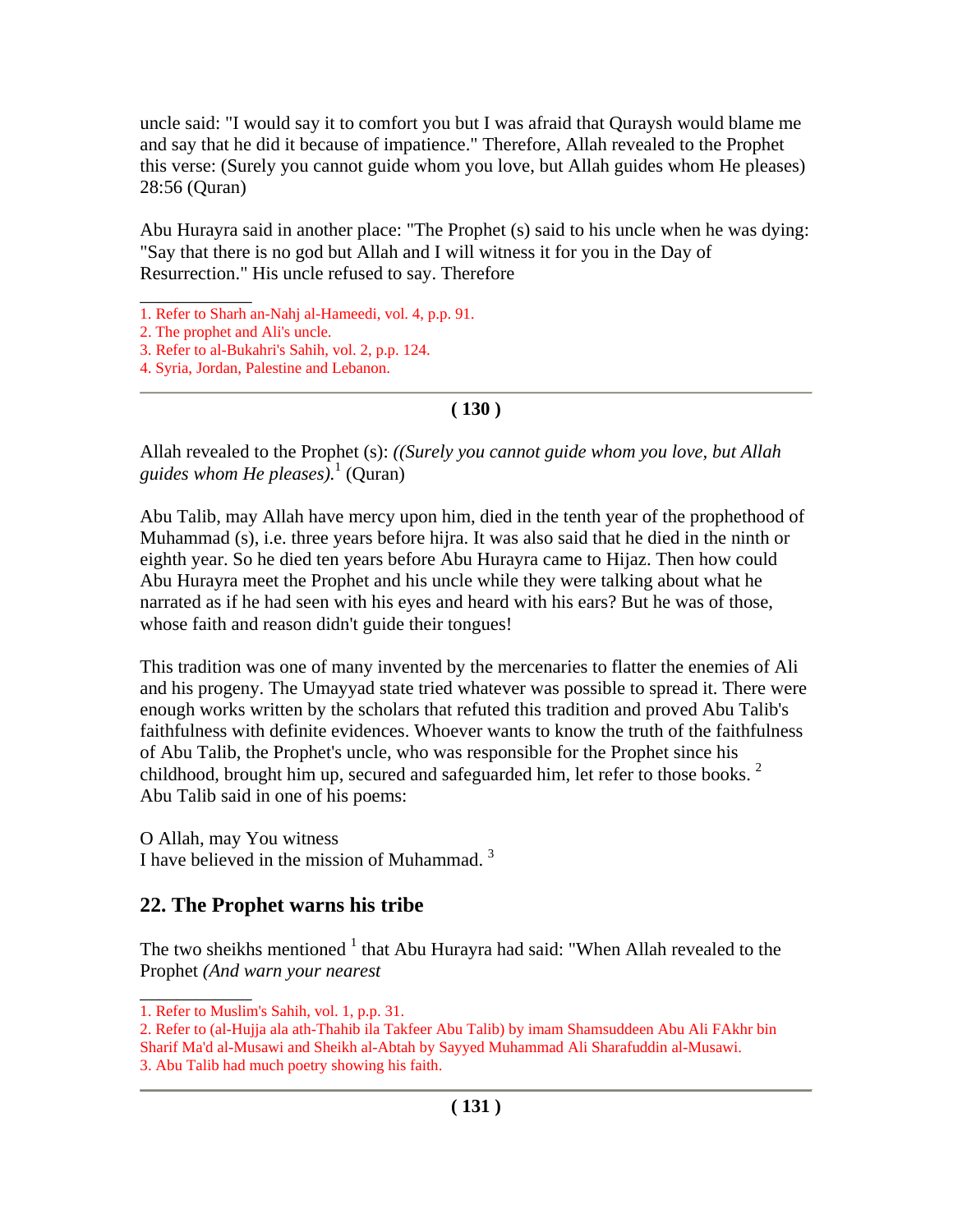uncle said: "I would say it to comfort you but I was afraid that Quraysh would blame me and say that he did it because of impatience." Therefore, Allah revealed to the Prophet this verse: (Surely you cannot guide whom you love, but Allah guides whom He pleases) 28:56 (Quran)

Abu Hurayra said in another place: "The Prophet (s) said to his uncle when he was dying: "Say that there is no god but Allah and I will witness it for you in the Day of Resurrection." His uncle refused to say. Therefore

\_\_\_\_\_\_\_\_\_\_\_\_

### **( 130 )**

Allah revealed to the Prophet (s): *((Surely you cannot guide whom you love, but Allah guides whom He pleases).*<sup>1</sup> (Quran)

Abu Talib, may Allah have mercy upon him, died in the tenth year of the prophethood of Muhammad (s), i.e. three years before hijra. It was also said that he died in the ninth or eighth year. So he died ten years before Abu Hurayra came to Hijaz. Then how could Abu Hurayra meet the Prophet and his uncle while they were talking about what he narrated as if he had seen with his eyes and heard with his ears? But he was of those, whose faith and reason didn't guide their tongues!

This tradition was one of many invented by the mercenaries to flatter the enemies of Ali and his progeny. The Umayyad state tried whatever was possible to spread it. There were enough works written by the scholars that refuted this tradition and proved Abu Talib's faithfulness with definite evidences. Whoever wants to know the truth of the faithfulness of Abu Talib, the Prophet's uncle, who was responsible for the Prophet since his childhood, brought him up, secured and safeguarded him, let refer to those books.  $2$ Abu Talib said in one of his poems:

O Allah, may You witness

\_\_\_\_\_\_\_\_\_\_\_\_

I have believed in the mission of Muhammad.<sup>3</sup>

# **22. The Prophet warns his tribe**

The two sheikhs mentioned  $<sup>1</sup>$  that Abu Hurayra had said: "When Allah revealed to the</sup> Prophet *(And warn your nearest*

<sup>1.</sup> Refer to Sharh an-Nahj al-Hameedi, vol. 4, p.p. 91.

<sup>2.</sup> The prophet and Ali's uncle.

<sup>3.</sup> Refer to al-Bukahri's Sahih, vol. 2, p.p. 124.

<sup>4.</sup> Syria, Jordan, Palestine and Lebanon.

<sup>1.</sup> Refer to Muslim's Sahih, vol. 1, p.p. 31.

<sup>2.</sup> Refer to (al-Hujja ala ath-Thahib ila Takfeer Abu Talib) by imam Shamsuddeen Abu Ali FAkhr bin Sharif Ma'd al-Musawi and Sheikh al-Abtah by Sayyed Muhammad Ali Sharafuddin al-Musawi.

<sup>3.</sup> Abu Talib had much poetry showing his faith.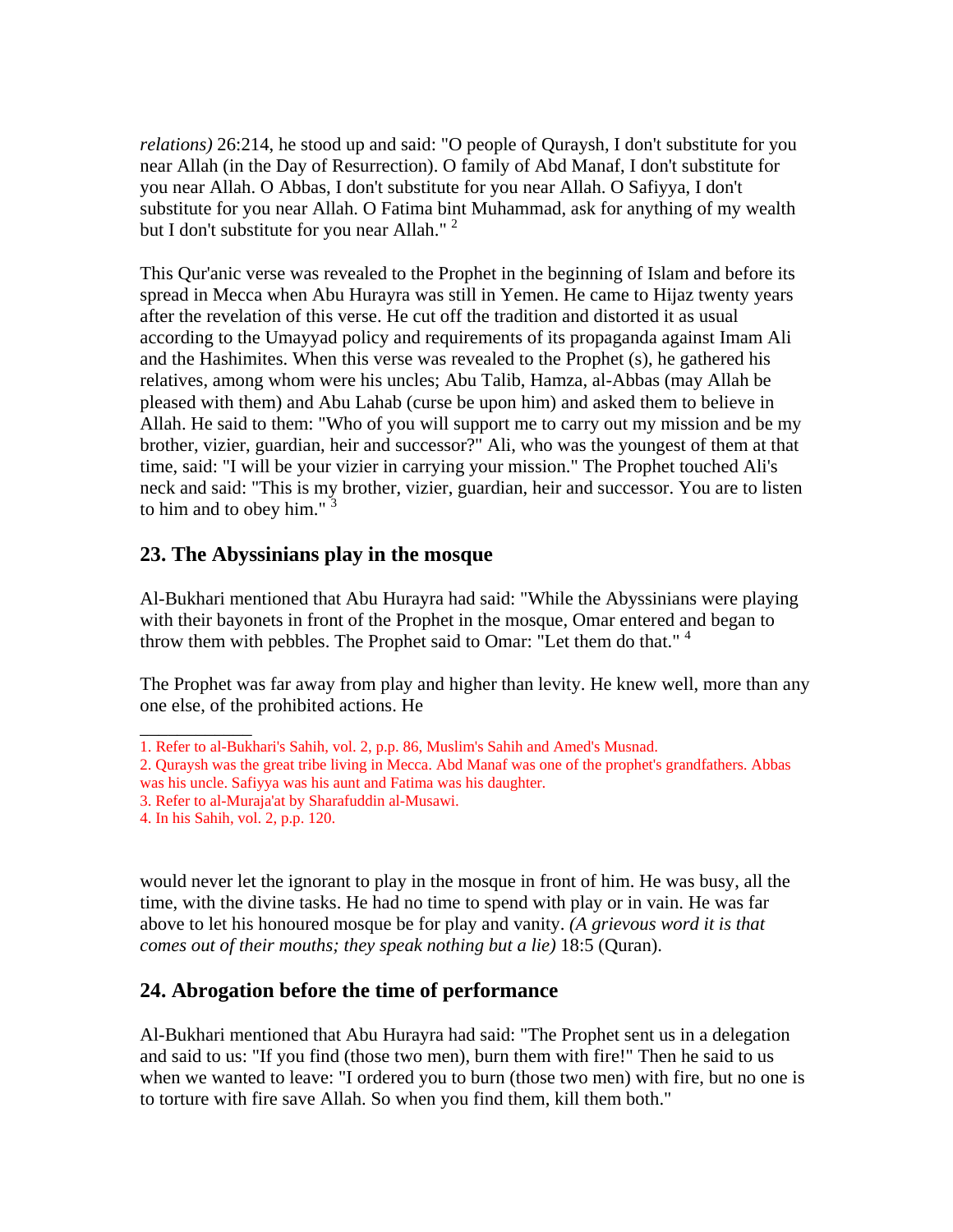*relations)* 26:214, he stood up and said: "O people of Quraysh, I don't substitute for you near Allah (in the Day of Resurrection). O family of Abd Manaf, I don't substitute for you near Allah. O Abbas, I don't substitute for you near Allah. O Safiyya, I don't substitute for you near Allah. O Fatima bint Muhammad, ask for anything of my wealth but I don't substitute for you near Allah."  $2$ 

This Qur'anic verse was revealed to the Prophet in the beginning of Islam and before its spread in Mecca when Abu Hurayra was still in Yemen. He came to Hijaz twenty years after the revelation of this verse. He cut off the tradition and distorted it as usual according to the Umayyad policy and requirements of its propaganda against Imam Ali and the Hashimites. When this verse was revealed to the Prophet (s), he gathered his relatives, among whom were his uncles; Abu Talib, Hamza, al-Abbas (may Allah be pleased with them) and Abu Lahab (curse be upon him) and asked them to believe in Allah. He said to them: "Who of you will support me to carry out my mission and be my brother, vizier, guardian, heir and successor?" Ali, who was the youngest of them at that time, said: "I will be your vizier in carrying your mission." The Prophet touched Ali's neck and said: "This is my brother, vizier, guardian, heir and successor. You are to listen to him and to obey him." $3$ 

## **23. The Abyssinians play in the mosque**

Al-Bukhari mentioned that Abu Hurayra had said: "While the Abyssinians were playing with their bayonets in front of the Prophet in the mosque, Omar entered and began to throw them with pebbles. The Prophet said to Omar: "Let them do that."<sup>4</sup>

The Prophet was far away from play and higher than levity. He knew well, more than any one else, of the prohibited actions. He

would never let the ignorant to play in the mosque in front of him. He was busy, all the time, with the divine tasks. He had no time to spend with play or in vain. He was far above to let his honoured mosque be for play and vanity. *(A grievous word it is that comes out of their mouths; they speak nothing but a lie)* 18:5 (Quran).

# **24. Abrogation before the time of performance**

Al-Bukhari mentioned that Abu Hurayra had said: "The Prophet sent us in a delegation and said to us: "If you find (those two men), burn them with fire!" Then he said to us when we wanted to leave: "I ordered you to burn (those two men) with fire, but no one is to torture with fire save Allah. So when you find them, kill them both."

\_\_\_\_\_\_\_\_\_\_\_\_ 1. Refer to al-Bukhari's Sahih, vol. 2, p.p. 86, Muslim's Sahih and Amed's Musnad.

<sup>2.</sup> Quraysh was the great tribe living in Mecca. Abd Manaf was one of the prophet's grandfathers. Abbas was his uncle. Safiyya was his aunt and Fatima was his daughter.

<sup>3.</sup> Refer to al-Muraja'at by Sharafuddin al-Musawi.

<sup>4.</sup> In his Sahih, vol. 2, p.p. 120.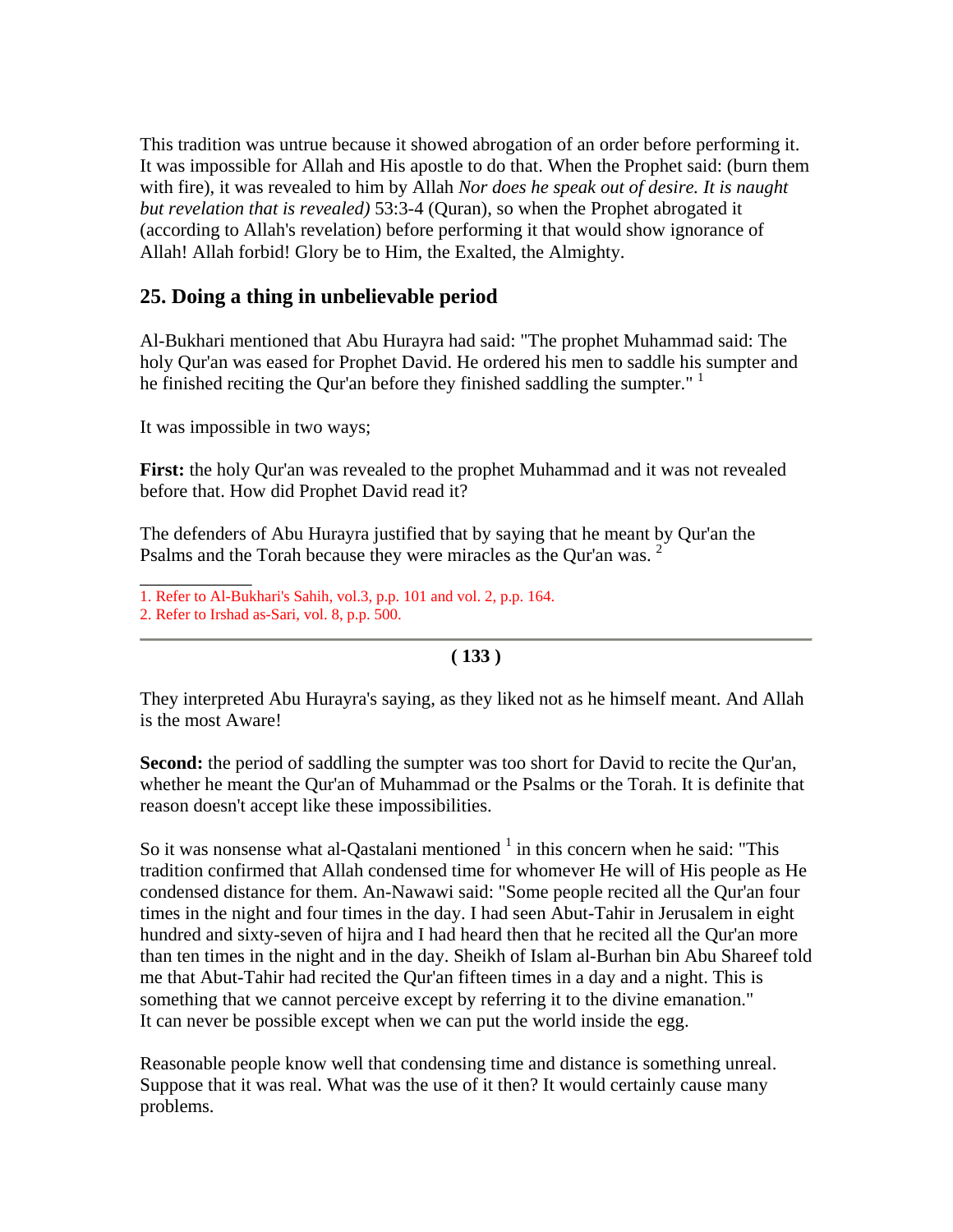This tradition was untrue because it showed abrogation of an order before performing it. It was impossible for Allah and His apostle to do that. When the Prophet said: (burn them with fire), it was revealed to him by Allah *Nor does he speak out of desire. It is naught but revelation that is revealed)* 53:3-4 (Quran), so when the Prophet abrogated it (according to Allah's revelation) before performing it that would show ignorance of Allah! Allah forbid! Glory be to Him, the Exalted, the Almighty.

## **25. Doing a thing in unbelievable period**

Al-Bukhari mentioned that Abu Hurayra had said: "The prophet Muhammad said: The holy Qur'an was eased for Prophet David. He ordered his men to saddle his sumpter and he finished reciting the Qur'an before they finished saddling the sumpter."  $1$ 

It was impossible in two ways;

**First:** the holy Qur'an was revealed to the prophet Muhammad and it was not revealed before that. How did Prophet David read it?

The defenders of Abu Hurayra justified that by saying that he meant by Qur'an the Psalms and the Torah because they were miracles as the Qur'an was.<sup>2</sup>

1. Refer to Al-Bukhari's Sahih, vol.3, p.p. 101 and vol. 2, p.p. 164.

\_\_\_\_\_\_\_\_\_\_\_\_

### **( 133 )**

They interpreted Abu Hurayra's saying, as they liked not as he himself meant. And Allah is the most Aware!

**Second:** the period of saddling the sumpter was too short for David to recite the Our'an, whether he meant the Qur'an of Muhammad or the Psalms or the Torah. It is definite that reason doesn't accept like these impossibilities.

So it was nonsense what al-Qastalani mentioned  $<sup>1</sup>$  in this concern when he said: "This</sup> tradition confirmed that Allah condensed time for whomever He will of His people as He condensed distance for them. An-Nawawi said: "Some people recited all the Qur'an four times in the night and four times in the day. I had seen Abut-Tahir in Jerusalem in eight hundred and sixty-seven of hijra and I had heard then that he recited all the Qur'an more than ten times in the night and in the day. Sheikh of Islam al-Burhan bin Abu Shareef told me that Abut-Tahir had recited the Qur'an fifteen times in a day and a night. This is something that we cannot perceive except by referring it to the divine emanation." It can never be possible except when we can put the world inside the egg.

Reasonable people know well that condensing time and distance is something unreal. Suppose that it was real. What was the use of it then? It would certainly cause many problems.

<sup>2.</sup> Refer to Irshad as-Sari, vol. 8, p.p. 500.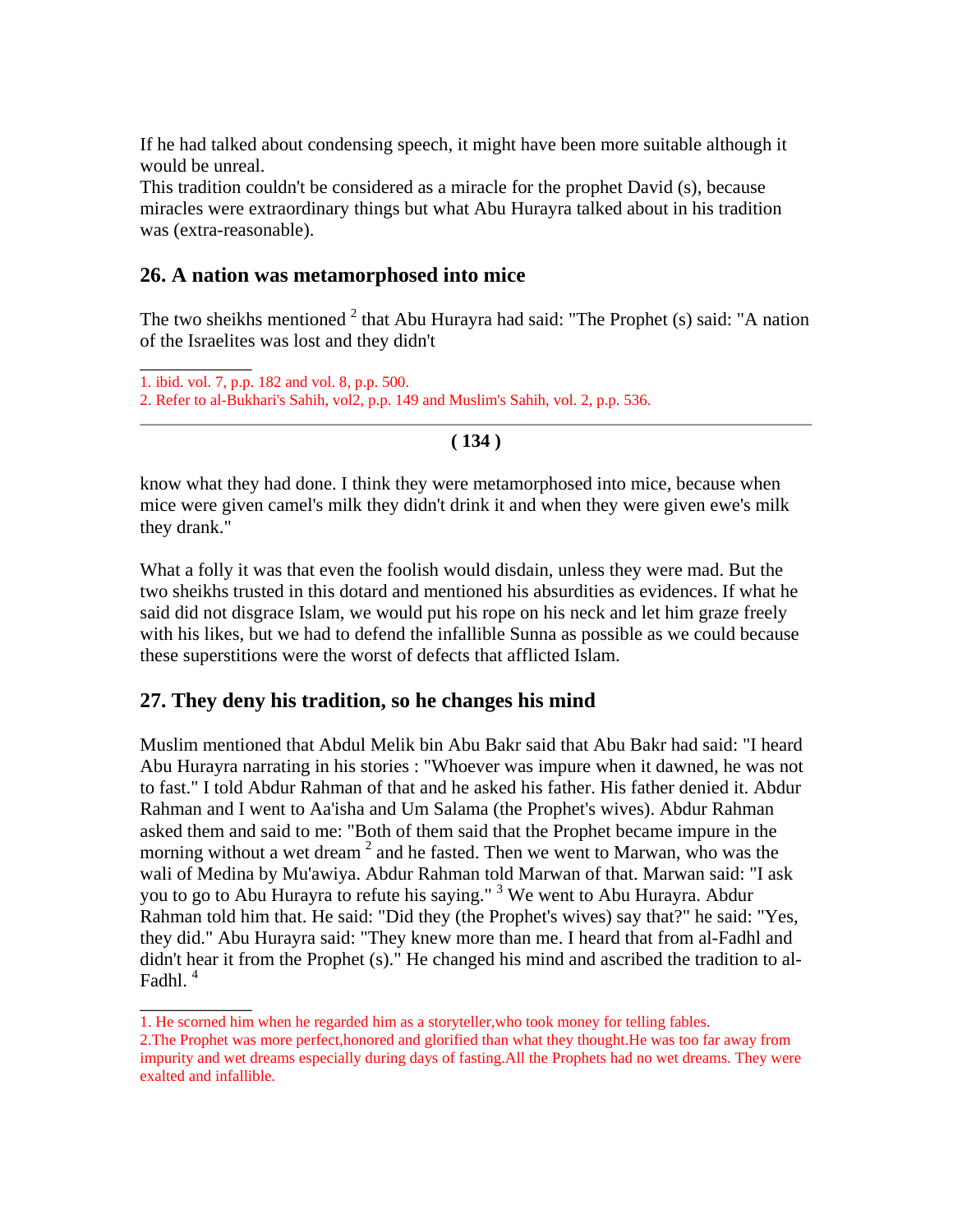If he had talked about condensing speech, it might have been more suitable although it would be unreal.

This tradition couldn't be considered as a miracle for the prophet David (s), because miracles were extraordinary things but what Abu Hurayra talked about in his tradition was (extra-reasonable).

### **26. A nation was metamorphosed into mice**

The two sheikhs mentioned  $2$  that Abu Hurayra had said: "The Prophet (s) said: "A nation of the Israelites was lost and they didn't

```
____________ 
1. ibid. vol. 7, p.p. 182 and vol. 8, p.p. 500. 
2. Refer to al-Bukhari's Sahih, vol2, p.p. 149 and Muslim's Sahih, vol. 2, p.p. 536.
```
### **( 134 )**

know what they had done. I think they were metamorphosed into mice, because when mice were given camel's milk they didn't drink it and when they were given ewe's milk they drank."

What a folly it was that even the foolish would disdain, unless they were mad. But the two sheikhs trusted in this dotard and mentioned his absurdities as evidences. If what he said did not disgrace Islam, we would put his rope on his neck and let him graze freely with his likes, but we had to defend the infallible Sunna as possible as we could because these superstitions were the worst of defects that afflicted Islam.

## **27. They deny his tradition, so he changes his mind**

\_\_\_\_\_\_\_\_\_\_\_\_

Muslim mentioned that Abdul Melik bin Abu Bakr said that Abu Bakr had said: "I heard Abu Hurayra narrating in his stories : "Whoever was impure when it dawned, he was not to fast." I told Abdur Rahman of that and he asked his father. His father denied it. Abdur Rahman and I went to Aa'isha and Um Salama (the Prophet's wives). Abdur Rahman asked them and said to me: "Both of them said that the Prophet became impure in the morning without a wet dream  $2$  and he fasted. Then we went to Marwan, who was the wali of Medina by Mu'awiya. Abdur Rahman told Marwan of that. Marwan said: "I ask you to go to Abu Hurayra to refute his saying." <sup>3</sup> We went to Abu Hurayra. Abdur Rahman told him that. He said: "Did they (the Prophet's wives) say that?" he said: "Yes, they did." Abu Hurayra said: "They knew more than me. I heard that from al-Fadhl and didn't hear it from the Prophet (s)." He changed his mind and ascribed the tradition to al-Fadhl.<sup>4</sup>

<sup>1.</sup> He scorned him when he regarded him as a storyteller,who took money for telling fables.

<sup>2.</sup>The Prophet was more perfect,honored and glorified than what they thought.He was too far away from impurity and wet dreams especially during days of fasting.All the Prophets had no wet dreams. They were exalted and infallible.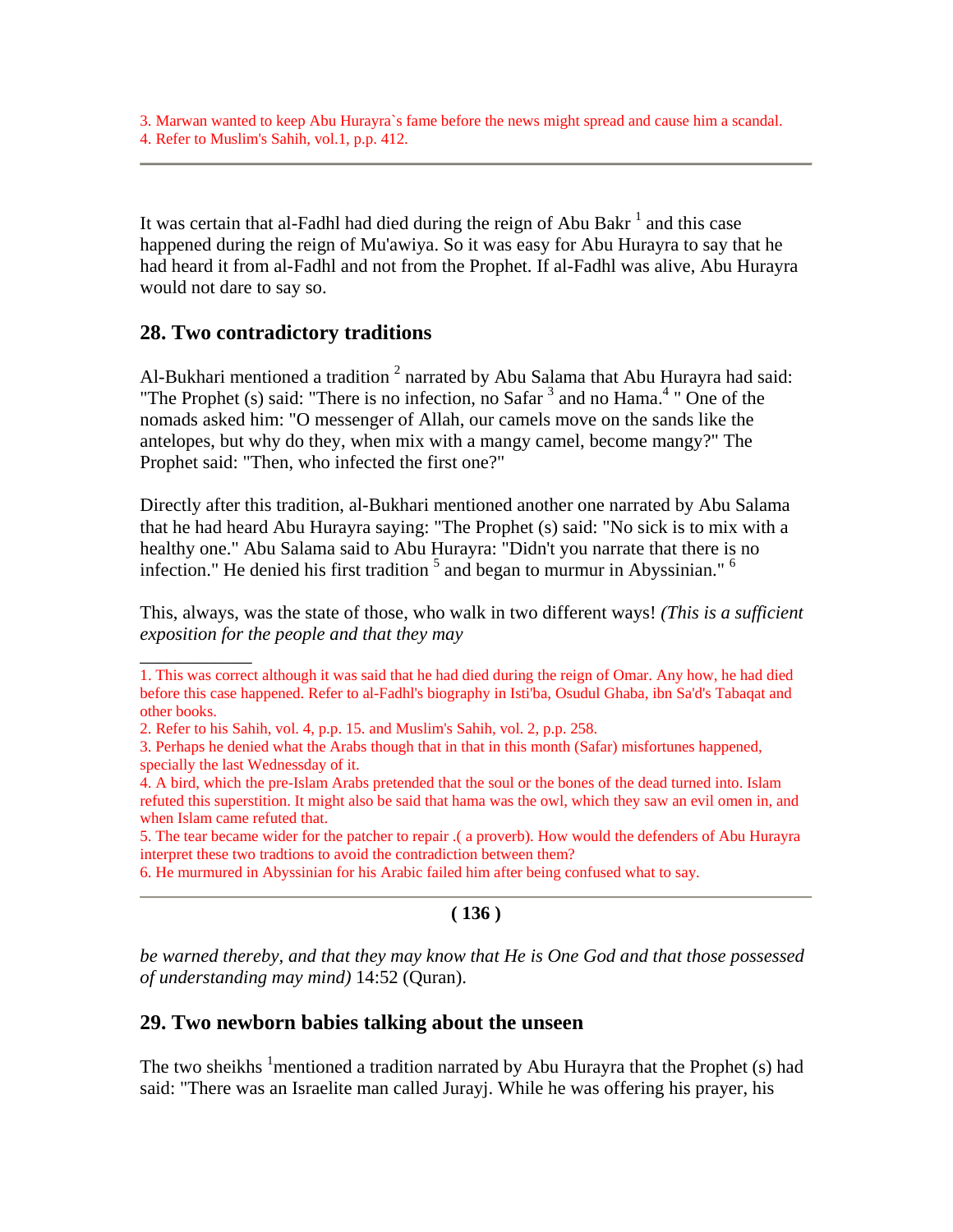3. Marwan wanted to keep Abu Hurayra`s fame before the news might spread and cause him a scandal. 4. Refer to Muslim's Sahih, vol.1, p.p. 412.

It was certain that al-Fadhl had died during the reign of Abu Bakr $<sup>1</sup>$  and this case</sup> happened during the reign of Mu'awiya. So it was easy for Abu Hurayra to say that he had heard it from al-Fadhl and not from the Prophet. If al-Fadhl was alive, Abu Hurayra would not dare to say so.

### **28. Two contradictory traditions**

 $\overline{\phantom{a}}$ 

Al-Bukhari mentioned a tradition  $2$  narrated by Abu Salama that Abu Hurayra had said: "The Prophet (s) said: "There is no infection, no Safar  $3$  and no Hama.<sup>4</sup> " One of the nomads asked him: "O messenger of Allah, our camels move on the sands like the antelopes, but why do they, when mix with a mangy camel, become mangy?" The Prophet said: "Then, who infected the first one?"

Directly after this tradition, al-Bukhari mentioned another one narrated by Abu Salama that he had heard Abu Hurayra saying: "The Prophet (s) said: "No sick is to mix with a healthy one." Abu Salama said to Abu Hurayra: "Didn't you narrate that there is no infection." He denied his first tradition  $5$  and began to murmur in Abyssinian."  $6$ 

This, always, was the state of those, who walk in two different ways! *(This is a sufficient exposition for the people and that they may* 

#### **( 136 )**

*be warned thereby, and that they may know that He is One God and that those possessed of understanding may mind)* 14:52 (Quran).

#### **29. Two newborn babies talking about the unseen**

The two sheikhs  $\frac{1}{2}$  mentioned a tradition narrated by Abu Hurayra that the Prophet (s) had said: "There was an Israelite man called Jurayj. While he was offering his prayer, his

<sup>1.</sup> This was correct although it was said that he had died during the reign of Omar. Any how, he had died before this case happened. Refer to al-Fadhl's biography in Isti'ba, Osudul Ghaba, ibn Sa'd's Tabaqat and other books.

<sup>2.</sup> Refer to his Sahih, vol. 4, p.p. 15. and Muslim's Sahih, vol. 2, p.p. 258.

<sup>3.</sup> Perhaps he denied what the Arabs though that in that in this month (Safar) misfortunes happened, specially the last Wednessday of it.

<sup>4.</sup> A bird, which the pre-Islam Arabs pretended that the soul or the bones of the dead turned into. Islam refuted this superstition. It might also be said that hama was the owl, which they saw an evil omen in, and when Islam came refuted that.

<sup>5.</sup> The tear became wider for the patcher to repair .( a proverb). How would the defenders of Abu Hurayra interpret these two tradtions to avoid the contradiction between them?

<sup>6.</sup> He murmured in Abyssinian for his Arabic failed him after being confused what to say.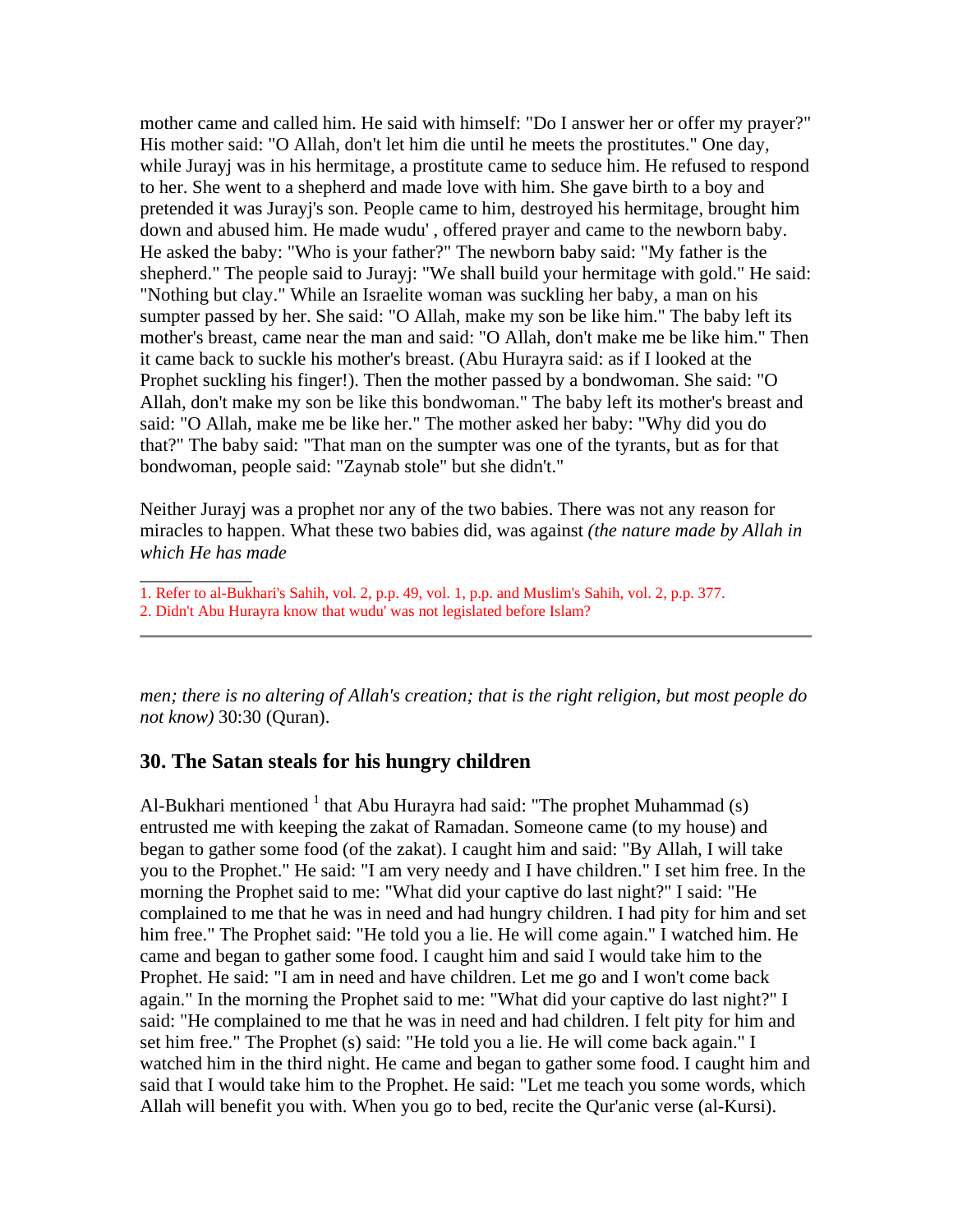mother came and called him. He said with himself: "Do I answer her or offer my prayer?" His mother said: "O Allah, don't let him die until he meets the prostitutes." One day, while Jurayj was in his hermitage, a prostitute came to seduce him. He refused to respond to her. She went to a shepherd and made love with him. She gave birth to a boy and pretended it was Jurayj's son. People came to him, destroyed his hermitage, brought him down and abused him. He made wudu' , offered prayer and came to the newborn baby. He asked the baby: "Who is your father?" The newborn baby said: "My father is the shepherd." The people said to Jurayj: "We shall build your hermitage with gold." He said: "Nothing but clay." While an Israelite woman was suckling her baby, a man on his sumpter passed by her. She said: "O Allah, make my son be like him." The baby left its mother's breast, came near the man and said: "O Allah, don't make me be like him." Then it came back to suckle his mother's breast. (Abu Hurayra said: as if I looked at the Prophet suckling his finger!). Then the mother passed by a bondwoman. She said: "O Allah, don't make my son be like this bondwoman." The baby left its mother's breast and said: "O Allah, make me be like her." The mother asked her baby: "Why did you do that?" The baby said: "That man on the sumpter was one of the tyrants, but as for that bondwoman, people said: "Zaynab stole" but she didn't."

Neither Jurayj was a prophet nor any of the two babies. There was not any reason for miracles to happen. What these two babies did, was against *(the nature made by Allah in which He has made* 

- 1. Refer to al-Bukhari's Sahih, vol. 2, p.p. 49, vol. 1, p.p. and Muslim's Sahih, vol. 2, p.p. 377.
- 2. Didn't Abu Hurayra know that wudu' was not legislated before Islam?

\_\_\_\_\_\_\_\_\_\_\_\_

*men; there is no altering of Allah's creation; that is the right religion, but most people do not know)* 30:30 (Quran).

## **30. The Satan steals for his hungry children**

Al-Bukhari mentioned  $1$  that Abu Hurayra had said: "The prophet Muhammad (s) entrusted me with keeping the zakat of Ramadan. Someone came (to my house) and began to gather some food (of the zakat). I caught him and said: "By Allah, I will take you to the Prophet." He said: "I am very needy and I have children." I set him free. In the morning the Prophet said to me: "What did your captive do last night?" I said: "He complained to me that he was in need and had hungry children. I had pity for him and set him free." The Prophet said: "He told you a lie. He will come again." I watched him. He came and began to gather some food. I caught him and said I would take him to the Prophet. He said: "I am in need and have children. Let me go and I won't come back again." In the morning the Prophet said to me: "What did your captive do last night?" I said: "He complained to me that he was in need and had children. I felt pity for him and set him free." The Prophet (s) said: "He told you a lie. He will come back again." I watched him in the third night. He came and began to gather some food. I caught him and said that I would take him to the Prophet. He said: "Let me teach you some words, which Allah will benefit you with. When you go to bed, recite the Qur'anic verse (al-Kursi).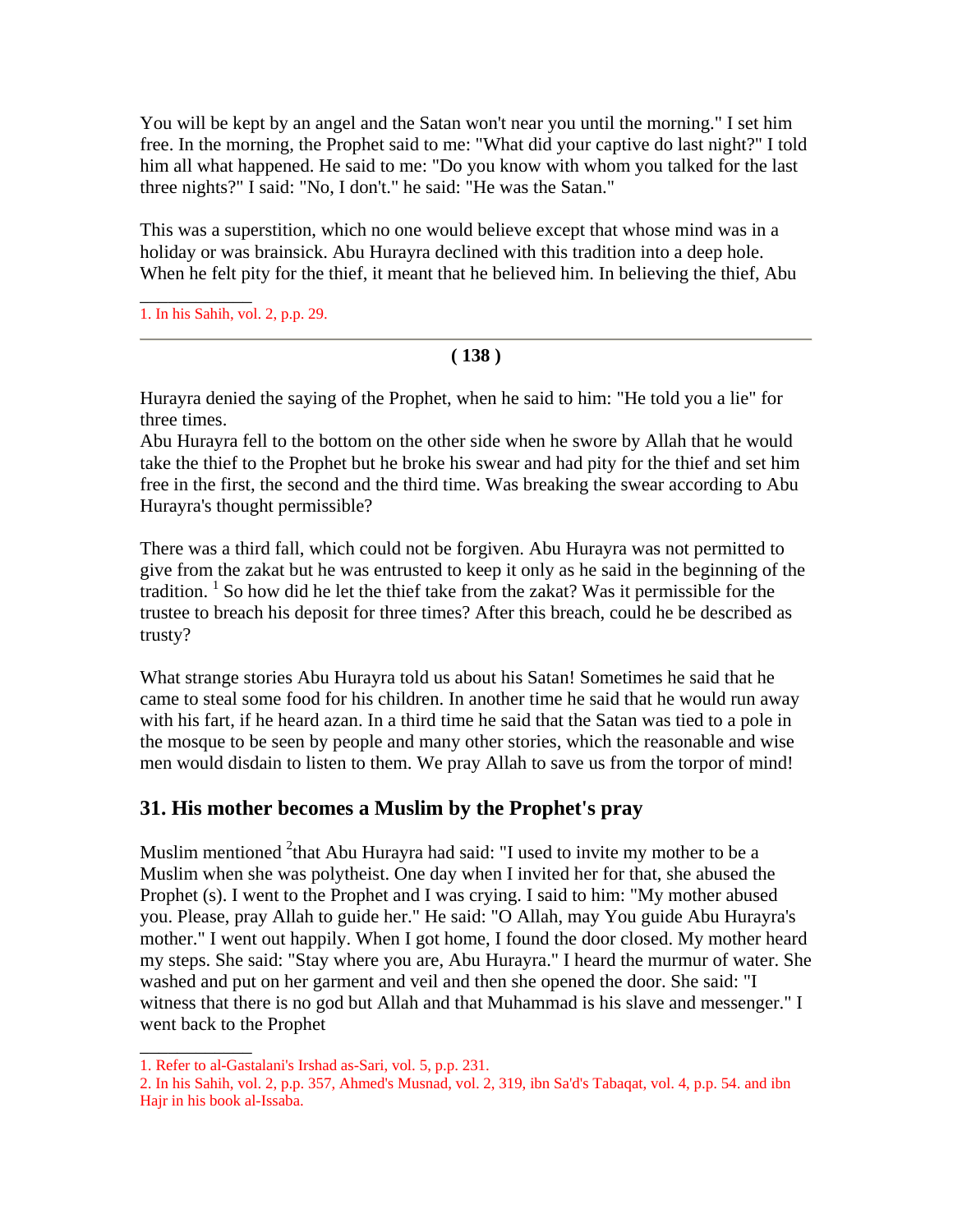You will be kept by an angel and the Satan won't near you until the morning." I set him free. In the morning, the Prophet said to me: "What did your captive do last night?" I told him all what happened. He said to me: "Do you know with whom you talked for the last three nights?" I said: "No, I don't." he said: "He was the Satan."

This was a superstition, which no one would believe except that whose mind was in a holiday or was brainsick. Abu Hurayra declined with this tradition into a deep hole. When he felt pity for the thief, it meant that he believed him. In believing the thief, Abu

\_\_\_\_\_\_\_\_\_\_\_\_ 1. In his Sahih, vol. 2, p.p. 29.

### **( 138 )**

Hurayra denied the saying of the Prophet, when he said to him: "He told you a lie" for three times.

Abu Hurayra fell to the bottom on the other side when he swore by Allah that he would take the thief to the Prophet but he broke his swear and had pity for the thief and set him free in the first, the second and the third time. Was breaking the swear according to Abu Hurayra's thought permissible?

There was a third fall, which could not be forgiven. Abu Hurayra was not permitted to give from the zakat but he was entrusted to keep it only as he said in the beginning of the tradition.<sup>1</sup> So how did he let the thief take from the zakat? Was it permissible for the trustee to breach his deposit for three times? After this breach, could he be described as trusty?

What strange stories Abu Hurayra told us about his Satan! Sometimes he said that he came to steal some food for his children. In another time he said that he would run away with his fart, if he heard azan. In a third time he said that the Satan was tied to a pole in the mosque to be seen by people and many other stories, which the reasonable and wise men would disdain to listen to them. We pray Allah to save us from the torpor of mind!

## **31. His mother becomes a Muslim by the Prophet's pray**

Muslim mentioned  $2$ <sup>2</sup>that Abu Hurayra had said: "I used to invite my mother to be a Muslim when she was polytheist. One day when I invited her for that, she abused the Prophet (s). I went to the Prophet and I was crying. I said to him: "My mother abused you. Please, pray Allah to guide her." He said: "O Allah, may You guide Abu Hurayra's mother." I went out happily. When I got home, I found the door closed. My mother heard my steps. She said: "Stay where you are, Abu Hurayra." I heard the murmur of water. She washed and put on her garment and veil and then she opened the door. She said: "I witness that there is no god but Allah and that Muhammad is his slave and messenger." I went back to the Prophet

\_\_\_\_\_\_\_\_\_\_\_\_

<sup>1.</sup> Refer to al-Gastalani's Irshad as-Sari, vol. 5, p.p. 231.

<sup>2.</sup> In his Sahih, vol. 2, p.p. 357, Ahmed's Musnad, vol. 2, 319, ibn Sa'd's Tabaqat, vol. 4, p.p. 54. and ibn Hajr in his book al-Issaba.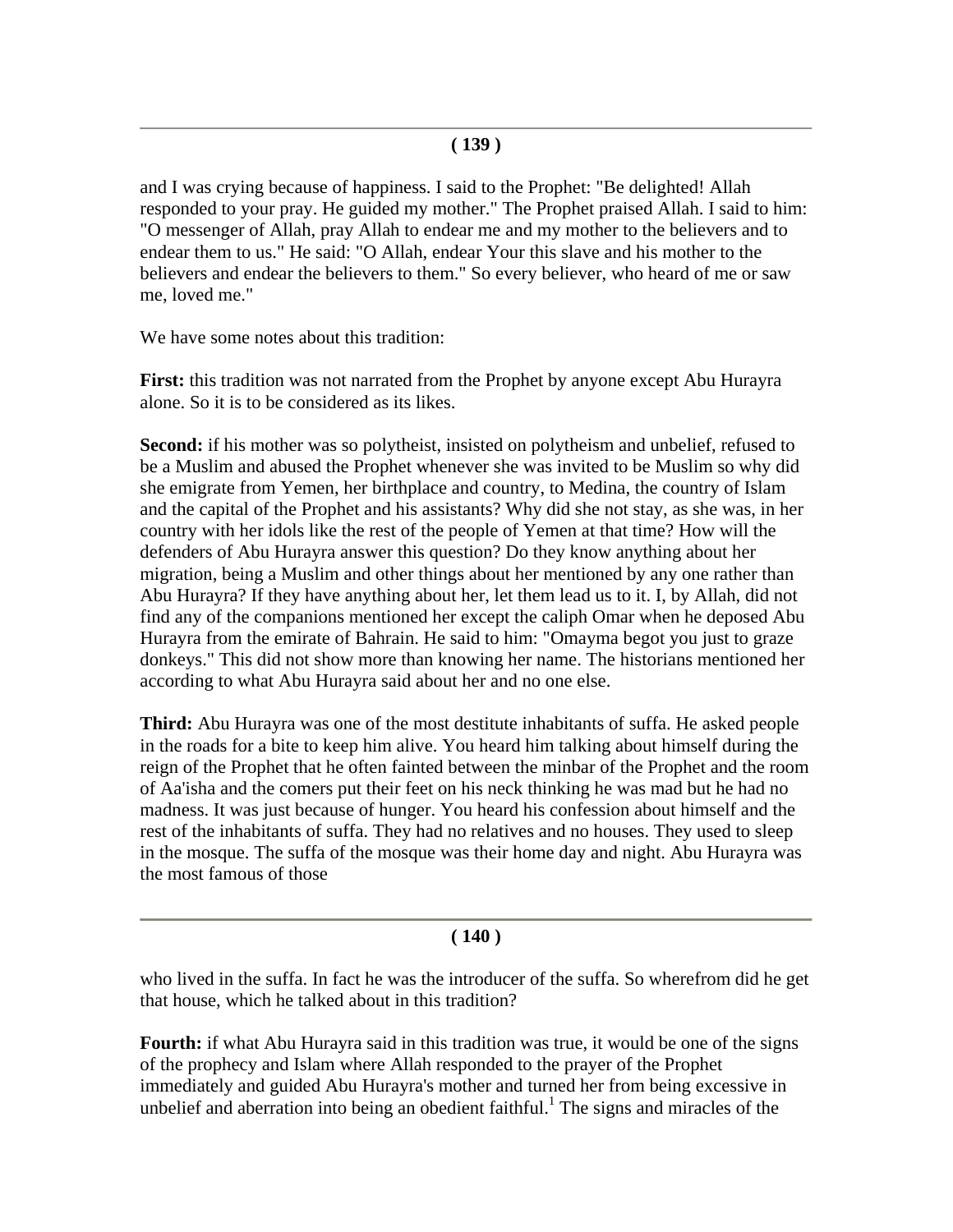and I was crying because of happiness. I said to the Prophet: "Be delighted! Allah responded to your pray. He guided my mother." The Prophet praised Allah. I said to him: "O messenger of Allah, pray Allah to endear me and my mother to the believers and to endear them to us." He said: "O Allah, endear Your this slave and his mother to the believers and endear the believers to them." So every believer, who heard of me or saw me, loved me."

We have some notes about this tradition:

**First:** this tradition was not narrated from the Prophet by anyone except Abu Hurayra alone. So it is to be considered as its likes.

**Second:** if his mother was so polytheist, insisted on polytheism and unbelief, refused to be a Muslim and abused the Prophet whenever she was invited to be Muslim so why did she emigrate from Yemen, her birthplace and country, to Medina, the country of Islam and the capital of the Prophet and his assistants? Why did she not stay, as she was, in her country with her idols like the rest of the people of Yemen at that time? How will the defenders of Abu Hurayra answer this question? Do they know anything about her migration, being a Muslim and other things about her mentioned by any one rather than Abu Hurayra? If they have anything about her, let them lead us to it. I, by Allah, did not find any of the companions mentioned her except the caliph Omar when he deposed Abu Hurayra from the emirate of Bahrain. He said to him: "Omayma begot you just to graze donkeys." This did not show more than knowing her name. The historians mentioned her according to what Abu Hurayra said about her and no one else.

**Third:** Abu Hurayra was one of the most destitute inhabitants of suffa. He asked people in the roads for a bite to keep him alive. You heard him talking about himself during the reign of the Prophet that he often fainted between the minbar of the Prophet and the room of Aa'isha and the comers put their feet on his neck thinking he was mad but he had no madness. It was just because of hunger. You heard his confession about himself and the rest of the inhabitants of suffa. They had no relatives and no houses. They used to sleep in the mosque. The suffa of the mosque was their home day and night. Abu Hurayra was the most famous of those

### **( 140 )**

who lived in the suffa. In fact he was the introducer of the suffa. So wherefrom did he get that house, which he talked about in this tradition?

**Fourth:** if what Abu Hurayra said in this tradition was true, it would be one of the signs of the prophecy and Islam where Allah responded to the prayer of the Prophet immediately and guided Abu Hurayra's mother and turned her from being excessive in unbelief and aberration into being an obedient faithful.<sup>1</sup> The signs and miracles of the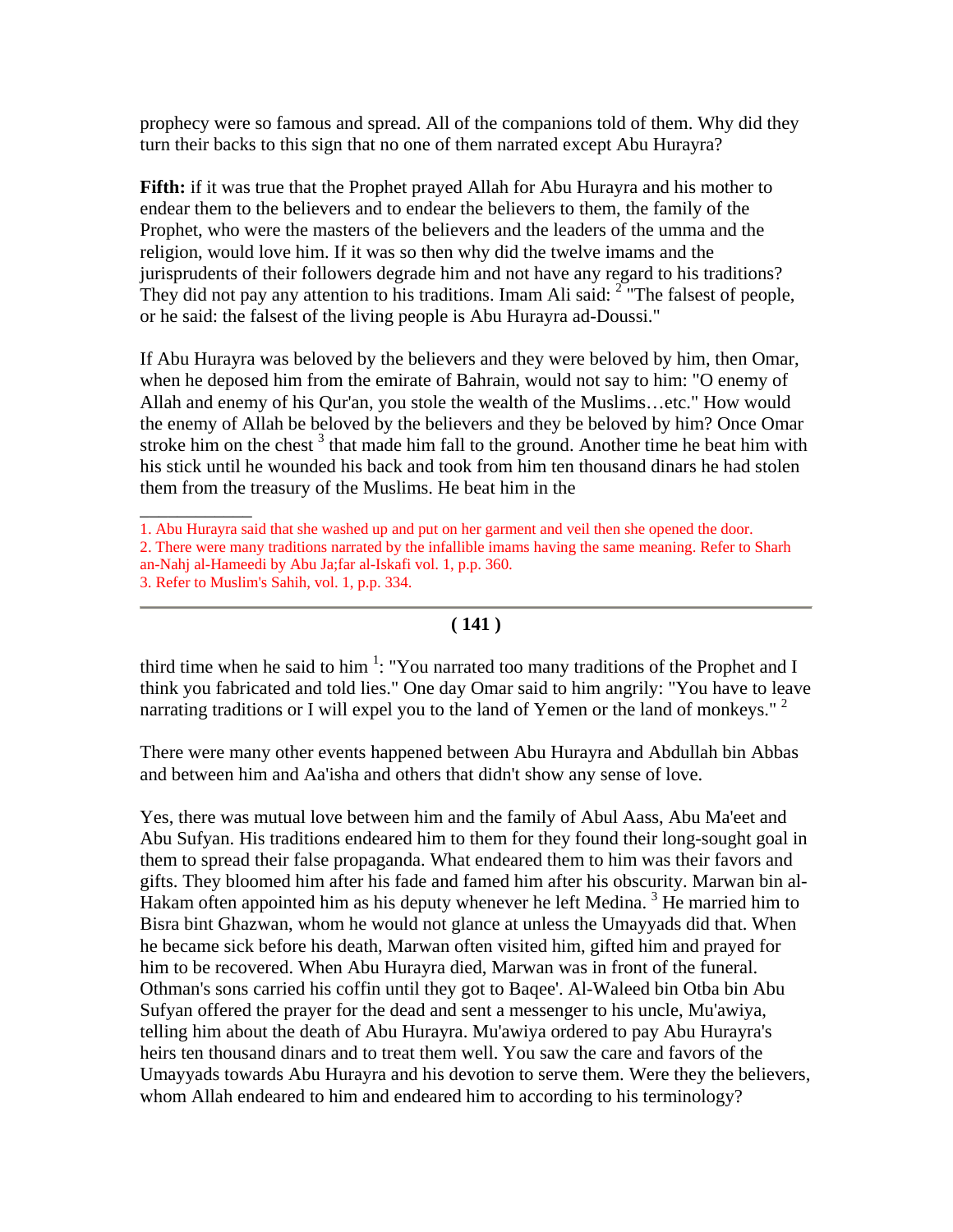prophecy were so famous and spread. All of the companions told of them. Why did they turn their backs to this sign that no one of them narrated except Abu Hurayra?

**Fifth:** if it was true that the Prophet prayed Allah for Abu Hurayra and his mother to endear them to the believers and to endear the believers to them, the family of the Prophet, who were the masters of the believers and the leaders of the umma and the religion, would love him. If it was so then why did the twelve imams and the jurisprudents of their followers degrade him and not have any regard to his traditions? They did not pay any attention to his traditions. Imam Ali said:  $2^{\degree}$  The falsest of people, or he said: the falsest of the living people is Abu Hurayra ad-Doussi."

If Abu Hurayra was beloved by the believers and they were beloved by him, then Omar, when he deposed him from the emirate of Bahrain, would not say to him: "O enemy of Allah and enemy of his Qur'an, you stole the wealth of the Muslims…etc." How would the enemy of Allah be beloved by the believers and they be beloved by him? Once Omar stroke him on the chest  $3$  that made him fall to the ground. Another time he beat him with his stick until he wounded his back and took from him ten thousand dinars he had stolen them from the treasury of the Muslims. He beat him in the

\_\_\_\_\_\_\_\_\_\_\_\_

### **( 141 )**

third time when he said to him<sup>1</sup>: "You narrated too many traditions of the Prophet and I think you fabricated and told lies." One day Omar said to him angrily: "You have to leave narrating traditions or I will expel you to the land of Yemen or the land of monkeys."  $2$ 

There were many other events happened between Abu Hurayra and Abdullah bin Abbas and between him and Aa'isha and others that didn't show any sense of love.

Yes, there was mutual love between him and the family of Abul Aass, Abu Ma'eet and Abu Sufyan. His traditions endeared him to them for they found their long-sought goal in them to spread their false propaganda. What endeared them to him was their favors and gifts. They bloomed him after his fade and famed him after his obscurity. Marwan bin al-Hakam often appointed him as his deputy whenever he left Medina.<sup>3</sup> He married him to Bisra bint Ghazwan, whom he would not glance at unless the Umayyads did that. When he became sick before his death, Marwan often visited him, gifted him and prayed for him to be recovered. When Abu Hurayra died, Marwan was in front of the funeral. Othman's sons carried his coffin until they got to Baqee'. Al-Waleed bin Otba bin Abu Sufyan offered the prayer for the dead and sent a messenger to his uncle, Mu'awiya, telling him about the death of Abu Hurayra. Mu'awiya ordered to pay Abu Hurayra's heirs ten thousand dinars and to treat them well. You saw the care and favors of the Umayyads towards Abu Hurayra and his devotion to serve them. Were they the believers, whom Allah endeared to him and endeared him to according to his terminology?

<sup>1.</sup> Abu Hurayra said that she washed up and put on her garment and veil then she opened the door.

<sup>2.</sup> There were many traditions narrated by the infallible imams having the same meaning. Refer to Sharh an-Nahj al-Hameedi by Abu Ja;far al-Iskafi vol. 1, p.p. 360.

<sup>3.</sup> Refer to Muslim's Sahih, vol. 1, p.p. 334.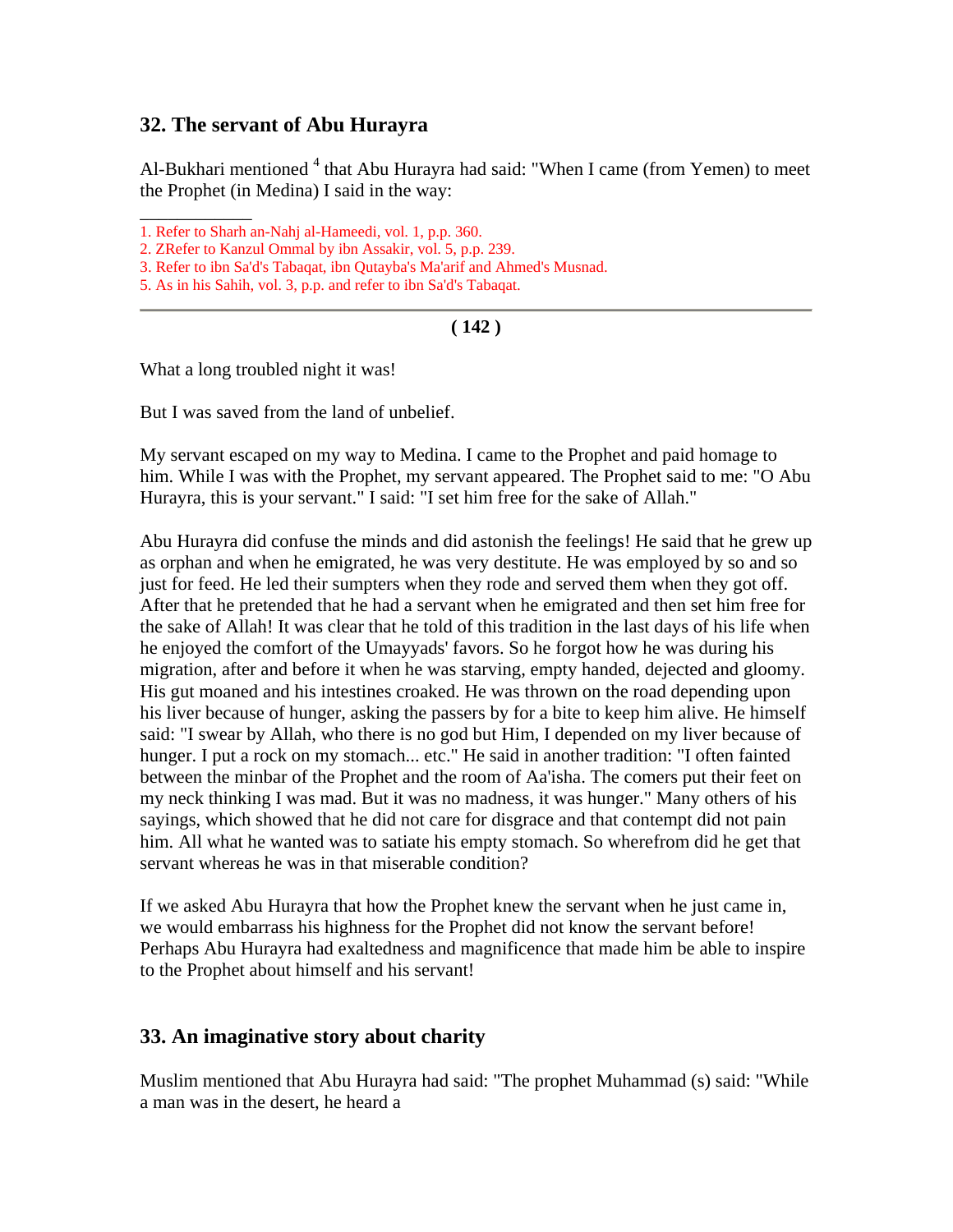### **32. The servant of Abu Hurayra**

Al-Bukhari mentioned <sup>4</sup> that Abu Hurayra had said: "When I came (from Yemen) to meet the Prophet (in Medina) I said in the way:

- 1. Refer to Sharh an-Nahj al-Hameedi, vol. 1, p.p. 360.
- 2. ZRefer to Kanzul Ommal by ibn Assakir, vol. 5, p.p. 239.
- 3. Refer to ibn Sa'd's Tabaqat, ibn Qutayba's Ma'arif and Ahmed's Musnad.
- 5. As in his Sahih, vol. 3, p.p. and refer to ibn Sa'd's Tabaqat.

#### **( 142 )**

What a long troubled night it was!

\_\_\_\_\_\_\_\_\_\_\_\_

But I was saved from the land of unbelief.

My servant escaped on my way to Medina. I came to the Prophet and paid homage to him. While I was with the Prophet, my servant appeared. The Prophet said to me: "O Abu Hurayra, this is your servant." I said: "I set him free for the sake of Allah."

Abu Hurayra did confuse the minds and did astonish the feelings! He said that he grew up as orphan and when he emigrated, he was very destitute. He was employed by so and so just for feed. He led their sumpters when they rode and served them when they got off. After that he pretended that he had a servant when he emigrated and then set him free for the sake of Allah! It was clear that he told of this tradition in the last days of his life when he enjoyed the comfort of the Umayyads' favors. So he forgot how he was during his migration, after and before it when he was starving, empty handed, dejected and gloomy. His gut moaned and his intestines croaked. He was thrown on the road depending upon his liver because of hunger, asking the passers by for a bite to keep him alive. He himself said: "I swear by Allah, who there is no god but Him, I depended on my liver because of hunger. I put a rock on my stomach... etc." He said in another tradition: "I often fainted between the minbar of the Prophet and the room of Aa'isha. The comers put their feet on my neck thinking I was mad. But it was no madness, it was hunger." Many others of his sayings, which showed that he did not care for disgrace and that contempt did not pain him. All what he wanted was to satiate his empty stomach. So wherefrom did he get that servant whereas he was in that miserable condition?

If we asked Abu Hurayra that how the Prophet knew the servant when he just came in, we would embarrass his highness for the Prophet did not know the servant before! Perhaps Abu Hurayra had exaltedness and magnificence that made him be able to inspire to the Prophet about himself and his servant!

#### **33. An imaginative story about charity**

Muslim mentioned that Abu Hurayra had said: "The prophet Muhammad (s) said: "While a man was in the desert, he heard a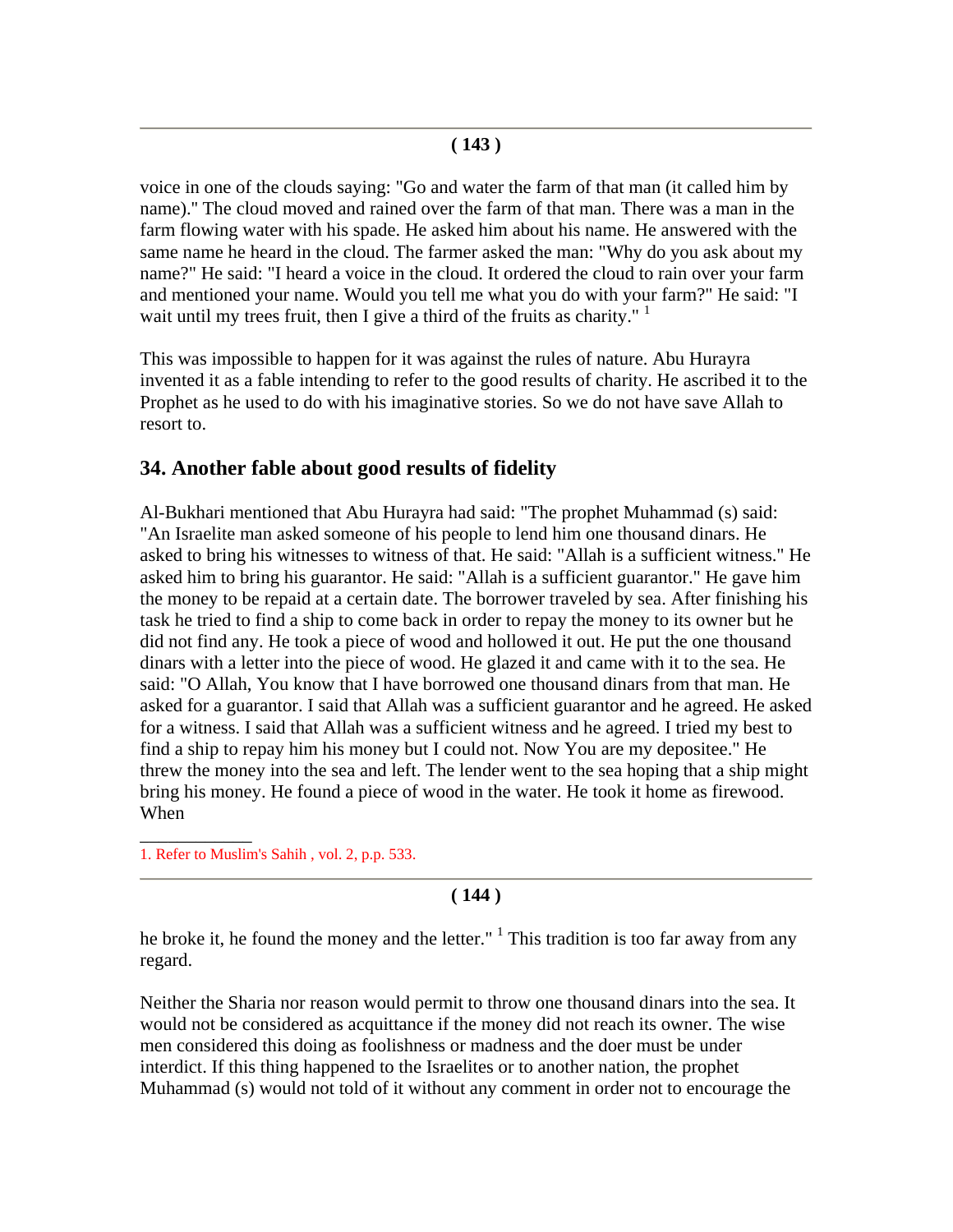voice in one of the clouds saying: "Go and water the farm of that man (it called him by name).'' The cloud moved and rained over the farm of that man. There was a man in the farm flowing water with his spade. He asked him about his name. He answered with the same name he heard in the cloud. The farmer asked the man: "Why do you ask about my name?" He said: "I heard a voice in the cloud. It ordered the cloud to rain over your farm and mentioned your name. Would you tell me what you do with your farm?" He said: "I wait until my trees fruit, then I give a third of the fruits as charity."  $1$ 

This was impossible to happen for it was against the rules of nature. Abu Hurayra invented it as a fable intending to refer to the good results of charity. He ascribed it to the Prophet as he used to do with his imaginative stories. So we do not have save Allah to resort to.

## **34. Another fable about good results of fidelity**

Al-Bukhari mentioned that Abu Hurayra had said: "The prophet Muhammad (s) said: "An Israelite man asked someone of his people to lend him one thousand dinars. He asked to bring his witnesses to witness of that. He said: "Allah is a sufficient witness." He asked him to bring his guarantor. He said: "Allah is a sufficient guarantor." He gave him the money to be repaid at a certain date. The borrower traveled by sea. After finishing his task he tried to find a ship to come back in order to repay the money to its owner but he did not find any. He took a piece of wood and hollowed it out. He put the one thousand dinars with a letter into the piece of wood. He glazed it and came with it to the sea. He said: "O Allah, You know that I have borrowed one thousand dinars from that man. He asked for a guarantor. I said that Allah was a sufficient guarantor and he agreed. He asked for a witness. I said that Allah was a sufficient witness and he agreed. I tried my best to find a ship to repay him his money but I could not. Now You are my depositee." He threw the money into the sea and left. The lender went to the sea hoping that a ship might bring his money. He found a piece of wood in the water. He took it home as firewood. When

1. Refer to Muslim's Sahih , vol. 2, p.p. 533.

\_\_\_\_\_\_\_\_\_\_\_\_

## **( 144 )**

he broke it, he found the money and the letter."  $\frac{1}{1}$  This tradition is too far away from any regard.

Neither the Sharia nor reason would permit to throw one thousand dinars into the sea. It would not be considered as acquittance if the money did not reach its owner. The wise men considered this doing as foolishness or madness and the doer must be under interdict. If this thing happened to the Israelites or to another nation, the prophet Muhammad (s) would not told of it without any comment in order not to encourage the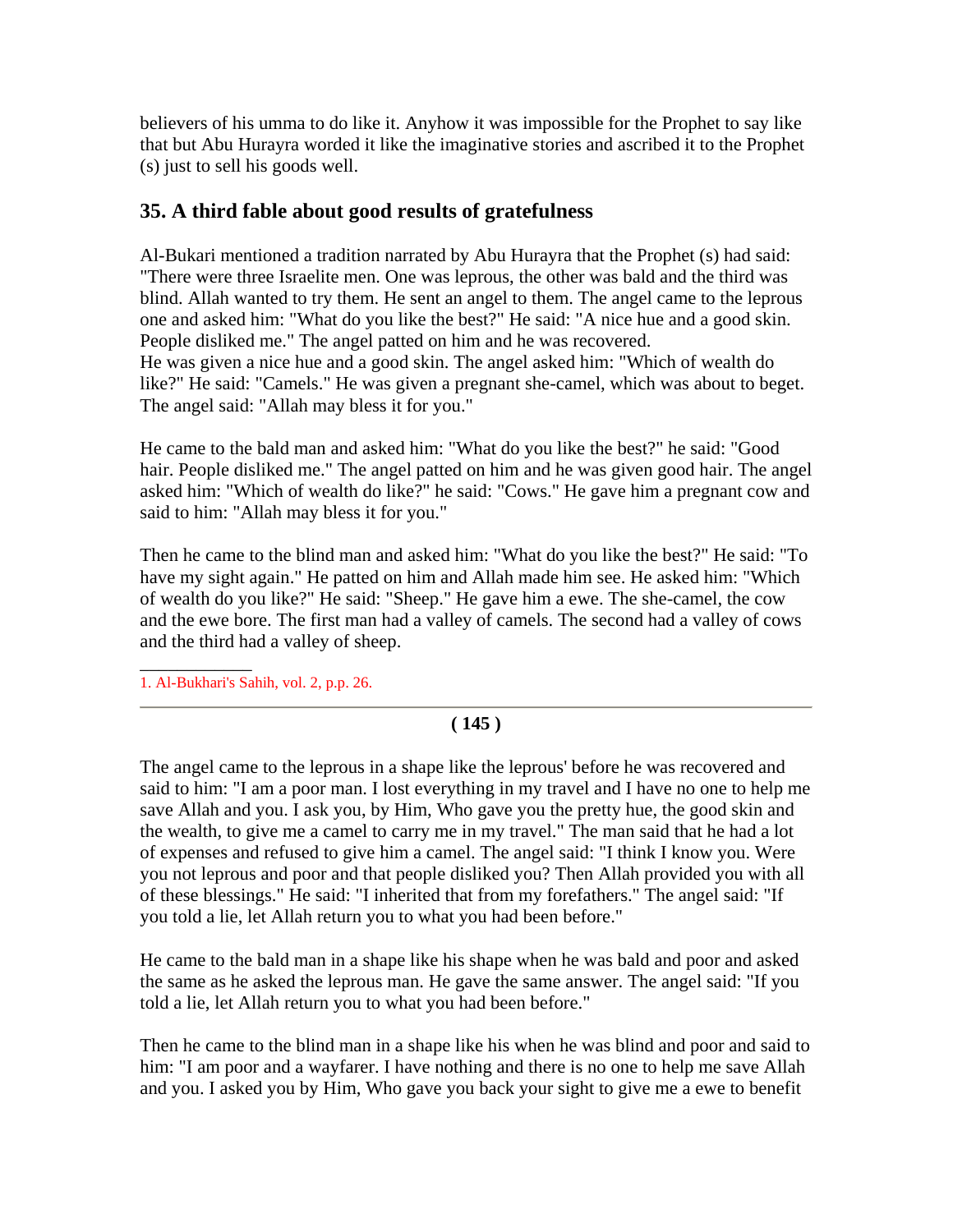believers of his umma to do like it. Anyhow it was impossible for the Prophet to say like that but Abu Hurayra worded it like the imaginative stories and ascribed it to the Prophet (s) just to sell his goods well.

## **35. A third fable about good results of gratefulness**

Al-Bukari mentioned a tradition narrated by Abu Hurayra that the Prophet (s) had said: "There were three Israelite men. One was leprous, the other was bald and the third was blind. Allah wanted to try them. He sent an angel to them. The angel came to the leprous one and asked him: "What do you like the best?" He said: "A nice hue and a good skin. People disliked me." The angel patted on him and he was recovered. He was given a nice hue and a good skin. The angel asked him: "Which of wealth do like?" He said: "Camels." He was given a pregnant she-camel, which was about to beget. The angel said: "Allah may bless it for you."

He came to the bald man and asked him: "What do you like the best?" he said: "Good hair. People disliked me." The angel patted on him and he was given good hair. The angel asked him: "Which of wealth do like?" he said: "Cows." He gave him a pregnant cow and said to him: "Allah may bless it for you."

Then he came to the blind man and asked him: "What do you like the best?" He said: "To have my sight again." He patted on him and Allah made him see. He asked him: "Which of wealth do you like?" He said: "Sheep." He gave him a ewe. The she-camel, the cow and the ewe bore. The first man had a valley of camels. The second had a valley of cows and the third had a valley of sheep.

\_\_\_\_\_\_\_\_\_\_\_\_ 1. Al-Bukhari's Sahih, vol. 2, p.p. 26.

## **( 145 )**

The angel came to the leprous in a shape like the leprous' before he was recovered and said to him: "I am a poor man. I lost everything in my travel and I have no one to help me save Allah and you. I ask you, by Him, Who gave you the pretty hue, the good skin and the wealth, to give me a camel to carry me in my travel." The man said that he had a lot of expenses and refused to give him a camel. The angel said: "I think I know you. Were you not leprous and poor and that people disliked you? Then Allah provided you with all of these blessings." He said: "I inherited that from my forefathers." The angel said: "If you told a lie, let Allah return you to what you had been before."

He came to the bald man in a shape like his shape when he was bald and poor and asked the same as he asked the leprous man. He gave the same answer. The angel said: "If you told a lie, let Allah return you to what you had been before."

Then he came to the blind man in a shape like his when he was blind and poor and said to him: "I am poor and a wayfarer. I have nothing and there is no one to help me save Allah and you. I asked you by Him, Who gave you back your sight to give me a ewe to benefit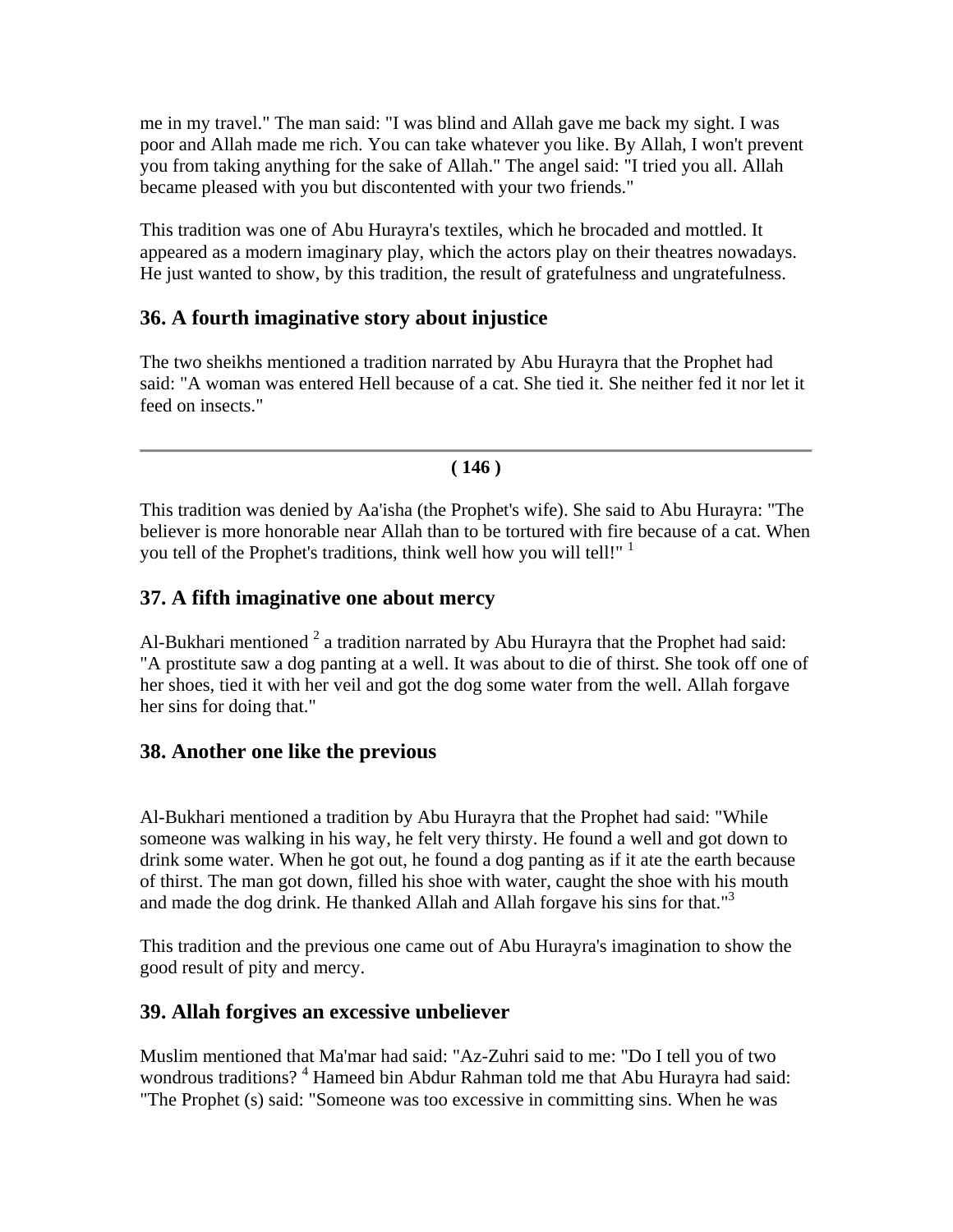me in my travel." The man said: "I was blind and Allah gave me back my sight. I was poor and Allah made me rich. You can take whatever you like. By Allah, I won't prevent you from taking anything for the sake of Allah." The angel said: "I tried you all. Allah became pleased with you but discontented with your two friends."

This tradition was one of Abu Hurayra's textiles, which he brocaded and mottled. It appeared as a modern imaginary play, which the actors play on their theatres nowadays. He just wanted to show, by this tradition, the result of gratefulness and ungratefulness.

## **36. A fourth imaginative story about injustice**

The two sheikhs mentioned a tradition narrated by Abu Hurayra that the Prophet had said: "A woman was entered Hell because of a cat. She tied it. She neither fed it nor let it feed on insects."

### **( 146 )**

This tradition was denied by Aa'isha (the Prophet's wife). She said to Abu Hurayra: "The believer is more honorable near Allah than to be tortured with fire because of a cat. When you tell of the Prophet's traditions, think well how you will tell!" <sup>1</sup>

## **37. A fifth imaginative one about mercy**

Al-Bukhari mentioned  $2$  a tradition narrated by Abu Hurayra that the Prophet had said: "A prostitute saw a dog panting at a well. It was about to die of thirst. She took off one of her shoes, tied it with her veil and got the dog some water from the well. Allah forgave her sins for doing that."

## **38. Another one like the previous**

Al-Bukhari mentioned a tradition by Abu Hurayra that the Prophet had said: "While someone was walking in his way, he felt very thirsty. He found a well and got down to drink some water. When he got out, he found a dog panting as if it ate the earth because of thirst. The man got down, filled his shoe with water, caught the shoe with his mouth and made the dog drink. He thanked Allah and Allah forgave his sins for that."<sup>3</sup>

This tradition and the previous one came out of Abu Hurayra's imagination to show the good result of pity and mercy.

## **39. Allah forgives an excessive unbeliever**

Muslim mentioned that Ma'mar had said: "Az-Zuhri said to me: "Do I tell you of two wondrous traditions?<sup>4</sup> Hameed bin Abdur Rahman told me that Abu Hurayra had said: "The Prophet (s) said: "Someone was too excessive in committing sins. When he was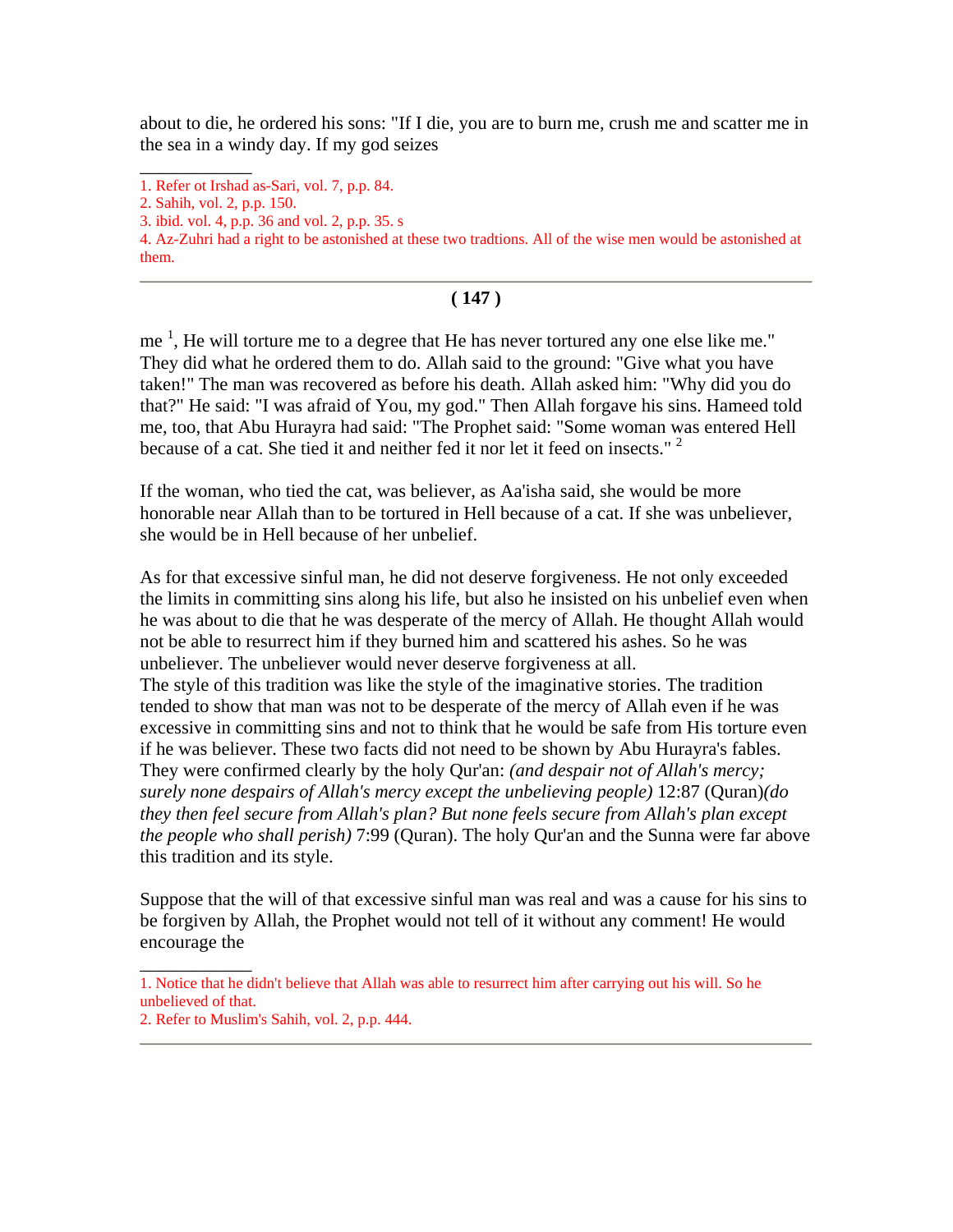about to die, he ordered his sons: "If I die, you are to burn me, crush me and scatter me in the sea in a windy day. If my god seizes

\_\_\_\_\_\_\_\_\_\_\_\_

### **( 147 )**

me  $<sup>1</sup>$ , He will torture me to a degree that He has never tortured any one else like me."</sup> They did what he ordered them to do. Allah said to the ground: "Give what you have taken!" The man was recovered as before his death. Allah asked him: "Why did you do that?" He said: "I was afraid of You, my god." Then Allah forgave his sins. Hameed told me, too, that Abu Hurayra had said: "The Prophet said: "Some woman was entered Hell because of a cat. She tied it and neither fed it nor let it feed on insects."<sup>2</sup>

If the woman, who tied the cat, was believer, as Aa'isha said, she would be more honorable near Allah than to be tortured in Hell because of a cat. If she was unbeliever, she would be in Hell because of her unbelief.

As for that excessive sinful man, he did not deserve forgiveness. He not only exceeded the limits in committing sins along his life, but also he insisted on his unbelief even when he was about to die that he was desperate of the mercy of Allah. He thought Allah would not be able to resurrect him if they burned him and scattered his ashes. So he was unbeliever. The unbeliever would never deserve forgiveness at all. The style of this tradition was like the style of the imaginative stories. The tradition tended to show that man was not to be desperate of the mercy of Allah even if he was excessive in committing sins and not to think that he would be safe from His torture even if he was believer. These two facts did not need to be shown by Abu Hurayra's fables. They were confirmed clearly by the holy Qur'an: *(and despair not of Allah's mercy; surely none despairs of Allah's mercy except the unbelieving people)* 12:87 (Quran)*(do they then feel secure from Allah's plan? But none feels secure from Allah's plan except the people who shall perish)* 7:99 (Quran). The holy Qur'an and the Sunna were far above this tradition and its style.

Suppose that the will of that excessive sinful man was real and was a cause for his sins to be forgiven by Allah, the Prophet would not tell of it without any comment! He would encourage the

\_\_\_\_\_\_\_\_\_\_\_\_

<sup>1.</sup> Refer ot Irshad as-Sari, vol. 7, p.p. 84.

<sup>2.</sup> Sahih, vol. 2, p.p. 150.

<sup>3.</sup> ibid. vol. 4, p.p. 36 and vol. 2, p.p. 35. s

<sup>4.</sup> Az-Zuhri had a right to be astonished at these two tradtions. All of the wise men would be astonished at them.

<sup>1.</sup> Notice that he didn't believe that Allah was able to resurrect him after carrying out his will. So he unbelieved of that.

<sup>2.</sup> Refer to Muslim's Sahih, vol. 2, p.p. 444.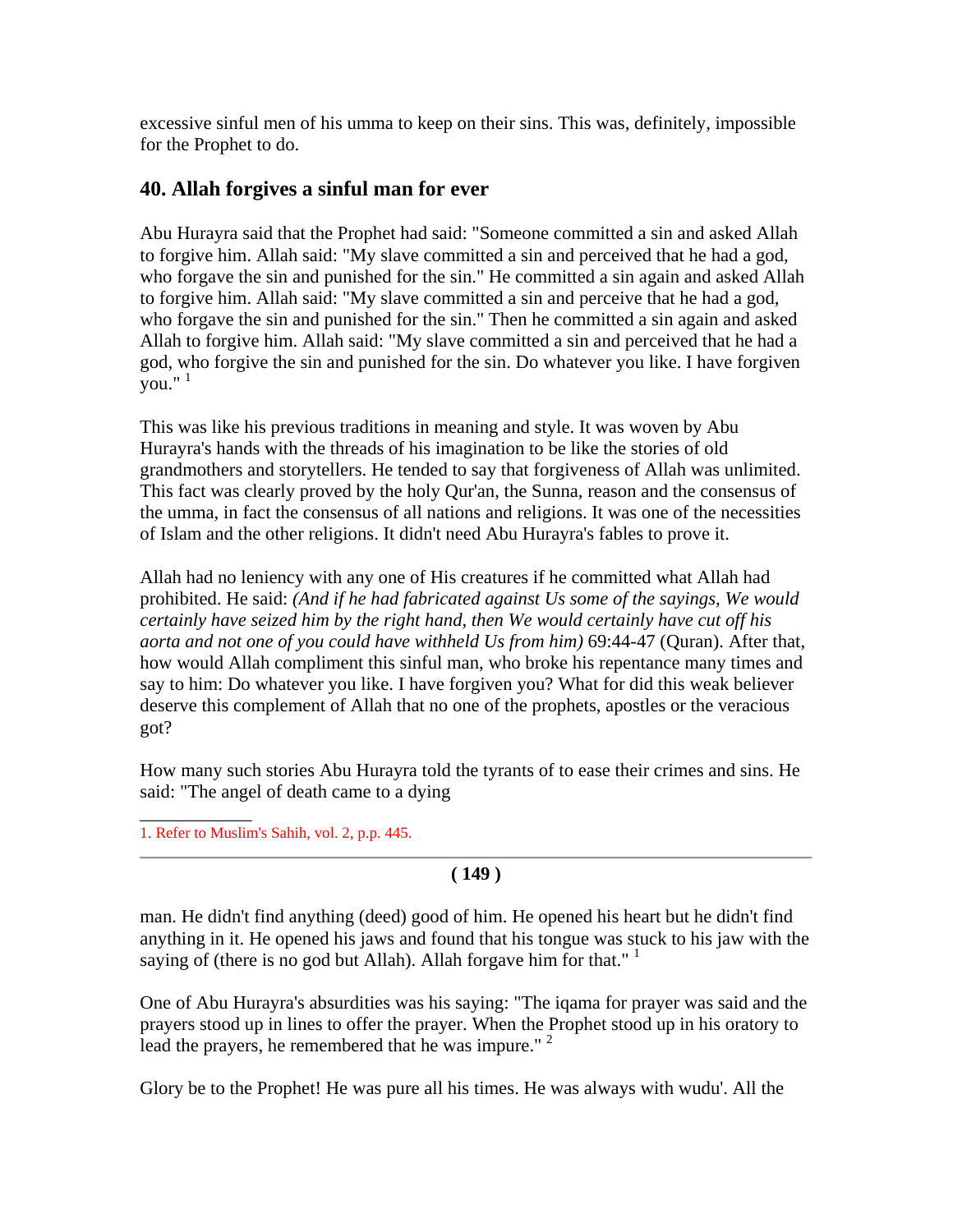excessive sinful men of his umma to keep on their sins. This was, definitely, impossible for the Prophet to do.

## **40. Allah forgives a sinful man for ever**

Abu Hurayra said that the Prophet had said: "Someone committed a sin and asked Allah to forgive him. Allah said: "My slave committed a sin and perceived that he had a god, who forgave the sin and punished for the sin." He committed a sin again and asked Allah to forgive him. Allah said: "My slave committed a sin and perceive that he had a god, who forgave the sin and punished for the sin." Then he committed a sin again and asked Allah to forgive him. Allah said: "My slave committed a sin and perceived that he had a god, who forgive the sin and punished for the sin. Do whatever you like. I have forgiven  $\frac{6}{3}$ you."  $\frac{1}{1}$ 

This was like his previous traditions in meaning and style. It was woven by Abu Hurayra's hands with the threads of his imagination to be like the stories of old grandmothers and storytellers. He tended to say that forgiveness of Allah was unlimited. This fact was clearly proved by the holy Qur'an, the Sunna, reason and the consensus of the umma, in fact the consensus of all nations and religions. It was one of the necessities of Islam and the other religions. It didn't need Abu Hurayra's fables to prove it.

Allah had no leniency with any one of His creatures if he committed what Allah had prohibited. He said: *(And if he had fabricated against Us some of the sayings, We would certainly have seized him by the right hand, then We would certainly have cut off his aorta and not one of you could have withheld Us from him)* 69:44-47 (Quran). After that, how would Allah compliment this sinful man, who broke his repentance many times and say to him: Do whatever you like. I have forgiven you? What for did this weak believer deserve this complement of Allah that no one of the prophets, apostles or the veracious got?

How many such stories Abu Hurayra told the tyrants of to ease their crimes and sins. He said: "The angel of death came to a dying

 $\overline{\phantom{a}}$ 1. Refer to Muslim's Sahih, vol. 2, p.p. 445.

## **( 149 )**

man. He didn't find anything (deed) good of him. He opened his heart but he didn't find anything in it. He opened his jaws and found that his tongue was stuck to his jaw with the saying of (there is no god but Allah). Allah for gave him for that."  $1$ 

One of Abu Hurayra's absurdities was his saying: "The iqama for prayer was said and the prayers stood up in lines to offer the prayer. When the Prophet stood up in his oratory to lead the prayers, he remembered that he was impure." <sup>2</sup>

Glory be to the Prophet! He was pure all his times. He was always with wudu'. All the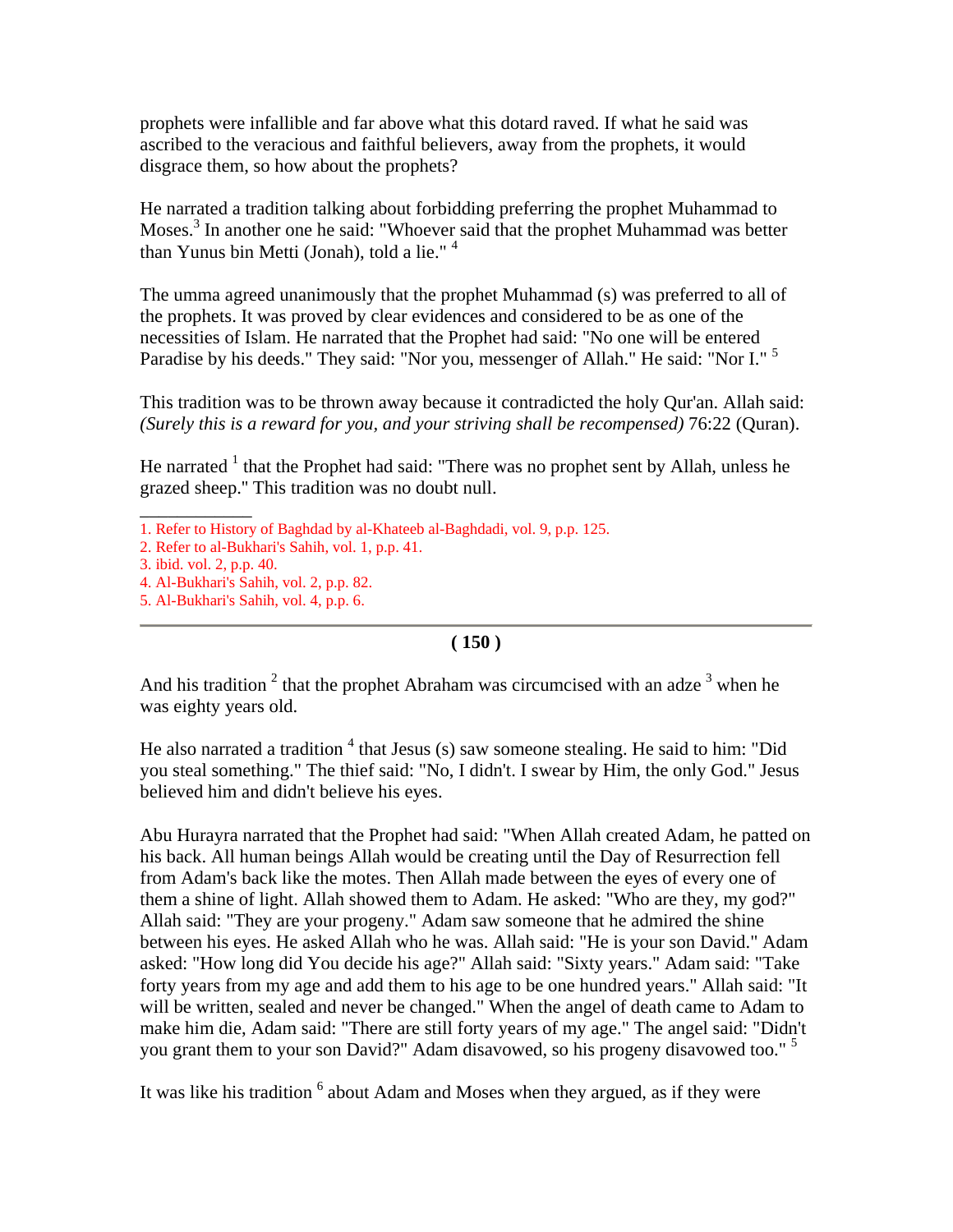prophets were infallible and far above what this dotard raved. If what he said was ascribed to the veracious and faithful believers, away from the prophets, it would disgrace them, so how about the prophets?

He narrated a tradition talking about forbidding preferring the prophet Muhammad to Moses.<sup>3</sup> In another one he said: "Whoever said that the prophet Muhammad was better than Yunus bin Metti (Jonah), told a lie."<sup>4</sup>

The umma agreed unanimously that the prophet Muhammad (s) was preferred to all of the prophets. It was proved by clear evidences and considered to be as one of the necessities of Islam. He narrated that the Prophet had said: "No one will be entered Paradise by his deeds." They said: "Nor you, messenger of Allah." He said: "Nor I." <sup>5</sup>

This tradition was to be thrown away because it contradicted the holy Qur'an. Allah said: *(Surely this is a reward for you, and your striving shall be recompensed)* 76:22 (Quran).

He narrated  $1$  that the Prophet had said: "There was no prophet sent by Allah, unless he grazed sheep.'' This tradition was no doubt null.

\_\_\_\_\_\_\_\_\_\_\_\_

#### **( 150 )**

And his tradition  $2$  that the prophet Abraham was circumcised with an adze  $3$  when he was eighty years old.

He also narrated a tradition  $4$  that Jesus (s) saw someone stealing. He said to him: "Did you steal something." The thief said: "No, I didn't. I swear by Him, the only God." Jesus believed him and didn't believe his eyes.

Abu Hurayra narrated that the Prophet had said: "When Allah created Adam, he patted on his back. All human beings Allah would be creating until the Day of Resurrection fell from Adam's back like the motes. Then Allah made between the eyes of every one of them a shine of light. Allah showed them to Adam. He asked: "Who are they, my god?" Allah said: "They are your progeny." Adam saw someone that he admired the shine between his eyes. He asked Allah who he was. Allah said: "He is your son David." Adam asked: "How long did You decide his age?" Allah said: "Sixty years." Adam said: "Take forty years from my age and add them to his age to be one hundred years." Allah said: "It will be written, sealed and never be changed." When the angel of death came to Adam to make him die, Adam said: "There are still forty years of my age." The angel said: "Didn't you grant them to your son David?" Adam disavowed, so his progeny disavowed too." <sup>5</sup>

It was like his tradition <sup>6</sup> about Adam and Moses when they argued, as if they were

<sup>1.</sup> Refer to History of Baghdad by al-Khateeb al-Baghdadi, vol. 9, p.p. 125.

<sup>2.</sup> Refer to al-Bukhari's Sahih, vol. 1, p.p. 41.

<sup>3.</sup> ibid. vol. 2, p.p. 40.

<sup>4.</sup> Al-Bukhari's Sahih, vol. 2, p.p. 82.

<sup>5.</sup> Al-Bukhari's Sahih, vol. 4, p.p. 6.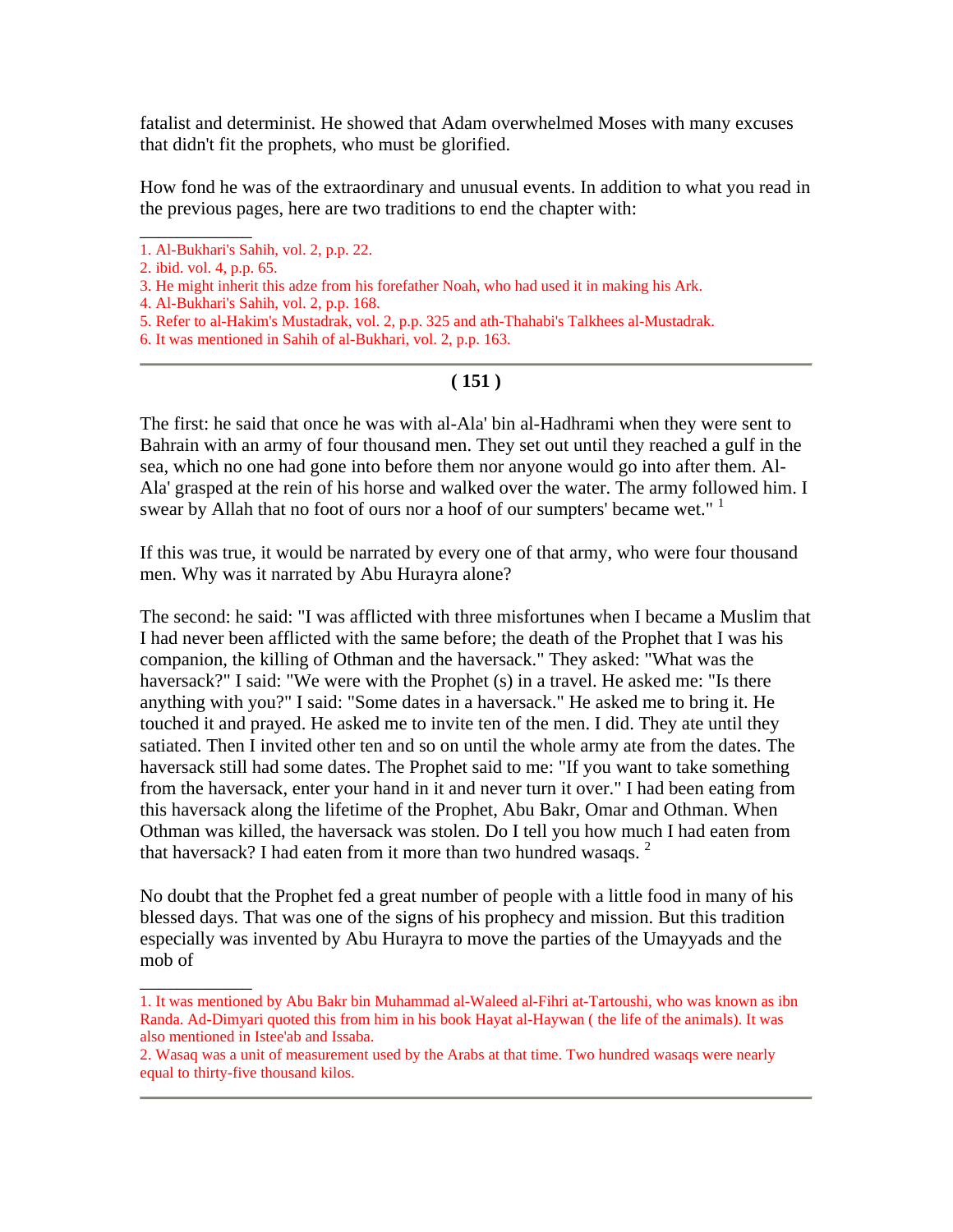fatalist and determinist. He showed that Adam overwhelmed Moses with many excuses that didn't fit the prophets, who must be glorified.

How fond he was of the extraordinary and unusual events. In addition to what you read in the previous pages, here are two traditions to end the chapter with:

\_\_\_\_\_\_\_\_\_\_\_\_

\_\_\_\_\_\_\_\_\_\_\_\_

#### **( 151 )**

The first: he said that once he was with al-Ala' bin al-Hadhrami when they were sent to Bahrain with an army of four thousand men. They set out until they reached a gulf in the sea, which no one had gone into before them nor anyone would go into after them. Al-Ala' grasped at the rein of his horse and walked over the water. The army followed him. I swear by Allah that no foot of ours nor a hoof of our sumpters' became wet."<sup>1</sup>

If this was true, it would be narrated by every one of that army, who were four thousand men. Why was it narrated by Abu Hurayra alone?

The second: he said: "I was afflicted with three misfortunes when I became a Muslim that I had never been afflicted with the same before; the death of the Prophet that I was his companion, the killing of Othman and the haversack." They asked: "What was the haversack?" I said: "We were with the Prophet (s) in a travel. He asked me: "Is there anything with you?" I said: "Some dates in a haversack." He asked me to bring it. He touched it and prayed. He asked me to invite ten of the men. I did. They ate until they satiated. Then I invited other ten and so on until the whole army ate from the dates. The haversack still had some dates. The Prophet said to me: "If you want to take something from the haversack, enter your hand in it and never turn it over." I had been eating from this haversack along the lifetime of the Prophet, Abu Bakr, Omar and Othman. When Othman was killed, the haversack was stolen. Do I tell you how much I had eaten from that haversack? I had eaten from it more than two hundred wasaqs.  $2$ 

No doubt that the Prophet fed a great number of people with a little food in many of his blessed days. That was one of the signs of his prophecy and mission. But this tradition especially was invented by Abu Hurayra to move the parties of the Umayyads and the mob of

<sup>1.</sup> Al-Bukhari's Sahih, vol. 2, p.p. 22.

<sup>2.</sup> ibid. vol. 4, p.p. 65.

<sup>3.</sup> He might inherit this adze from his forefather Noah, who had used it in making his Ark.

<sup>4.</sup> Al-Bukhari's Sahih, vol. 2, p.p. 168.

<sup>5.</sup> Refer to al-Hakim's Mustadrak, vol. 2, p.p. 325 and ath-Thahabi's Talkhees al-Mustadrak.

<sup>6.</sup> It was mentioned in Sahih of al-Bukhari, vol. 2, p.p. 163.

<sup>1.</sup> It was mentioned by Abu Bakr bin Muhammad al-Waleed al-Fihri at-Tartoushi, who was known as ibn Randa. Ad-Dimyari quoted this from him in his book Hayat al-Haywan ( the life of the animals). It was also mentioned in Istee'ab and Issaba.

<sup>2.</sup> Wasaq was a unit of measurement used by the Arabs at that time. Two hundred wasaqs were nearly equal to thirty-five thousand kilos.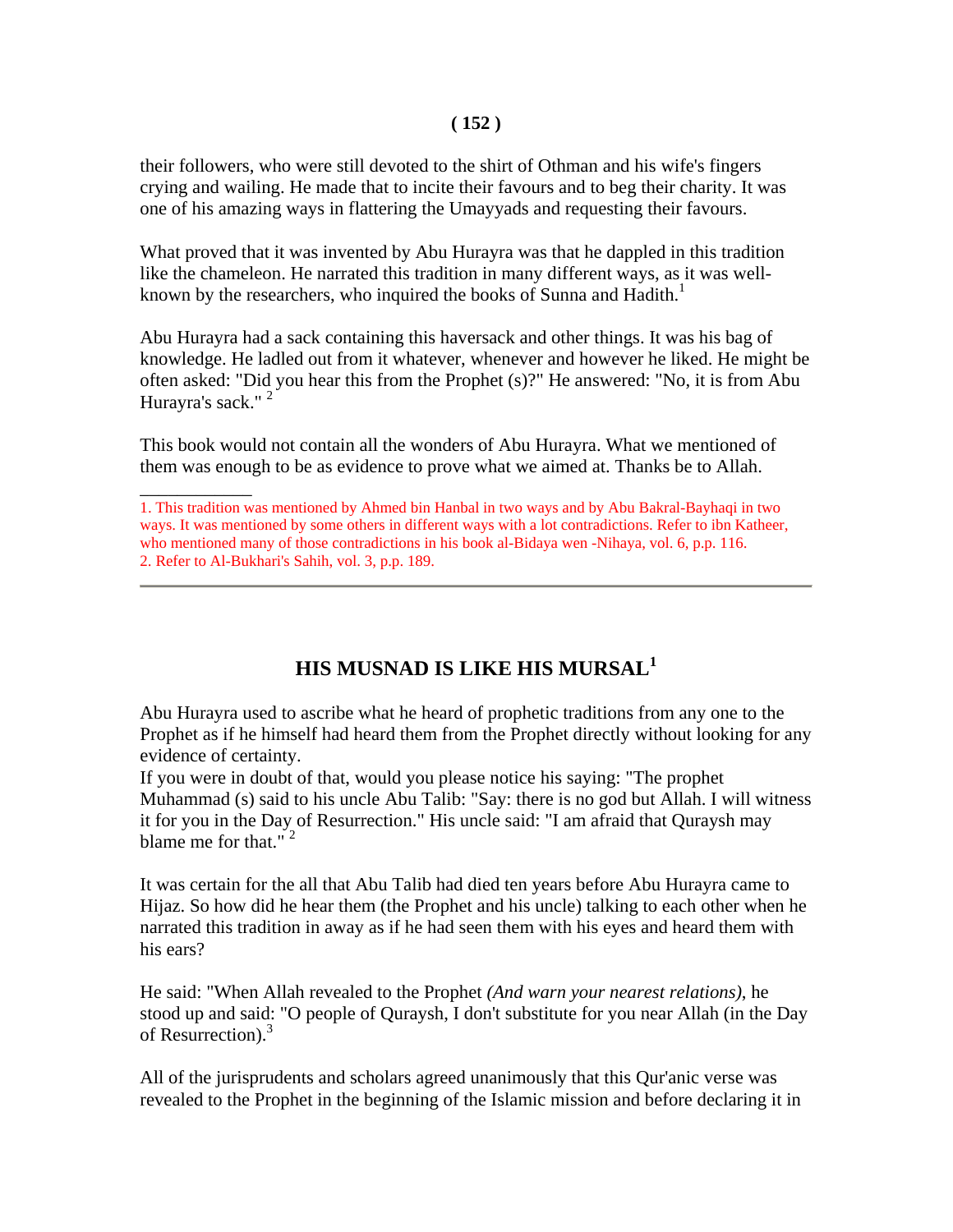#### **( 152 )**

their followers, who were still devoted to the shirt of Othman and his wife's fingers crying and wailing. He made that to incite their favours and to beg their charity. It was one of his amazing ways in flattering the Umayyads and requesting their favours.

What proved that it was invented by Abu Hurayra was that he dappled in this tradition like the chameleon. He narrated this tradition in many different ways, as it was wellknown by the researchers, who inquired the books of Sunna and Hadith.<sup>1</sup>

Abu Hurayra had a sack containing this haversack and other things. It was his bag of knowledge. He ladled out from it whatever, whenever and however he liked. He might be often asked: "Did you hear this from the Prophet (s)?" He answered: "No, it is from Abu Hurayra's sack."<sup>2</sup>

This book would not contain all the wonders of Abu Hurayra. What we mentioned of them was enough to be as evidence to prove what we aimed at. Thanks be to Allah.

\_\_\_\_\_\_\_\_\_\_\_\_

# **HIS MUSNAD IS LIKE HIS MURSAL<sup>1</sup>**

Abu Hurayra used to ascribe what he heard of prophetic traditions from any one to the Prophet as if he himself had heard them from the Prophet directly without looking for any evidence of certainty.

If you were in doubt of that, would you please notice his saying: "The prophet Muhammad (s) said to his uncle Abu Talib: "Say: there is no god but Allah. I will witness it for you in the Day of Resurrection." His uncle said: "I am afraid that Quraysh may blame me for that." $2$ 

It was certain for the all that Abu Talib had died ten years before Abu Hurayra came to Hijaz. So how did he hear them (the Prophet and his uncle) talking to each other when he narrated this tradition in away as if he had seen them with his eyes and heard them with his ears?

He said: "When Allah revealed to the Prophet *(And warn your nearest relations)*, he stood up and said: "O people of Quraysh, I don't substitute for you near Allah (in the Day of Resurrection).<sup>3</sup>

All of the jurisprudents and scholars agreed unanimously that this Qur'anic verse was revealed to the Prophet in the beginning of the Islamic mission and before declaring it in

<sup>1.</sup> This tradition was mentioned by Ahmed bin Hanbal in two ways and by Abu Bakral-Bayhaqi in two ways. It was mentioned by some others in different ways with a lot contradictions. Refer to ibn Katheer, who mentioned many of those contradictions in his book al-Bidaya wen -Nihaya, vol. 6, p.p. 116. 2. Refer to Al-Bukhari's Sahih, vol. 3, p.p. 189.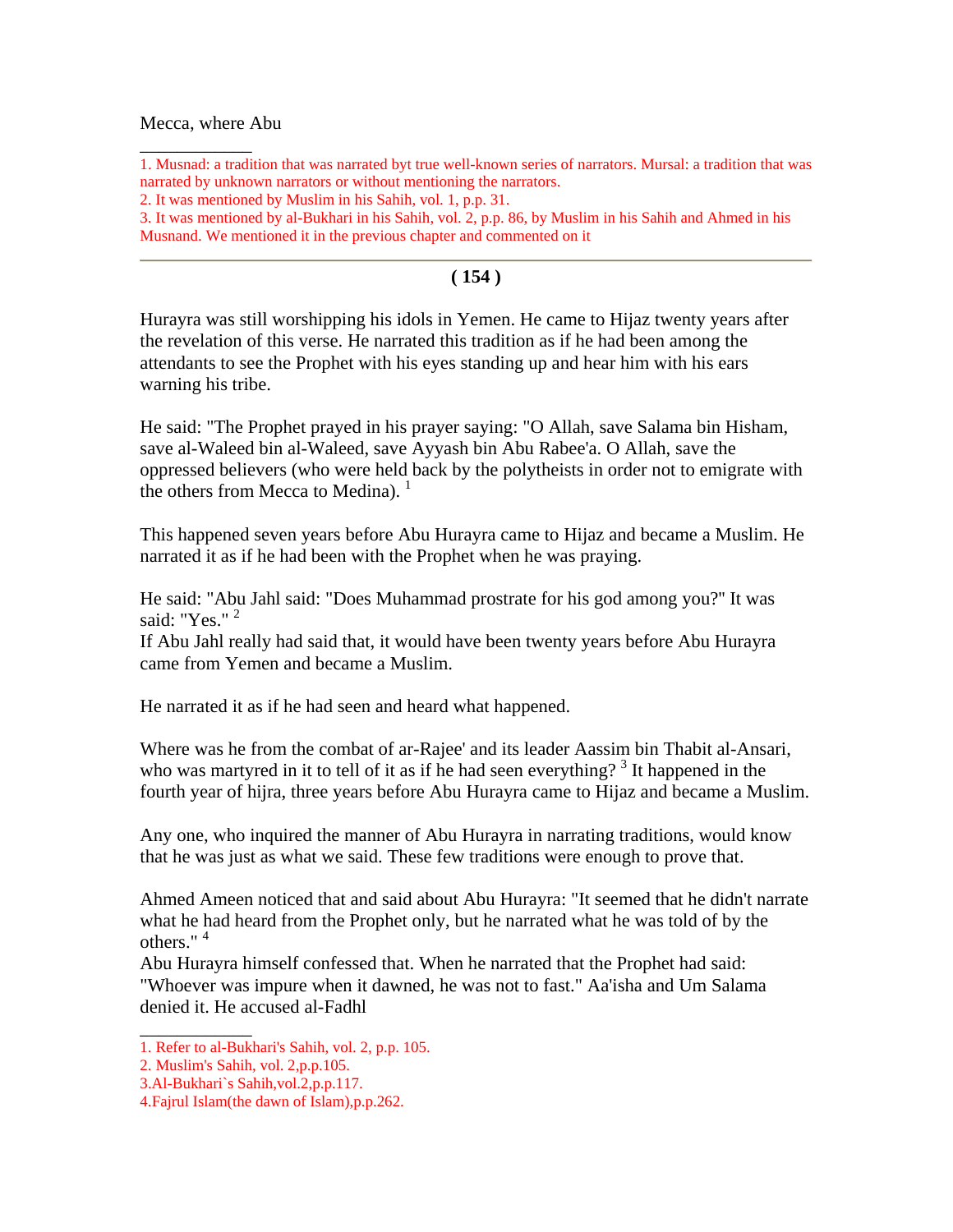#### Mecca, where Abu

\_\_\_\_\_\_\_\_\_\_\_\_

1. Musnad: a tradition that was narrated byt true well-known series of narrators. Mursal: a tradition that was narrated by unknown narrators or without mentioning the narrators.

3. It was mentioned by al-Bukhari in his Sahih, vol. 2, p.p. 86, by Muslim in his Sahih and Ahmed in his Musnand. We mentioned it in the previous chapter and commented on it

#### **( 154 )**

Hurayra was still worshipping his idols in Yemen. He came to Hijaz twenty years after the revelation of this verse. He narrated this tradition as if he had been among the attendants to see the Prophet with his eyes standing up and hear him with his ears warning his tribe.

He said: "The Prophet prayed in his prayer saying: "O Allah, save Salama bin Hisham, save al-Waleed bin al-Waleed, save Ayyash bin Abu Rabee'a. O Allah, save the oppressed believers (who were held back by the polytheists in order not to emigrate with the others from Mecca to Medina).  $<sup>1</sup>$ </sup>

This happened seven years before Abu Hurayra came to Hijaz and became a Muslim. He narrated it as if he had been with the Prophet when he was praying.

He said: "Abu Jahl said: "Does Muhammad prostrate for his god among you?'' It was said: "Yes." <sup>2</sup>

If Abu Jahl really had said that, it would have been twenty years before Abu Hurayra came from Yemen and became a Muslim.

He narrated it as if he had seen and heard what happened.

Where was he from the combat of ar-Rajee' and its leader Aassim bin Thabit al-Ansari, who was martyred in it to tell of it as if he had seen everything?<sup>3</sup> It happened in the fourth year of hijra, three years before Abu Hurayra came to Hijaz and became a Muslim.

Any one, who inquired the manner of Abu Hurayra in narrating traditions, would know that he was just as what we said. These few traditions were enough to prove that.

Ahmed Ameen noticed that and said about Abu Hurayra: "It seemed that he didn't narrate what he had heard from the Prophet only, but he narrated what he was told of by the others."<sup>4</sup>

Abu Hurayra himself confessed that. When he narrated that the Prophet had said: "Whoever was impure when it dawned, he was not to fast." Aa'isha and Um Salama denied it. He accused al-Fadhl

\_\_\_\_\_\_\_\_\_\_\_\_

<sup>2.</sup> It was mentioned by Muslim in his Sahih, vol. 1, p.p. 31.

<sup>1.</sup> Refer to al-Bukhari's Sahih, vol. 2, p.p. 105.

<sup>2.</sup> Muslim's Sahih, vol. 2,p.p.105.

<sup>3.</sup>Al-Bukhari`s Sahih,vol.2,p.p.117.

<sup>4.</sup>Fajrul Islam(the dawn of Islam),p.p.262.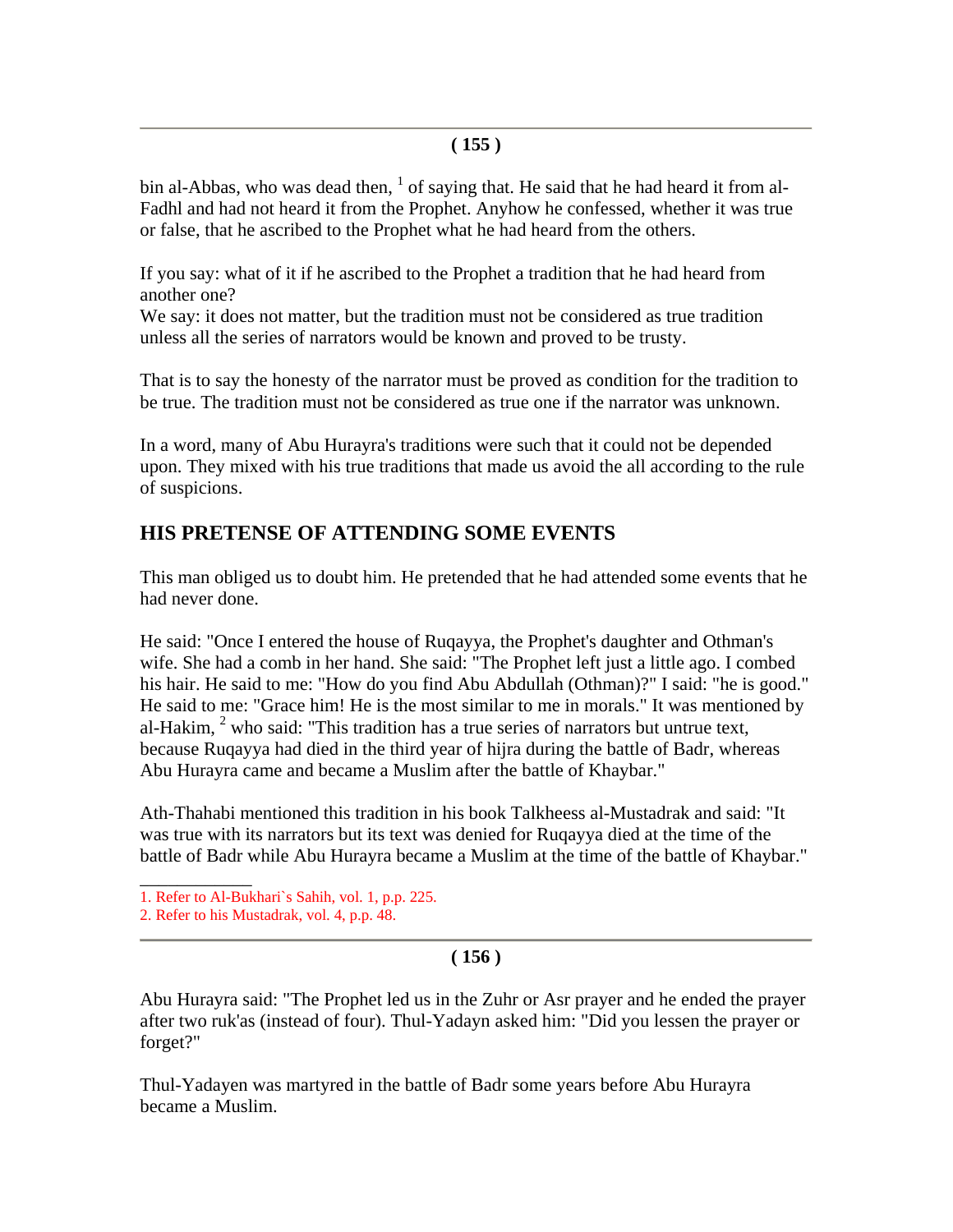### **( 155 )**

bin al-Abbas, who was dead then,  $<sup>1</sup>$  of saying that. He said that he had heard it from al-</sup> Fadhl and had not heard it from the Prophet. Anyhow he confessed, whether it was true or false, that he ascribed to the Prophet what he had heard from the others.

If you say: what of it if he ascribed to the Prophet a tradition that he had heard from another one?

We say: it does not matter, but the tradition must not be considered as true tradition unless all the series of narrators would be known and proved to be trusty.

That is to say the honesty of the narrator must be proved as condition for the tradition to be true. The tradition must not be considered as true one if the narrator was unknown.

In a word, many of Abu Hurayra's traditions were such that it could not be depended upon. They mixed with his true traditions that made us avoid the all according to the rule of suspicions.

# **HIS PRETENSE OF ATTENDING SOME EVENTS**

This man obliged us to doubt him. He pretended that he had attended some events that he had never done.

He said: "Once I entered the house of Ruqayya, the Prophet's daughter and Othman's wife. She had a comb in her hand. She said: "The Prophet left just a little ago. I combed his hair. He said to me: "How do you find Abu Abdullah (Othman)?" I said: "he is good." He said to me: "Grace him! He is the most similar to me in morals." It was mentioned by al-Hakim,  $2$  who said: "This tradition has a true series of narrators but untrue text, because Ruqayya had died in the third year of hijra during the battle of Badr, whereas Abu Hurayra came and became a Muslim after the battle of Khaybar."

Ath-Thahabi mentioned this tradition in his book Talkheess al-Mustadrak and said: "It was true with its narrators but its text was denied for Ruqayya died at the time of the battle of Badr while Abu Hurayra became a Muslim at the time of the battle of Khaybar."

2. Refer to his Mustadrak, vol. 4, p.p. 48.

# **( 156 )**

Abu Hurayra said: "The Prophet led us in the Zuhr or Asr prayer and he ended the prayer after two ruk'as (instead of four). Thul-Yadayn asked him: "Did you lessen the prayer or forget?"

Thul-Yadayen was martyred in the battle of Badr some years before Abu Hurayra became a Muslim.

\_\_\_\_\_\_\_\_\_\_\_\_ 1. Refer to Al-Bukhari`s Sahih, vol. 1, p.p. 225.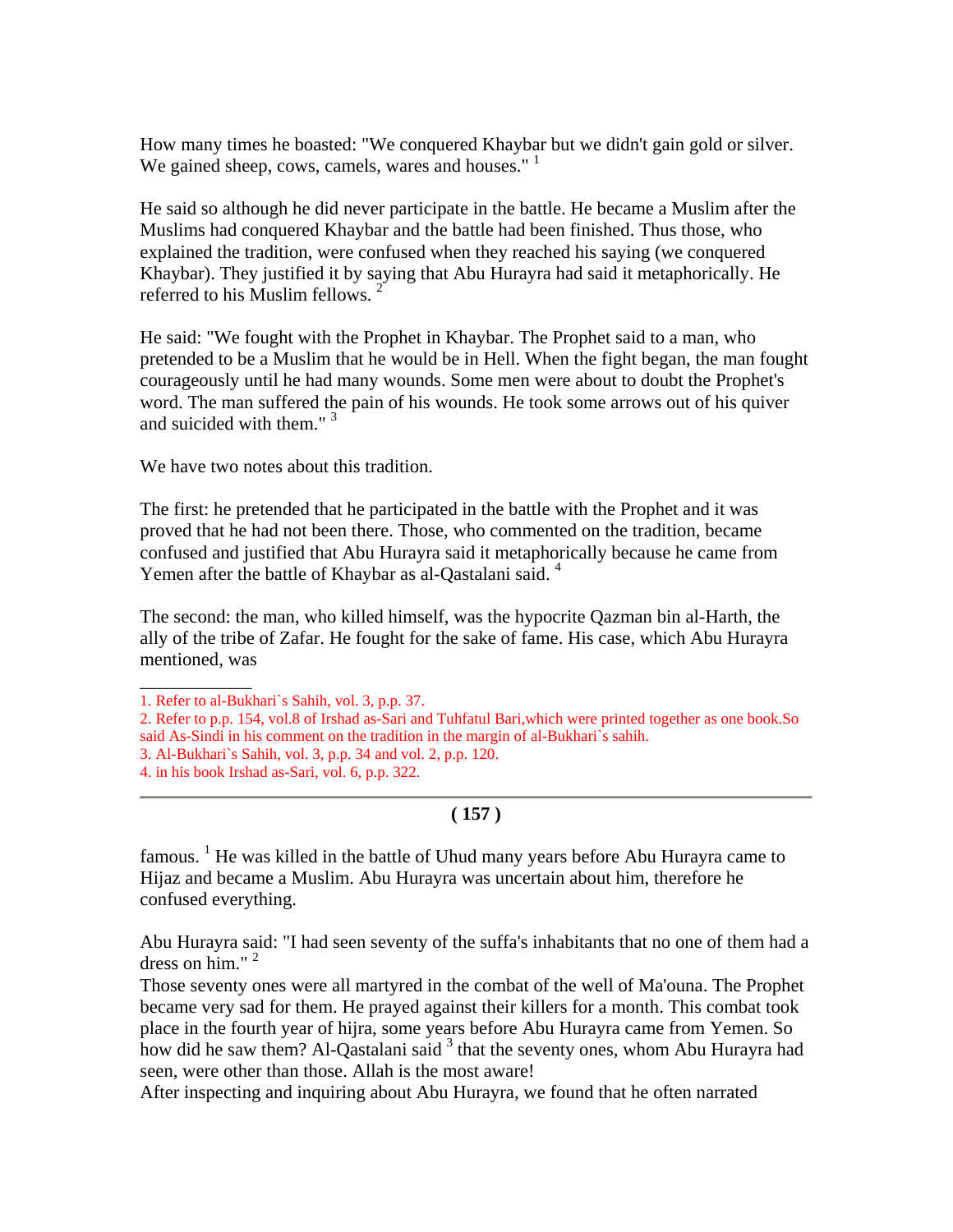How many times he boasted: "We conquered Khaybar but we didn't gain gold or silver. We gained sheep, cows, camels, wares and houses." $1$ 

He said so although he did never participate in the battle. He became a Muslim after the Muslims had conquered Khaybar and the battle had been finished. Thus those, who explained the tradition, were confused when they reached his saying (we conquered Khaybar). They justified it by saying that Abu Hurayra had said it metaphorically. He referred to his Muslim fellows.<sup>2</sup>

He said: "We fought with the Prophet in Khaybar. The Prophet said to a man, who pretended to be a Muslim that he would be in Hell. When the fight began, the man fought courageously until he had many wounds. Some men were about to doubt the Prophet's word. The man suffered the pain of his wounds. He took some arrows out of his quiver and suicided with them."<sup>3</sup>

We have two notes about this tradition.

The first: he pretended that he participated in the battle with the Prophet and it was proved that he had not been there. Those, who commented on the tradition, became confused and justified that Abu Hurayra said it metaphorically because he came from Yemen after the battle of Khaybar as al-Qastalani said.<sup>4</sup>

The second: the man, who killed himself, was the hypocrite Qazman bin al-Harth, the ally of the tribe of Zafar. He fought for the sake of fame. His case, which Abu Hurayra mentioned, was

\_\_\_\_\_\_\_\_\_\_\_\_

# **( 157 )**

famous. <sup>1</sup> He was killed in the battle of Uhud many years before Abu Hurayra came to Hijaz and became a Muslim. Abu Hurayra was uncertain about him, therefore he confused everything.

Abu Hurayra said: "I had seen seventy of the suffa's inhabitants that no one of them had a dress on him." $2$ 

Those seventy ones were all martyred in the combat of the well of Ma'ouna. The Prophet became very sad for them. He prayed against their killers for a month. This combat took place in the fourth year of hijra, some years before Abu Hurayra came from Yemen. So how did he saw them? Al-Qastalani said <sup>3</sup> that the seventy ones, whom Abu Hurayra had seen, were other than those. Allah is the most aware!

After inspecting and inquiring about Abu Hurayra, we found that he often narrated

<sup>1.</sup> Refer to al-Bukhari`s Sahih, vol. 3, p.p. 37.

<sup>2.</sup> Refer to p.p. 154, vol.8 of Irshad as-Sari and Tuhfatul Bari,which were printed together as one book.So said As-Sindi in his comment on the tradition in the margin of al-Bukhari`s sahih.

<sup>3.</sup> Al-Bukhari`s Sahih, vol. 3, p.p. 34 and vol. 2, p.p. 120.

<sup>4.</sup> in his book Irshad as-Sari, vol. 6, p.p. 322.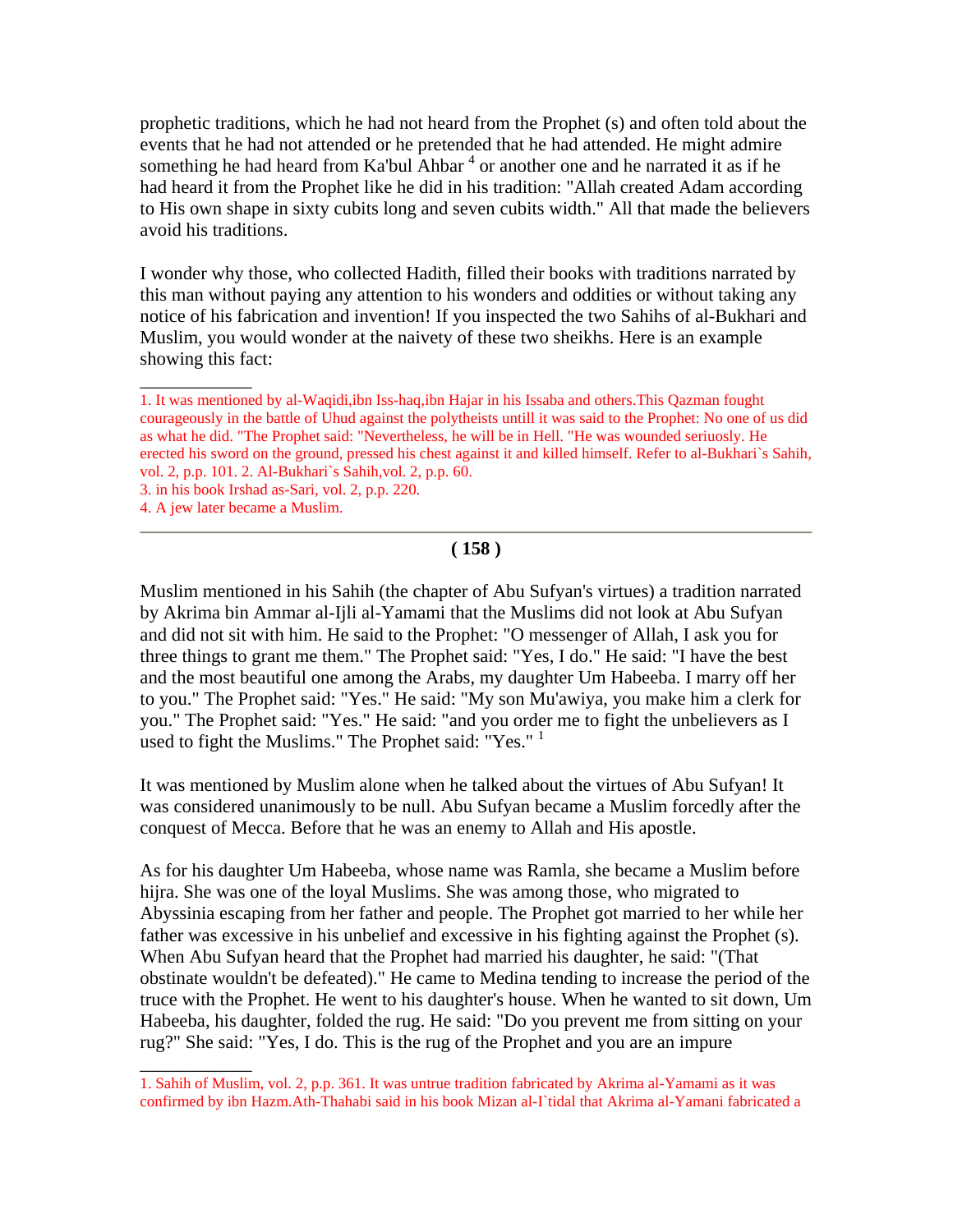prophetic traditions, which he had not heard from the Prophet (s) and often told about the events that he had not attended or he pretended that he had attended. He might admire something he had heard from Ka'bul Ahbar<sup>4</sup> or another one and he narrated it as if he had heard it from the Prophet like he did in his tradition: "Allah created Adam according to His own shape in sixty cubits long and seven cubits width." All that made the believers avoid his traditions.

I wonder why those, who collected Hadith, filled their books with traditions narrated by this man without paying any attention to his wonders and oddities or without taking any notice of his fabrication and invention! If you inspected the two Sahihs of al-Bukhari and Muslim, you would wonder at the naivety of these two sheikhs. Here is an example showing this fact:

\_\_\_\_\_\_\_\_\_\_\_\_

\_\_\_\_\_\_\_\_\_\_\_\_

#### **( 158 )**

Muslim mentioned in his Sahih (the chapter of Abu Sufyan's virtues) a tradition narrated by Akrima bin Ammar al-Ijli al-Yamami that the Muslims did not look at Abu Sufyan and did not sit with him. He said to the Prophet: "O messenger of Allah, I ask you for three things to grant me them." The Prophet said: "Yes, I do." He said: "I have the best and the most beautiful one among the Arabs, my daughter Um Habeeba. I marry off her to you." The Prophet said: "Yes." He said: "My son Mu'awiya, you make him a clerk for you." The Prophet said: "Yes." He said: "and you order me to fight the unbelievers as I used to fight the Muslims." The Prophet said: "Yes."<sup>1</sup>

It was mentioned by Muslim alone when he talked about the virtues of Abu Sufyan! It was considered unanimously to be null. Abu Sufyan became a Muslim forcedly after the conquest of Mecca. Before that he was an enemy to Allah and His apostle.

As for his daughter Um Habeeba, whose name was Ramla, she became a Muslim before hijra. She was one of the loyal Muslims. She was among those, who migrated to Abyssinia escaping from her father and people. The Prophet got married to her while her father was excessive in his unbelief and excessive in his fighting against the Prophet (s). When Abu Sufyan heard that the Prophet had married his daughter, he said: "(That obstinate wouldn't be defeated)." He came to Medina tending to increase the period of the truce with the Prophet. He went to his daughter's house. When he wanted to sit down, Um Habeeba, his daughter, folded the rug. He said: "Do you prevent me from sitting on your rug?" She said: "Yes, I do. This is the rug of the Prophet and you are an impure

<sup>1.</sup> It was mentioned by al-Waqidi,ibn Iss-haq,ibn Hajar in his Issaba and others.This Qazman fought courageously in the battle of Uhud against the polytheists untill it was said to the Prophet: No one of us did as what he did. "The Prophet said: "Nevertheless, he will be in Hell. "He was wounded seriuosly. He erected his sword on the ground, pressed his chest against it and killed himself. Refer to al-Bukhari`s Sahih, vol. 2, p.p. 101. 2. Al-Bukhari`s Sahih,vol. 2, p.p. 60.

<sup>3.</sup> in his book Irshad as-Sari, vol. 2, p.p. 220.

<sup>4.</sup> A jew later became a Muslim.

<sup>1.</sup> Sahih of Muslim, vol. 2, p.p. 361. It was untrue tradition fabricated by Akrima al-Yamami as it was confirmed by ibn Hazm.Ath-Thahabi said in his book Mizan al-I`tidal that Akrima al-Yamani fabricated a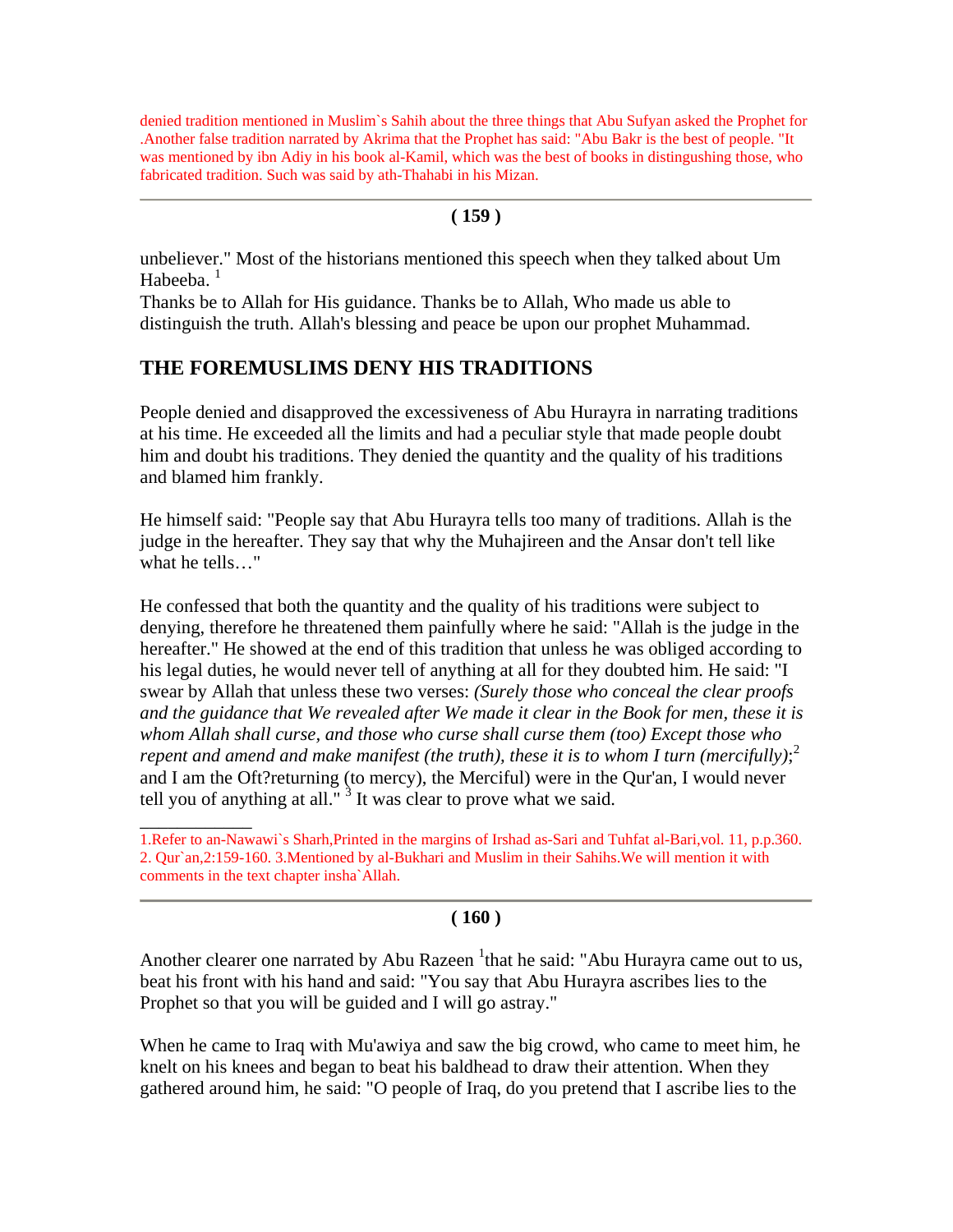denied tradition mentioned in Muslim`s Sahih about the three things that Abu Sufyan asked the Prophet for .Another false tradition narrated by Akrima that the Prophet has said: "Abu Bakr is the best of people. "It was mentioned by ibn Adiy in his book al-Kamil, which was the best of books in distingushing those, who fabricated tradition. Such was said by ath-Thahabi in his Mizan.

#### **( 159 )**

unbeliever." Most of the historians mentioned this speech when they talked about Um Habeeba.

Thanks be to Allah for His guidance. Thanks be to Allah, Who made us able to distinguish the truth. Allah's blessing and peace be upon our prophet Muhammad.

# **THE FOREMUSLIMS DENY HIS TRADITIONS**

\_\_\_\_\_\_\_\_\_\_\_\_

People denied and disapproved the excessiveness of Abu Hurayra in narrating traditions at his time. He exceeded all the limits and had a peculiar style that made people doubt him and doubt his traditions. They denied the quantity and the quality of his traditions and blamed him frankly.

He himself said: "People say that Abu Hurayra tells too many of traditions. Allah is the judge in the hereafter. They say that why the Muhajireen and the Ansar don't tell like what he tells…"

He confessed that both the quantity and the quality of his traditions were subject to denying, therefore he threatened them painfully where he said: "Allah is the judge in the hereafter." He showed at the end of this tradition that unless he was obliged according to his legal duties, he would never tell of anything at all for they doubted him. He said: "I swear by Allah that unless these two verses: *(Surely those who conceal the clear proofs and the guidance that We revealed after We made it clear in the Book for men, these it is whom Allah shall curse, and those who curse shall curse them (too) Except those who repent and amend and make manifest (the truth), these it is to whom I turn (mercifully)*; 2 and I am the Oft?returning (to mercy), the Merciful) were in the Qur'an, I would never tell you of anything at all."  $3$  It was clear to prove what we said.

#### **( 160 )**

Another clearer one narrated by Abu Razeen <sup>1</sup> that he said: "Abu Hurayra came out to us, beat his front with his hand and said: "You say that Abu Hurayra ascribes lies to the Prophet so that you will be guided and I will go astray."

When he came to Iraq with Mu'awiya and saw the big crowd, who came to meet him, he knelt on his knees and began to beat his baldhead to draw their attention. When they gathered around him, he said: "O people of Iraq, do you pretend that I ascribe lies to the

<sup>1.</sup>Refer to an-Nawawi`s Sharh,Printed in the margins of Irshad as-Sari and Tuhfat al-Bari,vol. 11, p.p.360. 2. Qur`an,2:159-160. 3.Mentioned by al-Bukhari and Muslim in their Sahihs.We will mention it with comments in the text chapter insha`Allah.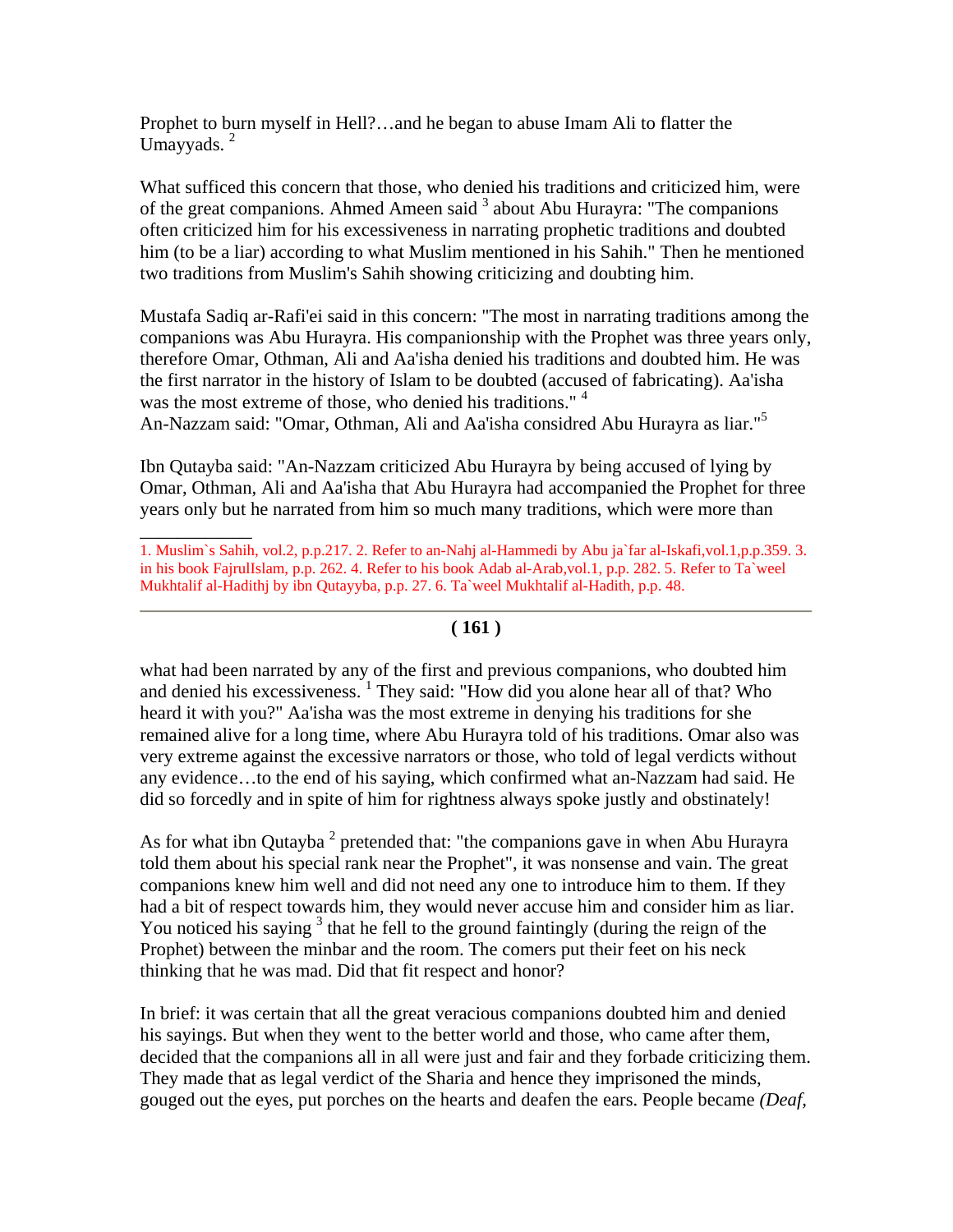Prophet to burn myself in Hell?…and he began to abuse Imam Ali to flatter the Umayyads.<sup>2</sup>

What sufficed this concern that those, who denied his traditions and criticized him, were of the great companions. Ahmed Ameen said  $3$  about Abu Hurayra: "The companions often criticized him for his excessiveness in narrating prophetic traditions and doubted him (to be a liar) according to what Muslim mentioned in his Sahih." Then he mentioned two traditions from Muslim's Sahih showing criticizing and doubting him.

Mustafa Sadiq ar-Rafi'ei said in this concern: "The most in narrating traditions among the companions was Abu Hurayra. His companionship with the Prophet was three years only, therefore Omar, Othman, Ali and Aa'isha denied his traditions and doubted him. He was the first narrator in the history of Islam to be doubted (accused of fabricating). Aa'isha was the most extreme of those, who denied his traditions."<sup>4</sup> An-Nazzam said: "Omar, Othman, Ali and Aa'isha considred Abu Hurayra as liar."<sup>5</sup>

Ibn Qutayba said: "An-Nazzam criticized Abu Hurayra by being accused of lying by Omar, Othman, Ali and Aa'isha that Abu Hurayra had accompanied the Prophet for three years only but he narrated from him so much many traditions, which were more than

 $\overline{\phantom{a}}$ 

# **( 161 )**

what had been narrated by any of the first and previous companions, who doubted him and denied his excessiveness.<sup>1</sup> They said: "How did you alone hear all of that? Who heard it with you?" Aa'isha was the most extreme in denying his traditions for she remained alive for a long time, where Abu Hurayra told of his traditions. Omar also was very extreme against the excessive narrators or those, who told of legal verdicts without any evidence…to the end of his saying, which confirmed what an-Nazzam had said. He did so forcedly and in spite of him for rightness always spoke justly and obstinately!

As for what ibn Qutayba<sup>2</sup> pretended that: "the companions gave in when Abu Hurayra told them about his special rank near the Prophet", it was nonsense and vain. The great companions knew him well and did not need any one to introduce him to them. If they had a bit of respect towards him, they would never accuse him and consider him as liar. You noticed his saying  $3$  that he fell to the ground faintingly (during the reign of the Prophet) between the minbar and the room. The comers put their feet on his neck thinking that he was mad. Did that fit respect and honor?

In brief: it was certain that all the great veracious companions doubted him and denied his sayings. But when they went to the better world and those, who came after them, decided that the companions all in all were just and fair and they forbade criticizing them. They made that as legal verdict of the Sharia and hence they imprisoned the minds, gouged out the eyes, put porches on the hearts and deafen the ears. People became *(Deaf,* 

<sup>1.</sup> Muslim`s Sahih, vol.2, p.p.217. 2. Refer to an-Nahj al-Hammedi by Abu ja`far al-Iskafi,vol.1,p.p.359. 3. in his book FajrulIslam, p.p. 262. 4. Refer to his book Adab al-Arab,vol.1, p.p. 282. 5. Refer to Ta`weel Mukhtalif al-Hadithj by ibn Qutayyba, p.p. 27. 6. Ta`weel Mukhtalif al-Hadith, p.p. 48.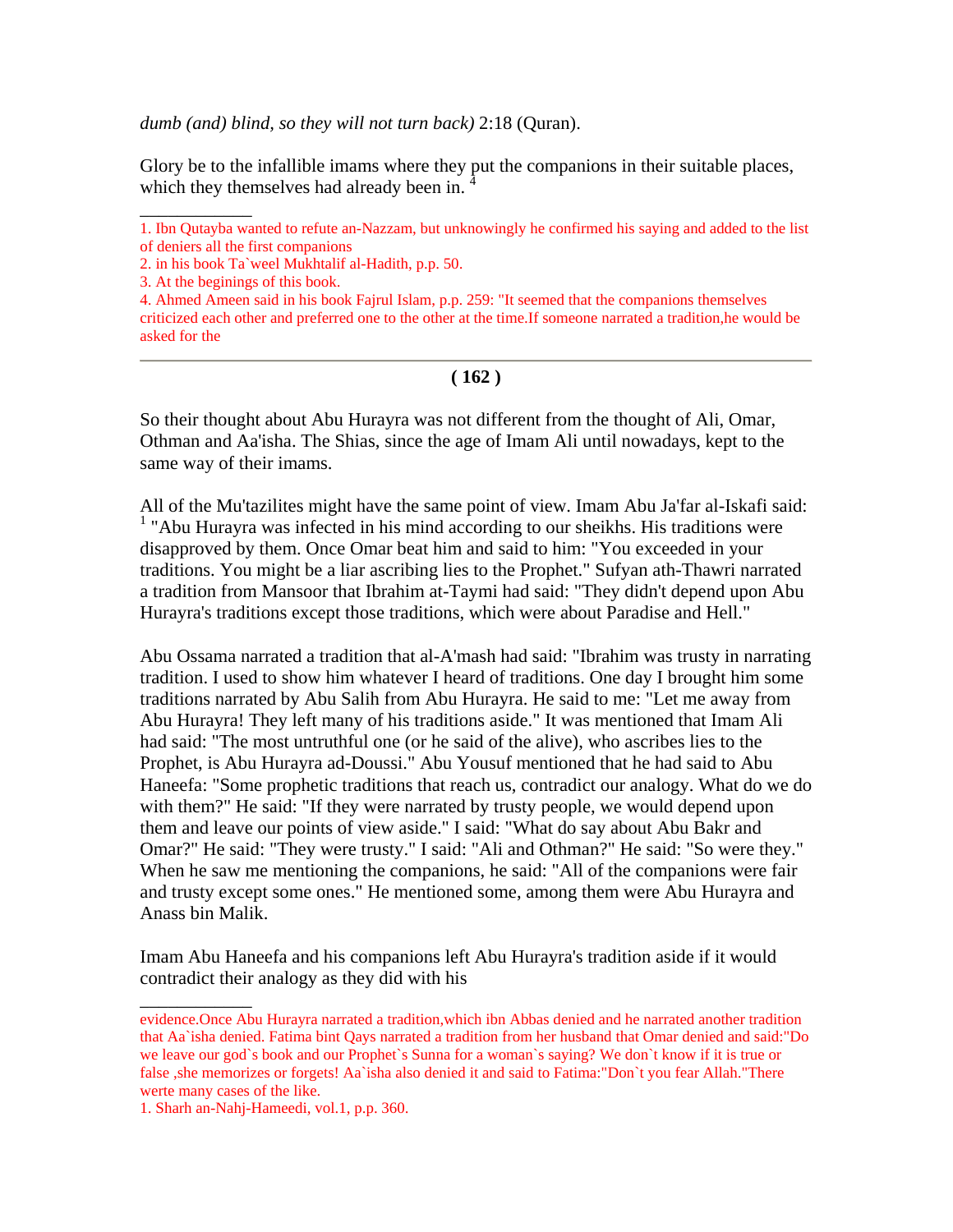*dumb (and) blind, so they will not turn back)* 2:18 (Quran).

Glory be to the infallible imams where they put the companions in their suitable places, which they themselves had already been in.

 $\overline{\phantom{a}}$ 

4. Ahmed Ameen said in his book Fajrul Islam, p.p. 259: "It seemed that the companions themselves criticized each other and preferred one to the other at the time.If someone narrated a tradition,he would be asked for the

#### **( 162 )**

So their thought about Abu Hurayra was not different from the thought of Ali, Omar, Othman and Aa'isha. The Shias, since the age of Imam Ali until nowadays, kept to the same way of their imams.

All of the Mu'tazilites might have the same point of view. Imam Abu Ja'far al-Iskafi said: <sup>1</sup> "Abu Hurayra was infected in his mind according to our sheikhs. His traditions were disapproved by them. Once Omar beat him and said to him: "You exceeded in your traditions. You might be a liar ascribing lies to the Prophet." Sufyan ath-Thawri narrated a tradition from Mansoor that Ibrahim at-Taymi had said: "They didn't depend upon Abu Hurayra's traditions except those traditions, which were about Paradise and Hell."

Abu Ossama narrated a tradition that al-A'mash had said: "Ibrahim was trusty in narrating tradition. I used to show him whatever I heard of traditions. One day I brought him some traditions narrated by Abu Salih from Abu Hurayra. He said to me: "Let me away from Abu Hurayra! They left many of his traditions aside." It was mentioned that Imam Ali had said: "The most untruthful one (or he said of the alive), who ascribes lies to the Prophet, is Abu Hurayra ad-Doussi." Abu Yousuf mentioned that he had said to Abu Haneefa: "Some prophetic traditions that reach us, contradict our analogy. What do we do with them?" He said: "If they were narrated by trusty people, we would depend upon them and leave our points of view aside." I said: "What do say about Abu Bakr and Omar?" He said: "They were trusty." I said: "Ali and Othman?" He said: "So were they." When he saw me mentioning the companions, he said: "All of the companions were fair and trusty except some ones." He mentioned some, among them were Abu Hurayra and Anass bin Malik.

Imam Abu Haneefa and his companions left Abu Hurayra's tradition aside if it would contradict their analogy as they did with his

\_\_\_\_\_\_\_\_\_\_\_\_

<sup>1.</sup> Ibn Qutayba wanted to refute an-Nazzam, but unknowingly he confirmed his saying and added to the list of deniers all the first companions

<sup>2.</sup> in his book Ta`weel Mukhtalif al-Hadith, p.p. 50.

<sup>3.</sup> At the beginings of this book.

evidence.Once Abu Hurayra narrated a tradition,which ibn Abbas denied and he narrated another tradition that Aa`isha denied. Fatima bint Qays narrated a tradition from her husband that Omar denied and said:"Do we leave our god`s book and our Prophet`s Sunna for a woman`s saying? We don`t know if it is true or false ,she memorizes or forgets! Aa`isha also denied it and said to Fatima:"Don`t you fear Allah."There werte many cases of the like.

<sup>1.</sup> Sharh an-Nahj-Hameedi, vol.1, p.p. 360.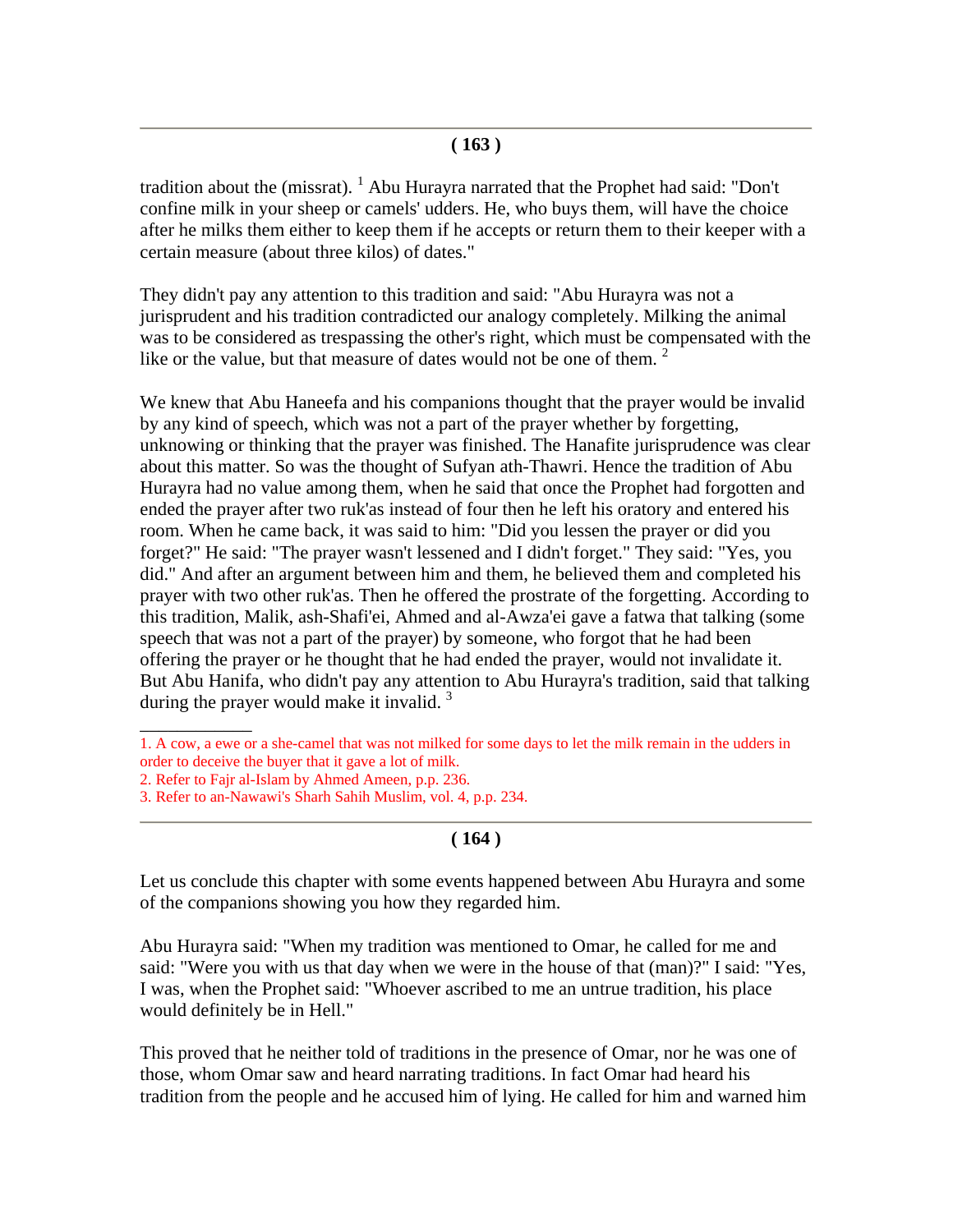#### **( 163 )**

tradition about the (missrat).  $^1$  Abu Hurayra narrated that the Prophet had said: "Don't confine milk in your sheep or camels' udders. He, who buys them, will have the choice after he milks them either to keep them if he accepts or return them to their keeper with a certain measure (about three kilos) of dates."

They didn't pay any attention to this tradition and said: "Abu Hurayra was not a jurisprudent and his tradition contradicted our analogy completely. Milking the animal was to be considered as trespassing the other's right, which must be compensated with the like or the value, but that measure of dates would not be one of them.<sup>2</sup>

We knew that Abu Haneefa and his companions thought that the prayer would be invalid by any kind of speech, which was not a part of the prayer whether by forgetting, unknowing or thinking that the prayer was finished. The Hanafite jurisprudence was clear about this matter. So was the thought of Sufyan ath-Thawri. Hence the tradition of Abu Hurayra had no value among them, when he said that once the Prophet had forgotten and ended the prayer after two ruk'as instead of four then he left his oratory and entered his room. When he came back, it was said to him: "Did you lessen the prayer or did you forget?" He said: "The prayer wasn't lessened and I didn't forget." They said: "Yes, you did." And after an argument between him and them, he believed them and completed his prayer with two other ruk'as. Then he offered the prostrate of the forgetting. According to this tradition, Malik, ash-Shafi'ei, Ahmed and al-Awza'ei gave a fatwa that talking (some speech that was not a part of the prayer) by someone, who forgot that he had been offering the prayer or he thought that he had ended the prayer, would not invalidate it. But Abu Hanifa, who didn't pay any attention to Abu Hurayra's tradition, said that talking during the prayer would make it invalid.<sup>3</sup>

 $\overline{\phantom{a}}$ 

# **( 164 )**

Let us conclude this chapter with some events happened between Abu Hurayra and some of the companions showing you how they regarded him.

Abu Hurayra said: "When my tradition was mentioned to Omar, he called for me and said: "Were you with us that day when we were in the house of that (man)?" I said: "Yes, I was, when the Prophet said: "Whoever ascribed to me an untrue tradition, his place would definitely be in Hell."

This proved that he neither told of traditions in the presence of Omar, nor he was one of those, whom Omar saw and heard narrating traditions. In fact Omar had heard his tradition from the people and he accused him of lying. He called for him and warned him

<sup>1.</sup> A cow, a ewe or a she-camel that was not milked for some days to let the milk remain in the udders in order to deceive the buyer that it gave a lot of milk.

<sup>2.</sup> Refer to Fajr al-Islam by Ahmed Ameen, p.p. 236.

<sup>3.</sup> Refer to an-Nawawi's Sharh Sahih Muslim, vol. 4, p.p. 234.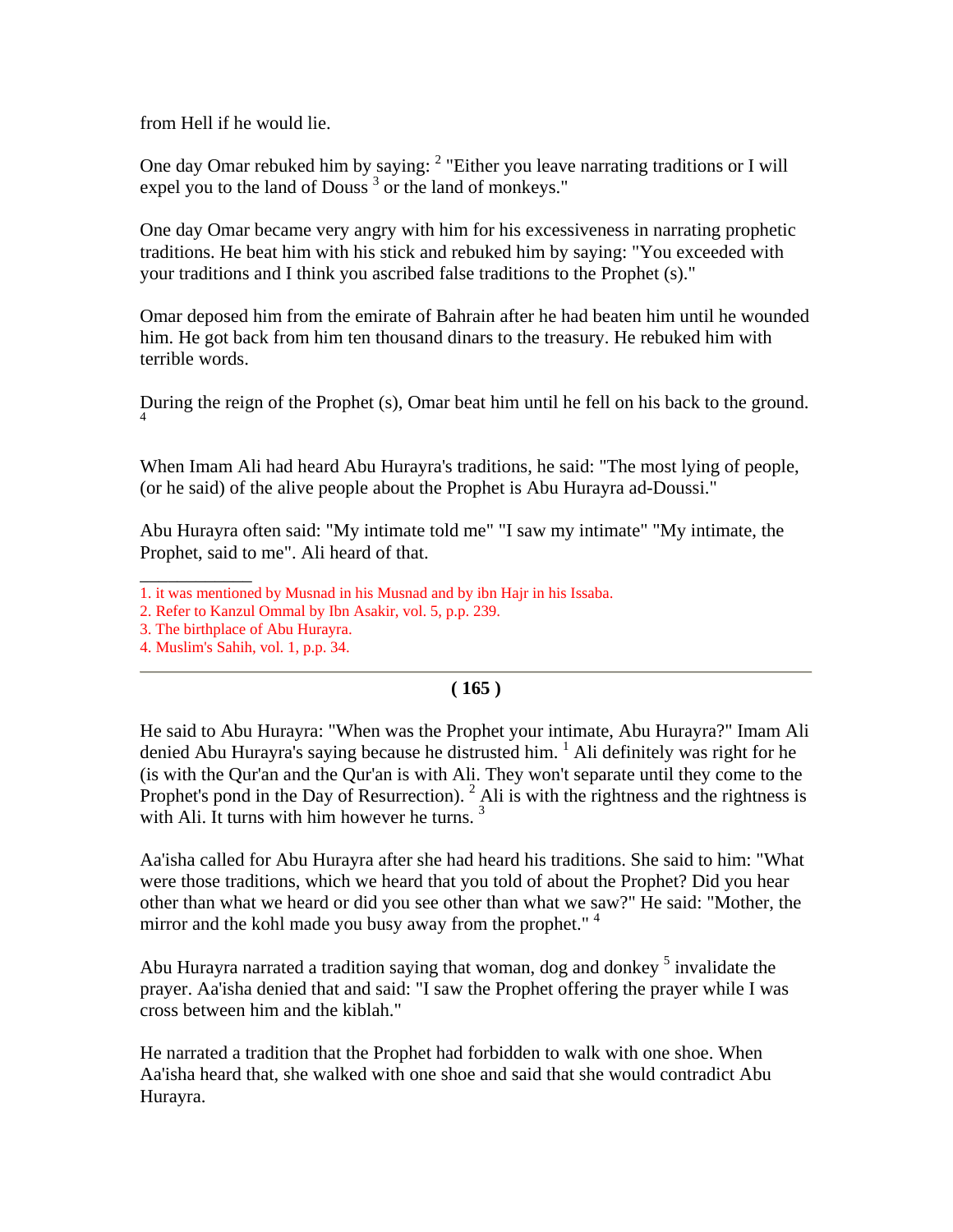from Hell if he would lie.

One day Omar rebuked him by saying:  $2$  "Either you leave narrating traditions or I will expel you to the land of Douss<sup>3</sup> or the land of monkeys."

One day Omar became very angry with him for his excessiveness in narrating prophetic traditions. He beat him with his stick and rebuked him by saying: "You exceeded with your traditions and I think you ascribed false traditions to the Prophet (s)."

Omar deposed him from the emirate of Bahrain after he had beaten him until he wounded him. He got back from him ten thousand dinars to the treasury. He rebuked him with terrible words.

During the reign of the Prophet (s), Omar beat him until he fell on his back to the ground. 4

When Imam Ali had heard Abu Hurayra's traditions, he said: "The most lying of people, (or he said) of the alive people about the Prophet is Abu Hurayra ad-Doussi."

Abu Hurayra often said: "My intimate told me" "I saw my intimate" "My intimate, the Prophet, said to me". Ali heard of that.

- \_\_\_\_\_\_\_\_\_\_\_\_ 1. it was mentioned by Musnad in his Musnad and by ibn Hajr in his Issaba.
- 2. Refer to Kanzul Ommal by Ibn Asakir, vol. 5, p.p. 239.
- 3. The birthplace of Abu Hurayra.
- 4. Muslim's Sahih, vol. 1, p.p. 34.

# **( 165 )**

He said to Abu Hurayra: "When was the Prophet your intimate, Abu Hurayra?" Imam Ali denied Abu Hurayra's saying because he distrusted him.  $1$  Ali definitely was right for he (is with the Qur'an and the Qur'an is with Ali. They won't separate until they come to the Prophet's pond in the Day of Resurrection).  $^2$  Ali is with the rightness and the rightness is with Ali. It turns with him however he turns.  $3$ 

Aa'isha called for Abu Hurayra after she had heard his traditions. She said to him: "What were those traditions, which we heard that you told of about the Prophet? Did you hear other than what we heard or did you see other than what we saw?" He said: "Mother, the mirror and the kohl made you busy away from the prophet."<sup>4</sup>

Abu Hurayra narrated a tradition saying that woman, dog and donkey <sup>5</sup> invalidate the prayer. Aa'isha denied that and said: "I saw the Prophet offering the prayer while I was cross between him and the kiblah."

He narrated a tradition that the Prophet had forbidden to walk with one shoe. When Aa'isha heard that, she walked with one shoe and said that she would contradict Abu Hurayra.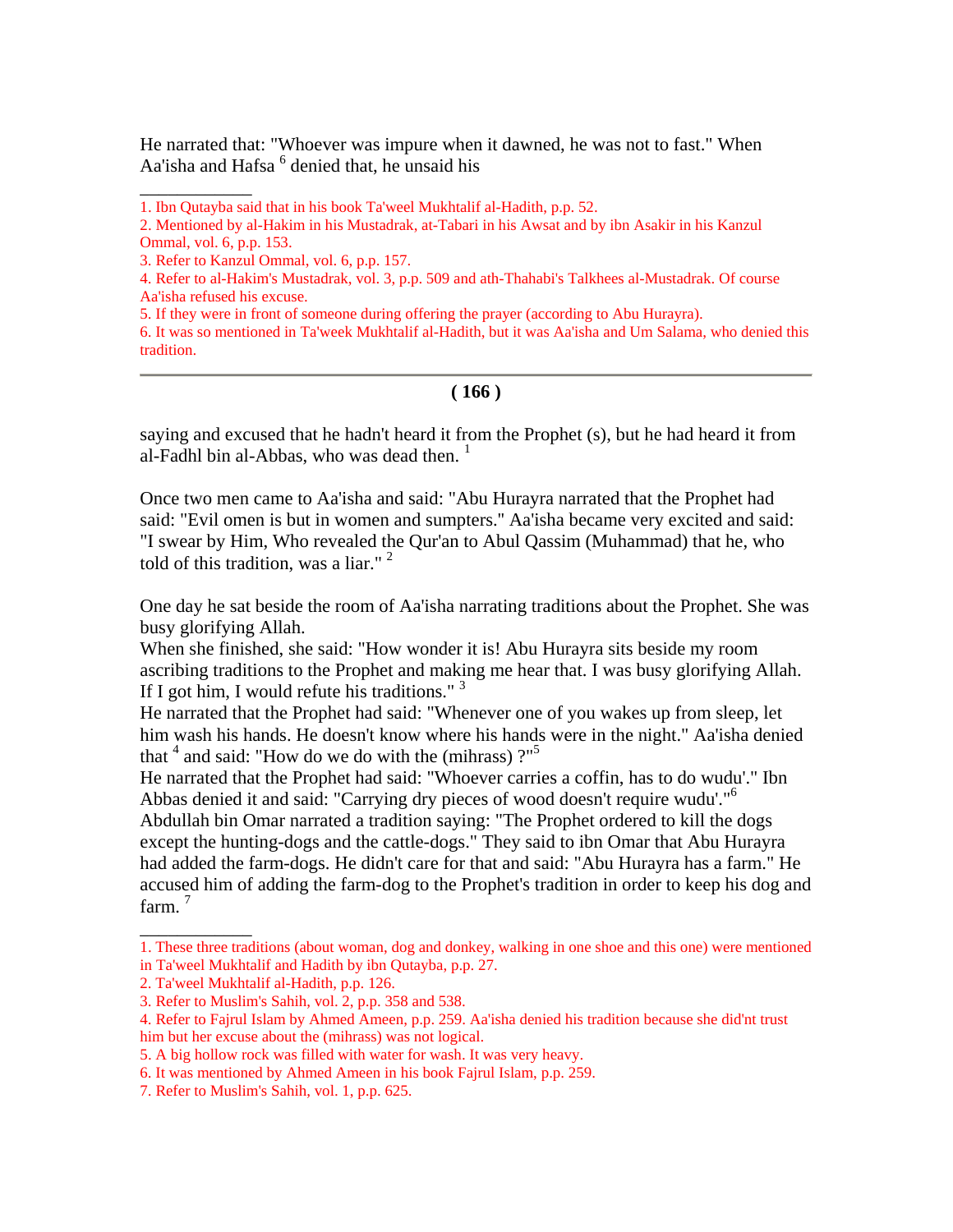He narrated that: "Whoever was impure when it dawned, he was not to fast." When Aa'isha and Hafsa <sup>6</sup> denied that, he unsaid his

\_\_\_\_\_\_\_\_\_\_\_\_

5. If they were in front of someone during offering the prayer (according to Abu Hurayra).

6. It was so mentioned in Ta'week Mukhtalif al-Hadith, but it was Aa'isha and Um Salama, who denied this tradition.

#### **( 166 )**

saying and excused that he hadn't heard it from the Prophet (s), but he had heard it from al-Fadhl bin al-Abbas, who was dead then.  $1$ 

Once two men came to Aa'isha and said: "Abu Hurayra narrated that the Prophet had said: "Evil omen is but in women and sumpters." Aa'isha became very excited and said: "I swear by Him, Who revealed the Qur'an to Abul Qassim (Muhammad) that he, who told of this tradition, was a liar."  $2$ 

One day he sat beside the room of Aa'isha narrating traditions about the Prophet. She was busy glorifying Allah.

When she finished, she said: "How wonder it is! Abu Hurayra sits beside my room ascribing traditions to the Prophet and making me hear that. I was busy glorifying Allah. If I got him, I would refute his traditions."  $3$ 

He narrated that the Prophet had said: "Whenever one of you wakes up from sleep, let him wash his hands. He doesn't know where his hands were in the night." Aa'isha denied that  $4$  and said: "How do we do with the (mihrass)  $2^{15}$ 

He narrated that the Prophet had said: "Whoever carries a coffin, has to do wudu'." Ibn Abbas denied it and said: "Carrying dry pieces of wood doesn't require wudu'."<sup>6</sup> Abdullah bin Omar narrated a tradition saying: "The Prophet ordered to kill the dogs except the hunting-dogs and the cattle-dogs." They said to ibn Omar that Abu Hurayra had added the farm-dogs. He didn't care for that and said: "Abu Hurayra has a farm." He accused him of adding the farm-dog to the Prophet's tradition in order to keep his dog and farm.<sup>7</sup>

\_\_\_\_\_\_\_\_\_\_\_\_

<sup>1.</sup> Ibn Qutayba said that in his book Ta'weel Mukhtalif al-Hadith, p.p. 52.

<sup>2.</sup> Mentioned by al-Hakim in his Mustadrak, at-Tabari in his Awsat and by ibn Asakir in his Kanzul Ommal, vol. 6, p.p. 153.

<sup>3.</sup> Refer to Kanzul Ommal, vol. 6, p.p. 157.

<sup>4.</sup> Refer to al-Hakim's Mustadrak, vol. 3, p.p. 509 and ath-Thahabi's Talkhees al-Mustadrak. Of course Aa'isha refused his excuse.

<sup>1.</sup> These three traditions (about woman, dog and donkey, walking in one shoe and this one) were mentioned in Ta'weel Mukhtalif and Hadith by ibn Qutayba, p.p. 27.

<sup>2.</sup> Ta'weel Mukhtalif al-Hadith, p.p. 126.

<sup>3.</sup> Refer to Muslim's Sahih, vol. 2, p.p. 358 and 538.

<sup>4.</sup> Refer to Fajrul Islam by Ahmed Ameen, p.p. 259. Aa'isha denied his tradition because she did'nt trust him but her excuse about the (mihrass) was not logical.

<sup>5.</sup> A big hollow rock was filled with water for wash. It was very heavy.

<sup>6.</sup> It was mentioned by Ahmed Ameen in his book Fajrul Islam, p.p. 259.

<sup>7.</sup> Refer to Muslim's Sahih, vol. 1, p.p. 625.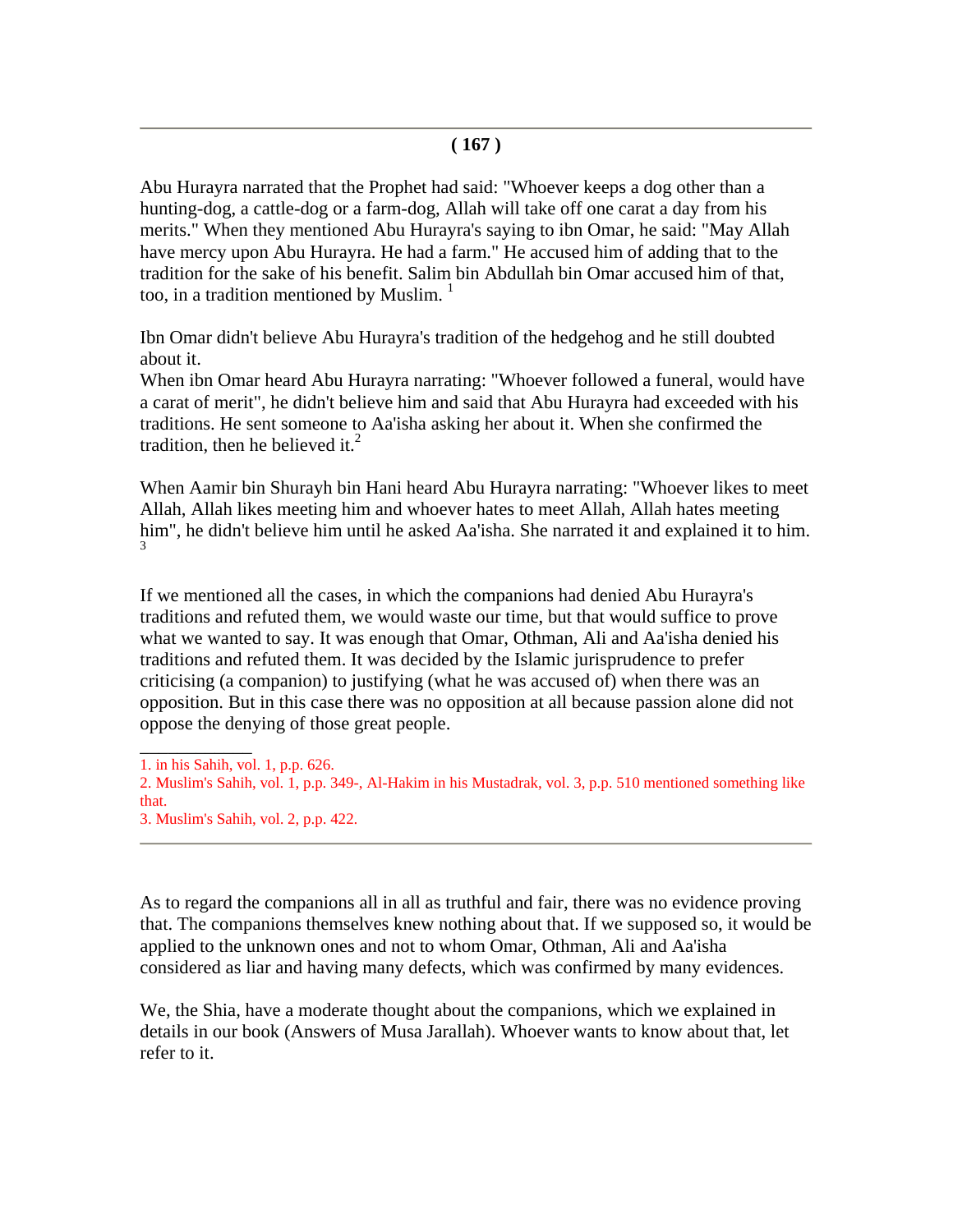Abu Hurayra narrated that the Prophet had said: "Whoever keeps a dog other than a hunting-dog, a cattle-dog or a farm-dog, Allah will take off one carat a day from his merits." When they mentioned Abu Hurayra's saying to ibn Omar, he said: "May Allah have mercy upon Abu Hurayra. He had a farm." He accused him of adding that to the tradition for the sake of his benefit. Salim bin Abdullah bin Omar accused him of that, too, in a tradition mentioned by Muslim.  $1$ 

Ibn Omar didn't believe Abu Hurayra's tradition of the hedgehog and he still doubted about it.

When ibn Omar heard Abu Hurayra narrating: "Whoever followed a funeral, would have a carat of merit", he didn't believe him and said that Abu Hurayra had exceeded with his traditions. He sent someone to Aa'isha asking her about it. When she confirmed the tradition, then he believed it.<sup>2</sup>

When Aamir bin Shurayh bin Hani heard Abu Hurayra narrating: "Whoever likes to meet Allah, Allah likes meeting him and whoever hates to meet Allah, Allah hates meeting him", he didn't believe him until he asked Aa'isha. She narrated it and explained it to him. 3

If we mentioned all the cases, in which the companions had denied Abu Hurayra's traditions and refuted them, we would waste our time, but that would suffice to prove what we wanted to say. It was enough that Omar, Othman, Ali and Aa'isha denied his traditions and refuted them. It was decided by the Islamic jurisprudence to prefer criticising (a companion) to justifying (what he was accused of) when there was an opposition. But in this case there was no opposition at all because passion alone did not oppose the denying of those great people.

1. in his Sahih, vol. 1, p.p. 626.

\_\_\_\_\_\_\_\_\_\_\_\_

As to regard the companions all in all as truthful and fair, there was no evidence proving that. The companions themselves knew nothing about that. If we supposed so, it would be applied to the unknown ones and not to whom Omar, Othman, Ali and Aa'isha considered as liar and having many defects, which was confirmed by many evidences.

We, the Shia, have a moderate thought about the companions, which we explained in details in our book (Answers of Musa Jarallah). Whoever wants to know about that, let refer to it.

<sup>2.</sup> Muslim's Sahih, vol. 1, p.p. 349-, Al-Hakim in his Mustadrak, vol. 3, p.p. 510 mentioned something like that.

<sup>3.</sup> Muslim's Sahih, vol. 2, p.p. 422.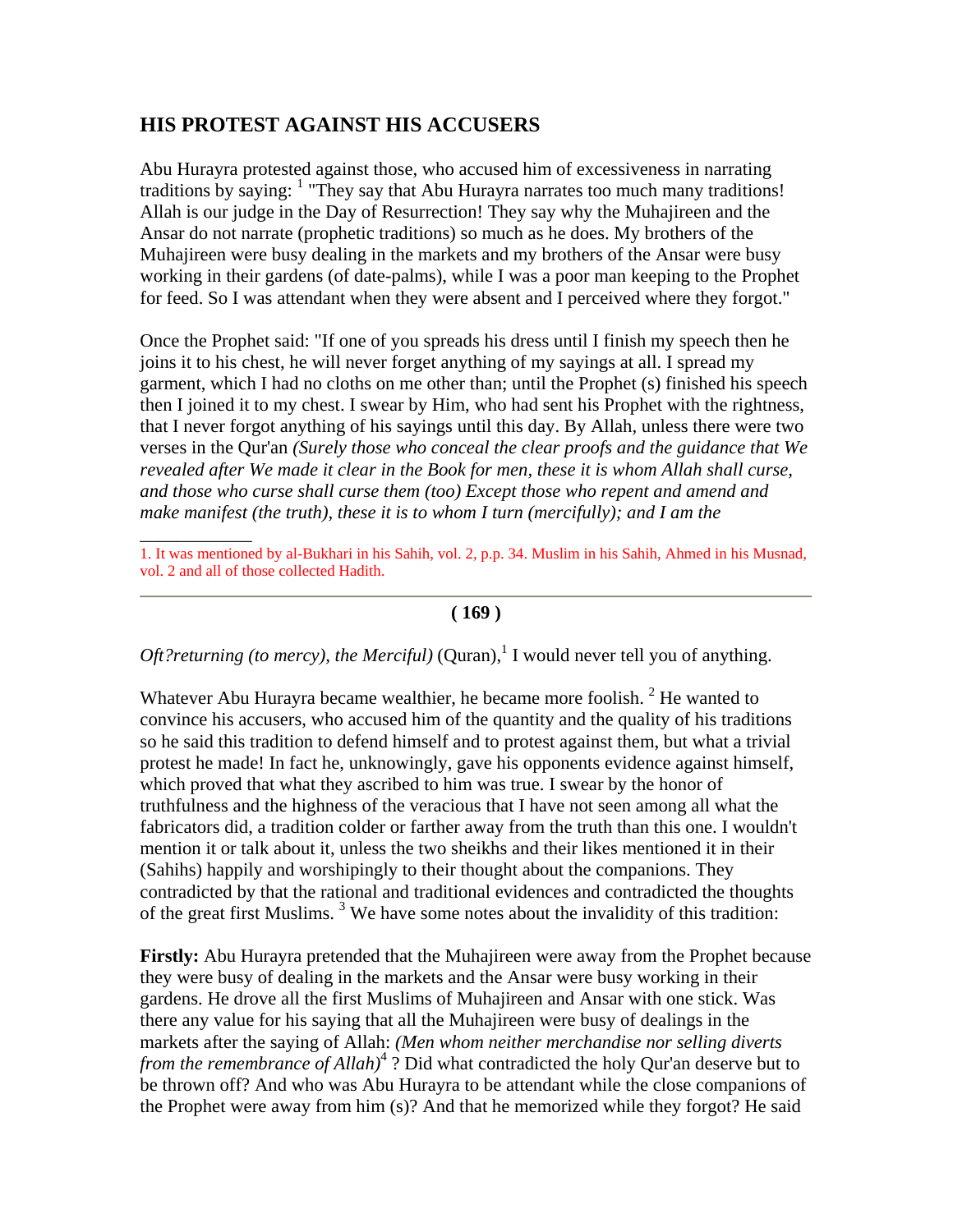# **HIS PROTEST AGAINST HIS ACCUSERS**

\_\_\_\_\_\_\_\_\_\_\_\_

Abu Hurayra protested against those, who accused him of excessiveness in narrating traditions by saying: <sup>1</sup> "They say that Abu Hurayra narrates too much many traditions! Allah is our judge in the Day of Resurrection! They say why the Muhajireen and the Ansar do not narrate (prophetic traditions) so much as he does. My brothers of the Muhajireen were busy dealing in the markets and my brothers of the Ansar were busy working in their gardens (of date-palms), while I was a poor man keeping to the Prophet for feed. So I was attendant when they were absent and I perceived where they forgot."

Once the Prophet said: "If one of you spreads his dress until I finish my speech then he joins it to his chest, he will never forget anything of my sayings at all. I spread my garment, which I had no cloths on me other than; until the Prophet (s) finished his speech then I joined it to my chest. I swear by Him, who had sent his Prophet with the rightness, that I never forgot anything of his sayings until this day. By Allah, unless there were two verses in the Qur'an *(Surely those who conceal the clear proofs and the guidance that We*  revealed after We made it clear in the Book for men, these it is whom Allah shall curse, *and those who curse shall curse them (too) Except those who repent and amend and make manifest (the truth), these it is to whom I turn (mercifully); and I am the* 

1. It was mentioned by al-Bukhari in his Sahih, vol. 2, p.p. 34. Muslim in his Sahih, Ahmed in his Musnad, vol. 2 and all of those collected Hadith.

#### **( 169 )**

*Oft?returning (to mercy), the Merciful)* (Quran),<sup>1</sup> I would never tell you of anything.

Whatever Abu Hurayra became wealthier, he became more foolish.  $2$  He wanted to convince his accusers, who accused him of the quantity and the quality of his traditions so he said this tradition to defend himself and to protest against them, but what a trivial protest he made! In fact he, unknowingly, gave his opponents evidence against himself, which proved that what they ascribed to him was true. I swear by the honor of truthfulness and the highness of the veracious that I have not seen among all what the fabricators did, a tradition colder or farther away from the truth than this one. I wouldn't mention it or talk about it, unless the two sheikhs and their likes mentioned it in their (Sahihs) happily and worshipingly to their thought about the companions. They contradicted by that the rational and traditional evidences and contradicted the thoughts of the great first Muslims.  $3$  We have some notes about the invalidity of this tradition:

**Firstly:** Abu Hurayra pretended that the Muhajireen were away from the Prophet because they were busy of dealing in the markets and the Ansar were busy working in their gardens. He drove all the first Muslims of Muhajireen and Ansar with one stick. Was there any value for his saying that all the Muhajireen were busy of dealings in the markets after the saying of Allah: *(Men whom neither merchandise nor selling diverts from the remembrance of Allah)*<sup>4</sup> ? Did what contradicted the holy Qur'an deserve but to be thrown off? And who was Abu Hurayra to be attendant while the close companions of the Prophet were away from him (s)? And that he memorized while they forgot? He said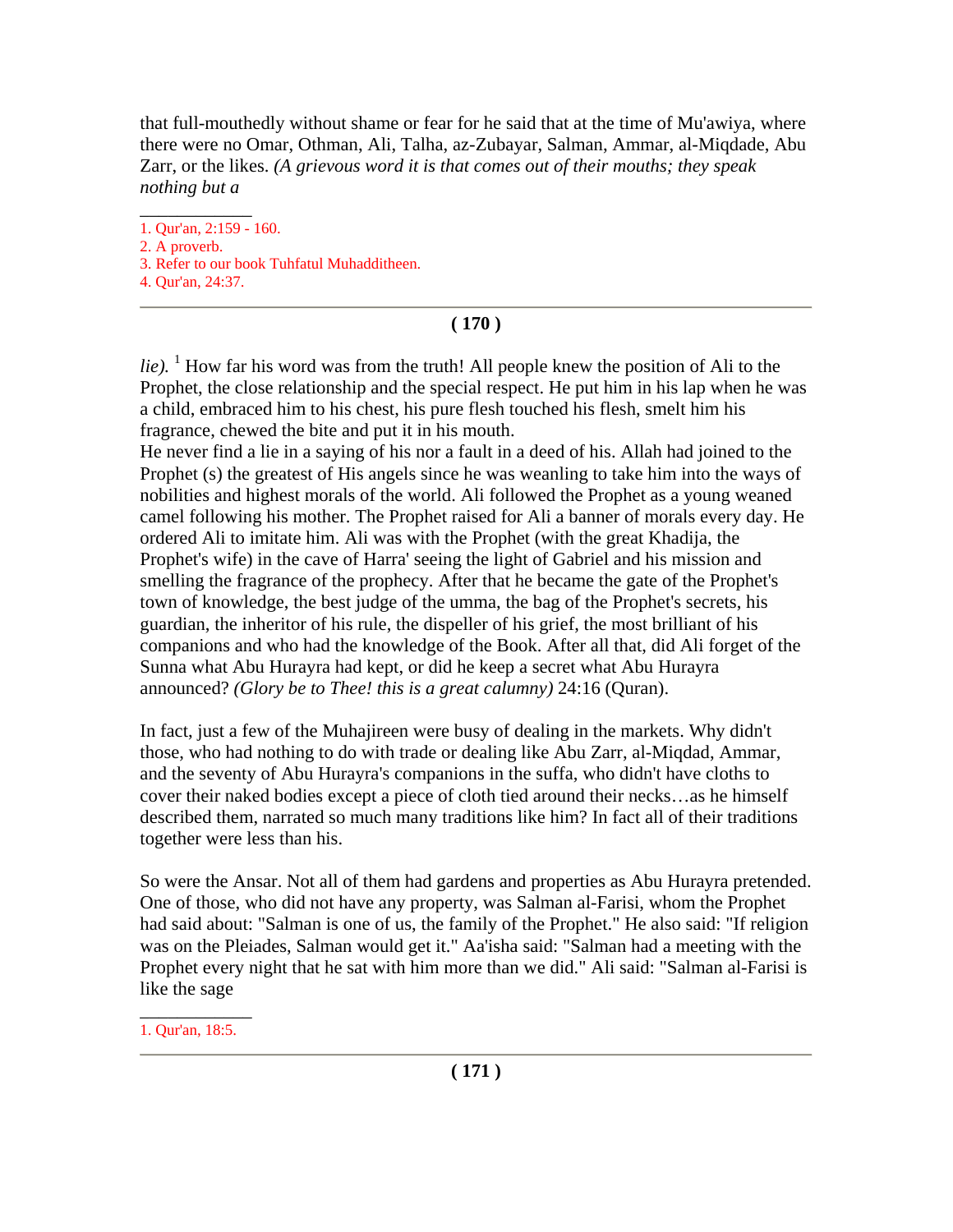that full-mouthedly without shame or fear for he said that at the time of Mu'awiya, where there were no Omar, Othman, Ali, Talha, az-Zubayar, Salman, Ammar, al-Miqdade, Abu Zarr, or the likes. *(A grievous word it is that comes out of their mouths; they speak nothing but a* 

 $\overline{\phantom{a}}$ 1. Qur'an, 2:159 - 160.

2. A proverb.

3. Refer to our book Tuhfatul Muhadditheen.

4. Qur'an, 24:37.

# **( 170 )**

 $lie$ ). <sup>1</sup> How far his word was from the truth! All people knew the position of Ali to the Prophet, the close relationship and the special respect. He put him in his lap when he was a child, embraced him to his chest, his pure flesh touched his flesh, smelt him his fragrance, chewed the bite and put it in his mouth.

He never find a lie in a saying of his nor a fault in a deed of his. Allah had joined to the Prophet (s) the greatest of His angels since he was weanling to take him into the ways of nobilities and highest morals of the world. Ali followed the Prophet as a young weaned camel following his mother. The Prophet raised for Ali a banner of morals every day. He ordered Ali to imitate him. Ali was with the Prophet (with the great Khadija, the Prophet's wife) in the cave of Harra' seeing the light of Gabriel and his mission and smelling the fragrance of the prophecy. After that he became the gate of the Prophet's town of knowledge, the best judge of the umma, the bag of the Prophet's secrets, his guardian, the inheritor of his rule, the dispeller of his grief, the most brilliant of his companions and who had the knowledge of the Book. After all that, did Ali forget of the Sunna what Abu Hurayra had kept, or did he keep a secret what Abu Hurayra announced? *(Glory be to Thee! this is a great calumny)* 24:16 (Quran).

In fact, just a few of the Muhajireen were busy of dealing in the markets. Why didn't those, who had nothing to do with trade or dealing like Abu Zarr, al-Miqdad, Ammar, and the seventy of Abu Hurayra's companions in the suffa, who didn't have cloths to cover their naked bodies except a piece of cloth tied around their necks…as he himself described them, narrated so much many traditions like him? In fact all of their traditions together were less than his.

So were the Ansar. Not all of them had gardens and properties as Abu Hurayra pretended. One of those, who did not have any property, was Salman al-Farisi, whom the Prophet had said about: "Salman is one of us, the family of the Prophet." He also said: "If religion was on the Pleiades, Salman would get it." Aa'isha said: "Salman had a meeting with the Prophet every night that he sat with him more than we did." Ali said: "Salman al-Farisi is like the sage

\_\_\_\_\_\_\_\_\_\_\_\_ 1. Qur'an, 18:5.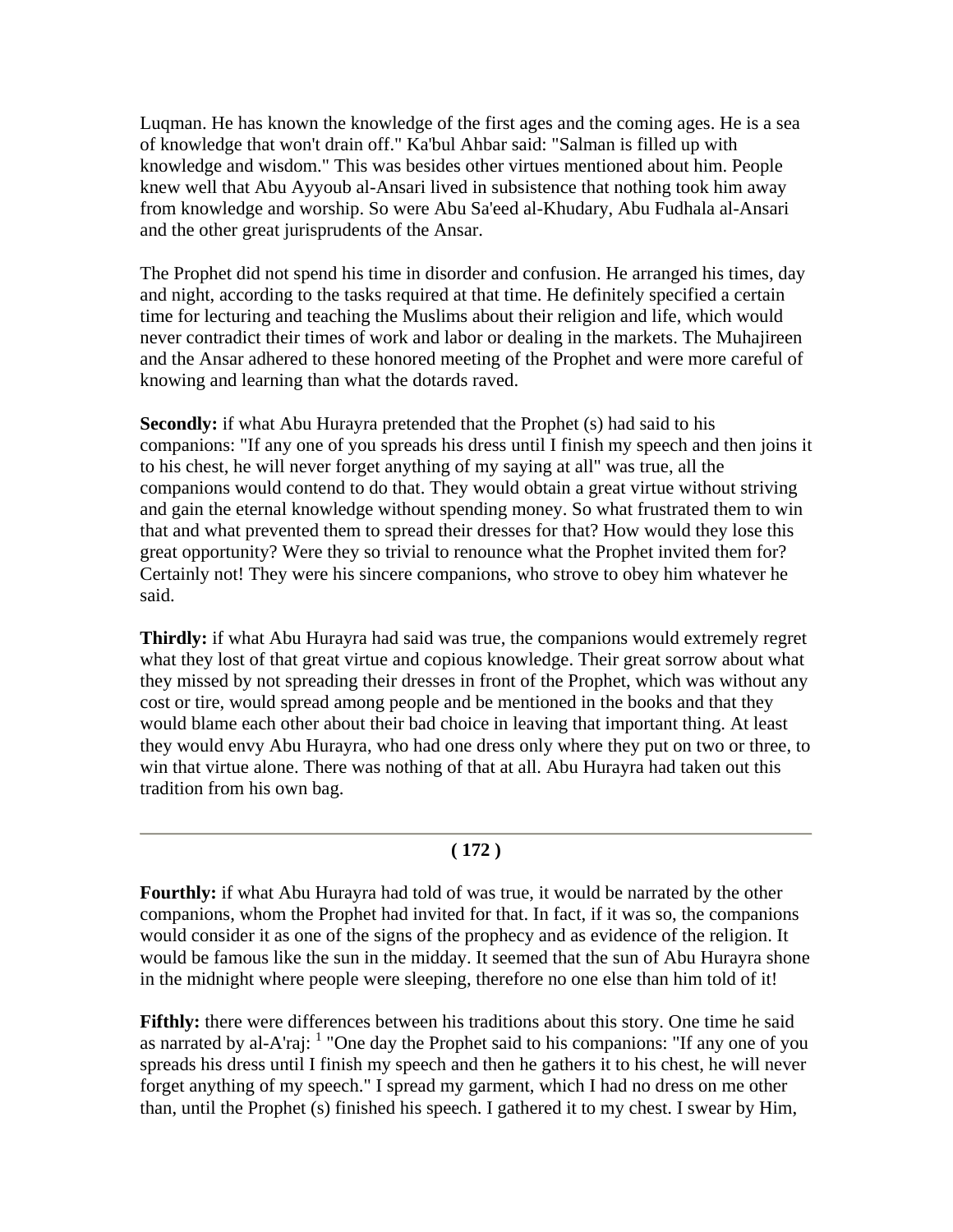Luqman. He has known the knowledge of the first ages and the coming ages. He is a sea of knowledge that won't drain off." Ka'bul Ahbar said: "Salman is filled up with knowledge and wisdom." This was besides other virtues mentioned about him. People knew well that Abu Ayyoub al-Ansari lived in subsistence that nothing took him away from knowledge and worship. So were Abu Sa'eed al-Khudary, Abu Fudhala al-Ansari and the other great jurisprudents of the Ansar.

The Prophet did not spend his time in disorder and confusion. He arranged his times, day and night, according to the tasks required at that time. He definitely specified a certain time for lecturing and teaching the Muslims about their religion and life, which would never contradict their times of work and labor or dealing in the markets. The Muhajireen and the Ansar adhered to these honored meeting of the Prophet and were more careful of knowing and learning than what the dotards raved.

**Secondly:** if what Abu Hurayra pretended that the Prophet (s) had said to his companions: "If any one of you spreads his dress until I finish my speech and then joins it to his chest, he will never forget anything of my saying at all" was true, all the companions would contend to do that. They would obtain a great virtue without striving and gain the eternal knowledge without spending money. So what frustrated them to win that and what prevented them to spread their dresses for that? How would they lose this great opportunity? Were they so trivial to renounce what the Prophet invited them for? Certainly not! They were his sincere companions, who strove to obey him whatever he said.

**Thirdly:** if what Abu Hurayra had said was true, the companions would extremely regret what they lost of that great virtue and copious knowledge. Their great sorrow about what they missed by not spreading their dresses in front of the Prophet, which was without any cost or tire, would spread among people and be mentioned in the books and that they would blame each other about their bad choice in leaving that important thing. At least they would envy Abu Hurayra, who had one dress only where they put on two or three, to win that virtue alone. There was nothing of that at all. Abu Hurayra had taken out this tradition from his own bag.

#### **( 172 )**

**Fourthly:** if what Abu Hurayra had told of was true, it would be narrated by the other companions, whom the Prophet had invited for that. In fact, if it was so, the companions would consider it as one of the signs of the prophecy and as evidence of the religion. It would be famous like the sun in the midday. It seemed that the sun of Abu Hurayra shone in the midnight where people were sleeping, therefore no one else than him told of it!

**Fifthly:** there were differences between his traditions about this story. One time he said as narrated by al-A'raj:  $<sup>1</sup>$  "One day the Prophet said to his companions: "If any one of you</sup> spreads his dress until I finish my speech and then he gathers it to his chest, he will never forget anything of my speech." I spread my garment, which I had no dress on me other than, until the Prophet (s) finished his speech. I gathered it to my chest. I swear by Him,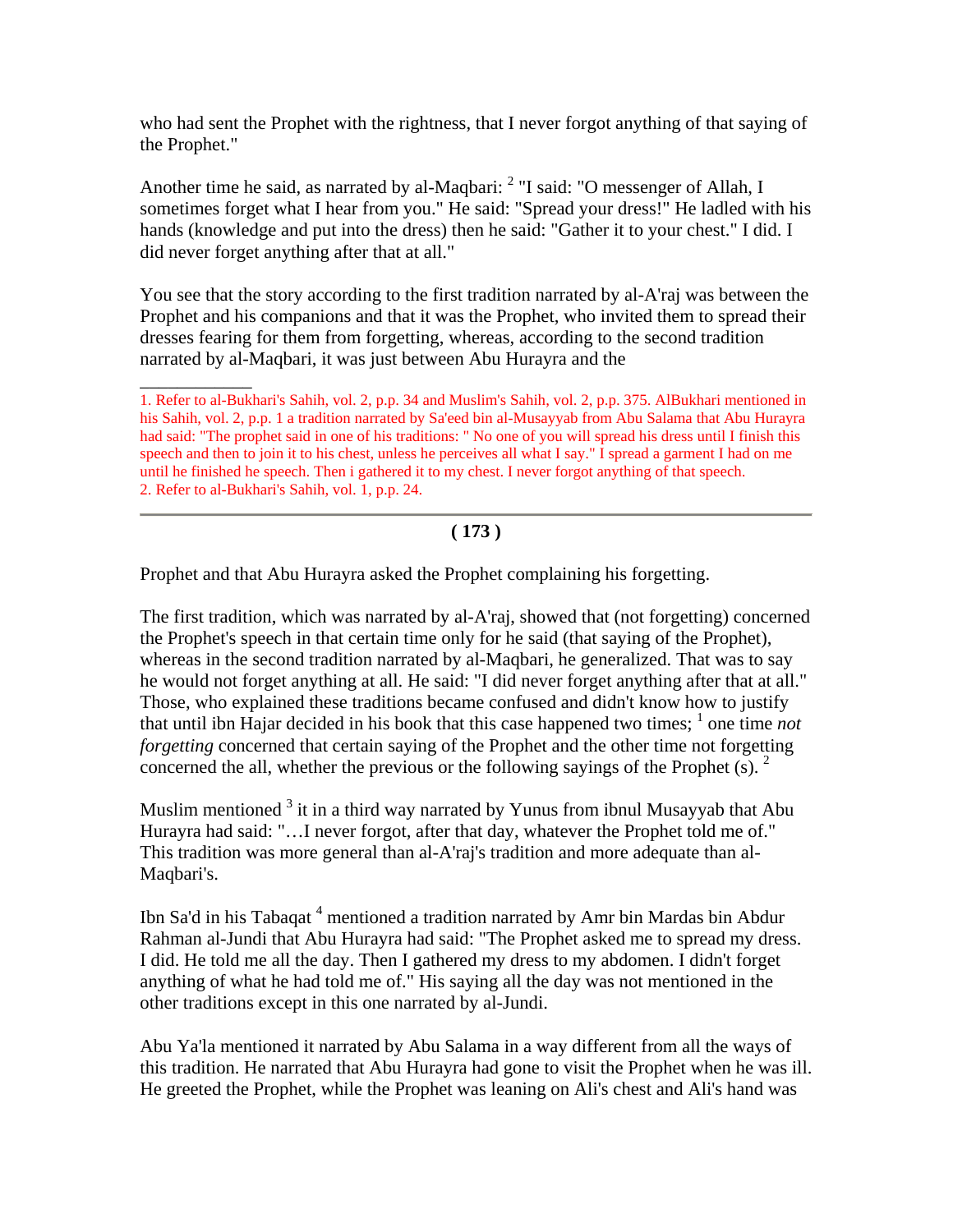who had sent the Prophet with the rightness, that I never forgot anything of that saying of the Prophet."

Another time he said, as narrated by al-Maqbari: <sup>2</sup> "I said: "O messenger of Allah, I sometimes forget what I hear from you." He said: "Spread your dress!" He ladled with his hands (knowledge and put into the dress) then he said: "Gather it to your chest." I did. I did never forget anything after that at all."

You see that the story according to the first tradition narrated by al-A'raj was between the Prophet and his companions and that it was the Prophet, who invited them to spread their dresses fearing for them from forgetting, whereas, according to the second tradition narrated by al-Maqbari, it was just between Abu Hurayra and the

\_\_\_\_\_\_\_\_\_\_\_\_ 1. Refer to al-Bukhari's Sahih, vol. 2, p.p. 34 and Muslim's Sahih, vol. 2, p.p. 375. AlBukhari mentioned in his Sahih, vol. 2, p.p. 1 a tradition narrated by Sa'eed bin al-Musayyab from Abu Salama that Abu Hurayra had said: "The prophet said in one of his traditions: " No one of you will spread his dress until I finish this speech and then to join it to his chest, unless he perceives all what I say." I spread a garment I had on me until he finished he speech. Then i gathered it to my chest. I never forgot anything of that speech. 2. Refer to al-Bukhari's Sahih, vol. 1, p.p. 24.

# **( 173 )**

Prophet and that Abu Hurayra asked the Prophet complaining his forgetting.

The first tradition, which was narrated by al-A'raj, showed that (not forgetting) concerned the Prophet's speech in that certain time only for he said (that saying of the Prophet), whereas in the second tradition narrated by al-Maqbari, he generalized. That was to say he would not forget anything at all. He said: "I did never forget anything after that at all." Those, who explained these traditions became confused and didn't know how to justify that until ibn Hajar decided in his book that this case happened two times;  $\frac{1}{1}$  one time *not forgetting* concerned that certain saying of the Prophet and the other time not forgetting concerned the all, whether the previous or the following sayings of the Prophet  $(s)$ . <sup>2</sup>

Muslim mentioned  $3$  it in a third way narrated by Yunus from ibnul Musayyab that Abu Hurayra had said: "…I never forgot, after that day, whatever the Prophet told me of." This tradition was more general than al-A'raj's tradition and more adequate than al-Maqbari's.

Ibn Sa'd in his Tabaqat<sup>4</sup> mentioned a tradition narrated by Amr bin Mardas bin Abdur Rahman al-Jundi that Abu Hurayra had said: "The Prophet asked me to spread my dress. I did. He told me all the day. Then I gathered my dress to my abdomen. I didn't forget anything of what he had told me of." His saying all the day was not mentioned in the other traditions except in this one narrated by al-Jundi.

Abu Ya'la mentioned it narrated by Abu Salama in a way different from all the ways of this tradition. He narrated that Abu Hurayra had gone to visit the Prophet when he was ill. He greeted the Prophet, while the Prophet was leaning on Ali's chest and Ali's hand was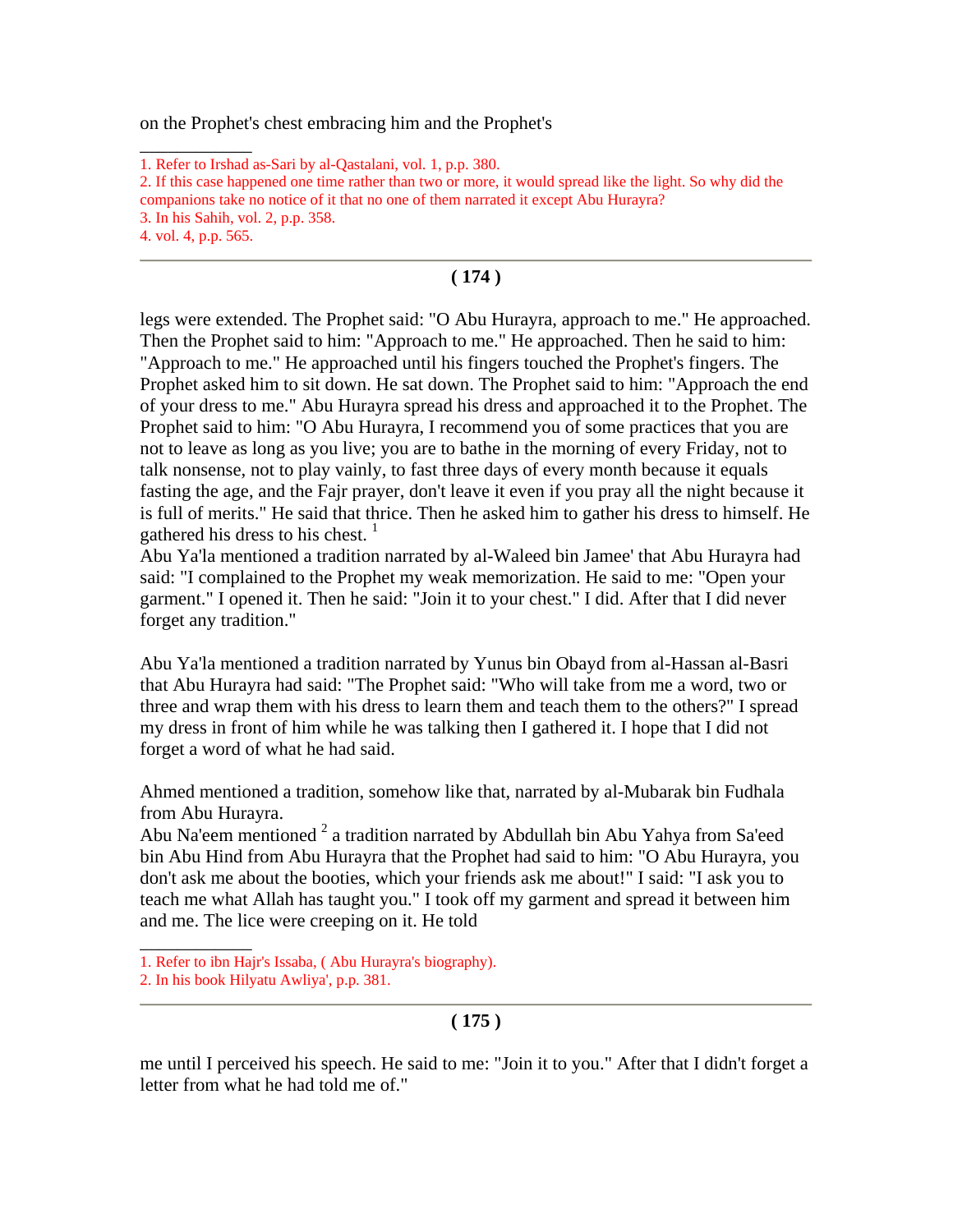on the Prophet's chest embracing him and the Prophet's

\_\_\_\_\_\_\_\_\_\_\_\_

# **( 174 )**

legs were extended. The Prophet said: "O Abu Hurayra, approach to me." He approached. Then the Prophet said to him: "Approach to me." He approached. Then he said to him: "Approach to me." He approached until his fingers touched the Prophet's fingers. The Prophet asked him to sit down. He sat down. The Prophet said to him: "Approach the end of your dress to me." Abu Hurayra spread his dress and approached it to the Prophet. The Prophet said to him: "O Abu Hurayra, I recommend you of some practices that you are not to leave as long as you live; you are to bathe in the morning of every Friday, not to talk nonsense, not to play vainly, to fast three days of every month because it equals fasting the age, and the Fajr prayer, don't leave it even if you pray all the night because it is full of merits." He said that thrice. Then he asked him to gather his dress to himself. He gathered his dress to his chest.  $1$ 

Abu Ya'la mentioned a tradition narrated by al-Waleed bin Jamee' that Abu Hurayra had said: "I complained to the Prophet my weak memorization. He said to me: "Open your garment." I opened it. Then he said: "Join it to your chest." I did. After that I did never forget any tradition."

Abu Ya'la mentioned a tradition narrated by Yunus bin Obayd from al-Hassan al-Basri that Abu Hurayra had said: "The Prophet said: "Who will take from me a word, two or three and wrap them with his dress to learn them and teach them to the others?" I spread my dress in front of him while he was talking then I gathered it. I hope that I did not forget a word of what he had said.

Ahmed mentioned a tradition, somehow like that, narrated by al-Mubarak bin Fudhala from Abu Hurayra.

Abu Na'eem mentioned  $2$  a tradition narrated by Abdullah bin Abu Yahya from Sa'eed bin Abu Hind from Abu Hurayra that the Prophet had said to him: "O Abu Hurayra, you don't ask me about the booties, which your friends ask me about!" I said: "I ask you to teach me what Allah has taught you." I took off my garment and spread it between him and me. The lice were creeping on it. He told

\_\_\_\_\_\_\_\_\_\_\_\_

# **( 175 )**

me until I perceived his speech. He said to me: "Join it to you." After that I didn't forget a letter from what he had told me of."

<sup>1.</sup> Refer to Irshad as-Sari by al-Qastalani, vol. 1, p.p. 380.

<sup>2.</sup> If this case happened one time rather than two or more, it would spread like the light. So why did the

companions take no notice of it that no one of them narrated it except Abu Hurayra?

<sup>3.</sup> In his Sahih, vol. 2, p.p. 358.

<sup>4.</sup> vol. 4, p.p. 565.

<sup>1.</sup> Refer to ibn Hajr's Issaba, ( Abu Hurayra's biography).

<sup>2.</sup> In his book Hilyatu Awliya', p.p. 381.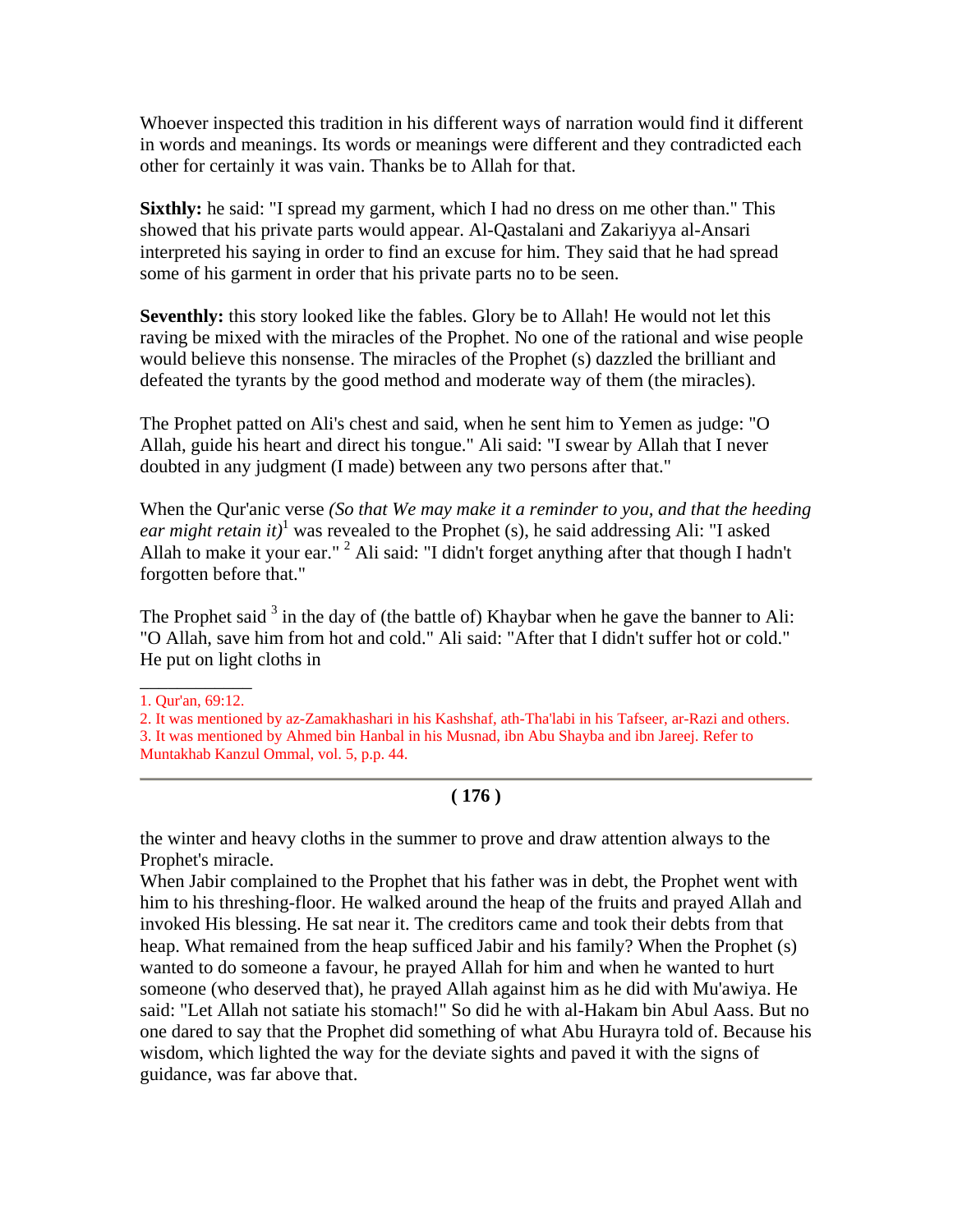Whoever inspected this tradition in his different ways of narration would find it different in words and meanings. Its words or meanings were different and they contradicted each other for certainly it was vain. Thanks be to Allah for that.

**Sixthly:** he said: "I spread my garment, which I had no dress on me other than." This showed that his private parts would appear. Al-Qastalani and Zakariyya al-Ansari interpreted his saying in order to find an excuse for him. They said that he had spread some of his garment in order that his private parts no to be seen.

**Seventhly:** this story looked like the fables. Glory be to Allah! He would not let this raving be mixed with the miracles of the Prophet. No one of the rational and wise people would believe this nonsense. The miracles of the Prophet (s) dazzled the brilliant and defeated the tyrants by the good method and moderate way of them (the miracles).

The Prophet patted on Ali's chest and said, when he sent him to Yemen as judge: "O Allah, guide his heart and direct his tongue." Ali said: "I swear by Allah that I never doubted in any judgment (I made) between any two persons after that."

When the Qur'anic verse *(So that We may make it a reminder to you, and that the heeding ear might retain it*)<sup>1</sup> was revealed to the Prophet (s), he said addressing Ali: "I asked Allah to make it your ear." <sup>2</sup> Ali said: "I didn't forget anything after that though I hadn't forgotten before that."

The Prophet said  $3$  in the day of (the battle of) Khaybar when he gave the banner to Ali: "O Allah, save him from hot and cold." Ali said: "After that I didn't suffer hot or cold." He put on light cloths in

# **( 176 )**

the winter and heavy cloths in the summer to prove and draw attention always to the Prophet's miracle.

When Jabir complained to the Prophet that his father was in debt, the Prophet went with him to his threshing-floor. He walked around the heap of the fruits and prayed Allah and invoked His blessing. He sat near it. The creditors came and took their debts from that heap. What remained from the heap sufficed Jabir and his family? When the Prophet (s) wanted to do someone a favour, he prayed Allah for him and when he wanted to hurt someone (who deserved that), he prayed Allah against him as he did with Mu'awiya. He said: "Let Allah not satiate his stomach!" So did he with al-Hakam bin Abul Aass. But no one dared to say that the Prophet did something of what Abu Hurayra told of. Because his wisdom, which lighted the way for the deviate sights and paved it with the signs of guidance, was far above that.

\_\_\_\_\_\_\_\_\_\_\_\_ 1. Qur'an, 69:12.

<sup>2.</sup> It was mentioned by az-Zamakhashari in his Kashshaf, ath-Tha'labi in his Tafseer, ar-Razi and others.

<sup>3.</sup> It was mentioned by Ahmed bin Hanbal in his Musnad, ibn Abu Shayba and ibn Jareej. Refer to Muntakhab Kanzul Ommal, vol. 5, p.p. 44.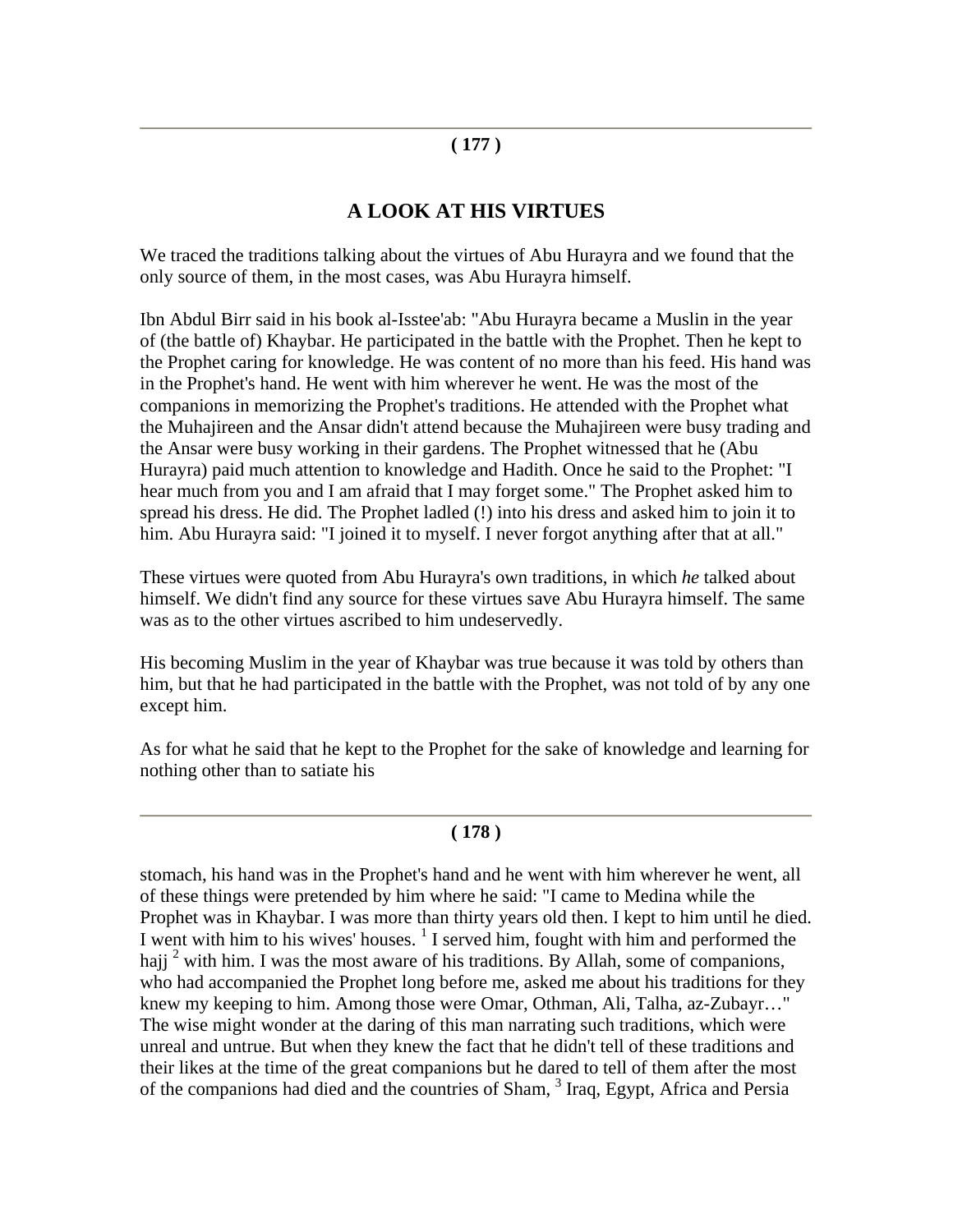# **( 177 )**

# **A LOOK AT HIS VIRTUES**

We traced the traditions talking about the virtues of Abu Hurayra and we found that the only source of them, in the most cases, was Abu Hurayra himself.

Ibn Abdul Birr said in his book al-Isstee'ab: "Abu Hurayra became a Muslin in the year of (the battle of) Khaybar. He participated in the battle with the Prophet. Then he kept to the Prophet caring for knowledge. He was content of no more than his feed. His hand was in the Prophet's hand. He went with him wherever he went. He was the most of the companions in memorizing the Prophet's traditions. He attended with the Prophet what the Muhajireen and the Ansar didn't attend because the Muhajireen were busy trading and the Ansar were busy working in their gardens. The Prophet witnessed that he (Abu Hurayra) paid much attention to knowledge and Hadith. Once he said to the Prophet: "I hear much from you and I am afraid that I may forget some." The Prophet asked him to spread his dress. He did. The Prophet ladled (!) into his dress and asked him to join it to him. Abu Hurayra said: "I joined it to myself. I never forgot anything after that at all."

These virtues were quoted from Abu Hurayra's own traditions, in which *he* talked about himself. We didn't find any source for these virtues save Abu Hurayra himself. The same was as to the other virtues ascribed to him undeservedly.

His becoming Muslim in the year of Khaybar was true because it was told by others than him, but that he had participated in the battle with the Prophet, was not told of by any one except him.

As for what he said that he kept to the Prophet for the sake of knowledge and learning for nothing other than to satiate his

#### **( 178 )**

stomach, his hand was in the Prophet's hand and he went with him wherever he went, all of these things were pretended by him where he said: "I came to Medina while the Prophet was in Khaybar. I was more than thirty years old then. I kept to him until he died. I went with him to his wives' houses.  $\frac{1}{1}$  I served him, fought with him and performed the hajj  $2$  with him. I was the most aware of his traditions. By Allah, some of companions, who had accompanied the Prophet long before me, asked me about his traditions for they knew my keeping to him. Among those were Omar, Othman, Ali, Talha, az-Zubayr…" The wise might wonder at the daring of this man narrating such traditions, which were unreal and untrue. But when they knew the fact that he didn't tell of these traditions and their likes at the time of the great companions but he dared to tell of them after the most of the companions had died and the countries of Sham, <sup>3</sup> Iraq, Egypt, Africa and Persia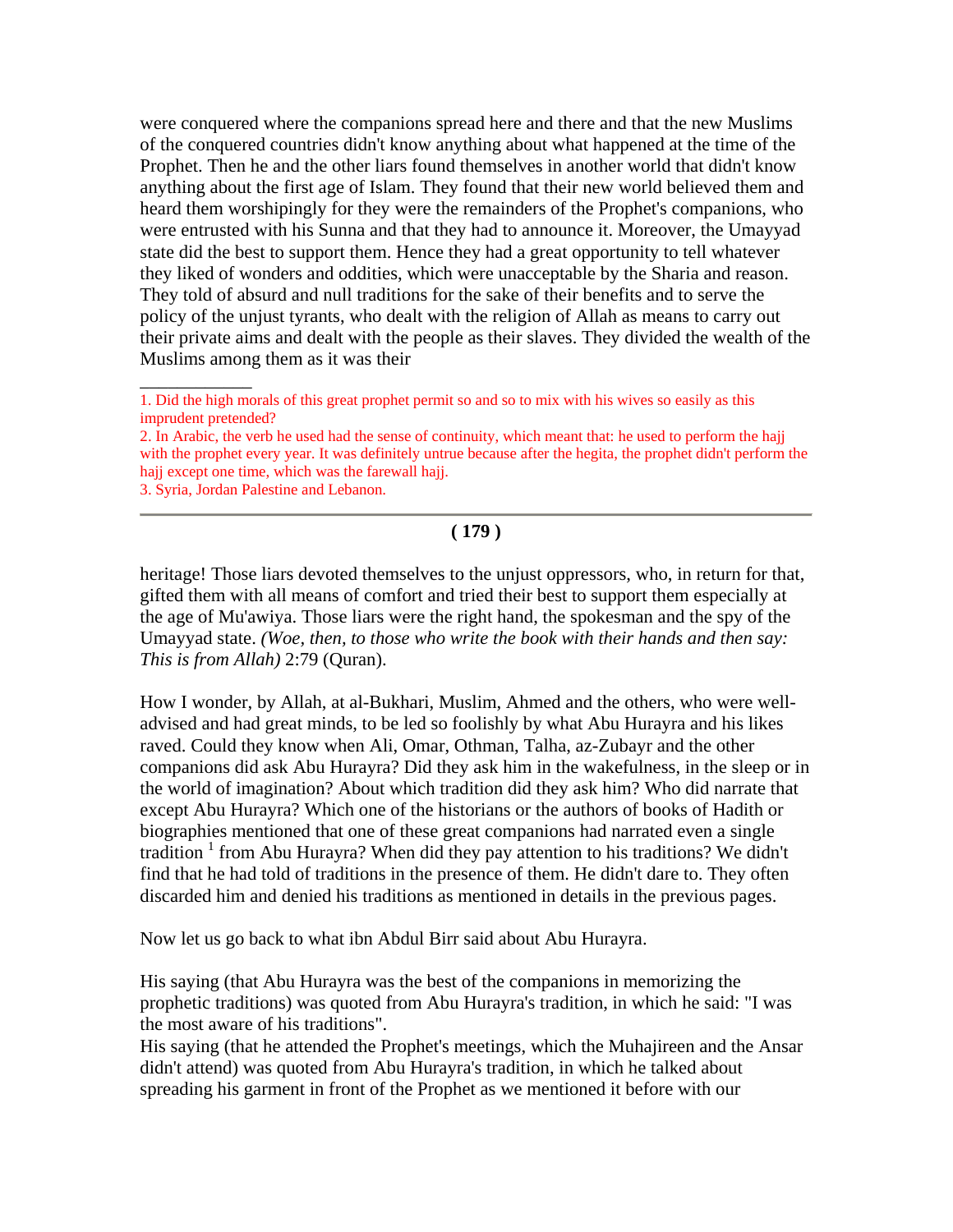were conquered where the companions spread here and there and that the new Muslims of the conquered countries didn't know anything about what happened at the time of the Prophet. Then he and the other liars found themselves in another world that didn't know anything about the first age of Islam. They found that their new world believed them and heard them worshipingly for they were the remainders of the Prophet's companions, who were entrusted with his Sunna and that they had to announce it. Moreover, the Umayyad state did the best to support them. Hence they had a great opportunity to tell whatever they liked of wonders and oddities, which were unacceptable by the Sharia and reason. They told of absurd and null traditions for the sake of their benefits and to serve the policy of the unjust tyrants, who dealt with the religion of Allah as means to carry out their private aims and dealt with the people as their slaves. They divided the wealth of the Muslims among them as it was their

- 2. In Arabic, the verb he used had the sense of continuity, which meant that: he used to perform the hajj with the prophet every year. It was definitely untrue because after the hegita, the prophet didn't perform the hajj except one time, which was the farewall hajj.
- 3. Syria, Jordan Palestine and Lebanon.

\_\_\_\_\_\_\_\_\_\_\_\_

#### **( 179 )**

heritage! Those liars devoted themselves to the unjust oppressors, who, in return for that, gifted them with all means of comfort and tried their best to support them especially at the age of Mu'awiya. Those liars were the right hand, the spokesman and the spy of the Umayyad state. *(Woe, then, to those who write the book with their hands and then say: This is from Allah)* 2:79 (Quran).

How I wonder, by Allah, at al-Bukhari, Muslim, Ahmed and the others, who were welladvised and had great minds, to be led so foolishly by what Abu Hurayra and his likes raved. Could they know when Ali, Omar, Othman, Talha, az-Zubayr and the other companions did ask Abu Hurayra? Did they ask him in the wakefulness, in the sleep or in the world of imagination? About which tradition did they ask him? Who did narrate that except Abu Hurayra? Which one of the historians or the authors of books of Hadith or biographies mentioned that one of these great companions had narrated even a single tradition<sup>1</sup> from Abu Hurayra? When did they pay attention to his traditions? We didn't find that he had told of traditions in the presence of them. He didn't dare to. They often discarded him and denied his traditions as mentioned in details in the previous pages.

Now let us go back to what ibn Abdul Birr said about Abu Hurayra.

His saying (that Abu Hurayra was the best of the companions in memorizing the prophetic traditions) was quoted from Abu Hurayra's tradition, in which he said: "I was the most aware of his traditions".

His saying (that he attended the Prophet's meetings, which the Muhajireen and the Ansar didn't attend) was quoted from Abu Hurayra's tradition, in which he talked about spreading his garment in front of the Prophet as we mentioned it before with our

<sup>1.</sup> Did the high morals of this great prophet permit so and so to mix with his wives so easily as this imprudent pretended?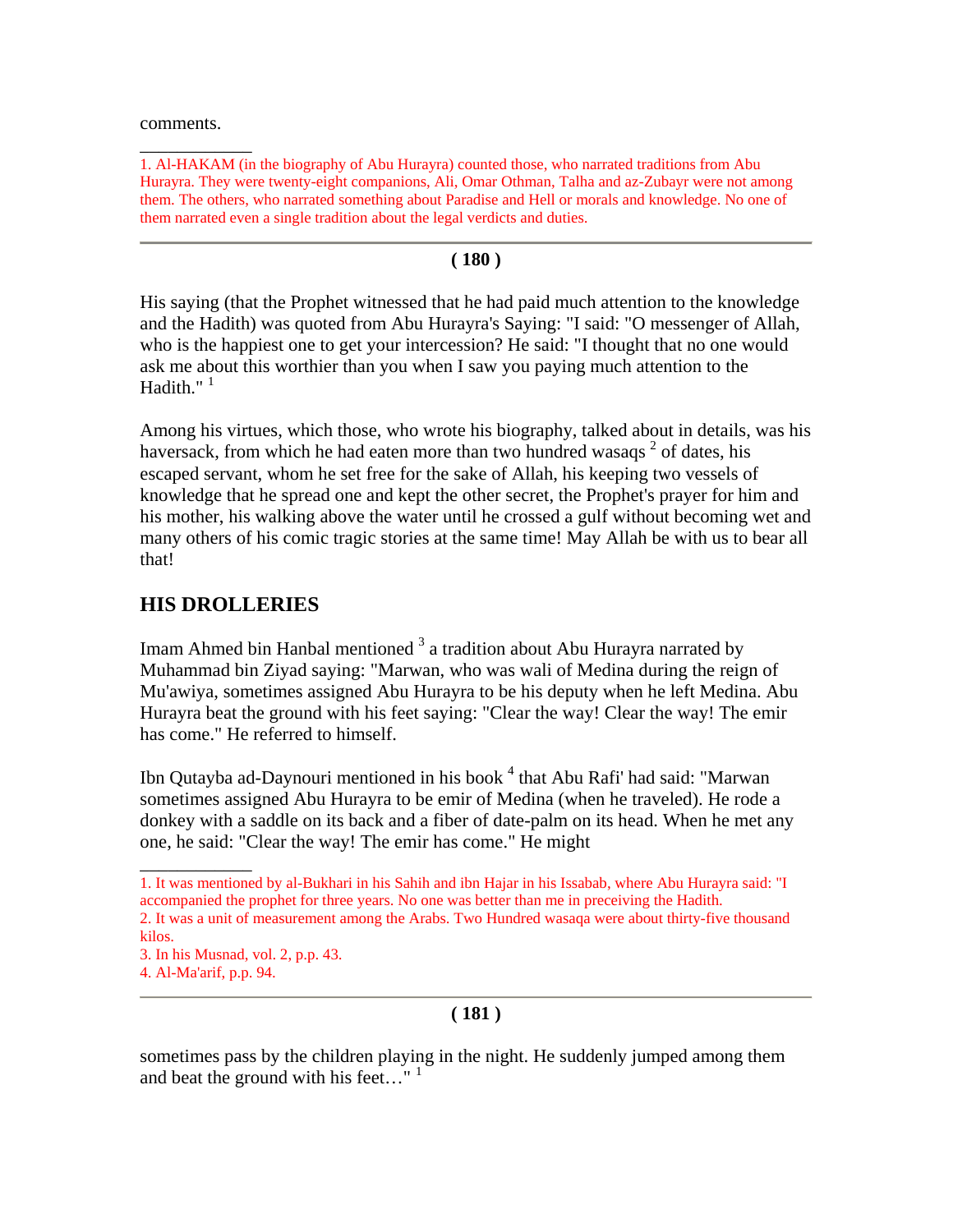comments.

\_\_\_\_\_\_\_\_\_\_\_\_

1. Al-HAKAM (in the biography of Abu Hurayra) counted those, who narrated traditions from Abu Hurayra. They were twenty-eight companions, Ali, Omar Othman, Talha and az-Zubayr were not among them. The others, who narrated something about Paradise and Hell or morals and knowledge. No one of them narrated even a single tradition about the legal verdicts and duties.

#### **( 180 )**

His saying (that the Prophet witnessed that he had paid much attention to the knowledge and the Hadith) was quoted from Abu Hurayra's Saying: "I said: "O messenger of Allah, who is the happiest one to get your intercession? He said: "I thought that no one would ask me about this worthier than you when I saw you paying much attention to the Hadith." $<sup>1</sup>$ </sup>

Among his virtues, which those, who wrote his biography, talked about in details, was his haversack, from which he had eaten more than two hundred wasaqs  $2$  of dates, his escaped servant, whom he set free for the sake of Allah, his keeping two vessels of knowledge that he spread one and kept the other secret, the Prophet's prayer for him and his mother, his walking above the water until he crossed a gulf without becoming wet and many others of his comic tragic stories at the same time! May Allah be with us to bear all that!

# **HIS DROLLERIES**

Imam Ahmed bin Hanbal mentioned  $3$  a tradition about Abu Hurayra narrated by Muhammad bin Ziyad saying: "Marwan, who was wali of Medina during the reign of Mu'awiya, sometimes assigned Abu Hurayra to be his deputy when he left Medina. Abu Hurayra beat the ground with his feet saying: "Clear the way! Clear the way! The emir has come." He referred to himself.

Ibn Qutayba ad-Daynouri mentioned in his book  $^4$  that Abu Rafi' had said: "Marwan sometimes assigned Abu Hurayra to be emir of Medina (when he traveled). He rode a donkey with a saddle on its back and a fiber of date-palm on its head. When he met any one, he said: "Clear the way! The emir has come." He might

3. In his Musnad, vol. 2, p.p. 43.

\_\_\_\_\_\_\_\_\_\_\_\_

#### **( 181 )**

sometimes pass by the children playing in the night. He suddenly jumped among them and beat the ground with his feet..."  $1$ 

<sup>1.</sup> It was mentioned by al-Bukhari in his Sahih and ibn Hajar in his Issabab, where Abu Hurayra said: "I accompanied the prophet for three years. No one was better than me in preceiving the Hadith. 2. It was a unit of measurement among the Arabs. Two Hundred wasaqa were about thirty-five thousand kilos.

<sup>4.</sup> Al-Ma'arif, p.p. 94.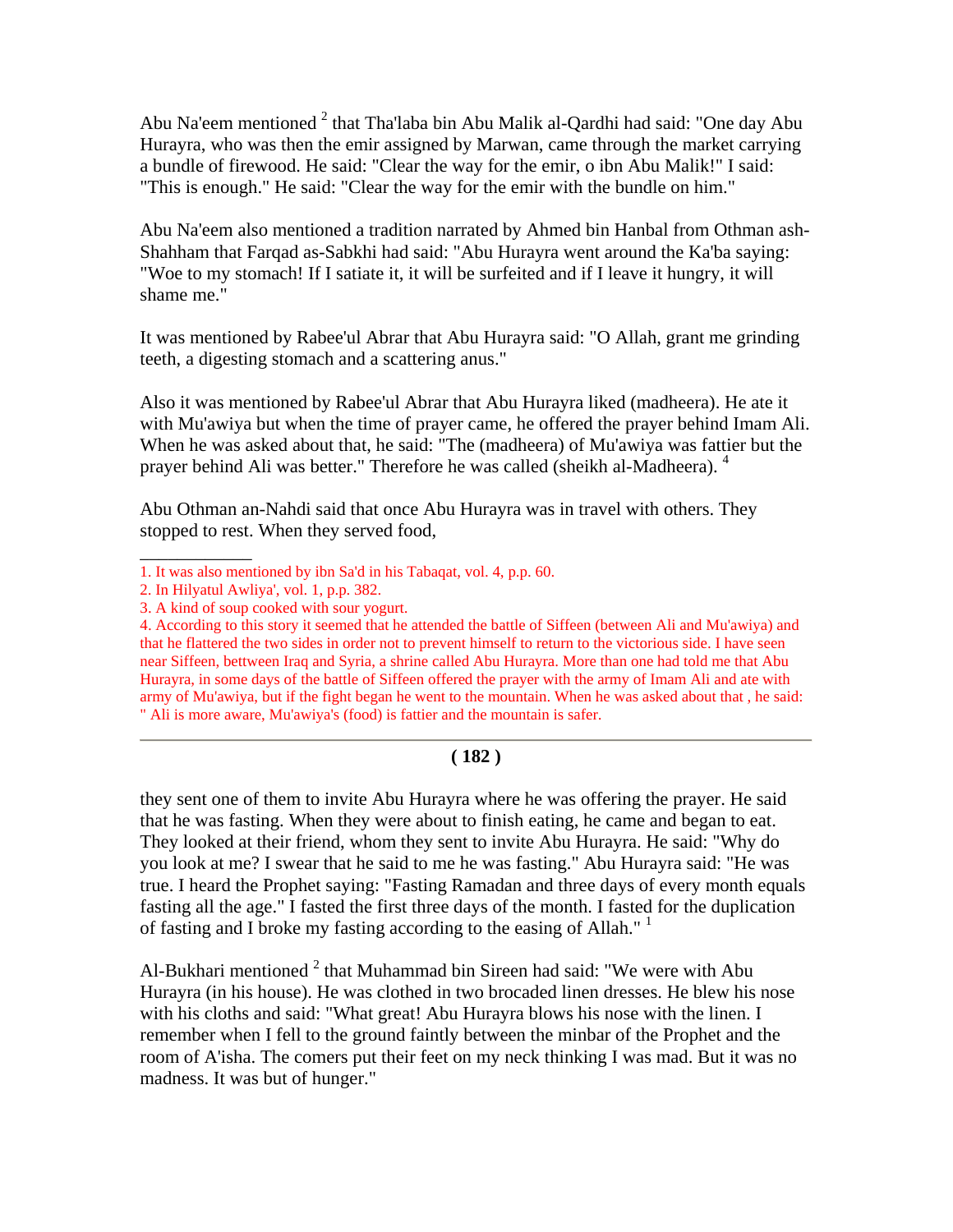Abu Na'eem mentioned  $2$  that Tha'laba bin Abu Malik al-Qardhi had said: "One day Abu Hurayra, who was then the emir assigned by Marwan, came through the market carrying a bundle of firewood. He said: "Clear the way for the emir, o ibn Abu Malik!" I said: "This is enough." He said: "Clear the way for the emir with the bundle on him."

Abu Na'eem also mentioned a tradition narrated by Ahmed bin Hanbal from Othman ash-Shahham that Farqad as-Sabkhi had said: "Abu Hurayra went around the Ka'ba saying: "Woe to my stomach! If I satiate it, it will be surfeited and if I leave it hungry, it will shame me."

It was mentioned by Rabee'ul Abrar that Abu Hurayra said: "O Allah, grant me grinding teeth, a digesting stomach and a scattering anus."

Also it was mentioned by Rabee'ul Abrar that Abu Hurayra liked (madheera). He ate it with Mu'awiya but when the time of prayer came, he offered the prayer behind Imam Ali. When he was asked about that, he said: "The (madheera) of Mu'awiya was fattier but the prayer behind Ali was better." Therefore he was called (sheikh al-Madheera). <sup>4</sup>

Abu Othman an-Nahdi said that once Abu Hurayra was in travel with others. They stopped to rest. When they served food,

\_\_\_\_\_\_\_\_\_\_\_\_

# **( 182 )**

they sent one of them to invite Abu Hurayra where he was offering the prayer. He said that he was fasting. When they were about to finish eating, he came and began to eat. They looked at their friend, whom they sent to invite Abu Hurayra. He said: "Why do you look at me? I swear that he said to me he was fasting." Abu Hurayra said: "He was true. I heard the Prophet saying: "Fasting Ramadan and three days of every month equals fasting all the age." I fasted the first three days of the month. I fasted for the duplication of fasting and I broke my fasting according to the easing of Allah."<sup>1</sup>

Al-Bukhari mentioned  $2$  that Muhammad bin Sireen had said: "We were with Abu Hurayra (in his house). He was clothed in two brocaded linen dresses. He blew his nose with his cloths and said: "What great! Abu Hurayra blows his nose with the linen. I remember when I fell to the ground faintly between the minbar of the Prophet and the room of A'isha. The comers put their feet on my neck thinking I was mad. But it was no madness. It was but of hunger."

<sup>1.</sup> It was also mentioned by ibn Sa'd in his Tabaqat, vol. 4, p.p. 60.

<sup>2.</sup> In Hilyatul Awliya', vol. 1, p.p. 382.

<sup>3.</sup> A kind of soup cooked with sour yogurt.

<sup>4.</sup> According to this story it seemed that he attended the battle of Siffeen (between Ali and Mu'awiya) and that he flattered the two sides in order not to prevent himself to return to the victorious side. I have seen near Siffeen, bettween Iraq and Syria, a shrine called Abu Hurayra. More than one had told me that Abu Hurayra, in some days of the battle of Siffeen offered the prayer with the army of Imam Ali and ate with army of Mu'awiya, but if the fight began he went to the mountain. When he was asked about that , he said: " Ali is more aware, Mu'awiya's (food) is fattier and the mountain is safer.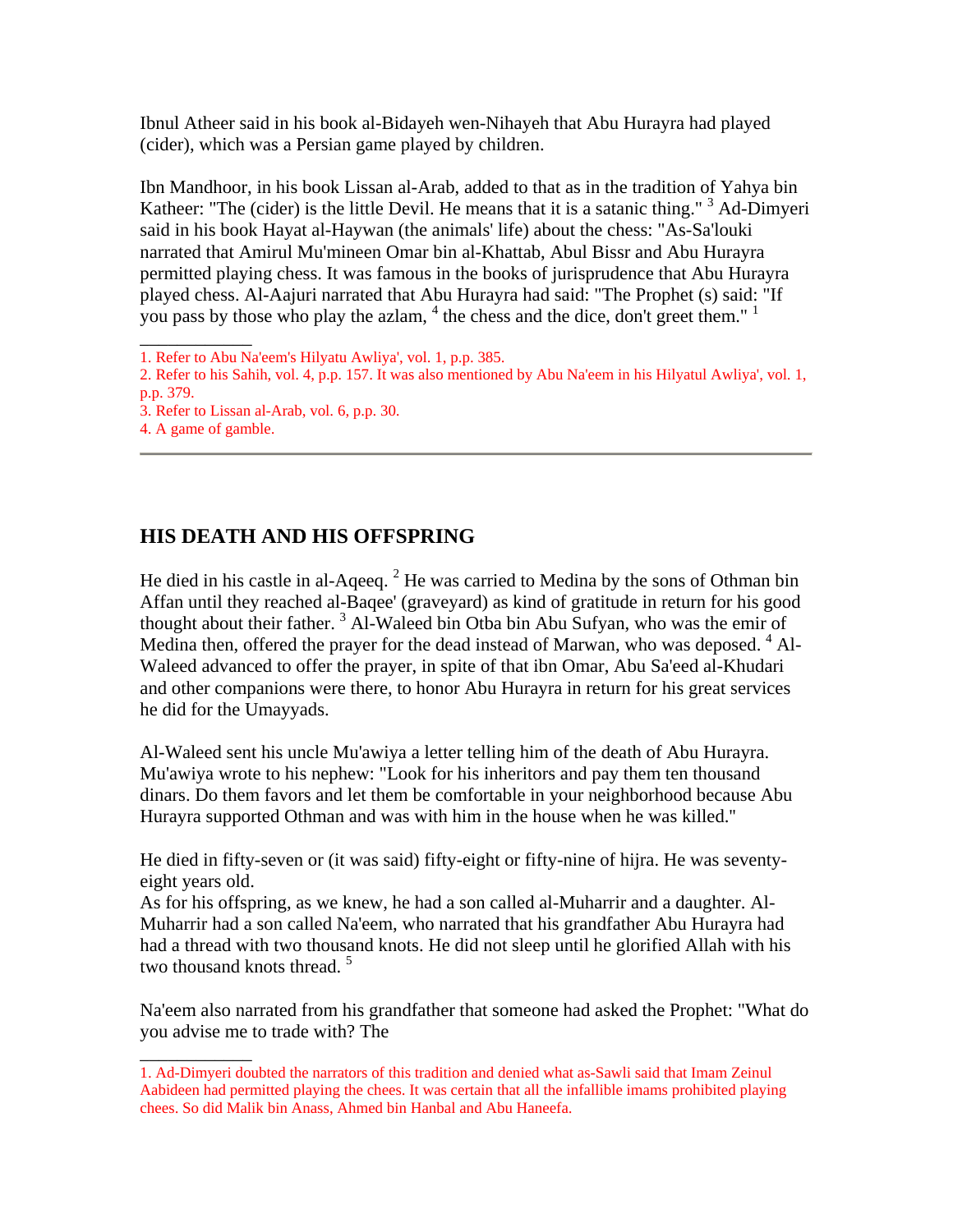Ibnul Atheer said in his book al-Bidayeh wen-Nihayeh that Abu Hurayra had played (cider), which was a Persian game played by children.

Ibn Mandhoor, in his book Lissan al-Arab, added to that as in the tradition of Yahya bin Katheer: "The (cider) is the little Devil. He means that it is a satanic thing."  $3$  Ad-Dimyeri said in his book Hayat al-Haywan (the animals' life) about the chess: "As-Sa'louki narrated that Amirul Mu'mineen Omar bin al-Khattab, Abul Bissr and Abu Hurayra permitted playing chess. It was famous in the books of jurisprudence that Abu Hurayra played chess. Al-Aajuri narrated that Abu Hurayra had said: "The Prophet (s) said: "If you pass by those who play the azlam,  $4$  the chess and the dice, don't greet them."  $1$ 

 $\overline{\phantom{a}}$ 

\_\_\_\_\_\_\_\_\_\_\_\_

# **HIS DEATH AND HIS OFFSPRING**

He died in his castle in al-Aqeeq.<sup>2</sup> He was carried to Medina by the sons of Othman bin Affan until they reached al-Baqee' (graveyard) as kind of gratitude in return for his good thought about their father.<sup>3</sup> Al-Waleed bin Otba bin Abu Sufyan, who was the emir of Medina then, offered the prayer for the dead instead of Marwan, who was deposed. <sup>4</sup> Al-Waleed advanced to offer the prayer, in spite of that ibn Omar, Abu Sa'eed al-Khudari and other companions were there, to honor Abu Hurayra in return for his great services he did for the Umayyads.

Al-Waleed sent his uncle Mu'awiya a letter telling him of the death of Abu Hurayra. Mu'awiya wrote to his nephew: "Look for his inheritors and pay them ten thousand dinars. Do them favors and let them be comfortable in your neighborhood because Abu Hurayra supported Othman and was with him in the house when he was killed.''

He died in fifty-seven or (it was said) fifty-eight or fifty-nine of hijra. He was seventyeight years old.

As for his offspring, as we knew, he had a son called al-Muharrir and a daughter. Al-Muharrir had a son called Na'eem, who narrated that his grandfather Abu Hurayra had had a thread with two thousand knots. He did not sleep until he glorified Allah with his two thousand knots thread.<sup>5</sup>

Na'eem also narrated from his grandfather that someone had asked the Prophet: "What do you advise me to trade with? The

<sup>1.</sup> Refer to Abu Na'eem's Hilyatu Awliya', vol. 1, p.p. 385.

<sup>2.</sup> Refer to his Sahih, vol. 4, p.p. 157. It was also mentioned by Abu Na'eem in his Hilyatul Awliya', vol. 1, p.p. 379.

<sup>3.</sup> Refer to Lissan al-Arab, vol. 6, p.p. 30.

<sup>4.</sup> A game of gamble.

<sup>1.</sup> Ad-Dimyeri doubted the narrators of this tradition and denied what as-Sawli said that Imam Zeinul Aabideen had permitted playing the chees. It was certain that all the infallible imams prohibited playing chees. So did Malik bin Anass, Ahmed bin Hanbal and Abu Haneefa.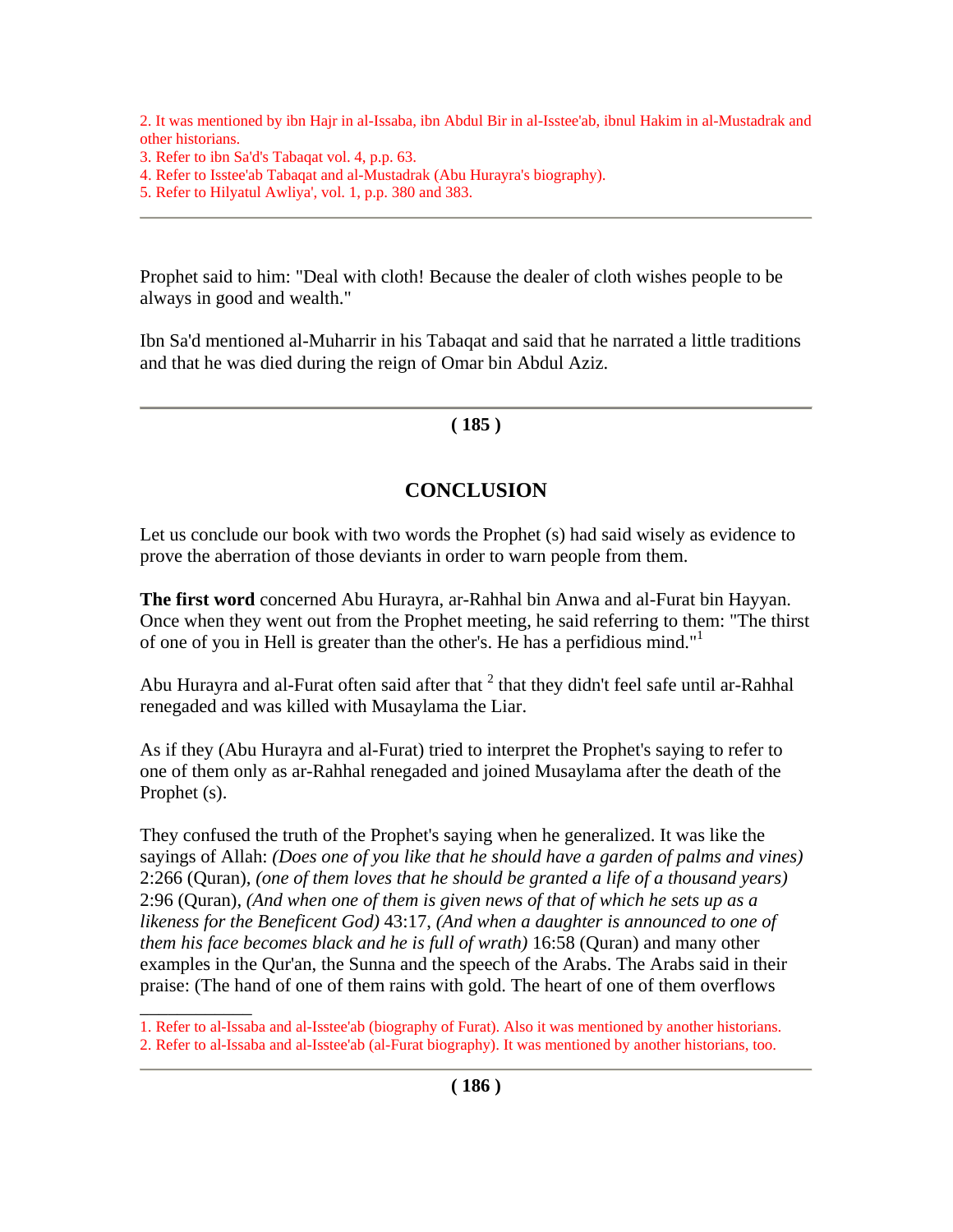2. It was mentioned by ibn Hajr in al-Issaba, ibn Abdul Bir in al-Isstee'ab, ibnul Hakim in al-Mustadrak and other historians.

\_\_\_\_\_\_\_\_\_\_\_\_

- 4. Refer to Isstee'ab Tabaqat and al-Mustadrak (Abu Hurayra's biography).
- 5. Refer to Hilyatul Awliya', vol. 1, p.p. 380 and 383.

Prophet said to him: "Deal with cloth! Because the dealer of cloth wishes people to be always in good and wealth."

Ibn Sa'd mentioned al-Muharrir in his Tabaqat and said that he narrated a little traditions and that he was died during the reign of Omar bin Abdul Aziz.

# **( 185 )**

# **CONCLUSION**

Let us conclude our book with two words the Prophet (s) had said wisely as evidence to prove the aberration of those deviants in order to warn people from them.

**The first word** concerned Abu Hurayra, ar-Rahhal bin Anwa and al-Furat bin Hayyan. Once when they went out from the Prophet meeting, he said referring to them: "The thirst of one of you in Hell is greater than the other's. He has a perfidious mind."<sup>1</sup>

Abu Hurayra and al-Furat often said after that  $2$  that they didn't feel safe until ar-Rahhal renegaded and was killed with Musaylama the Liar.

As if they (Abu Hurayra and al-Furat) tried to interpret the Prophet's saying to refer to one of them only as ar-Rahhal renegaded and joined Musaylama after the death of the Prophet (s).

They confused the truth of the Prophet's saying when he generalized. It was like the sayings of Allah: *(Does one of you like that he should have a garden of palms and vines)*  2:266 (Quran), *(one of them loves that he should be granted a life of a thousand years)*  2:96 (Quran), *(And when one of them is given news of that of which he sets up as a likeness for the Beneficent God)* 43:17, *(And when a daughter is announced to one of them his face becomes black and he is full of wrath)* 16:58 (Quran) and many other examples in the Qur'an, the Sunna and the speech of the Arabs. The Arabs said in their praise: (The hand of one of them rains with gold. The heart of one of them overflows

<sup>3.</sup> Refer to ibn Sa'd's Tabaqat vol. 4, p.p. 63.

<sup>1.</sup> Refer to al-Issaba and al-Isstee'ab (biography of Furat). Also it was mentioned by another historians. 2. Refer to al-Issaba and al-Isstee'ab (al-Furat biography). It was mentioned by another historians, too.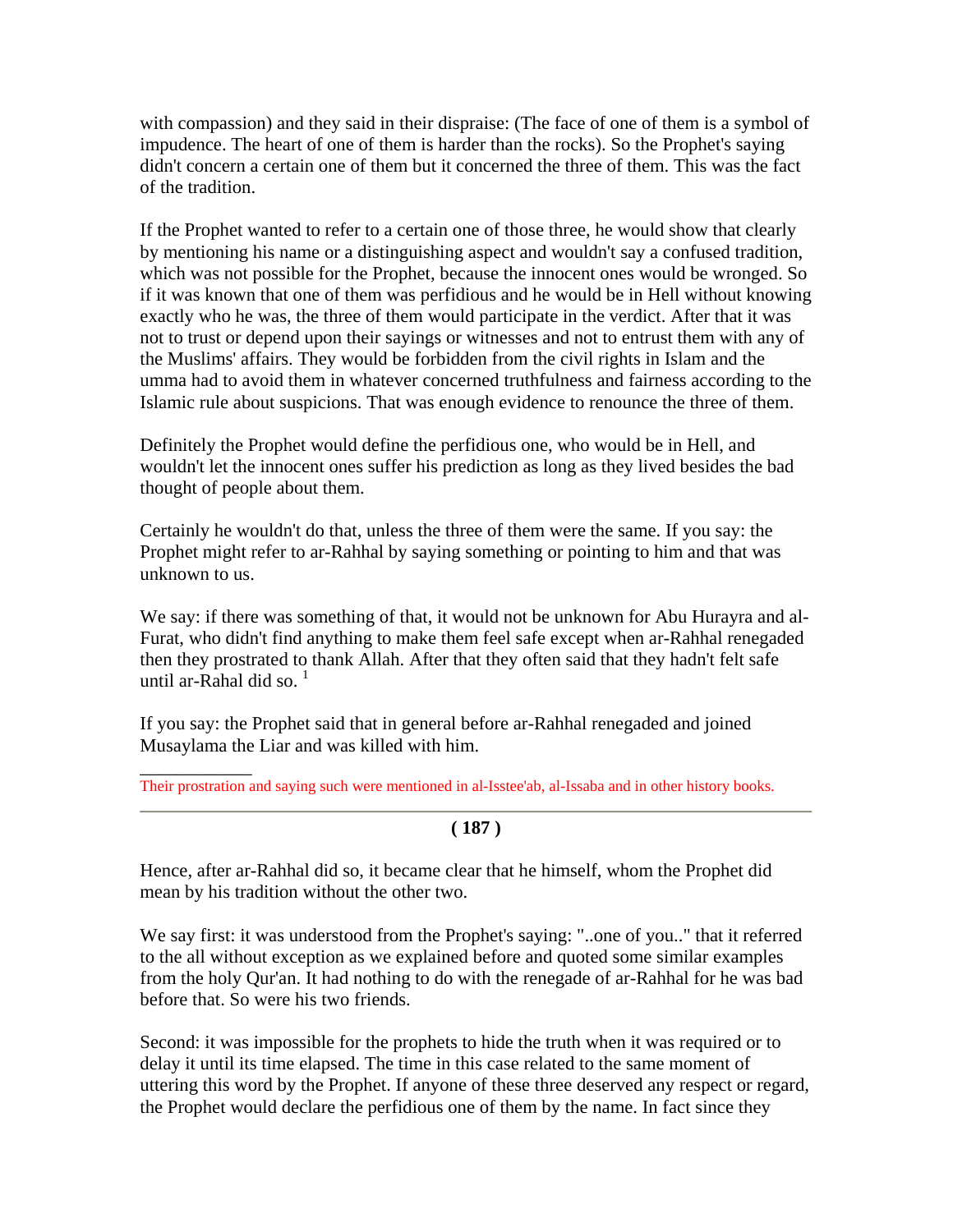with compassion) and they said in their dispraise: (The face of one of them is a symbol of impudence. The heart of one of them is harder than the rocks). So the Prophet's saying didn't concern a certain one of them but it concerned the three of them. This was the fact of the tradition.

If the Prophet wanted to refer to a certain one of those three, he would show that clearly by mentioning his name or a distinguishing aspect and wouldn't say a confused tradition, which was not possible for the Prophet, because the innocent ones would be wronged. So if it was known that one of them was perfidious and he would be in Hell without knowing exactly who he was, the three of them would participate in the verdict. After that it was not to trust or depend upon their sayings or witnesses and not to entrust them with any of the Muslims' affairs. They would be forbidden from the civil rights in Islam and the umma had to avoid them in whatever concerned truthfulness and fairness according to the Islamic rule about suspicions. That was enough evidence to renounce the three of them.

Definitely the Prophet would define the perfidious one, who would be in Hell, and wouldn't let the innocent ones suffer his prediction as long as they lived besides the bad thought of people about them.

Certainly he wouldn't do that, unless the three of them were the same. If you say: the Prophet might refer to ar-Rahhal by saying something or pointing to him and that was unknown to us.

We say: if there was something of that, it would not be unknown for Abu Hurayra and al-Furat, who didn't find anything to make them feel safe except when ar-Rahhal renegaded then they prostrated to thank Allah. After that they often said that they hadn't felt safe until ar-Rahal did so. $<sup>1</sup>$ </sup>

If you say: the Prophet said that in general before ar-Rahhal renegaded and joined Musaylama the Liar and was killed with him.

\_\_\_\_\_\_\_\_\_\_\_\_ Their prostration and saying such were mentioned in al-Isstee'ab, al-Issaba and in other history books.

#### **( 187 )**

Hence, after ar-Rahhal did so, it became clear that he himself, whom the Prophet did mean by his tradition without the other two.

We say first: it was understood from the Prophet's saying: "..one of you.." that it referred to the all without exception as we explained before and quoted some similar examples from the holy Qur'an. It had nothing to do with the renegade of ar-Rahhal for he was bad before that. So were his two friends.

Second: it was impossible for the prophets to hide the truth when it was required or to delay it until its time elapsed. The time in this case related to the same moment of uttering this word by the Prophet. If anyone of these three deserved any respect or regard, the Prophet would declare the perfidious one of them by the name. In fact since they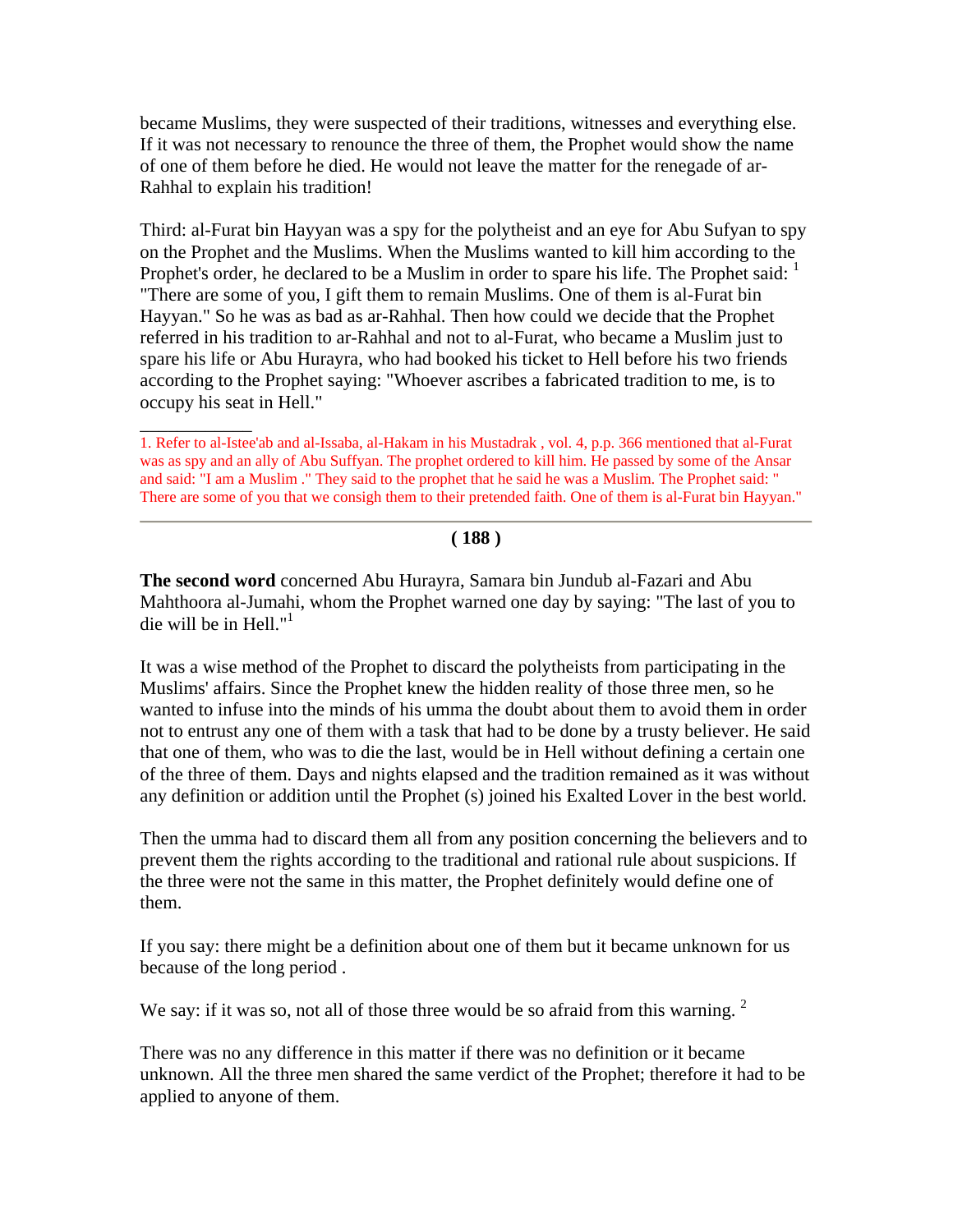became Muslims, they were suspected of their traditions, witnesses and everything else. If it was not necessary to renounce the three of them, the Prophet would show the name of one of them before he died. He would not leave the matter for the renegade of ar-Rahhal to explain his tradition!

Third: al-Furat bin Hayyan was a spy for the polytheist and an eye for Abu Sufyan to spy on the Prophet and the Muslims. When the Muslims wanted to kill him according to the Prophet's order, he declared to be a Muslim in order to spare his life. The Prophet said:  $\frac{1}{1}$ "There are some of you, I gift them to remain Muslims. One of them is al-Furat bin Hayyan." So he was as bad as ar-Rahhal. Then how could we decide that the Prophet referred in his tradition to ar-Rahhal and not to al-Furat, who became a Muslim just to spare his life or Abu Hurayra, who had booked his ticket to Hell before his two friends according to the Prophet saying: "Whoever ascribes a fabricated tradition to me, is to occupy his seat in Hell."

 $\overline{\phantom{a}}$ 

#### **( 188 )**

**The second word** concerned Abu Hurayra, Samara bin Jundub al-Fazari and Abu Mahthoora al-Jumahi, whom the Prophet warned one day by saying: "The last of you to die will be in Hell."<sup>1</sup>

It was a wise method of the Prophet to discard the polytheists from participating in the Muslims' affairs. Since the Prophet knew the hidden reality of those three men, so he wanted to infuse into the minds of his umma the doubt about them to avoid them in order not to entrust any one of them with a task that had to be done by a trusty believer. He said that one of them, who was to die the last, would be in Hell without defining a certain one of the three of them. Days and nights elapsed and the tradition remained as it was without any definition or addition until the Prophet (s) joined his Exalted Lover in the best world.

Then the umma had to discard them all from any position concerning the believers and to prevent them the rights according to the traditional and rational rule about suspicions. If the three were not the same in this matter, the Prophet definitely would define one of them.

If you say: there might be a definition about one of them but it became unknown for us because of the long period .

We say: if it was so, not all of those three would be so afraid from this warning.  $2$ 

There was no any difference in this matter if there was no definition or it became unknown. All the three men shared the same verdict of the Prophet; therefore it had to be applied to anyone of them.

<sup>1.</sup> Refer to al-Istee'ab and al-Issaba, al-Hakam in his Mustadrak , vol. 4, p.p. 366 mentioned that al-Furat was as spy and an ally of Abu Suffyan. The prophet ordered to kill him. He passed by some of the Ansar and said: "I am a Muslim ." They said to the prophet that he said he was a Muslim. The Prophet said: " There are some of you that we consigh them to their pretended faith. One of them is al-Furat bin Hayyan."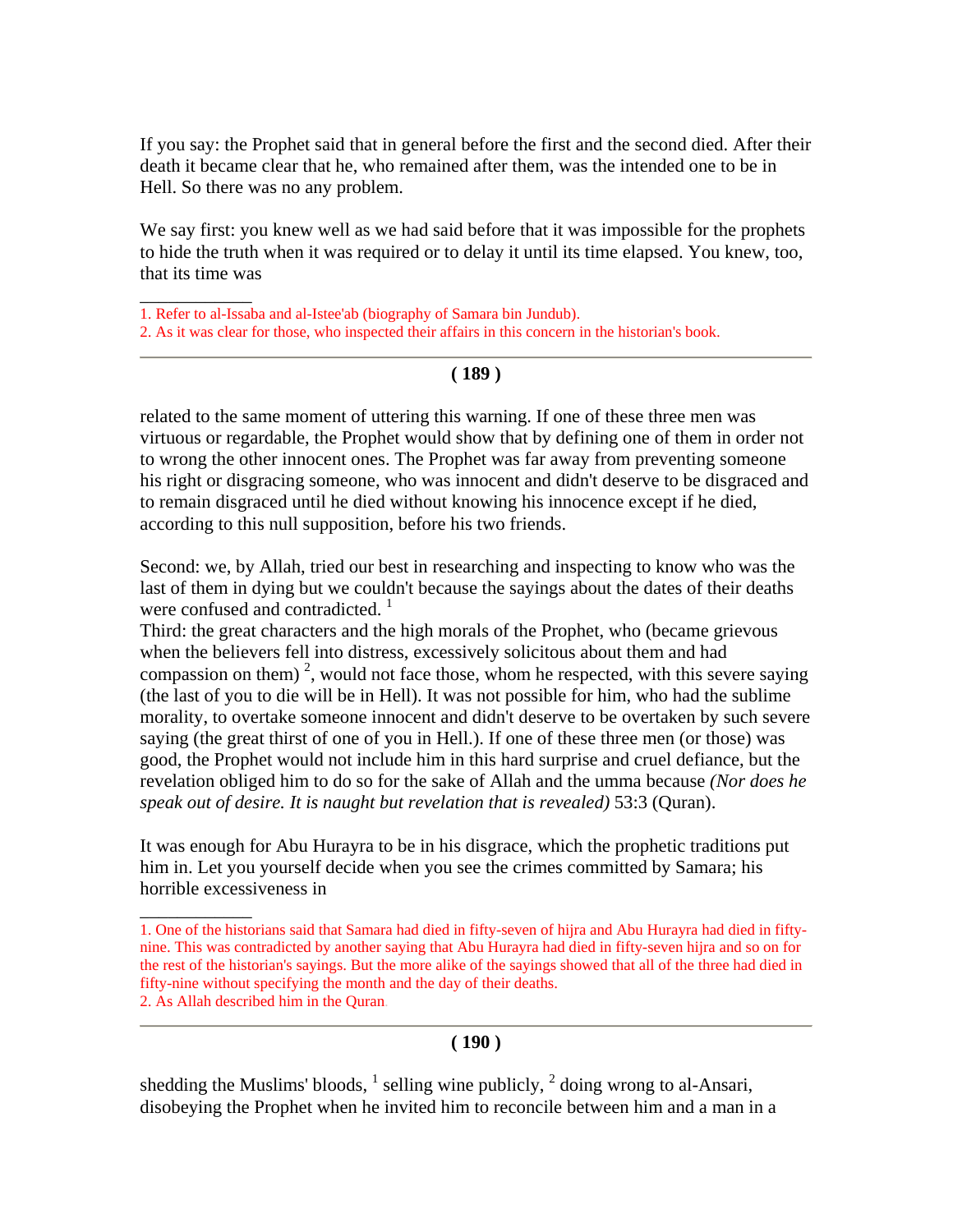If you say: the Prophet said that in general before the first and the second died. After their death it became clear that he, who remained after them, was the intended one to be in Hell. So there was no any problem.

We say first: you knew well as we had said before that it was impossible for the prophets to hide the truth when it was required or to delay it until its time elapsed. You knew, too, that its time was

1. Refer to al-Issaba and al-Istee'ab (biography of Samara bin Jundub).

\_\_\_\_\_\_\_\_\_\_\_\_

 $\overline{\phantom{a}}$ 

2. As it was clear for those, who inspected their affairs in this concern in the historian's book.

#### **( 189 )**

related to the same moment of uttering this warning. If one of these three men was virtuous or regardable, the Prophet would show that by defining one of them in order not to wrong the other innocent ones. The Prophet was far away from preventing someone his right or disgracing someone, who was innocent and didn't deserve to be disgraced and to remain disgraced until he died without knowing his innocence except if he died, according to this null supposition, before his two friends.

Second: we, by Allah, tried our best in researching and inspecting to know who was the last of them in dying but we couldn't because the sayings about the dates of their deaths were confused and contradicted.<sup>1</sup>

Third: the great characters and the high morals of the Prophet, who (became grievous when the believers fell into distress, excessively solicitous about them and had compassion on them)<sup>2</sup>, would not face those, whom he respected, with this severe saying (the last of you to die will be in Hell). It was not possible for him, who had the sublime morality, to overtake someone innocent and didn't deserve to be overtaken by such severe saying (the great thirst of one of you in Hell.). If one of these three men (or those) was good, the Prophet would not include him in this hard surprise and cruel defiance, but the revelation obliged him to do so for the sake of Allah and the umma because *(Nor does he speak out of desire. It is naught but revelation that is revealed)* 53:3 (Quran).

It was enough for Abu Hurayra to be in his disgrace, which the prophetic traditions put him in. Let you yourself decide when you see the crimes committed by Samara; his horrible excessiveness in

#### **( 190 )**

shedding the Muslims' bloods,  $<sup>1</sup>$  selling wine publicly,  $<sup>2</sup>$  doing wrong to al-Ansari,</sup></sup> disobeying the Prophet when he invited him to reconcile between him and a man in a

<sup>1.</sup> One of the historians said that Samara had died in fifty-seven of hijra and Abu Hurayra had died in fiftynine. This was contradicted by another saying that Abu Hurayra had died in fifty-seven hijra and so on for the rest of the historian's sayings. But the more alike of the sayings showed that all of the three had died in fifty-nine without specifying the month and the day of their deaths. 2. As Allah described him in the Quran.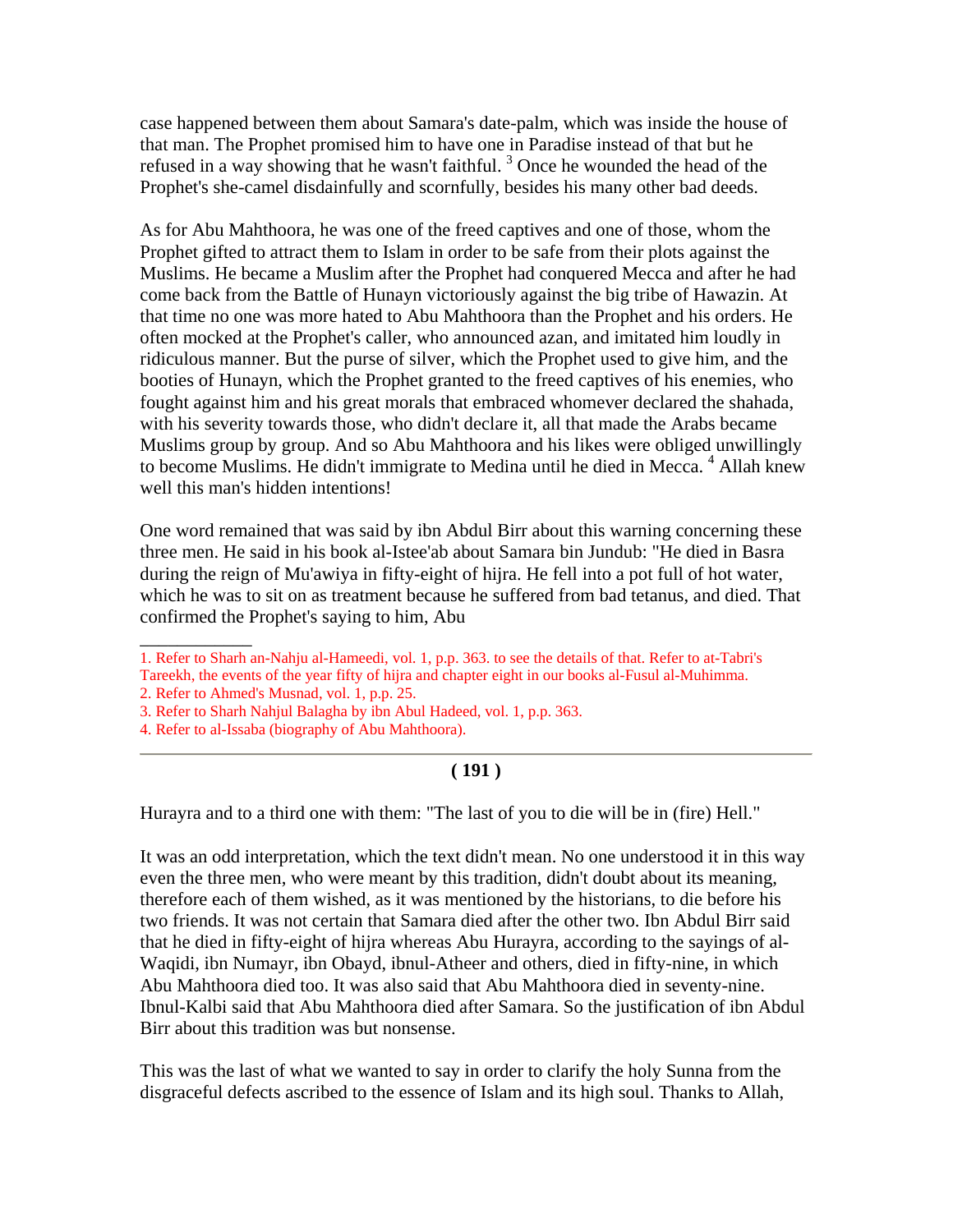case happened between them about Samara's date-palm, which was inside the house of that man. The Prophet promised him to have one in Paradise instead of that but he refused in a way showing that he wasn't faithful.<sup>3</sup> Once he wounded the head of the Prophet's she-camel disdainfully and scornfully, besides his many other bad deeds.

As for Abu Mahthoora, he was one of the freed captives and one of those, whom the Prophet gifted to attract them to Islam in order to be safe from their plots against the Muslims. He became a Muslim after the Prophet had conquered Mecca and after he had come back from the Battle of Hunayn victoriously against the big tribe of Hawazin. At that time no one was more hated to Abu Mahthoora than the Prophet and his orders. He often mocked at the Prophet's caller, who announced azan, and imitated him loudly in ridiculous manner. But the purse of silver, which the Prophet used to give him, and the booties of Hunayn, which the Prophet granted to the freed captives of his enemies, who fought against him and his great morals that embraced whomever declared the shahada, with his severity towards those, who didn't declare it, all that made the Arabs became Muslims group by group. And so Abu Mahthoora and his likes were obliged unwillingly to become Muslims. He didn't immigrate to Medina until he died in Mecca.<sup>4</sup> Allah knew well this man's hidden intentions!

One word remained that was said by ibn Abdul Birr about this warning concerning these three men. He said in his book al-Istee'ab about Samara bin Jundub: "He died in Basra during the reign of Mu'awiya in fifty-eight of hijra. He fell into a pot full of hot water, which he was to sit on as treatment because he suffered from bad tetanus, and died. That confirmed the Prophet's saying to him, Abu

3. Refer to Sharh Nahjul Balagha by ibn Abul Hadeed, vol. 1, p.p. 363.

 $\overline{\phantom{a}}$ 

# **( 191 )**

Hurayra and to a third one with them: "The last of you to die will be in (fire) Hell."

It was an odd interpretation, which the text didn't mean. No one understood it in this way even the three men, who were meant by this tradition, didn't doubt about its meaning, therefore each of them wished, as it was mentioned by the historians, to die before his two friends. It was not certain that Samara died after the other two. Ibn Abdul Birr said that he died in fifty-eight of hijra whereas Abu Hurayra, according to the sayings of al-Waqidi, ibn Numayr, ibn Obayd, ibnul-Atheer and others, died in fifty-nine, in which Abu Mahthoora died too. It was also said that Abu Mahthoora died in seventy-nine. Ibnul-Kalbi said that Abu Mahthoora died after Samara. So the justification of ibn Abdul Birr about this tradition was but nonsense.

This was the last of what we wanted to say in order to clarify the holy Sunna from the disgraceful defects ascribed to the essence of Islam and its high soul. Thanks to Allah,

<sup>1.</sup> Refer to Sharh an-Nahju al-Hameedi, vol. 1, p.p. 363. to see the details of that. Refer to at-Tabri's Tareekh, the events of the year fifty of hijra and chapter eight in our books al-Fusul al-Muhimma. 2. Refer to Ahmed's Musnad, vol. 1, p.p. 25.

<sup>4.</sup> Refer to al-Issaba (biography of Abu Mahthoora).